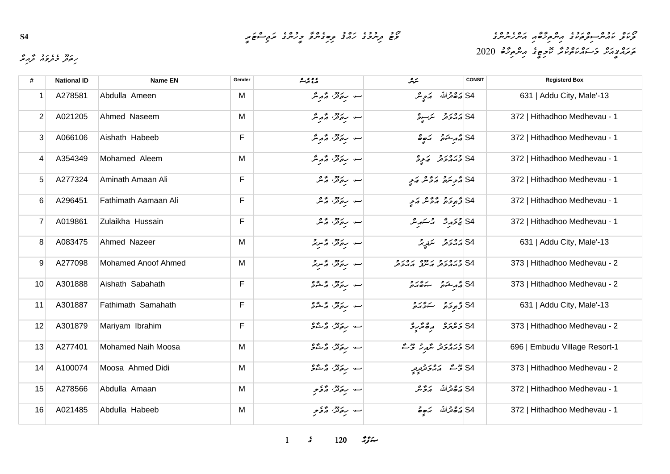*sCw7q7s5w7m< o<n9nOoAw7o< sCq;mAwBoEw7q<m; wBm;vB 2020 q9nOoAw7o< sCpHo>u; n8q;wAm;w<mEm> w6m<pYw<m8mA*

| #              | <b>National ID</b> | <b>Name EN</b>       | Gender | <b>ئى ئەس</b>     | سرپر                                                              | <b>CONSIT</b> | <b>Registerd Box</b>          |
|----------------|--------------------|----------------------|--------|-------------------|-------------------------------------------------------------------|---------------|-------------------------------|
|                | A278581            | Abdulla Ameen        | М      | ے رہ قرار مہر مگر | S4 كەھەتراللە كەربىر                                              |               | 631   Addu City, Male'-13     |
| $\vert$ 2      | A021205            | Ahmed Naseem         | M      | سە رەۋىش مەمەنىگە | S4   پروتو ترجو                                                   |               | 372   Hithadhoo Medhevau - 1  |
| 3              | A066106            | Aishath Habeeb       | F      | سە رەۋىش قەربىگە  | $50 - 50$ $\frac{2}{3}$ $\frac{2}{3}$ $\frac{2}{3}$ $\frac{2}{3}$ |               | 372   Hithadhoo Medhevau - 1  |
| $\overline{4}$ | A354349            | Mohamed Aleem        | M      | ب رہے تھ مہر مگر  | S4 <i>\$222.5 مَ</i> عِرْ                                         |               | 372   Hithadhoo Medhevau - 1  |
| 5 <sup>1</sup> | A277324            | Aminath Amaan Ali    | F      | ۔۔ رہ قرار مزینر  | S4 مَّ <i>جِ سَعْہ مَ</i> حَسْر <i>مَ</i> حِ                      |               | 372   Hithadhoo Medhevau - 1  |
| 6              | A296451            | Fathimath Aamaan Ali | F      | سە رەۋر، ئەنگە    | S4 رَّج <i>وحَة مَّ</i> حَسَّ <i>مَ</i> عِ                        |               | 372   Hithadhoo Medhevau - 1  |
| $\overline{7}$ | A019861            | Zulaikha Hussain     | F      | ۔۔ رہ قرار مزینر  | S4 تح تحدي <sup>ر</sup> 2 سكوپىر                                  |               | 372   Hithadhoo Medhevau - 1  |
| 8              | A083475            | Ahmed Nazeer         | М      | سە رەۋرى ئەسرىر   | S4  كەندى كىمە ئىرىتىكى ئىل                                       |               | 631   Addu City, Male'-13     |
| $\overline{9}$ | A277098            | Mohamed Anoof Ahmed  | M      | سە رەۋىر، ئەسرىر  | S4 دره د د به ده ده د د د                                         |               | 373   Hithadhoo Medhevau - 2  |
| 10             | A301888            | Aishath Sabahath     | F      | سە رەۋىش ئەشقى    | S4 مەم ئىق ئىق يەر مەر بىر                                        |               | 373   Hithadhoo Medhevau - 2  |
| 11             | A301887            | Fathimath Samahath   | F      | اے رودہ وشک       | S4 زېږ <i>ده خونه</i>                                             |               | 631   Addu City, Male'-13     |
| 12             | A301879            | Mariyam Ibrahim      | F      | اب رہے گھوڑ       | S4 كرمرمز مەمگرىدى                                                |               | 373   Hithadhoo Medhevau - 2  |
| 13             | A277401            | Mohamed Naih Moosa   | M      | ب رەۋش ئەشگەۋ     | S4 دېرونو شمه ژبې ش                                               |               | 696   Embudu Village Resort-1 |

373 | Hithadhoo Medhevau - 2 96 | Embudu Village Resort-1 14 A100074 Moosa Ahmed Didi M *cmWxWa ,Udwtih .s IdIdudwmcHwa WsUm* S4 373 | Hithadhoo Medhevau - 2 15 A278566 Abdulla Amaan M *ilevWa ,Udwtih .s cnWmwa QudcbwA* S4 372 | Hithadhoo Medhevau - 1 16 A021485 Abdulla Habeeb M *ilevWa ,Udwtih .s ubIbwH QudcbwA* S4 372 | Hithadhoo Medhevau - 1

*n f s 120 n n*<sup>2</sup>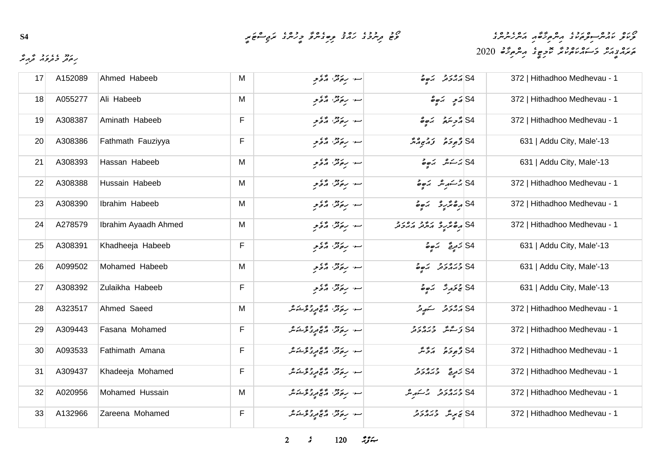*sCw7q7s5w7m< o<n9nOoAw7o< sCq;mAwBoEw7q<m; wBm;vB 2020<sup>, م</sup>وجدة المصرورة المجموعة المستورجة والم*جموعة والمجموعة والمجموعة والمجموعة والمجموعة والمجموعة والمجموعة

| 17 | A152089 | Ahmed Habeeb         | M           | سه ره در دره د                    | $502.525$ S4                                                                 | 372   Hithadhoo Medhevau - 1 |
|----|---------|----------------------|-------------|-----------------------------------|------------------------------------------------------------------------------|------------------------------|
| 18 | A055277 | Ali Habeeb           | M           | سه ره ده په کار                   | $\frac{2}{3}$ $\frac{2}{3}$ S4                                               | 372   Hithadhoo Medhevau - 1 |
| 19 | A308387 | Aminath Habeeb       | $\mathsf F$ | سە رەۋر ئەغ بو                    | $5.25$ $\frac{2}{3}$ $\frac{2}{3}$ $\frac{2}{3}$ $\frac{2}{3}$ $\frac{2}{3}$ | 372   Hithadhoo Medhevau - 1 |
| 20 | A308386 | Fathmath Fauziyya    | F           | سە رەۋىش مەھرىپ                   | S4 ژ <sub>ېج</sub> و تو تر توره شر                                           | 631   Addu City, Male'-13    |
| 21 | A308393 | Hassan Habeeb        | M           | اسو برەدە بوي                     | S4 كەسكە <i>كەھ</i>                                                          | 631   Addu City, Male'-13    |
| 22 | A308388 | Hussain Habeeb       | M           | سه ره ده په کار                   | S4 بر <i>کمبر مربور می</i>                                                   | 372   Hithadhoo Medhevau - 1 |
| 23 | A308390 | Ibrahim Habeeb       | M           | سة رەۋىش ەرەپىيە                  | $5.25$ $\frac{2}{3}$ $\frac{2}{3}$ $\frac{2}{3}$ $\frac{2}{3}$ $\frac{2}{3}$ | 372   Hithadhoo Medhevau - 1 |
| 24 | A278579 | Ibrahim Ayaadh Ahmed | M           | ے رہ تھ میں                       | S4 مەھگرىق مەمۇر مەدور                                                       | 372   Hithadhoo Medhevau - 1 |
| 25 | A308391 | Khadheeja Habeeb     | F           | سه ره ده وی                       |                                                                              | 631   Addu City, Male'-13    |
| 26 | A099502 | Mohamed Habeeb       | M           | سور سره ده در در کار در است       | $5002$ $5002$ $504$                                                          | 631   Addu City, Male'-13    |
| 27 | A308392 | Zulaikha Habeeb      | $\mathsf F$ | سە رەۋر ئەتمى                     | $50 - 52$ $54$                                                               | 631   Addu City, Male'-13    |
| 28 | A323517 | Ahmed Saeed          | M           | سە بەۋترا مەھم بورى تۇسكەنگر      | S4 كەبرى ئىر سىمبەتر                                                         | 372   Hithadhoo Medhevau - 1 |
| 29 | A309443 | Fasana Mohamed       | $\mathsf F$ | سە بەرە ئەتەرىكى ئورى كۆرىشكەنلەر | S4 ۇشەمىر دېمەد تىر                                                          | 372   Hithadhoo Medhevau - 1 |
| 30 | A093533 | Fathimath Amana      | $\mathsf F$ | - بەۋتر، مەتەببەد ئەشەر           | S4 زَّەپ <i>ەدَە م</i> ۇنىڭر                                                 | 372   Hithadhoo Medhevau - 1 |
| 31 | A309437 | Khadeeja Mohamed     | F           | ب رود په دوه شود ک                | S4 زَمَرِيحَ     دُبَرُ دُرَ تَرُ                                            | 372   Hithadhoo Medhevau - 1 |
| 32 | A020956 | Mohamed Hussain      | M           | ے روتر، مگرورو ویک                | S4 دېرم د د مشهد ش                                                           | 372   Hithadhoo Medhevau - 1 |
| 33 | A132966 | Zareena Mohamed      | F           | سە بەۋترا مەھم بورى تۇسكەنگر      | S4 كۈمىرىگە ئەممەمەتەر                                                       | 372   Hithadhoo Medhevau - 1 |

*n8o<n@ q<m=s@s> r@mAo5*

 $2$  *s*  $120$  *z*  $25$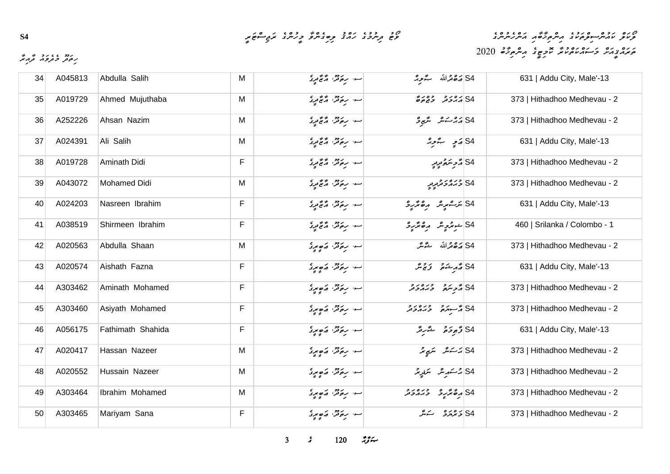*sCw7q7s5w7m< o<n9nOoAw7o< sCq;mAwBoEw7q<m; wBm;vB* م من المرة المرة المرة المرجع المرجع في المركبة 2020<br>مجم*د المريض المربوط المربع المرجع في المراجع المركبة* 

| سە بەھ ئەرە ئەستىم تېرى<br>S4 مَەڤْتَراللە جَ <i>ّحْرى</i><br>Abdulla Salih<br>34<br>A045813<br>M<br>سە رەۋەر ئەتجەر ئا<br>S4 كەردىيە جەم ئ<br>35<br>A019729<br>Ahmed Mujuthaba<br>M<br>S4 كەبۇسە ئىر ئىگە بور<br>سە رەۋىش مەتت <sub>ى</sub> تورى<br>36<br>A252226<br>Ahsan Nazim<br>M<br>S4  كەمچە سە <i>مبە</i> ر<br>Ali Salih<br>ے رکھ پی کھیلی ہے۔<br>مسر رکھونی اور تھی تعریف<br>37<br>A024391<br>M<br>$\mathsf F$<br>سە سەھەت ئەسىم تېرى<br>S4 مُرْحِ سَمَعُ مِرِ مِرِ<br>A019728<br>Aminath Didi<br>38<br>ے روڈن مرکز دی<br>S4 دُبرو د وروپر<br>39<br>A043072<br><b>Mohamed Didi</b><br>M<br>ے رکوفر، ویکی فری<br>S4 سَرَے پرِسْ <sub>م</sub> ِی گَرِرِیْتِ<br>$\mathsf F$<br>40<br>Nasreen Ibrahim<br>A024203<br>S4 سىرترىپە مەھ <i>ترى</i> رى<br>$\mathsf F$<br>ے رکوفر، ویکی فری<br>41<br>A038519<br>Shirmeen Ibrahim<br>S4 مَرْحْمَّدْاللَّه شَّمْسْ<br>42<br>A020563<br>Abdulla Shaan<br>M<br>ب رودن وکامرد<br>S4 مەم ئىققى ئوتى ئىگە<br>A020574<br>Aishath Fazna<br>F<br>43<br>سه روده رَه پر<br>S4 أَمُّ حِسَنَ مِنْ مَدَّ حَسَنَ مِنْ حَسَنَ مِنْ حَسَنَ مِنْ حَسَنَ مِنْ حَسَنَ مِنْ حَسَنَ مِنْ<br>$\mathsf F$<br>A303462<br>Aminath Mohamed<br>ب رەقر، مەھبرى<br>44<br>S4 جُسِيرَة وبرەرو<br>ب رودن وکھیری<br>$\mathsf F$<br>45<br>Asiyath Mohamed<br>A303460<br>S4 تَرْجِعَةً حُمَّرِيَّتَر<br>$\mathsf F$<br>46<br>A056175<br>Fathimath Shahida<br>ب رەتر، رەپر<br>S4 بَرَسَة مَتَّبِعِيمَّة السَّعْبِيمَ<br>47<br>A020417<br>Hassan Nazeer<br>M<br>ب رەتر، رەپر<br>S4 پر کمبر سر سر کمبر کرد.<br>ا<br>M<br>48<br>A020552<br>Hussain Nazeer<br>سه روده رَه پر<br>S4 رەئۇرۇ ئەمەدىر<br>A303464<br>Ibrahim Mohamed<br>ب روده رومرد<br>49<br>M<br>S4 ئەجرىزى سەيتر<br>$\mathsf F$<br>50<br>A303465<br>Mariyam Sana<br>ب رەتر، رەپر |  |  |  |                              |
|-----------------------------------------------------------------------------------------------------------------------------------------------------------------------------------------------------------------------------------------------------------------------------------------------------------------------------------------------------------------------------------------------------------------------------------------------------------------------------------------------------------------------------------------------------------------------------------------------------------------------------------------------------------------------------------------------------------------------------------------------------------------------------------------------------------------------------------------------------------------------------------------------------------------------------------------------------------------------------------------------------------------------------------------------------------------------------------------------------------------------------------------------------------------------------------------------------------------------------------------------------------------------------------------------------------------------------------------------------------------------------------------------------------------------------------------------------------------------------------------------------------------------------------------------------------------------------------------------------------------------------------------------------------------------------------------------------------------------------------------------------|--|--|--|------------------------------|
|                                                                                                                                                                                                                                                                                                                                                                                                                                                                                                                                                                                                                                                                                                                                                                                                                                                                                                                                                                                                                                                                                                                                                                                                                                                                                                                                                                                                                                                                                                                                                                                                                                                                                                                                                     |  |  |  | 631   Addu City, Male'-13    |
|                                                                                                                                                                                                                                                                                                                                                                                                                                                                                                                                                                                                                                                                                                                                                                                                                                                                                                                                                                                                                                                                                                                                                                                                                                                                                                                                                                                                                                                                                                                                                                                                                                                                                                                                                     |  |  |  | 373   Hithadhoo Medhevau - 2 |
|                                                                                                                                                                                                                                                                                                                                                                                                                                                                                                                                                                                                                                                                                                                                                                                                                                                                                                                                                                                                                                                                                                                                                                                                                                                                                                                                                                                                                                                                                                                                                                                                                                                                                                                                                     |  |  |  | 373   Hithadhoo Medhevau - 2 |
|                                                                                                                                                                                                                                                                                                                                                                                                                                                                                                                                                                                                                                                                                                                                                                                                                                                                                                                                                                                                                                                                                                                                                                                                                                                                                                                                                                                                                                                                                                                                                                                                                                                                                                                                                     |  |  |  | 631   Addu City, Male'-13    |
|                                                                                                                                                                                                                                                                                                                                                                                                                                                                                                                                                                                                                                                                                                                                                                                                                                                                                                                                                                                                                                                                                                                                                                                                                                                                                                                                                                                                                                                                                                                                                                                                                                                                                                                                                     |  |  |  | 373   Hithadhoo Medhevau - 2 |
|                                                                                                                                                                                                                                                                                                                                                                                                                                                                                                                                                                                                                                                                                                                                                                                                                                                                                                                                                                                                                                                                                                                                                                                                                                                                                                                                                                                                                                                                                                                                                                                                                                                                                                                                                     |  |  |  | 373   Hithadhoo Medhevau - 2 |
|                                                                                                                                                                                                                                                                                                                                                                                                                                                                                                                                                                                                                                                                                                                                                                                                                                                                                                                                                                                                                                                                                                                                                                                                                                                                                                                                                                                                                                                                                                                                                                                                                                                                                                                                                     |  |  |  | 631   Addu City, Male'-13    |
|                                                                                                                                                                                                                                                                                                                                                                                                                                                                                                                                                                                                                                                                                                                                                                                                                                                                                                                                                                                                                                                                                                                                                                                                                                                                                                                                                                                                                                                                                                                                                                                                                                                                                                                                                     |  |  |  | 460   Srilanka / Colombo - 1 |
|                                                                                                                                                                                                                                                                                                                                                                                                                                                                                                                                                                                                                                                                                                                                                                                                                                                                                                                                                                                                                                                                                                                                                                                                                                                                                                                                                                                                                                                                                                                                                                                                                                                                                                                                                     |  |  |  | 373   Hithadhoo Medhevau - 2 |
|                                                                                                                                                                                                                                                                                                                                                                                                                                                                                                                                                                                                                                                                                                                                                                                                                                                                                                                                                                                                                                                                                                                                                                                                                                                                                                                                                                                                                                                                                                                                                                                                                                                                                                                                                     |  |  |  | 631   Addu City, Male'-13    |
|                                                                                                                                                                                                                                                                                                                                                                                                                                                                                                                                                                                                                                                                                                                                                                                                                                                                                                                                                                                                                                                                                                                                                                                                                                                                                                                                                                                                                                                                                                                                                                                                                                                                                                                                                     |  |  |  | 373   Hithadhoo Medhevau - 2 |
|                                                                                                                                                                                                                                                                                                                                                                                                                                                                                                                                                                                                                                                                                                                                                                                                                                                                                                                                                                                                                                                                                                                                                                                                                                                                                                                                                                                                                                                                                                                                                                                                                                                                                                                                                     |  |  |  | 373   Hithadhoo Medhevau - 2 |
|                                                                                                                                                                                                                                                                                                                                                                                                                                                                                                                                                                                                                                                                                                                                                                                                                                                                                                                                                                                                                                                                                                                                                                                                                                                                                                                                                                                                                                                                                                                                                                                                                                                                                                                                                     |  |  |  | 631   Addu City, Male'-13    |
|                                                                                                                                                                                                                                                                                                                                                                                                                                                                                                                                                                                                                                                                                                                                                                                                                                                                                                                                                                                                                                                                                                                                                                                                                                                                                                                                                                                                                                                                                                                                                                                                                                                                                                                                                     |  |  |  | 373   Hithadhoo Medhevau - 2 |
|                                                                                                                                                                                                                                                                                                                                                                                                                                                                                                                                                                                                                                                                                                                                                                                                                                                                                                                                                                                                                                                                                                                                                                                                                                                                                                                                                                                                                                                                                                                                                                                                                                                                                                                                                     |  |  |  | 373   Hithadhoo Medhevau - 2 |
|                                                                                                                                                                                                                                                                                                                                                                                                                                                                                                                                                                                                                                                                                                                                                                                                                                                                                                                                                                                                                                                                                                                                                                                                                                                                                                                                                                                                                                                                                                                                                                                                                                                                                                                                                     |  |  |  | 373   Hithadhoo Medhevau - 2 |
|                                                                                                                                                                                                                                                                                                                                                                                                                                                                                                                                                                                                                                                                                                                                                                                                                                                                                                                                                                                                                                                                                                                                                                                                                                                                                                                                                                                                                                                                                                                                                                                                                                                                                                                                                     |  |  |  | 373   Hithadhoo Medhevau - 2 |

*3 <i><i>s s* **120** *<i>z*<sub>3</sub> *z*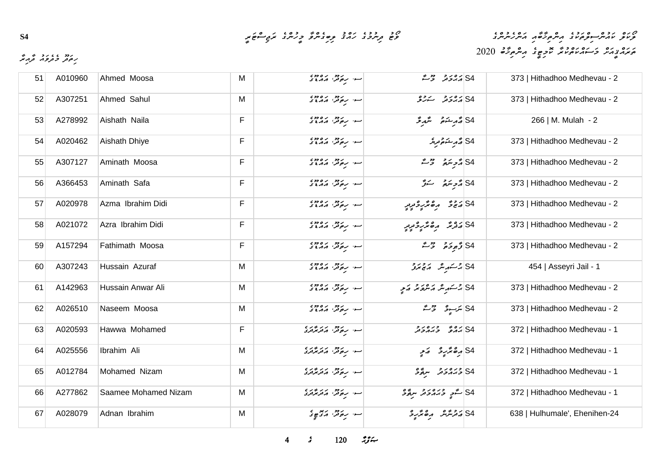*sCw7q7s5w7m< o<n9nOoAw7o< sCq;mAwBoEw7q<m; wBm;vB 2020<sup>, م</sup>وسوق المسجد التحقيق وسرمونية والم*جمع المسجد المسجد المسجد المسجد المسجد المسجد المسجد المسجد المسجد ال

| 51 | A010960 | Ahmed Moosa          | M           | سه ره ده ده ده د                                                                          | S4 كەبرى تەرىخ ئەسىگە                  | 373   Hithadhoo Medhevau - 2  |
|----|---------|----------------------|-------------|-------------------------------------------------------------------------------------------|----------------------------------------|-------------------------------|
| 52 | A307251 | Ahmed Sahul          | M           | $\begin{pmatrix} 2700 & 770 \\ 5200 & 280 \end{pmatrix}$                                  | S4 كەبروتر سەر يو                      | 373   Hithadhoo Medhevau - 2  |
| 53 | A278992 | Aishath Naila        | F           |                                                                                           | S4 مەم ئىقىم ئىتىمبە ئىتى              | 266   M. Mulah - 2            |
| 54 | A020462 | Aishath Dhiye        | F           | $\frac{1}{2}$                                                                             | S4 مەم ئىسكە قويىرىگە                  | 373   Hithadhoo Medhevau - 2  |
| 55 | A307127 | Aminath Moosa        | $\mathsf F$ | $\begin{pmatrix} 2700 & 777 \\ 5200 & 979 \end{pmatrix}$                                  | S4 أُمَّ جِسَعَةٍ حَمَّتَ ا            | 373   Hithadhoo Medhevau - 2  |
| 56 | A366453 | Aminath Safa         | F           | $\begin{pmatrix} 2700 & 770 \\ 5200 & 2900 \end{pmatrix}$                                 | S4 مَرْحِسَمَۃ سَوَرَّ                 | 373   Hithadhoo Medhevau - 2  |
| 57 | A020978 | Azma Ibrahim Didi    | F           | $\overbrace{S_{\mathcal{R}}^{(390\,\prime)}}^{\mathcal{R}}$                               | S4 كەنتى ھەھەر ئىسى ئەربىر             | 373   Hithadhoo Medhevau - 2  |
| 58 | A021072 | Azra Ibrahim Didi    | F           | $\begin{pmatrix} 2700 & 770 \\ 2800 & 2900 \end{pmatrix}$                                 | S4 كەنىرىگە ب <i>ەھ ئۈر</i> دېرىر      | 373   Hithadhoo Medhevau - 2  |
| 59 | A157294 | Fathimath Moosa      | F           | $\overbrace{S_{\mathcal{R}}^{(390\,\prime)}}^{\mathcal{S}_{\mathcal{R}}^{(390\,\prime)}}$ | S4 تَهِ حَرْمَ حَرْمَتُهُ مِنْ         | 373   Hithadhoo Medhevau - 2  |
| 60 | A307243 | Hussain Azuraf       | M           | $\begin{pmatrix} 2700 & 777 \\ 5200 & 979 \end{pmatrix}$                                  | S4 پر کے مربعہ مربع ہوتر               | 454   Asseyri Jail - 1        |
| 61 | A142963 | Hussain Anwar Ali    | M           | $\overbrace{S_{\mathcal{R}}^{(390\,\prime)}}^{\mathcal{S}_{\mathcal{R}}^{(390\,\prime)}}$ | S4 بر سَمبر شرعه محمد م <i>حبو</i>     | 373   Hithadhoo Medhevau - 2  |
| 62 | A026510 | Naseem Moosa         | M           | سه رود روده د                                                                             | S4  سَرَسِوڤ وَ"سَدُّ                  | 373   Hithadhoo Medhevau - 2  |
| 63 | A020593 | Hawwa Mohamed        | F           | ر دود.<br>سه رجونس ارتربرتری                                                              | S4 يُروم ورەرو                         | 372   Hithadhoo Medhevau - 1  |
| 64 | A025556 | Ibrahim Ali          | M           | سه ره دو زر دره د                                                                         | S4  مەھم <i>تى</i> ي <sup>ى </sup> مەم | 372   Hithadhoo Medhevau - 1  |
| 65 | A012784 | Mohamed Nizam        | M           | ( - رەدەر كەندىرى                                                                         | S4 3225 سرگ <sup>2</sup> و             | 372   Hithadhoo Medhevau - 1  |
| 66 | A277862 | Saamee Mohamed Nizam | M           | سه ره دو زر دره د                                                                         | S4 گو ئ <i>525 تا مۇۋ</i>              | 372   Hithadhoo Medhevau - 1  |
| 67 | A028079 | Adnan Ibrahim        | M           | سه ره در بر د                                                                             | S4  مەمەتىرىش مەھەتگەرچ                | 638   Hulhumale', Ehenihen-24 |

# *n8o<n@ q<m=s@s> r@mAo5*

*4 <i>s 120 <i>z*<sub>*s*</sub><sup>2</sup>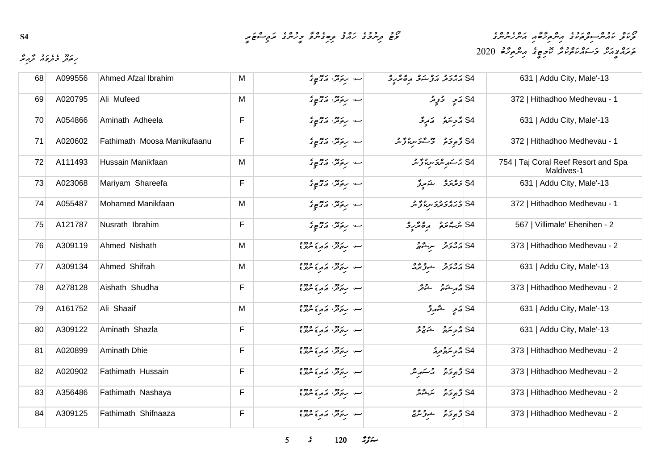*sCw7q7s5w7m< o<n9nOoAw7o< sCq;mAwBoEw7q<m; wBm;vB 2020<sup>, م</sup>وجدة المصرورة المجموعة المستورجة والم*جموعة والمجموعة والمجموعة والمجموعة والمجموعة والمجموعة والمجموعة

| 68 | A099556 | Ahmed Afzal Ibrahim         | M            | سه رود ریو ،                                                                                                                                                                                                                                                                         | S4 رَبَّ دَو رَوْ يَنْ مِنْ مَحْرَبِ        | 631   Addu City, Male'-13                         |
|----|---------|-----------------------------|--------------|--------------------------------------------------------------------------------------------------------------------------------------------------------------------------------------------------------------------------------------------------------------------------------------|---------------------------------------------|---------------------------------------------------|
| 69 | A020795 | Ali Mufeed                  | M            | سه ره در بر بو د                                                                                                                                                                                                                                                                     | S4 ک <sup>ے</sup> پر گروگر                  | 372   Hithadhoo Medhevau - 1                      |
| 70 | A054866 | Aminath Adheela             | F            | سه ره در دره در                                                                                                                                                                                                                                                                      | S4 مَّ <i>جِ سَعْہ</i> مَعرِمَّ             | 631   Addu City, Male'-13                         |
| 71 | A020602 | Fathimath Moosa Manikufaanu | F            | سه رېږي. ريو ،                                                                                                                                                                                                                                                                       | S4 ژ <sub>ېج</sub> و د همنځ سرار د د        | 372   Hithadhoo Medhevau - 1                      |
| 72 | A111493 | Hussain Manikfaan           | M            | سه ره در برد د                                                                                                                                                                                                                                                                       | S4 ئرسەمەمىرى سرىدۇ تىر                     | 754   Taj Coral Reef Resort and Spa<br>Maldives-1 |
| 73 | A023068 | Mariyam Shareefa            | $\mathsf F$  | سه ره در بر بو د                                                                                                                                                                                                                                                                     | S4 <i>وَبُرْ بِرُوْ</i> شَمَعِي <i>وْ</i> ً | 631   Addu City, Male'-13                         |
| 74 | A055487 | Mohamed Manikfaan           | M            | سه ره ده ربو پ                                                                                                                                                                                                                                                                       | S4 <i>ۋېرو د وگرو سره ۋ</i> ېتر             | 372   Hithadhoo Medhevau - 1                      |
| 75 | A121787 | Nusrath Ibrahim             | $\mathsf F$  | سه رېږده ريو پ                                                                                                                                                                                                                                                                       | S4 برجور مقتربة                             | 567   Villimale' Ehenihen - 2                     |
| 76 | A309119 | Ahmed Nishath               | M            | $\begin{pmatrix} 0.770 & 0.77 & 0.77 & 0.77 & 0.77 & 0.77 & 0.77 & 0.77 & 0.77 & 0.77 & 0.77 & 0.77 & 0.77 & 0.77 & 0.77 & 0.77 & 0.77 & 0.77 & 0.77 & 0.77 & 0.77 & 0.77 & 0.77 & 0.77 & 0.77 & 0.77 & 0.77 & 0.77 & 0.77 & 0.77 & 0.77 & 0.77 & 0.77 & 0.77 & 0.77 & 0.$           | S4 كەبروتر سرىشى <i>تى</i>                  | 373   Hithadhoo Medhevau - 2                      |
| 77 | A309134 | Ahmed Shifrah               | M            | ת הפעי ההגזיינים                                                                                                                                                                                                                                                                     | S4 كەبرى قىرىشو ئۆتكە                       | 631   Addu City, Male'-13                         |
| 78 | A278128 | Aishath Shudha              | $\mathsf F$  | سه رود زم دوه                                                                                                                                                                                                                                                                        | S4 مەم ئىشقى ئىشقىر                         | 373   Hithadhoo Medhevau - 2                      |
| 79 | A161752 | Ali Shaaif                  | M            | سه ره ده نه د ۱۶۵۵                                                                                                                                                                                                                                                                   | S4 كەمچە ئىش <i>ەر</i> ۇ                    | 631   Addu City, Male'-13                         |
| 80 | A309122 | Aminath Shazla              | $\mathsf{F}$ | سه ره ده کرد کاره ده                                                                                                                                                                                                                                                                 | S4 مَّ حِسَمَةٌ حَسَنَةٌ مَحَ               | 631   Addu City, Male'-13                         |
| 81 | A020899 | Aminath Dhie                | F            | سه ره ده نه ده ۱۶۵۵                                                                                                                                                                                                                                                                  | S4 أُمَّ حِ سَمَعْ مِرِ مَ                  | 373   Hithadhoo Medhevau - 2                      |
| 82 | A020902 | Fathimath Hussain           | F            | $\begin{pmatrix} 0.770 & 0.770 \\ 0.770 & 0.770 \\ 0.770 & 0.770 \\ 0.770 & 0.770 \\ 0.770 & 0.770 \\ 0.770 & 0.770 \\ 0.770 & 0.770 \\ 0.770 & 0.770 \\ 0.770 & 0.770 \\ 0.770 & 0.770 \\ 0.770 & 0.770 \\ 0.770 & 0.770 \\ 0.770 & 0.770 \\ 0.770 & 0.770 \\ 0.770 & 0.770 \\ 0.7$ | S4 ۇ <sub>جو</sub> رۇ ب <sub>ى</sub> ئەسرىك | 373   Hithadhoo Medhevau - 2                      |
| 83 | A356486 | Fathimath Nashaya           | F            | $\frac{1}{2}$                                                                                                                                                                                                                                                                        | S4 ۇي <sub>م</sub> وكى مىرىشىرگە            | 373   Hithadhoo Medhevau - 2                      |
| 84 | A309125 | Fathimath Shifnaaza         | F            | ת ני הפיני הה ביינופי                                                                                                                                                                                                                                                                | S4 ۇ <sub>جو</sub> رَى ھورشىتى              | 373   Hithadhoo Medhevau - 2                      |

# *n8o<n@ q<m=s@s> r@mAo5*

 $5$   $\qquad$   $\qquad$   $120$   $\qquad$   $\qquad$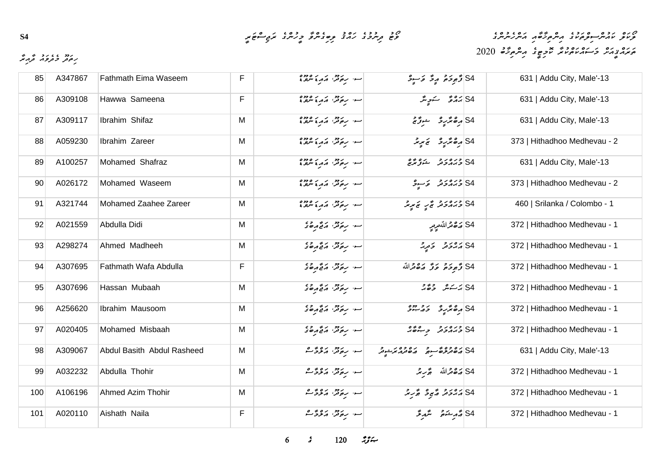*sCw7q7s5w7m< o<n9nOoAw7o< sCq;mAwBoEw7q<m; wBm;vB 2020<sup>, م</sup>وسوق المسجد التحقيق وسرمونية والم*جمع المسجد المسجد المسجد المسجد المسجد المسجد المسجد المسجد المسجد ال

| 85  | A347867 | <b>Fathmath Eima Waseem</b> | F           | سه رړونه ته د ۱۶۵۵                                                                                                                                                                                                                                                         | S4 ژ <sub>نجو</sub> ځر <sub>پر</sub> و ځې د       | 631   Addu City, Male'-13    |
|-----|---------|-----------------------------|-------------|----------------------------------------------------------------------------------------------------------------------------------------------------------------------------------------------------------------------------------------------------------------------------|---------------------------------------------------|------------------------------|
| 86  | A309108 | Hawwa Sameena               | F           | سه ره دو زم ده ۱۶۶۵                                                                                                                                                                                                                                                        | S4 ئەيرقە سىمبرىتىر                               | 631   Addu City, Male'-13    |
| 87  | A309117 | Ibrahim Shifaz              | M           | سه ره ده کرد کاروه                                                                                                                                                                                                                                                         | S4 مەھەر بەر ئىسىرتى چ                            | 631   Addu City, Male'-13    |
| 88  | A059230 | Ibrahim Zareer              | M           | $\begin{pmatrix} 0.770 & 0.77 & 0.77 & 0.77 & 0.77 & 0.77 & 0.77 & 0.77 & 0.77 & 0.77 & 0.77 & 0.77 & 0.77 & 0.77 & 0.77 & 0.77 & 0.77 & 0.77 & 0.77 & 0.77 & 0.77 & 0.77 & 0.77 & 0.77 & 0.77 & 0.77 & 0.77 & 0.77 & 0.77 & 0.77 & 0.77 & 0.77 & 0.77 & 0.77 & 0.77 & 0.$ | S4 م <i>وھ مُرْرِدْ تم م</i> ِيمْر                | 373   Hithadhoo Medhevau - 2 |
| 89  | A100257 | Mohamed Shafraz             | м           | سه رحوص مهر و ۵۶۶۵                                                                                                                                                                                                                                                         | S4 <i>ډېر دور</i> شو <i>وند</i> ی                 | 631   Addu City, Male'-13    |
| 90  | A026172 | Mohamed Waseem              | M           | سه ره دو زم ده ۱۶۶۵                                                                                                                                                                                                                                                        | S4 <i>\$ بروتى ق س</i> وتر                        | 373   Hithadhoo Medhevau - 2 |
| 91  | A321744 | Mohamed Zaahee Zareer       | M           | سه ره دو زم ده ۱۶۶۵                                                                                                                                                                                                                                                        | S4 دُبَرُه دَتَه جُرٍ <sub>مَح</sub> سِرِ بَرَ    | 460   Srilanka / Colombo - 1 |
| 92  | A021559 | Abdulla Didi                | M           |                                                                                                                                                                                                                                                                            | S4 صَرْحَةَ مِّرَاللَّهُ مِرِمِرِ                 | 372   Hithadhoo Medhevau - 1 |
| 93  | A298274 | Ahmed Madheeh               | M           | سه رودو رومره                                                                                                                                                                                                                                                              | S4   كەش <sup>ى</sup> كەنگە كەنگەر                | 372   Hithadhoo Medhevau - 1 |
| 94  | A307695 | Fathmath Wafa Abdulla       | $\mathsf F$ | سه رود رو ده                                                                                                                                                                                                                                                               | S4 وَجِعِ حَرَمَ صَحَّةً صَ <i>عَّةً لِ</i> لَّهُ | 372   Hithadhoo Medhevau - 1 |
| 95  | A307696 | Hassan Mubaah               | M           | سو رەدو كەنج مەھ                                                                                                                                                                                                                                                           | S4 بر کشتر و محدثه مح                             | 372   Hithadhoo Medhevau - 1 |
| 96  | A256620 | Ibrahim Mausoom             | M           |                                                                                                                                                                                                                                                                            | $37.35$ $32.5$ $84$                               | 372   Hithadhoo Medhevau - 1 |
| 97  | A020405 | Mohamed Misbaah             | M           |                                                                                                                                                                                                                                                                            | $22222$ $27225$ $54$                              | 372   Hithadhoo Medhevau - 1 |
| 98  | A309067 | Abdul Basith Abdul Rasheed  | M           | ے رہے پرووٹ                                                                                                                                                                                                                                                                | S4 ره وه د حسن ده وه مرشود ک                      | 631   Addu City, Male'-13    |
| 99  | A032232 | Abdulla Thohir              | M           | ے رپوتر، مروتوں                                                                                                                                                                                                                                                            | S4 مَرْحَدْ لِلَّهُ بِمَحْرَ مِرْ                 | 372   Hithadhoo Medhevau - 1 |
| 100 | A106196 | <b>Ahmed Azim Thohir</b>    | M           | ے رکبوتر، مرکز شر                                                                                                                                                                                                                                                          | S4 كەبروتىر كەنبە 3 كۈرىتى                        | 372   Hithadhoo Medhevau - 1 |
| 101 | A020110 | Aishath Naila               | F           | ب رود روو و                                                                                                                                                                                                                                                                | S4 مەم ئىقىم ئىتىمبەقتى                           | 372   Hithadhoo Medhevau - 1 |

*n8o<n@ q<m=s@s> r@mAo5*

 $6$   $\cancel{5}$   $120$   $\cancel{25}$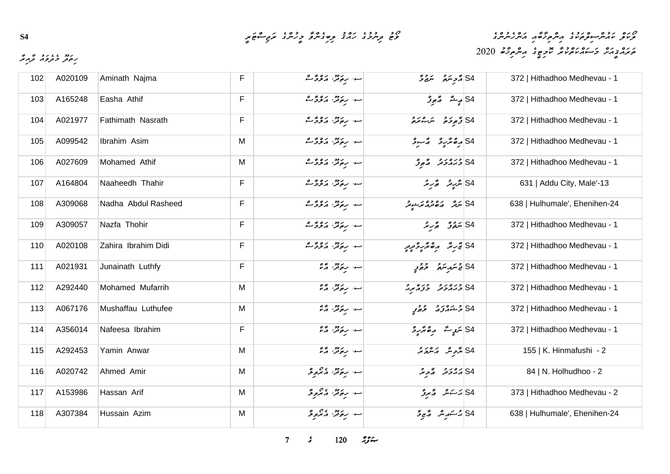*sCw7q7s5w7m< o<n9nOoAw7o< sCq;mAwBoEw7q<m; wBm;vB 2020<sup>, م</sup>وسوق المسجد التحقيق وسرمونية والم*جمع المسجد المسجد المسجد المسجد المسجد المسجد المسجد المسجد المسجد ال

| 102 | A020109 | Aminath Najma       | F           | ے رپوتر، مروترے                        | S4 مُجِسَعَ مَنْ مَرْضَ                             | 372   Hithadhoo Medhevau - 1  |
|-----|---------|---------------------|-------------|----------------------------------------|-----------------------------------------------------|-------------------------------|
| 103 | A165248 | Easha Athif         | F           | ب رپۇن مۇۋى                            | S4 ۾ِڪْ <i>۾ُڄوَ</i>                                | 372   Hithadhoo Medhevau - 1  |
| 104 | A021977 | Fathimath Nasrath   | $\mathsf F$ | ے رپوتر، مرورم                         | S4 ۇج <sub>و</sub> ڭ ھېرىيە بىر قىلىدىن ئىستىدىن ئى | 372   Hithadhoo Medhevau - 1  |
| 105 | A099542 | Ibrahim Asim        | M           | ے رِیوتر، مرکورٹ                       | S4 مەھم <i>گىرى مەج</i> و                           | 372   Hithadhoo Medhevau - 1  |
| 106 | A027609 | Mohamed Athif       | M           | ے رپوتر، مرورم                         | S4 <i>جەنەدى ھەب</i> ۇ                              | 372   Hithadhoo Medhevau - 1  |
| 107 | A164804 | Naaheedh Thahir     | F           | ے رِیوتر، مرکورٹ                       | S4 مگربہ قد چ <sup>ی</sup> بہ                       | 631   Addu City, Male'-13     |
| 108 | A309068 | Nadha Abdul Rasheed | F           | ے رِیوتر، مرکورٹ                       | S4 ى <i>رتى مەھەرم ترىش</i> وتر                     | 638   Hulhumale', Ehenihen-24 |
| 109 | A309057 | Nazfa Thohir        | F           | ے رپوتر، روم و                         | S4 سَهْرَقَ پُرسِرٌ                                 | 372   Hithadhoo Medhevau - 1  |
| 110 | A020108 | Zahira Ibrahim Didi | F           | ے رِیوتر، مرکورٹ                       | S4 تجرىتمە ب <i>رەتترىي</i> ۋىرىر                   | 372   Hithadhoo Medhevau - 1  |
| 111 | A021931 | Junainath Luthfy    | F           | سه رود وه                              | S4 <i>في مكرم مكرة متحرقو</i> بي                    | 372   Hithadhoo Medhevau - 1  |
| 112 | A292440 | Mohamed Mufarrih    | M           | سه ره ده چه                            | S4 ديرورو وروبر                                     | 372   Hithadhoo Medhevau - 1  |
| 113 | A067176 | Mushaffau Luthufee  | M           | ب ره ده په د                           | S4 ۇش <i>ەۋەقى</i> قى <i>لە</i> ر                   | 372   Hithadhoo Medhevau - 1  |
| 114 | A356014 | Nafeesa Ibrahim     | F           | سه رود وه                              | S4 سَمِرٍ شَمَّ مِرْھ مَّرْرِدْ                     | 372   Hithadhoo Medhevau - 1  |
| 115 | A292453 | Yamin Anwar         | M           | ر دود وه<br>ب- رهوند <sup>،</sup> اړند | S4 مَرْحِ مَدْ مَسْعَدَ مَدْ                        | 155   K. Hinmafushi - 2       |
| 116 | A020742 | Ahmed Amir          | M           | سە رەۋر، مەرەق                         | S4 كەبرى قىم ئەرىتى                                 | 84   N. Holhudhoo - 2         |
| 117 | A153986 | Hassan Arif         | M           | سە رەۋرى مىروگە                        | S4 ئەسەمىر مەيرى <i>ۋ</i>                           | 373   Hithadhoo Medhevau - 2  |
| 118 | A307384 | Hussain Azim        | M           | سە رەۋر، مەرەق                         | S4 برسكوبى <i>گە مەتبى</i> ئ                        | 638   Hulhumale', Ehenihen-24 |

*n8o<n@ q<m=s@s> r@mAo5*

*7 sC 120 nNw?mS*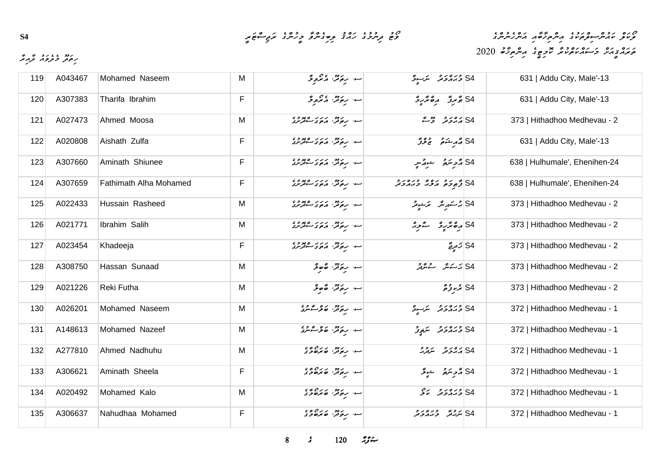*sCw7q7s5w7m< o<n9nOoAw7o< sCq;mAwBoEw7q<m; wBm;vB 2020<sup>, م</sup>وسوق المسجد التحقيق وسرمونية والم*جمع المسجد المسجد المسجد المسجد المسجد المسجد المسجد المسجد المسجد ال

| 119 | A043467 | Mohamed Naseem         | M            | سە رەۋر، م <i>ې</i> روگر                                                                                                                                                                                                                                                                                                                                                                                                                                          | S4  <i>32,323, مَنْ</i> سِوْدُ       | 631   Addu City, Male'-13     |
|-----|---------|------------------------|--------------|-------------------------------------------------------------------------------------------------------------------------------------------------------------------------------------------------------------------------------------------------------------------------------------------------------------------------------------------------------------------------------------------------------------------------------------------------------------------|--------------------------------------|-------------------------------|
| 120 | A307383 | Tharifa Ibrahim        | F            | سە رەۋرى م <sup>ى</sup> رە ئىچ                                                                                                                                                                                                                                                                                                                                                                                                                                    | S4 بۇ <i>برۇ بەھ ئۇر</i> 3           | 631   Addu City, Male'-13     |
| 121 | A027473 | Ahmed Moosa            | M            | ر در دور در در دوره<br>سوسر مرکز کرد و سوفرس                                                                                                                                                                                                                                                                                                                                                                                                                      | S4 كەبرى قورىم ئىستە                 | 373   Hithadhoo Medhevau - 2  |
| 122 | A020808 | Aishath Zulfa          | $\mathsf{F}$ | ر در دور در در ۲۶۵۵<br>سوس ره تور او در تاتورنوی                                                                                                                                                                                                                                                                                                                                                                                                                  | S4 مەم ھىم ئىم ئىم ئى                | 631   Addu City, Male'-13     |
| 123 | A307660 | Aminath Shiunee        | F            |                                                                                                                                                                                                                                                                                                                                                                                                                                                                   | S4 مُرْحِ سَرَمُ مُسْتَخْرِ مَسْتِرِ | 638   Hulhumale', Ehenihen-24 |
| 124 | A307659 | Fathimath Alha Mohamed | $\mathsf F$  | ر دو در رد و دود و د<br>سوسرحوش اړجوی سوترس                                                                                                                                                                                                                                                                                                                                                                                                                       | S4 وٌجود ۾ موبر وره دو               | 638   Hulhumale', Ehenihen-24 |
| 125 | A022433 | Hussain Rasheed        | M            |                                                                                                                                                                                                                                                                                                                                                                                                                                                                   | S4 پر کے مریکہ محرک کے لیے مقر       | 373   Hithadhoo Medhevau - 2  |
| 126 | A021771 | Ibrahim Salih          | M            | ر در دو برگرده بود و د<br>سوسر مرکز در ایران میتوان                                                                                                                                                                                                                                                                                                                                                                                                               | S4 مەھم <i>گىر</i> 3 سۇمە            | 373   Hithadhoo Medhevau - 2  |
| 127 | A023454 | Khadeeja               | $\mathsf{F}$ | ر دو در ر ر ه پر و د<br>سوس رجونش ایران کا سوتوس                                                                                                                                                                                                                                                                                                                                                                                                                  | S4 كَتَوِيَّحَ                       | 373   Hithadhoo Medhevau - 2  |
| 128 | A308750 | Hassan Sunaad          | M            | سىز سەنتىر، ھەھ ب                                                                                                                                                                                                                                                                                                                                                                                                                                                 | S4 ئەسەئىر سىمەتتىر                  | 373   Hithadhoo Medhevau - 2  |
| 129 | A021226 | Reki Futha             | M            | سوا رەترا ھەت                                                                                                                                                                                                                                                                                                                                                                                                                                                     | S4 بۇرى <sub>ر قە</sub> مۇ           | 373   Hithadhoo Medhevau - 2  |
| 130 | A026201 | Mohamed Naseem         | M            | ب رړو په وه                                                                                                                                                                                                                                                                                                                                                                                                                                                       | S4 <i>ڈیزو ڈو</i> سرب                | 372   Hithadhoo Medhevau - 1  |
| 131 | A148613 | Mohamed Nazeef         | M            | ب رړو په وه                                                                                                                                                                                                                                                                                                                                                                                                                                                       | S4 \$ <i>\$ \$ \$ \$ \$ \$ \$</i>    | 372   Hithadhoo Medhevau - 1  |
| 132 | A277810 | Ahmed Nadhuhu          | M            | $\begin{pmatrix} 1 & 1 & 1 & 1 \\ 1 & 1 & 1 & 1 \\ 1 & 1 & 1 & 1 \end{pmatrix}$                                                                                                                                                                                                                                                                                                                                                                                   | S4 كەبرى بىر سىرتىر 2                | 372   Hithadhoo Medhevau - 1  |
| 133 | A306621 | Aminath Sheela         | F            | $\begin{array}{lll} c\neq C\,\, & \nearrow\,\, & \nearrow\,\, & \nearrow\,\, \\ c\neq C\,\, & \nearrow\,\, & \nearrow\,\, & \nearrow\,\, & \nearrow\,\, \\ c\neq C\,\, & \nearrow\,\, & \nearrow\,\, & \nearrow\,\, & \nearrow\,\, \\ c\neq C\,\, & \nearrow\,\, & \nearrow\,\, & \nearrow\,\, & \nearrow\,\, \\ c\neq C\,\, & \nearrow\,\, & \nearrow\,\, & \nearrow\,\, & \nearrow\,\, & \nearrow\,\, \\ c\neq C\,\, & \nearrow\,\, & \nearrow\,\, & \nearrow\$ | S4 مُرْحِسَمُ مُسِوَّدٌ              | 372   Hithadhoo Medhevau - 1  |
| 134 | A020492 | Mohamed Kalo           | M            | 590/0                                                                                                                                                                                                                                                                                                                                                                                                                                                             | S4 <i>جەنگە جىنى ئى</i> كى           | 372   Hithadhoo Medhevau - 1  |
| 135 | A306637 | Nahudhaa Mohamed       | F            | 590/27/20                                                                                                                                                                                                                                                                                                                                                                                                                                                         | S4 سُرْرْتُرٌ وَبَرُورُورٌ           | 372   Hithadhoo Medhevau - 1  |

*n8o<n@ q<m=s@s> r@mAo5*

*8 sC 120 nNw?mS*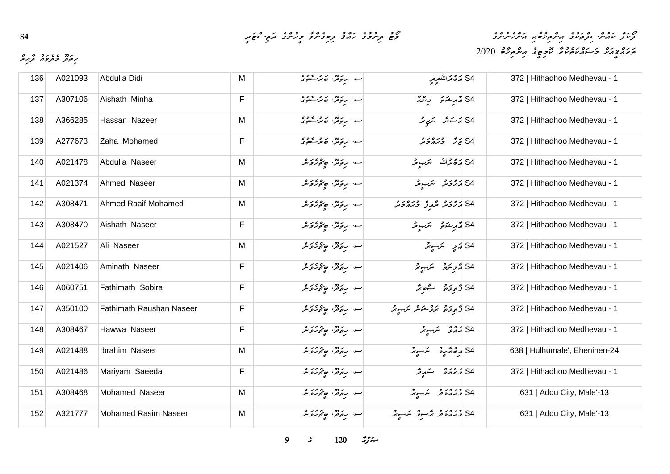*sCw7q7s5w7m< o<n9nOoAw7o< sCq;mAwBoEw7q<m; wBm;vB 2020<sup>, م</sup>وجدة المصرورة المجموعة المستورجة والم*جموعة والمجموعة والمجموعة والمجموعة والمجموعة والمجموعة والمجموعة

| 136 | A021093 | Abdulla Didi                    | M            | سه رړونه د پر ده د                 | S4 صَ5هُ قَدْاللَّهُ مَرِمِرِ                | 372   Hithadhoo Medhevau - 1  |
|-----|---------|---------------------------------|--------------|------------------------------------|----------------------------------------------|-------------------------------|
| 137 | A307106 | Aishath Minha                   | F            | ر دو در د دره<br>سه روتر، ځنگرستور | S4 مەم ئىقىم ب <i>ويىل</i> گە                | 372   Hithadhoo Medhevau - 1  |
| 138 | A366285 | Hassan Nazeer                   | M            | سه رکونس کامر سعوی                 | S4   يَرْسَسْ مَدِيرَ                        | 372   Hithadhoo Medhevau - 1  |
| 139 | A277673 | Zaha Mohamed                    | $\mathsf F$  | سه رکونس کامر سعوی                 | S4 يُرُّ وَبُرُودُو                          | 372   Hithadhoo Medhevau - 1  |
| 140 | A021478 | Abdulla Naseer                  | M            | - رود ھەرەبرە                      | S4  بَرْحْقِرْاللَّهُ       مَرْسِوِيْر      | 372   Hithadhoo Medhevau - 1  |
| 141 | A021374 | Ahmed Naseer                    | M            | سه رود هم دوره                     | S4 كەبروتىر سىبەيتى                          | 372   Hithadhoo Medhevau - 1  |
| 142 | A308471 | <b>Ahmed Raaif Mohamed</b>      | M            | ٢٠٠٠٠٠٠٠٠٠٠٠٠٠                     | S4 ההכת תוק כמהכת                            | 372   Hithadhoo Medhevau - 1  |
| 143 | A308470 | Aishath Naseer                  | F            | سه رود ھگرونگر                     | S4 مُذْمِرْ مُشَمَّرٌ مُنْ سَرْسِوْ مُدْ     | 372   Hithadhoo Medhevau - 1  |
| 144 | A021527 | Ali Naseer                      | M            | سه رود ھگرونگر                     | S4 كەمچە سىرسى <i>م</i> ىگە                  | 372   Hithadhoo Medhevau - 1  |
| 145 | A021406 | Aminath Naseer                  | F            | سە رەدىر، ھەممەر ھ                 | S4 مُتَصِبَعَةٌ مَرَسِبِعْهُ                 | 372   Hithadhoo Medhevau - 1  |
| 146 | A060751 | Fathimath Sobira                | $\mathsf F$  | سه رود ه دوره                      | S4 ۇج <sub>و</sub> دَى ئەھ                   | 372   Hithadhoo Medhevau - 1  |
| 147 | A350100 | <b>Fathimath Raushan Naseer</b> | F            | - رەقرا ھەركەتكە                   | S4 زَّەپ <i>ەدە بزە</i> شەش س <i>رَ-ب</i> ەش | 372   Hithadhoo Medhevau - 1  |
| 148 | A308467 | Hawwa Naseer                    | F            | ٢٠ رود ھەرەبىر                     | S4 <i>بَدْهُ مَّا مَدْبِيقُ</i>              | 372   Hithadhoo Medhevau - 1  |
| 149 | A021488 | Ibrahim Naseer                  | M            | سه رود ھگرونگر                     | S4 مەھە <i>تگەي</i> ھەسپەتمى                 | 638   Hulhumale', Ehenihen-24 |
| 150 | A021486 | Mariyam Saeeda                  | $\mathsf{F}$ | سە رەد ھەرەتكە                     | S4 <i>د ج</i> رير ه سکه پر تگر               | 372   Hithadhoo Medhevau - 1  |
| 151 | A308468 | Mohamed Naseer                  | M            | سه رود ه دوره                      | S4 <i>وُبَهُ دُونُو سَرَجِي</i> گ            | 631   Addu City, Male'-13     |
| 152 | A321777 | <b>Mohamed Rasim Naseer</b>     | M            | ۔ رومز، ھەر ئەھ                    | S4  <i>دبرہ دوتم</i> مگر ہو مگر ہوتمہ        | 631   Addu City, Male'-13     |

*n8o<n@ q<m=s@s> r@mAo5*

*9 s* 120 *i*<sub>s</sub>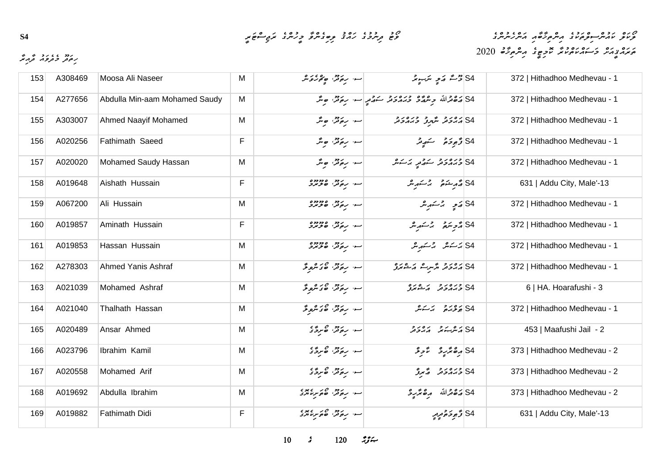*sCw7q7s5w7m< o<n9nOoAw7o< sCq;mAwBoEw7q<m; wBm;vB 2020<sup>, م</sup>وسوق المسجد التحقيق وسرمونية والم*جمع المسجد المسجد المسجد المسجد المسجد المسجد المسجد المسجد المسجد ال

| 153 | A308469 | Moosa Ali Naseer              | M | - رەقر، ھەمرەتكە                                   | S4 جُ شَہُ کہ پہ سَرَب پُر                                                    | 372   Hithadhoo Medhevau - 1 |
|-----|---------|-------------------------------|---|----------------------------------------------------|-------------------------------------------------------------------------------|------------------------------|
| 154 | A277656 | Abdulla Min-aam Mohamed Saudy | M |                                                    | S4 رَصْحْرَاللَّهُ مِسْرَمْدَةً مِهْدُمَ مِنْ مِنْ مِنْ مِنْ مِنْ مِنْ مِسْرٌ | 372   Hithadhoo Medhevau - 1 |
| 155 | A303007 | Ahmed Naayif Mohamed          | M | سە رەۋر ھېڭە                                       | S4 גיבצי יישות 2010 ביו                                                       | 372   Hithadhoo Medhevau - 1 |
| 156 | A020256 | Fathimath Saeed               | F | سے روڈن جنگر                                       | S4 وَجوحَة مَ سَهِيقَر                                                        | 372   Hithadhoo Medhevau - 1 |
| 157 | A020020 | Mohamed Saudy Hassan          | M | سے برہ قرار صد                                     | S4 <i>وبروبرو سورتو برسکر</i>                                                 | 372   Hithadhoo Medhevau - 1 |
| 158 | A019648 | Aishath Hussain               | F | سه رود ۵۶۶۶۵<br>سه رونز، ۱۳۶۵۶                     | S4 مەم ئىسكىم بىر ئىسكىمبىر                                                   | 631   Addu City, Male'-13    |
| 159 | A067200 | Ali Hussain                   | M | הי תוקנים בינקים<br>הי תוקנים יש בינקים            | S4 كەيچە ب <sup>ە</sup> شكەر بىر                                              | 372   Hithadhoo Medhevau - 1 |
| 160 | A019857 | Aminath Hussain               | F | ה קפתי סממכם<br>הי קפתי שי <i>ב</i> ינכ            | S4 مَّ <i>جِي مَنْ جِي سَنْ مِي</i> شَرِ                                      | 372   Hithadhoo Medhevau - 1 |
| 161 | A019853 | Hassan Hussain                | M | ر دو ووووه<br>سه ر <sub>حو</sub> تر، <i>ه</i> وبرو | S4 ئەسىھ ئەسىمەش                                                              | 372   Hithadhoo Medhevau - 1 |
| 162 | A278303 | <b>Ahmed Yanis Ashraf</b>     | M | سە رەۋە ئەر ئارىم                                  | S4 كەبرو تە ئەسرىشى كەشلىرى كە                                                | 372   Hithadhoo Medhevau - 1 |
| 163 | A021039 | Mohamed Ashraf                | M | سە رەۋە 20 مۇھۇ                                    | S4 دېره ده کم شومره                                                           | 6   HA. Hoarafushi - 3       |
| 164 | A021040 | Thalhath Hassan               | M | ے رود میں عاصورت                                   | S4 ي <i>ۇنى</i> ق ئەسەش                                                       | 372   Hithadhoo Medhevau - 1 |
| 165 | A020489 | Ansar Ahmed                   | M | سه رړونه ځورونه                                    | S4 كەشرىكى مەردىتىر                                                           | 453   Maafushi Jail - 2      |
| 166 | A023796 | Ibrahim Kamil                 | M | سه رړونه ځېږدن                                     | S4 مەھە <i>تگەي</i> ئەربى                                                     | 373   Hithadhoo Medhevau - 2 |
| 167 | A020558 | Mohamed Arif                  | M | ے رکوش صرفری                                       | S4 <i>22222 مجمو</i> ر                                                        | 373   Hithadhoo Medhevau - 2 |
| 168 | A019692 | Abdulla Ibrahim               | M |                                                    | S4 مَـُ صَمَّرْ للّه مِـ صَمَّرِ 3                                            | 373   Hithadhoo Medhevau - 2 |
| 169 | A019882 | <b>Fathimath Didi</b>         | F | ת בר קרי באת היו                                   | S4   قُنْھِ بِحَنَّةً فَرْبِعِيد                                              | 631   Addu City, Male'-13    |

 $10$  *s*  $120$   $29$   $\div$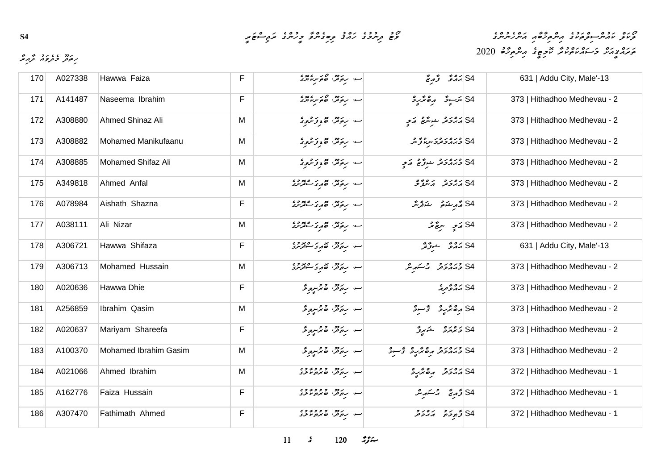*sCw7q7s5w7m< o<n9nOoAw7o< sCq;mAwBoEw7q<m; wBm;vB* م من المرة المرة المرة المرجع المرجع في المركبة 2020<br>مجم*د المريض المربوط المربع المرجع في المراجع المركبة* 

| 170 | A027338 | Hawwa Faiza           | $\mathsf F$ | ת בר קיבור ביני                                                                                                                                                                                                                 | S4 يَرْدُعُ تَرْمَتَى            | 631   Addu City, Male'-13    |
|-----|---------|-----------------------|-------------|---------------------------------------------------------------------------------------------------------------------------------------------------------------------------------------------------------------------------------|----------------------------------|------------------------------|
| 171 | A141487 | Naseema Ibrahim       | F           | גי תקר פיתוחים                                                                                                                                                                                                                  | S4 <i>ترب و م مگرد</i> و         | 373   Hithadhoo Medhevau - 2 |
| 172 | A308880 | Ahmed Shinaz Ali      | M           | سه ره ده می در ده د                                                                                                                                                                                                             | S4 كەبرى قىر سىيەتتى كەم         | 373   Hithadhoo Medhevau - 2 |
| 173 | A308882 | Mohamed Manikufaanu   | M           | ب ره ده مور د ورو د                                                                                                                                                                                                             | S4 <i>ۋېرو د وېر سره ۋ</i> ېر    | 373   Hithadhoo Medhevau - 2 |
| 174 | A308885 | Mohamed Shifaz Ali    | M           | ب ره ده مور د ورو د                                                                                                                                                                                                             | S4 دُبَرُ دور دوگري کرم          | 373   Hithadhoo Medhevau - 2 |
| 175 | A349818 | Ahmed Anfal           | M           | ر در دو سور محدود و در در در در در استاند در در استاند در در در استاند در استان در استان در استان در استان در<br>مستقبل در استان در استاند در استاند در استاند در استاند در استان در استان در استان در استان در استان در استان  | S4 كەبرو كەندى ئوغ               | 373   Hithadhoo Medhevau - 2 |
| 176 | A078984 | Aishath Shazna        | F           | ر در دو سور ده دو د و د<br>سه رموند، هم د سه نرمرد                                                                                                                                                                              | S4 <i>۾ُ مِ</i> شَمَر شَنَرْسَّر | 373   Hithadhoo Medhevau - 2 |
| 177 | A038111 | Ali Nizar             | M           |                                                                                                                                                                                                                                 | S4 کیمو سرچ تم                   | 373   Hithadhoo Medhevau - 2 |
| 178 | A306721 | Hawwa Shifaza         | $\mathsf F$ | ر دو بو د ه بود و .<br>سه روتر، ه د کشتر د د                                                                                                                                                                                    | S4 بَرْدُمُّ شَعِرَّتْرَ         | 631   Addu City, Male'-13    |
| 179 | A306713 | Mohamed Hussain       | M           | ر در دو سور محدود و در در در در در استاند در در استاند در در در استاند در استان در استان در استان در استان در<br>مستقبل در استان در استاند در استاند در استاند در استاند در استان در استان در استان در استان در استان در استان  | S4 ديره در د حسد شر              | 373   Hithadhoo Medhevau - 2 |
| 180 | A020636 | Hawwa Dhie            | $\mathsf F$ | ے روتر، ھر سرو ڈ                                                                                                                                                                                                                | S4 بَرْدْءٌ مِرْدً               | 373   Hithadhoo Medhevau - 2 |
| 181 | A256859 | Ibrahim Qasim         | M           | ب رەتر، ھۆسمەت                                                                                                                                                                                                                  | S4  مەھەر بۇ سىمىتى ئىسىرى       | 373   Hithadhoo Medhevau - 2 |
| 182 | A020637 | Mariyam Shareefa      | $\mathsf F$ | ب رەتر، ھۆسمەت                                                                                                                                                                                                                  | S4 <i>5 بروگر شمېرن</i> گ        | 373   Hithadhoo Medhevau - 2 |
| 183 | A100370 | Mohamed Ibrahim Gasim | M           | ۔ رومن ھرسرو گ                                                                                                                                                                                                                  | S4 درور ده ژرو ڈبرو              | 373   Hithadhoo Medhevau - 2 |
| 184 | A021066 | Ahmed Ibrahim         | M           | ر دو و و و دو د د د و د کار د کار د کار د کار د کار د کار د کار د کار د کار د کار د کار د کار د کار د کار د کا<br>د کار د کار د کار د کار کار کار د کار د کار د کار د کار د کار د کار د کار کار د کار د کار د کار د کار د کار د | S4 <i>הُגُכ</i> َى مِصْرَّرِدْ   | 372   Hithadhoo Medhevau - 1 |
| 185 | A162776 | Faiza Hussain         | $\mathsf F$ | ر دو و و و د و د د و د<br>سه رجونس ن جرجونا مو د                                                                                                                                                                                | S4 ۇرىئے گ <sup>ىر</sup> مەرش    | 372   Hithadhoo Medhevau - 1 |
| 186 | A307470 | Fathimath Ahmed       | F           | ر دو و و و دو د د د و د کار د کار د کار د کار د کار د کار د کار د کار د کار د کار د کار د کار د کار د کار د کا<br>د کار د کار د کار د کار کار کار د کار د کار د کار د کار د کار د کار د کار کار د کار کار د کار کار د کار د کار | S4 وَجوحَمَ مَ <sup>روح</sup>    | 372   Hithadhoo Medhevau - 1 |

ردد ، ، ، ر د م*ع*د بر<br>برحو<sub>م</sub> و ترجمہ تحریر بر

 $11$  *s*  $120$  *if*<sub>s</sub>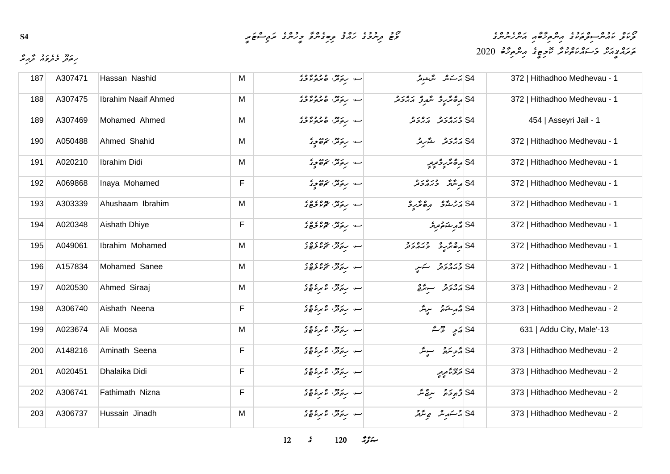*sCw7q7s5w7m< o<n9nOoAw7o< sCq;mAwBoEw7q<m; wBm;vB 2020<sup>, م</sup>وسوق المسجد التحقيق وسرمونية والم*جمع المسجد المسجد المسجد المسجد المسجد المسجد المسجد المسجد المسجد ال

| 187 | A307471 | Hassan Nashid              | M            | ر دو و و و دو د د د و د<br>سه روتر، ه برونامرد | S4   ئەسكەنلەر ئىگرىشون <b>ى</b> ر        | 372   Hithadhoo Medhevau - 1 |
|-----|---------|----------------------------|--------------|------------------------------------------------|-------------------------------------------|------------------------------|
| 188 | A307475 | <b>Ibrahim Naaif Ahmed</b> | M            | در دو و و و دو د و ع<br>د سرمونس ت مرمونو و ع  | S4 مەھزىرى ئىزىق مەددىر                   | 372   Hithadhoo Medhevau - 1 |
| 189 | A307469 | Mohamed Ahmed              | M            | سه رود ودوده<br>سه روتر، همونامری              | S4 دره در بره دور                         | 454   Asseyri Jail - 1       |
| 190 | A050488 | Ahmed Shahid               | M            | سه ره دد نمود و                                | S4 كەبرى قىرىتى ئىقتىرىتىلىكى ئىل         | 372   Hithadhoo Medhevau - 1 |
| 191 | A020210 | Ibrahim Didi               | M            | سه ره دو کړي ،                                 | S4 <sub>مر</sub> ھ تژر دوپر               | 372   Hithadhoo Medhevau - 1 |
| 192 | A069868 | Inaya Mohamed              | F            | سه ره دد درد،                                  | S4 مەشتر <i>225.55</i>                    | 372   Hithadhoo Medhevau - 1 |
| 193 | A303339 | Ahushaam Ibrahim           | M            | سه رود بره ده د                                | S4  كارتىسى مەھك <i>رى</i> دى             | 372   Hithadhoo Medhevau - 1 |
| 194 | A020348 | Aishath Dhiye              | $\mathsf{F}$ | ر به رود به ده ده ده<br>پ                      | S4 صَّەر ھەمھ <sup>و</sup> مرە <i>ت</i> ر | 372   Hithadhoo Medhevau - 1 |
| 195 | A049061 | Ibrahim Mohamed            | M            | سه رود بوه ده د                                | S4 مەھەر بەر 27مەدىر                      | 372   Hithadhoo Medhevau - 1 |
| 196 | A157834 | Mohamed Sanee              | M            | ر دود بره ده ده.<br>پ. روس محمد ده د           | S4 دېمه دي سته په                         | 372   Hithadhoo Medhevau - 1 |
| 197 | A020530 | Ahmed Siraaj               | M            | سه رود رود و                                   | S4 كەبروتر س <i>ې</i> تىر                 | 373   Hithadhoo Medhevau - 2 |
| 198 | A306740 | Aishath Neena              | F            | سە رەتر، ئامرىي دە                             | S4 مەم ئىستىمى سېرىتىر                    | 373   Hithadhoo Medhevau - 2 |
| 199 | A023674 | Ali Moosa                  | M            | سه رړونه کامرمانون                             | S4 کی تی تخریحہ م                         | 631   Addu City, Male'-13    |
| 200 | A148216 | Aminath Seena              | $\mathsf{F}$ | سه رړود عبر ده د                               | S4 مُرْحِبَهُ سِبْئَر                     | 373   Hithadhoo Medhevau - 2 |
| 201 | A020451 | Dhalaika Didi              | $\mathsf{F}$ | سه رکونس کامریز دی                             | S4 مری محمد مومو                          | 373   Hithadhoo Medhevau - 2 |
| 202 | A306741 | Fathimath Nizna            | F            | سه رود رود و                                   | S4 ۇ <sub>م</sub> ودۇ س <sub>ى</sub> مەش  | 373   Hithadhoo Medhevau - 2 |
| 203 | A306737 | Hussain Jinadh             | M            | سه رړود رمړنون                                 | S4 بر سَمبر مَر سي مُرْمَرٌ.              | 373   Hithadhoo Medhevau - 2 |

 $12$  *s*  $120$  *i*<sub>s</sub>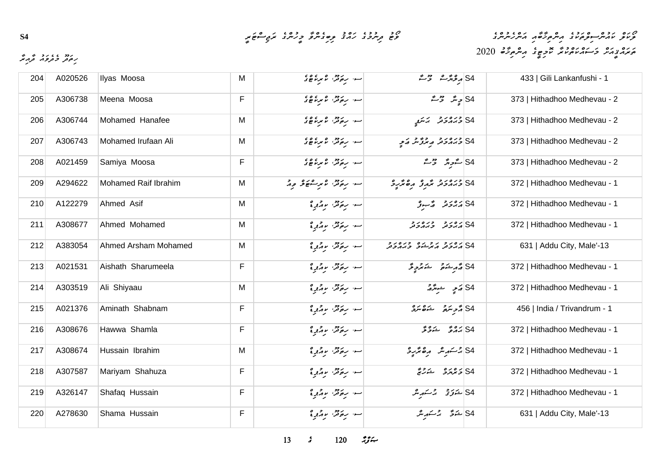*sCw7q7s5w7m< o<n9nOoAw7o< sCq;mAwBoEw7q<m; wBm;vB 2020<sup>, م</sup>وسوق المسجد التحقيق وسرمونية والم*جمع المسجد المسجد المسجد المسجد المسجد المسجد المسجد المسجد المسجد ال

| 204 | A020526 | Ilyas Moosa          | M           | سه رود رود و         | S4 مەنزىر تەرىئە                          | 433   Gili Lankanfushi - 1   |
|-----|---------|----------------------|-------------|----------------------|-------------------------------------------|------------------------------|
| 205 | A306738 | Meena Moosa          | F           | ب رود رود و ده       | S4 <sub>حو</sub> مثر تۇش                  | 373   Hithadhoo Medhevau - 2 |
| 206 | A306744 | Mohamed Hanafee      | M           | سه رود رود و         | S4  <i>\$تە\$قى بەتتى</i> ي               | 373   Hithadhoo Medhevau - 2 |
| 207 | A306743 | Mohamed Irufaan Ali  | M           | سو روده کامرمان      | S4 <i>دې ور و پرو</i> گر <sub>مکم</sub> ر | 373   Hithadhoo Medhevau - 2 |
| 208 | A021459 | Samiya Moosa         | F           | سو روده کامرمان      | S4 سُمْرِیْر ڈیسے                         | 373   Hithadhoo Medhevau - 2 |
| 209 | A294622 | Mohamed Raif Ibrahim | M           | ب رەتر، ئابرىشقۇ بور | S4 درەرد تر وق مەھترىرى                   | 372   Hithadhoo Medhevau - 1 |
| 210 | A122279 | Ahmed Asif           | M           | سە رەۋش بورۇ بۇ      | S4 كەبر <i>دى</i> ر گەسى <i>ر</i> ۇ       | 372   Hithadhoo Medhevau - 1 |
| 211 | A308677 | Ahmed Mohamed        | M           | سىز سەنقرا بورۇپى    | S4 ג׳כית כגמכת                            | 372   Hithadhoo Medhevau - 1 |
| 212 | A383054 | Ahmed Arsham Mohamed | M           | سە رەۋىش بىرە دې     | S4 גזיג היה הייני היידיק                  | 631   Addu City, Male'-13    |
| 213 | A021531 | Aishath Sharumeela   | F           | سە رەۋر بوروپى       | S4 مُەرِسَەمْ سَىمْر <sub>ُ</sub> رِ ئُرَ | 372   Hithadhoo Medhevau - 1 |
| 214 | A303519 | Ali Shiyaau          | M           | سە رەۋىش بورۇ د      | S4 كەمچە سى <i>مەتگە</i>                  | 372   Hithadhoo Medhevau - 1 |
| 215 | A021376 | Aminath Shabnam      | F           | سە رەۋش بورو ؟       | S4 مُتَّحِسَمُ مُشَوَّسَةِ                | 456   India / Trivandrum - 1 |
| 216 | A308676 | Hawwa Shamla         | $\mathsf F$ | سە رەۋىش بورو ؟      | S4 كەبر <i>ۇ</i> شەرىخ                    | 372   Hithadhoo Medhevau - 1 |
| 217 | A308674 | Hussain Ibrahim      | M           | سە رەۋىش بورو ؟      | S4 جُسَمبر شهر مرگار مرگار برگ            | 372   Hithadhoo Medhevau - 1 |
| 218 | A307587 | Mariyam Shahuza      | F           | سە رەۋش بورۇپ        | S4 كو <i>نترمرك</i> ر مشركتم              | 372   Hithadhoo Medhevau - 1 |
| 219 | A326147 | Shafaq Hussain       | $\mathsf F$ | سە رەۋىر، بورو ؟     | S4 خۇتۇق ئەستى <i>ر بىر</i>               | 372   Hithadhoo Medhevau - 1 |
| 220 | A278630 | Shama Hussain        | F           | سە رەڭ بورو ؟        | S4 خەنز كەربىر                            | 631   Addu City, Male'-13    |

# *n8o<n@ q<m=s@s> r@mAo5*

 $13$  *s*  $120$  *n***<sub>s</sub>**  $\frac{2}{3}$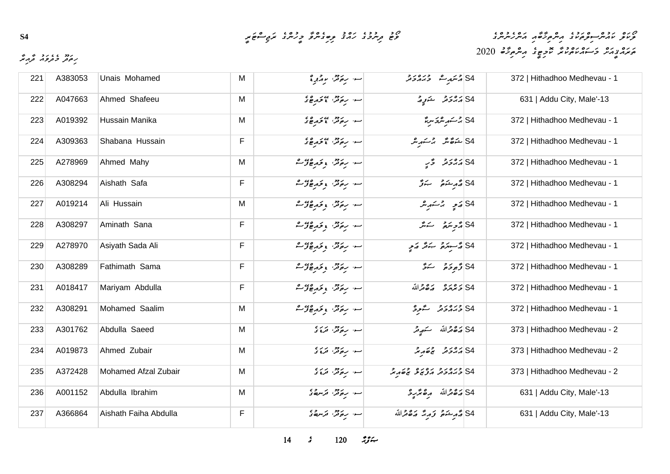*sCw7q7s5w7m< o<n9nOoAw7o< sCq;mAwBoEw7q<m; wBm;vB 2020<sup>, م</sup>وسوق المسجد التحقيق وسرمونية والم*جمع المسجد المسجد المسجد المسجد المسجد المسجد المسجد المسجد المسجد ال

| 221 | A383053 | Unais Mohamed               | M           | سە رەۋىش بىرە بوي                      | S4 مُتَمَدِّ حَمَدَ مَحَدَّ             | 372   Hithadhoo Medhevau - 1 |
|-----|---------|-----------------------------|-------------|----------------------------------------|-----------------------------------------|------------------------------|
| 222 | A047663 | Ahmed Shafeeu               | M           | سو رود پیوره د                         | S4   <i>مربر حرقہ</i> ش <i>ور</i>       | 631   Addu City, Male'-13    |
| 223 | A019392 | Hussain Manika              | M           | سو رود پیوره د                         | S4 پر کے م <i>ر</i> مرکز سریدگا         | 372   Hithadhoo Medhevau - 1 |
| 224 | A309363 | Shabana Hussain             | $\mathsf F$ | سه رود پره وه                          | S4 شۇھ ئ <i>ىر ئىكى</i> رى <i>گ</i>     | 372   Hithadhoo Medhevau - 1 |
| 225 | A278969 | Ahmed Mahy                  | M           | سە رەتر، دىخ مۇرغۇ                     | S4   <i>مانادة وي</i>                   | 372   Hithadhoo Medhevau - 1 |
| 226 | A308294 | Aishath Safa                | F           | سە رەتر، بە ئەرەبى                     | S4 مەم ئىستىرگە ئىستىرگە                | 372   Hithadhoo Medhevau - 1 |
| 227 | A019214 | Ali Hussain                 | M           | سە رەتر، بە ئەرەبى                     | S4 <i>ھَ۔مجب حاضر م</i> یں              | 372   Hithadhoo Medhevau - 1 |
| 228 | A308297 | Aminath Sana                | F           | سە رەتر، بە ئەرەبى                     | S4 مَرْحِ سَعَدَّ سَ <del>مَ</del> دَّر | 372   Hithadhoo Medhevau - 1 |
| 229 | A278970 | Asiyath Sada Ali            | F           | سە رەتر، بە خەرجۇ ئ                    | S4 صحيح په محمد صحي                     | 372   Hithadhoo Medhevau - 1 |
| 230 | A308289 | Fathimath Sama              | F           | سە رەتر، دىكەھۇم                       | S4 رَّج <i>و ح</i> ق سَقَرَّ            | 372   Hithadhoo Medhevau - 1 |
| 231 | A018417 | Mariyam Abdulla             | $\mathsf F$ | سە رەۋر، بە ئۇروغۇر                    | S4 كريمرد كرك قرالله                    | 372   Hithadhoo Medhevau - 1 |
| 232 | A308291 | Mohamed Saalim              | M           | سة رەقدا وخمەھ بى                      | S4 <i>ۋېزو دو</i> گوۋ                   | 372   Hithadhoo Medhevau - 1 |
| 233 | A301762 | Abdulla Saeed               | M           | ر دود.<br>سوسر موفر، فروی              | S4 كەڭداللە كىھەتمە                     | 373   Hithadhoo Medhevau - 2 |
| 234 | A019873 | Ahmed Zubair                | M           | ر دو براد در در با<br>سود برخوش افرو ب | $5.62$ $5.25$ $54$                      | 373   Hithadhoo Medhevau - 2 |
| 235 | A372428 | <b>Mohamed Afzal Zubair</b> | M           | سه رود در د                            | SA כגמכני הנגב הסגל                     | 373   Hithadhoo Medhevau - 2 |
| 236 | A001152 | Abdulla Ibrahim             | M           | ب ریږد. ترسیږي                         | S4 مَەمْراللە مەھمَّرِدْ                | 631   Addu City, Male'-13    |
| 237 | A366864 | Aishath Faiha Abdulla       | F           | سه رړيو. ترسرچ                         | S4 صَّمِ شَمَّع وَمِ يَّ صَرَّةَ للَّه  | 631   Addu City, Male'-13    |

*n8o<n@ q<m=s@s> r@mAo5*

 $14$  *s*  $120$  *i*<sub>s</sub>  $\frac{2}{3}$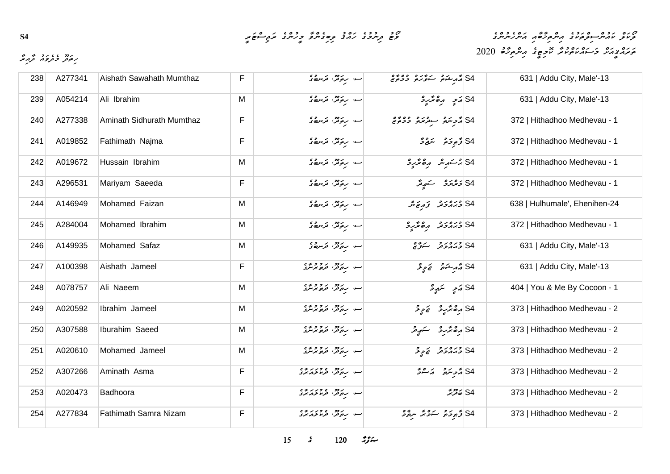*sCw7q7s5w7m< o<n9nOoAw7o< sCq;mAwBoEw7q<m; wBm;vB 2020<sup>, م</sup>وجدة المصرورة المجموعة المستورجة والم*جموعة والمجموعة والمجموعة والمجموعة والمجموعة والمجموعة والمجموعة

| 238 | A277341 | Aishath Sawahath Mumthaz  | F           | سه ريدود ترسيف                            | S4 مەم شەھ سىۋىرە دەم ج                    | 631   Addu City, Male'-13     |
|-----|---------|---------------------------|-------------|-------------------------------------------|--------------------------------------------|-------------------------------|
| 239 | A054214 | Ali Ibrahim               | M           | سە رەۋر ترسەدى                            | S4 <i>ڇَڄِ رهنڙپ</i> و                     | 631   Addu City, Male'-13     |
| 240 | A277338 | Aminath Sidhurath Mumthaz | F           | سه رود ترس                                | S4 مُجرِسَمَ سِورِ و وه وه                 | 372   Hithadhoo Medhevau - 1  |
| 241 | A019852 | Fathimath Najma           | F           | سه رجون ترس                               | S4 تَ <i>وجو جمع</i> سَمَةِ تَرَ           | 372   Hithadhoo Medhevau - 1  |
| 242 | A019672 | Hussain Ibrahim           | M           | ے ریے تر رہے ۔                            | S4 يُرْسَمبر شَر مِرْجَمْرِ فِرْ           | 372   Hithadhoo Medhevau - 1  |
| 243 | A296531 | Mariyam Saeeda            | $\mathsf F$ | سه رود ترس                                | S4 <i>ۇيۇيۇ سۇم</i> بۇ                     | 372   Hithadhoo Medhevau - 1  |
| 244 | A146949 | Mohamed Faizan            | M           | سه رود ترس                                | S4 دېم د تر د کم ش                         | 638   Hulhumale', Ehenihen-24 |
| 245 | A284004 | Mohamed Ibrahim           | M           | سه رود ترس                                | S4 درورو مقتربة                            | 372   Hithadhoo Medhevau - 1  |
| 246 | A149935 | Mohamed Safaz             | M           | سه روده ترسعه                             | S4 دېږدونه سونونو                          | 631   Addu City, Male'-13     |
| 247 | A100398 | Aishath Jameel            | F           | سه ریږد رووړي                             | S4 صَّمِي شَمَّعَ فَيَ حِي مَحْرِ          | 631   Addu City, Male'-13     |
| 248 | A078757 | Ali Naeem                 | M           | ر دو روو ده.<br>پ. روس ترونرس             | S4 كەبىر سەرد                              | 404   You & Me By Cocoon - 1  |
| 249 | A020592 | Ibrahim Jameel            | M           | ر در برود در دوره و در د                  | S4 م <i>ِ هُ مَّرِ دُ</i> گَ <i>ج</i> ِ دُ | 373   Hithadhoo Medhevau - 2  |
| 250 | A307588 | Iburahim Saeed            | M           | ر در ده درووره<br>سه روفر، ترومه          | S4 مەھ <i>مگرى</i> ئىسكىمىتىر              | 373   Hithadhoo Medhevau - 2  |
| 251 | A020610 | Mohamed Jameel            | M           | ر دو رووه وه<br>پ روتر، ترونرس            | S4 <i>وَبَرْدُوَنَرْ</i> يَحْرِ وَ         | 373   Hithadhoo Medhevau - 2  |
| 252 | A307266 | Aminath Asma              | F           |                                           | S4 أَمَّ <i>جِسَعَةَ مَ</i> سَنَّقَّ       | 373   Hithadhoo Medhevau - 2  |
| 253 | A020473 | Badhoora                  | $\mathsf F$ |                                           | S4 ھۇرىگە                                  | 373   Hithadhoo Medhevau - 2  |
| 254 | A277834 | Fathimath Samra Nizam     | F           | ر دود. دورد ده د<br>سه روفر، فرمانو در در | S4 ۇَمِوَدَە سَوَتَرَ سِهْرَدْ             | 373   Hithadhoo Medhevau - 2  |

*n8o<n@ q<m=s@s> r@mAo5*

 $15$  *s*  $120$  *i*<sub>s</sub>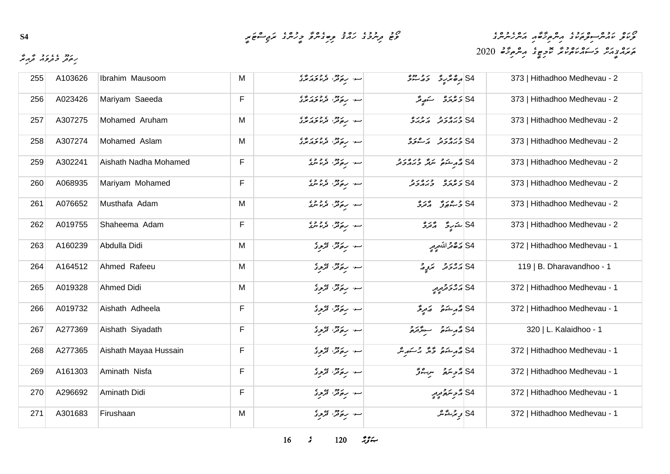*sCw7q7s5w7m< o<n9nOoAw7o< sCq;mAwBoEw7q<m; wBm;vB 2020<sup>, م</sup>وسوق المسجد التحقيق وسرمونية والم*جمع المسجد المسجد المسجد المسجد المسجد المسجد المسجد المسجد المسجد ال

| 255 | A103626 | Ibrahim Mausoom       | M           | سه ریږده عاور ده و                             | S4  مەھمەرىيە خەمبىيەد             | 373   Hithadhoo Medhevau - 2 |
|-----|---------|-----------------------|-------------|------------------------------------------------|------------------------------------|------------------------------|
| 256 | A023426 | Mariyam Saeeda        | $\mathsf F$ |                                                | S4 كەمھەر ئىستەر ئىگە بىر          | 373   Hithadhoo Medhevau - 2 |
| 257 | A307275 | Mohamed Aruham        | M           | ر دود. دور ده د<br>سه روتر، تر دور در          | $5.222$ $5.222$ $5.4$              | 373   Hithadhoo Medhevau - 2 |
| 258 | A307274 | Mohamed Aslam         | M           | ر دود.<br>سه ره تر تر د د بر د د               | S4 دېره د ته ده ده                 | 373   Hithadhoo Medhevau - 2 |
| 259 | A302241 | Aishath Nadha Mohamed | $\mathsf F$ | ( ده مرده ده ده ده)<br>( سواسي مرد مرد مرد برد | S4 مەم شەھ سەبۇ جەم جىلىرى بىر     | 373   Hithadhoo Medhevau - 2 |
| 260 | A068935 | Mariyam Mohamed       | $\mathsf F$ | سه ره ده دره ده                                | S4 كرورو ورورو                     | 373   Hithadhoo Medhevau - 2 |
| 261 | A076652 | Musthafa Adam         | M           | ر دود دوده<br>سو روتر، تر در دو                | S4 ترەپرى ئەرە                     | 373   Hithadhoo Medhevau - 2 |
| 262 | A019755 | Shaheema Adam         | $\mathsf F$ | سه ره ده دره ده                                | S4 ڪر <i>ي</i> و گھرو              | 373   Hithadhoo Medhevau - 2 |
| 263 | A160239 | Abdulla Didi          | M           | سه ره ده ده و ه                                | S4 كەشكەللەمبىر                    | 372   Hithadhoo Medhevau - 1 |
| 264 | A164512 | Ahmed Rafeeu          | M           | ر دود در د<br>سه ره تروی                       | S4 كەندى كەرگە                     | 119   B. Dharavandhoo - 1    |
| 265 | A019328 | Ahmed Didi            | M           | سه ره ده ده و                                  | S4 كەرگە تەتەپرىيە                 | 372   Hithadhoo Medhevau - 1 |
| 266 | A019732 | Aishath Adheela       | F           | سە رەۋر ئۇچ                                    | S4 م <i>ەم ھەقى</i> ر قەرىم        | 372   Hithadhoo Medhevau - 1 |
| 267 | A277369 | Aishath Siyadath      | $\mathsf F$ | سه ره ده چره                                   | S4 ۾ پرڪو سوپر <i>يو</i> ج         | 320   L. Kalaidhoo - 1       |
| 268 | A277365 | Aishath Mayaa Hussain | F           | سه رەۋە ئەدى                                   | S4 مُمبِّسَمْ وَمُرَّ بُرْسَمَبِسْ | 372   Hithadhoo Medhevau - 1 |
| 269 | A161303 | Aminath Nisfa         | $\mathsf F$ | سه ره دو به دی                                 | S4 مُتَعِسَمَة سِبَوَّرٌ           | 372   Hithadhoo Medhevau - 1 |
| 270 | A296692 | Aminath Didi          | $\mathsf F$ | سه ره ده ده و                                  | S4 ۾َ <i>جِ سَهوُ م</i> ِرِمِرِ    | 372   Hithadhoo Medhevau - 1 |
| 271 | A301683 | Firushaan             | M           | سە رەۋىق ئۇچ <sub>ى</sub> ك                    | S4ع پر متر مشتر مثر                | 372   Hithadhoo Medhevau - 1 |

*n8o<n@ q<m=s@s> r@mAo5*

 $16$  *s*  $120$  *z***<sub>3</sub>**  $\frac{2}{3}$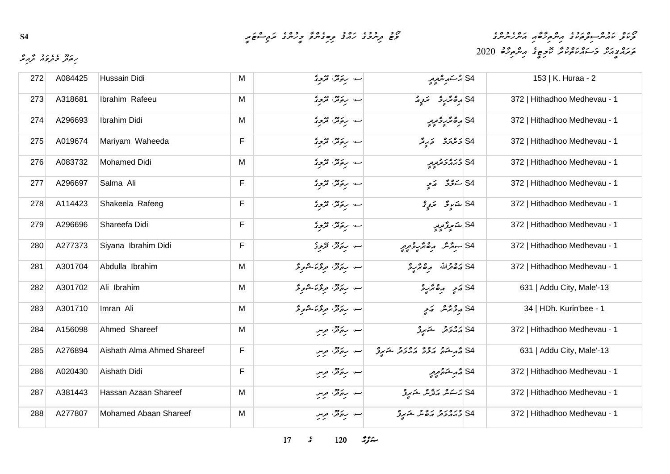*sCw7q7s5w7m< o<n9nOoAw7o< sCq;mAwBoEw7q<m; wBm;vB 2020<sup>, م</sup>وسوق المسجد التحقيق وسرمونية والم*جمع المسجد المسجد المسجد المسجد المسجد المسجد المسجد المسجد المسجد ال

| 272 | A084425 | Hussain Didi               | M           | سه رەۋە بىرى                  | S4 ترڪير نٿرميرير                 | 153   K. Huraa - 2           |
|-----|---------|----------------------------|-------------|-------------------------------|-----------------------------------|------------------------------|
| 273 | A318681 | Ibrahim Rafeeu             | M           | سه ره ده چره                  | S4 مەھەر ئىر ئىرىمىتى ئىرىدى كىل  | 372   Hithadhoo Medhevau - 1 |
| 274 | A296693 | Ibrahim Didi               | M           | سه ره ده ده و                 | S4 م <i>وڭ مۇرچ م</i> رىر         | 372   Hithadhoo Medhevau - 1 |
| 275 | A019674 | Mariyam Waheeda            | $\mathsf F$ | سه رەۋر تەرى                  | S4 <i>5 پروژ</i> کامیاٹر          | 372   Hithadhoo Medhevau - 1 |
| 276 | A083732 | <b>Mohamed Didi</b>        | M           | سه ره ده چره                  | S4 32285 ترتويو                   | 372   Hithadhoo Medhevau - 1 |
| 277 | A296697 | Salma Ali                  | $\mathsf F$ | سه رەۋر ئەرى                  | S4 جەنزى كەي <sub>ج</sub>         | 372   Hithadhoo Medhevau - 1 |
| 278 | A114423 | Shakeela Rafeeg            | $\mathsf F$ | سە رەۋر ئىچە                  | S4 ڪيو تھ سکو پڙ                  | 372   Hithadhoo Medhevau - 1 |
| 279 | A296696 | Shareefa Didi              | $\mathsf F$ | سه ره ده ده و                 | S4 شمېرتژمېږ                      | 372   Hithadhoo Medhevau - 1 |
| 280 | A277373 | Siyana Ibrahim Didi        | $\mathsf F$ | سه ره ده پرو                  | S4 سورش مەھمەر ۋىرىر              | 372   Hithadhoo Medhevau - 1 |
| 281 | A301704 | Abdulla Ibrahim            | M           | ب، رەۋر، مروكى شەھ بۇ         | S4 مَصْعَراللَّهُ مِصْعَمَٰدٍ \$  | 372   Hithadhoo Medhevau - 1 |
| 282 | A301702 | Ali Ibrahim                | M           | ب، رەۋر، مروكى شەھ بۇ         | S4 <i>ڇَجِ په ڇُئ</i> ِيرُو       | 631   Addu City, Male'-13    |
| 283 | A301710 | Imran Ali                  | M           | ب. رەقرا مروكى شەھ ئە         | S4  م <i>وڅنگر مکم</i>            | 34   HDh. Kurin'bee - 1      |
| 284 | A156098 | Ahmed Shareef              | M           | ے روکڑ، ترس                   |                                   | 372   Hithadhoo Medhevau - 1 |
| 285 | A276894 | Aishath Alma Ahmed Shareef | $\mathsf F$ | سه رموندا توس                 | S4 مەم شەم كەن كەرەر ئەمرۇ        | 631   Addu City, Male'-13    |
| 286 | A020430 | Aishath Didi               | $\mathsf F$ | سه ره در در مرس<br>مسر از مر  | S4 ۾ مرڪو <i>مو</i> مبر           | 372   Hithadhoo Medhevau - 1 |
| 287 | A381443 | Hassan Azaan Shareef       | M           | ے روڈر مرس                    | S4 ئەسەمگە ئەقرىگر خ <i>ەمبەر</i> | 372   Hithadhoo Medhevau - 1 |
| 288 | A277807 | Mohamed Abaan Shareef      | M           | سه ره در تورس<br>  را در مرکز | S4 درەرد رەپر شىرى                | 372   Hithadhoo Medhevau - 1 |

*n8o<n@ q<m=s@s> r@mAo5*

 $17$  *s*  $120$  *i*<sub>s</sub>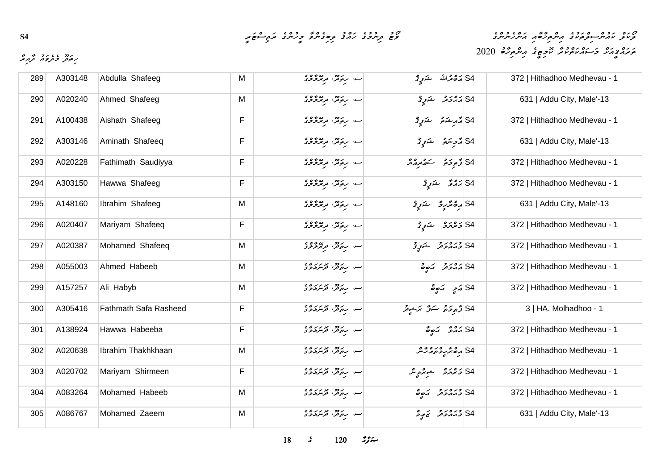*sCw7q7s5w7m< o<n9nOoAw7o< sCq;mAwBoEw7q<m; wBm;vB 2020*<br>*په پوهر وسوډيرونو لومو د موجو د مرمونه* 2020

| 289 | A303148 | Abdulla Shafeeg       | M           | ے رکھڑ مرتزقرفری                                               | S4 كەھەراللە خىموتى                                                   | 372   Hithadhoo Medhevau - 1 |
|-----|---------|-----------------------|-------------|----------------------------------------------------------------|-----------------------------------------------------------------------|------------------------------|
|     |         |                       |             |                                                                |                                                                       |                              |
| 290 | A020240 | Ahmed Shafeeg         | M           | ے رود درعودی                                                   | S4 كەشكەتقىر ئىسكى <i>ر قى</i>                                        | 631   Addu City, Male'-13    |
| 291 | A100438 | Aishath Shafeeg       | F           | ر رەپىر ئوترىۋى                                                | S4 مَگْرِسْتَمْ صُورِتْر                                              | 372   Hithadhoo Medhevau - 1 |
| 292 | A303146 | Aminath Shafeeq       | F           | ر بەدە بەرەپە دەپرە<br>سەربەتى بېرترىۋى                        | S4 مَرْحِ سَمَوٍ حَسَنٍ تَحْرِ بِرَّ                                  | 631   Addu City, Male'-13    |
| 293 | A020228 | Fathimath Saudiyya    | F           | ے رکوبی مرتزقرور                                               | S4 ۇج <sub>و</sub> رى ئەرەپەر                                         | 372   Hithadhoo Medhevau - 1 |
| 294 | A303150 | Hawwa Shafeeg         | $\mathsf F$ | ے رکھڑ مرتزقرفری                                               | S4 كەنگە ئەرىخى ئىكتىر تەرىخى                                         | 372   Hithadhoo Medhevau - 1 |
| 295 | A148160 | Ibrahim Shafeeg       | M           | سه رود و ۱۶۶۴ و د                                              | S4  مەھەر ئەھەر تەرىخ                                                 | 631   Addu City, Male'-13    |
| 296 | A020407 | Mariyam Shafeeq       | F           | ر رەددە مەترى <i>ۋى</i><br>سەر <i>بەق</i> را مەترى <i>ۋىلى</i> | S4 <i>5 برېږ شوي</i> تو                                               | 372   Hithadhoo Medhevau - 1 |
| 297 | A020387 | Mohamed Shafeeq       | M           | ے رکھی مرکز دی ہے<br>۔ رکھی مرکز دی                            | S4 <i>ۇبرۇ بۇر شۇر ق</i>                                              | 372   Hithadhoo Medhevau - 1 |
| 298 | A055003 | Ahmed Habeeb          | M           | ر در برود بورگروی<br>سه بروتر، ترسرپروی                        | $502.5225$ S4                                                         | 372   Hithadhoo Medhevau - 1 |
| 299 | A157257 | Ali Habyb             | M           | ے رکوبی موردہ ہ                                                | $\frac{2}{3}$ $\frac{2}{3}$ $\frac{2}{3}$ $\frac{2}{3}$ $\frac{2}{3}$ | 372   Hithadhoo Medhevau - 1 |
| 300 | A305416 | Fathmath Safa Rasheed | F           | ر دو پورز ده.<br>سه رجونس ترس دور                              | S4 تَ <i>وْجِودَةْ</i> سَنَرَّ بَرَسْبِ <sup>وت</sup> ر               | 3   HA. Molhadhoo - 1        |
| 301 | A138924 | Hawwa Habeeba         | F           | سه رود بورده                                                   | $502$ $52$ $54$                                                       | 372   Hithadhoo Medhevau - 1 |
| 302 | A020638 | Ibrahim Thakhkhaan    | M           | ر در دو بورگروی<br>سه روفر، فرس دور                            | S4 <sub>مەھ</sub> م <i>ر دەھ</i> رىتىر                                | 372   Hithadhoo Medhevau - 1 |
| 303 | A020702 | Mariyam Shirmeen      | F           | ر دود. پورز ده د<br>سه رمونز، ترسربرو د                        | S4  <i>5 پر<sub>ا</sub>برو جو پرچ</i> ر                               | 372   Hithadhoo Medhevau - 1 |
| 304 | A083264 | Mohamed Habeeb        | M           | سه روده بورروه                                                 | $5.5225$ S4                                                           | 372   Hithadhoo Medhevau - 1 |
| 305 | A086767 | Mohamed Zaeem         | M           | ر در دو پورز ده<br>سه رجونس ترسربروی                           | S4 <i>\$222 مَ م</i> حم                                               | 631   Addu City, Male'-13    |

 $18$  *s*  $120$  *n***<sub>s</sub>**  $\frac{2}{3}$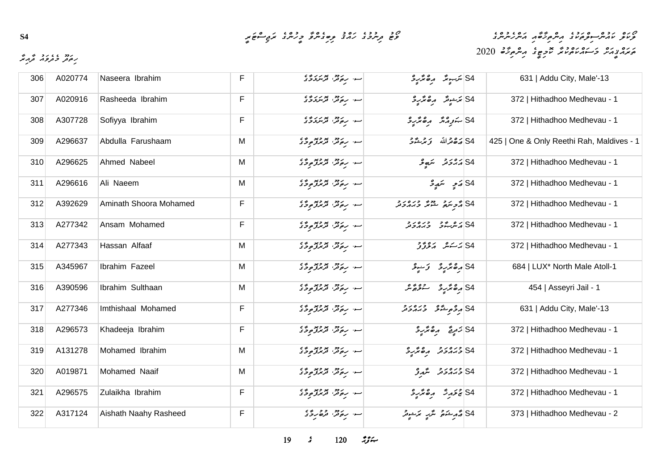*sCw7q7s5w7m< o<n9nOoAw7o< sCq;mAwBoEw7q<m; wBm;vB 2020<sup>, م</sup>وجدة المصرورة المجموعة المستورجة والم*جموعة والمجموعة والمجموعة والمجموعة والمجموعة والمجموعة والمجموعة

| 306 | A020774 | Naseera Ibrahim        | F           | ر به رود بورگروی<br>سوسی فرس فرس            | S4 ىترىبوبتر ب <i>ەھ ت</i> رى <sub>ب</sub> ى | 631   Addu City, Male'-13                 |
|-----|---------|------------------------|-------------|---------------------------------------------|----------------------------------------------|-------------------------------------------|
| 307 | A020916 | Rasheeda Ibrahim       | F           | ے رکوبر الائتریز کا دیا                     | S4 ىَرَسْبِقَ مِنْ صَمَّرِيْتَ               | 372   Hithadhoo Medhevau - 1              |
| 308 | A307728 | Sofiyya Ibrahim        | F           | سه رود پورره و                              | S4 جَو <i>َدْهُ جَهْ جُدِ</i> دْ             | 372   Hithadhoo Medhevau - 1              |
| 309 | A296637 | Abdulla Farushaam      | M           | ر در برده بروبر و ،<br>سه روز، تربرز و ژ    | S4 مَەمْرَاللَّه وَمَرْشَوْتَر               | 425   One & Only Reethi Rah, Maldives - 1 |
| 310 | A296625 | Ahmed Nabeel           | M           | ر به رود بروبر و ،<br>پ. روز، تربرز و ژ     | S4 كەبردىقر س <i>تھى</i> ۋ                   | 372   Hithadhoo Medhevau - 1              |
| 311 | A296616 | Ali Naeem              | M           | ر به رود بروبر و بر<br>سوسروتر، تربرتر مورد | S4 <i>جَ جِهْ سَمِي</i> وْ                   | 372   Hithadhoo Medhevau - 1              |
| 312 | A392629 | Aminath Shoora Mohamed | F           | ے رکومی مدورہ دی۔                           | S4 أَرَّحِ سَهْمٍ مَسْتَمَرٌ وَبَرْدُونَدِ   | 372   Hithadhoo Medhevau - 1              |
| 313 | A277342 | Ansam Mohamed          | $\mathsf F$ | ر در دو بروبر و ،<br>پ. روز تربرز و د ،     | S4 كەشرىكى ئەرەر د                           | 372   Hithadhoo Medhevau - 1              |
| 314 | A277343 | Hassan Alfaaf          | M           | ر به رود بودیو وی<br>سه روزه تربرز و دی     | S4 ئەسەھەر بەر <i>ەۋ</i> ۇ                   | 372   Hithadhoo Medhevau - 1              |
| 315 | A345967 | Ibrahim Fazeel         | M           | ر به رود بروبر و ،<br>پ. روز، تربرز و ژ     | S4 مەھەر بۇ تەسىر ئ                          | 684   LUX* North Male Atoll-1             |
| 316 | A390596 | Ibrahim Sulthaan       | M           | ر به رود بروبر و ،<br>سه روز، تربرز و ژ     | S4 مەھەرىرى سىۋەر مى                         | 454   Asseyri Jail - 1                    |
| 317 | A277346 | Imthishaal Mohamed     | F           | ب رړو. پر دید د ،                           | S4 مرۇم شگى ئىقتىم دىر                       | 631   Addu City, Male'-13                 |
| 318 | A296573 | Khadeeja Ibrahim       | $\mathsf F$ | ر به رود بروبر و ،<br>د روتر، تربرز و ژ     | S4 كَتَعِيقٌ مِنْ صُغَّرِ فِي                | 372   Hithadhoo Medhevau - 1              |
| 319 | A131278 | Mohamed Ibrahim        | M           | ر به رود بودیو وی<br>سه روزه تربرز و دی     | S4 دُبرورو مِهْتَدِةِ                        | 372   Hithadhoo Medhevau - 1              |
| 320 | A019871 | Mohamed Naaif          | M           | ے رکوش مردور دی                             | S4 <i>2222 سُمَدِ</i> رْ                     | 372   Hithadhoo Medhevau - 1              |
| 321 | A296575 | Zulaikha Ibrahim       | F           | ر به رود بروبر و ،<br>سه روز، تربرز و ژ     | S4 ىخ <i>قرېر شەھ تۈر</i> ئو                 | 372   Hithadhoo Medhevau - 1              |
| 322 | A317124 | Aishath Naahy Rasheed  | F           | ے رود دورہ                                  | S4 مُرمِسْدَمْ مُرَبِّ مَرْسُوتِرْ           | 373   Hithadhoo Medhevau - 2              |

*19 sC 120 nNw?mS*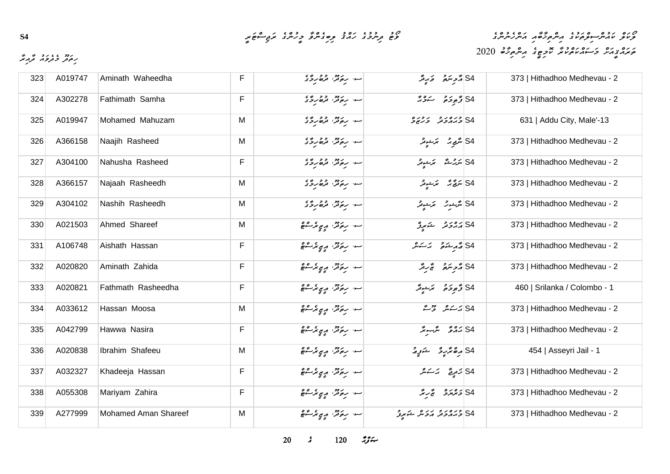*sCw7q7s5w7m< o<n9nOoAw7o< sCq;mAwBoEw7q<m; wBm;vB 2020<sup>, م</sup>وجدة المصرورة المجموعة المستورجة والم*جموعة والمجموعة والمجموعة والمجموعة والمجموعة والمجموعة والمجموعة

| 323 | A019747 | Aminath Waheedha     | F | ے رکھی ترکھری        | S4 مَّرْمِسَمَّۃُ      وَبرِقَّہ      | 373   Hithadhoo Medhevau - 2 |
|-----|---------|----------------------|---|----------------------|---------------------------------------|------------------------------|
| 324 | A302278 | Fathimath Samha      | F | ے رکوش فرھ روم       | S4 ۇ <sub>جو</sub> رَى ئەدبۇ          | 373   Hithadhoo Medhevau - 2 |
| 325 | A019947 | Mohamed Mahuzam      | M | ے رکوش ترکھرون       | $555$ $5555$ $54$                     | 631   Addu City, Male'-13    |
| 326 | A366158 | Naajih Rasheed       | M | ے رکوش فرھ دی        | S4 سَمْعِ بِرَّ سَمَسْوِمْر           | 373   Hithadhoo Medhevau - 2 |
| 327 | A304100 | Nahusha Rasheed      | F | ۔ روزہ ترکھروی       | S4 مَرَكَتْمٌ مَرَسُومَّرُ            | 373   Hithadhoo Medhevau - 2 |
| 328 | A366157 | Najaah Rasheedh      | M | ے رکون ترکوری        | S4 سَرَةً مُرَ سَرَسُوسُ              | 373   Hithadhoo Medhevau - 2 |
| 329 | A304102 | Nashih Rasheedh      | M | سه ره ده دو ده       | S4 سَرْسُورُ کَرَسُومُرُ              | 373   Hithadhoo Medhevau - 2 |
| 330 | A021503 | Ahmed Shareef        | M | سه ره در مربع ترکن و | S4 كەش <sup>ى</sup> كىرى سىكىرىتى كىل | 373   Hithadhoo Medhevau - 2 |
| 331 | A106748 | Aishath Hassan       | F | سە رەۋر، رېم ئرمىقى  | S4 مەم يىقىمە ئەسكەنلىر               | 373   Hithadhoo Medhevau - 2 |
| 332 | A020820 | Aminath Zahida       | F | سە رەۋىر، مەي ئرسوڭ  | S4 مَّ حِسَمَةٌ تَجْ سِعَّهُ          | 373   Hithadhoo Medhevau - 2 |
| 333 | A020821 | Fathmath Rasheedha   | F | ے رکوئر، دیج ترکھیے  | S4 ۇج <sub>و</sub> دَى ترىنوش         | 460   Srilanka / Colombo - 1 |
| 334 | A033612 | Hassan Moosa         | M | سه رود ریم شده       | S4 پرسەپر بۇشە                        | 373   Hithadhoo Medhevau - 2 |
| 335 | A042799 | Hawwa Nasira         | F | سە رەۋر، رېم ئرمىقى  | S4 <i>بَدْهُ مَّنْ</i> جَدَّ          | 373   Hithadhoo Medhevau - 2 |
| 336 | A020838 | Ibrahim Shafeeu      | M | سە رەۋر، رېم ئوسوم   | S4  مەھەر ئەھەر ئىكتى ئىچە ئەر        | 454   Asseyri Jail - 1       |
| 337 | A032327 | Khadeeja Hassan      | F | سە رەۋىر، مەيرىك ھ   | S4 زَمَرِیَجُ ) بَرَسَہْر             | 373   Hithadhoo Medhevau - 2 |
| 338 | A055308 | Mariyam Zahira       | F | سە رەۋر، رېم ئرسوم   | S4 <i>وَ بِرْ بِرْ بِيَّ بِ</i> بَرْ  | 373   Hithadhoo Medhevau - 2 |
| 339 | A277999 | Mohamed Aman Shareef | M | سە رەۋىر، مەيرىكرىشق | S4 <i>دېم</i> دې پرې شمېر تر          | 373   Hithadhoo Medhevau - 2 |

 $20$  *s*  $120$  *z***<sub>3</sub>**  $\frac{2}{3}$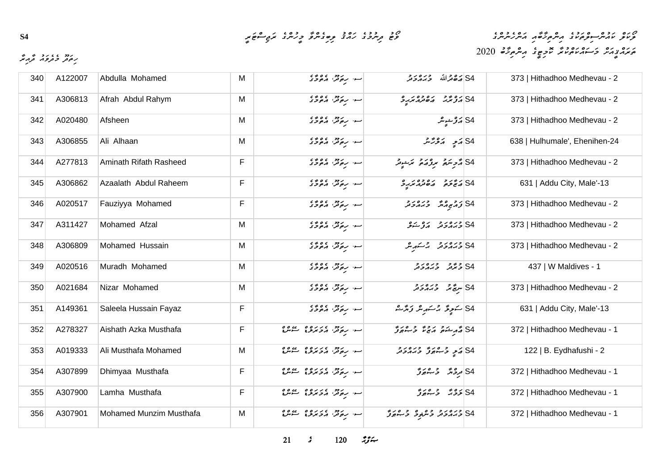*sCw7q7s5w7m< o<n9nOoAw7o< sCq;mAwBoEw7q<m; wBm;vB* م من المسجد المسجد المسجد المسجد المسجد العام 2020<br>مسجد المسجد المسجد المسجد المسجد المسجد المسجد المسجد المسجد ال

| 340 | A122007 | Abdulla Mohamed         | M           | سه ره دو ۶۵۶۵<br>سه ره تر مورد           | S4 مَەھْرَاللە <i>دېرو</i> تىر                     | 373   Hithadhoo Medhevau - 2  |
|-----|---------|-------------------------|-------------|------------------------------------------|----------------------------------------------------|-------------------------------|
| 341 | A306813 | Afrah Abdul Rahym       | M           | سه رود ۶۶۵۶                              | S4 <i>הؤيژبر م</i> ەمەمەر 2                        | 373   Hithadhoo Medhevau - 2  |
| 342 | A020480 | Afsheen                 | M           | ر دو ۵۵۰۰۰<br>د روتر، دود د              | S4 كەرۋىسەپىر                                      | 373   Hithadhoo Medhevau - 2  |
| 343 | A306855 | Ali Alhaan              | M           | ر دود ۵۶۵۰<br>د روتر، دود د              | S4 پر پر پروگ                                      | 638   Hulhumale', Ehenihen-24 |
| 344 | A277813 | Aminath Rifath Rasheed  | F           |                                          | S4 <i>مُّ حِ سَمَعُ مِرْدُهُ مِّ</i> سَمِّةٍ مِّرْ | 373   Hithadhoo Medhevau - 2  |
| 345 | A306862 | Azaalath Abdul Raheem   | F           | ر دو ۵۵۰۰۰<br> سوار موفرا ادامون         | S4 ביציב הסינה <i>ב</i> לב                         | 631   Addu City, Male'-13     |
| 346 | A020517 | Fauziyya Mohamed        | F           | سه رود ۶۶۵۶                              | S4 زَرَم مِرْ مَرَ دَرَ د                          | 373   Hithadhoo Medhevau - 2  |
| 347 | A311427 | Mohamed Afzal           | M           | ر دود ۱۶۵۷<br>سه روفر، دووی              | S4 دېرورو دوبرو                                    | 373   Hithadhoo Medhevau - 2  |
| 348 | A306809 | Mohamed Hussain         | M           | ر رود ٥٥٠٠٠<br>روز ده در                 | S4 دېم د د مختصر مثر                               | 373   Hithadhoo Medhevau - 2  |
| 349 | A020516 | Muradh Mohamed          | M           | ر دو ۵۵۰۰۰<br>سول موفر اړود ک            | S4 دُبُرُتر دِبروتر                                | 437   W Maldives - 1          |
| 350 | A021684 | Nizar Mohamed           | M           | سه رقص وه وه                             | S4 سرچ پر 1995 ک                                   | 373   Hithadhoo Medhevau - 2  |
| 351 | A149361 | Saleela Hussain Fayaz   | F           | سه رود ۶۶۵۶                              | S4 سَوِیْر بُرسَهریر وَبَرْتْ ِ                    | 631   Addu City, Male'-13     |
| 352 | A278327 | Aishath Azka Musthafa   | $\mathsf F$ | سه رود برره به بره و                     | S4 مەم شەھ مەم ئ                                   | 372   Hithadhoo Medhevau - 1  |
| 353 | A019333 | Ali Musthafa Mohamed    | M           | سه رود بر ده و ده وه                     | S4 كەير 3-مەرىر 2005 كەندى                         | 122   B. Eydhafushi - 2       |
| 354 | A307899 | Dhimyaa Musthafa        | F           | ر دود بررده و دره و در ده د              | S4 ىر <i>ۇنگە ق-مېۋۇ</i>                           | 372   Hithadhoo Medhevau - 1  |
| 355 | A307900 | Lamha Musthafa          | F           | ر دو بررده به ده<br>سه روتر دوبرو و سهره | S4 كۇۋېژ ۋېبوتۇ                                    | 372   Hithadhoo Medhevau - 1  |
| 356 | A307901 | Mohamed Munzim Musthafa | M           | سه رود برده به به ده                     | S4 دره د د وه و و ورځ                              | 372   Hithadhoo Medhevau - 1  |

 $21$  *s*  $120$  *z***<sub>3</sub>**  $\frac{2}{3}$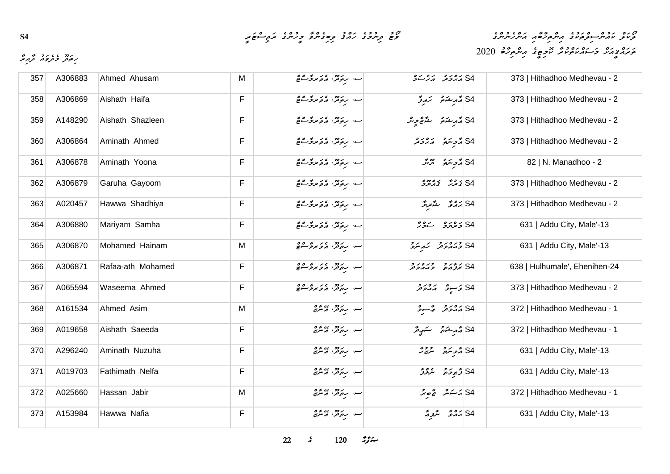*sCw7q7s5w7m< o<n9nOoAw7o< sCq;mAwBoEw7q<m; wBm;vB 2020<sup>, م</sup>وجدة المصرورة المجموعة المستورجة والم*جموعة والمجموعة والمجموعة والمجموعة والمجموعة والمجموعة والمجموعة

| 357 | A306883 | Ahmed Ahusam      | M | ر در در در در ده<br>سوسر دونس از در در ده | S4 كەبروتىر كەرگەنى                     | 373   Hithadhoo Medhevau - 2  |
|-----|---------|-------------------|---|-------------------------------------------|-----------------------------------------|-------------------------------|
| 358 | A306869 | Aishath Haifa     | F | - رود بر وروه                             | S4 مەم شىم ئىمب <i>ۇ</i>                | 373   Hithadhoo Medhevau - 2  |
| 359 | A148290 | Aishath Shazleen  | F | سە بەرەدە بىر بەر مۇ                      | S4 مَّ مِ حَمَّ صَّنَّ مِ مَّرْ مِ مَّ  | 373   Hithadhoo Medhevau - 2  |
| 360 | A306864 | Aminath Ahmed     | F | - رود برور وه                             | S4 مُجِسَعَةِ مَ <sup>م</sup> ِحَةٍ     | 373   Hithadhoo Medhevau - 2  |
| 361 | A306878 | Aminath Yoona     | F | سه ردود ، د و ه ه ه                       | S4 مُرْحِسَةِ مِنْ مُرْسَرٌ             | 82   N. Manadhoo - 2          |
| 362 | A306879 | Garuha Gayoom     | F | سە رەۋرى مەركەت                           | S4 تومر بره دوه<br>S4 تومر              | 373   Hithadhoo Medhevau - 2  |
| 363 | A020457 | Hawwa Shadhiya    | F | سە رەۋرى مۇيۇسۇ                           | S4 كَ <i>مْ دُمْ تَقْ مِيرْدُ</i> ّ     | 373   Hithadhoo Medhevau - 2  |
| 364 | A306880 | Mariyam Samha     | F | سە رەۋرى بەر ئەھ                          | S4 كەمەر بەر يەرە يە                    | 631   Addu City, Male'-13     |
| 365 | A306870 | Mohamed Hainam    | M | سە رەۋرى دۇرۇھ                            | S4 دُبَرْدُونَرْ كَهِ سَرَدَ            | 631   Addu City, Male'-13     |
| 366 | A306871 | Rafaa-ath Mohamed | F | سە رەۋە بىر ئەم ھ                         | S4 تروره وره رو                         | 638   Hulhumale', Ehenihen-24 |
| 367 | A065594 | Waseema Ahmed     | F | سە رەۋە بىر ئەم ھ                         | S4  كاسبونتر    كەبىر <i>كەن</i> دىر    | 373   Hithadhoo Medhevau - 2  |
| 368 | A161534 | Ahmed Asim        | M | سە رەۋىر، ئەشرى                           | S4 كەبروتىر گەسىۋ                       | 372   Hithadhoo Medhevau - 1  |
| 369 | A019658 | Aishath Saeeda    | F | سود رمونو، او ملاحا                       | S4 مُەمِسْنَعْمْ سَمَ <i>وِيْدُ</i>     | 372   Hithadhoo Medhevau - 1  |
| 370 | A296240 | Aminath Nuzuha    | F | سە رەۋر، ئەشھ                             |                                         | 631   Addu City, Male'-13     |
| 371 | A019703 | Fathimath Nelfa   | F | سىز سەتتىر، ئەشرىج                        | S4 رَّج <i>و دَمَ</i> سَرْحَرَدَ        | 631   Addu City, Male'-13     |
| 372 | A025660 | Hassan Jabir      | M | سه ره ده پروه                             | S4 ئەسەنىش ق <mark>ە</mark> ھەتمە       | 372   Hithadhoo Medhevau - 1  |
| 373 | A153984 | Hawwa Nafia       | F | سه رود بروه<br>سه روتر، ارس               | S4 كەش <sup>ى</sup> ر سى <i>تىبە</i> ئى | 631   Addu City, Male'-13     |

*n8o<n@ q<m=s@s> r@mAo5*

 $22$  *s*  $120$   $23$   $\div$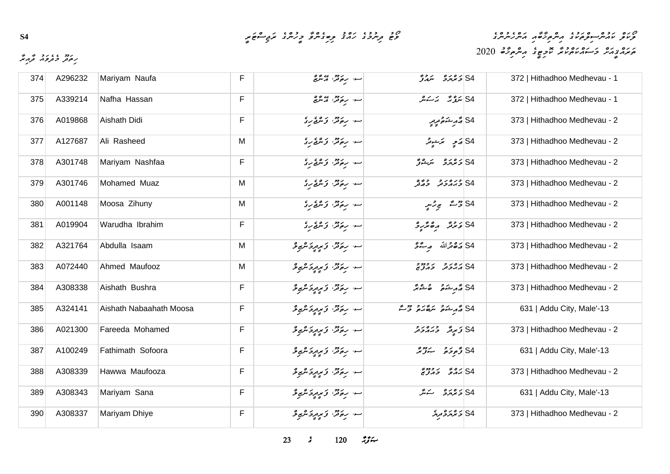*sCw7q7s5w7m< o<n9nOoAw7o< sCq;mAwBoEw7q<m; wBm;vB 2020<sup>, م</sup>وسوق المسجد التحقيق وسرمونية والم*جمع المسجد المسجد المسجد المسجد المسجد المسجد المسجد المسجد المسجد ال

| 374 | A296232 | Mariyam Naufa           | F           | سه ره ده بره و         | $522$ $575$ $\sqrt{54}$              | 372   Hithadhoo Medhevau - 1 |
|-----|---------|-------------------------|-------------|------------------------|--------------------------------------|------------------------------|
| 375 | A339214 | Nafha Hassan            | $\mathsf F$ | سه ره ده بره و         | S4 يتروجه - بر <i>ست</i> هر          | 372   Hithadhoo Medhevau - 1 |
| 376 | A019868 | Aishath Didi            | $\mathsf F$ | سە رەۋىش ئەنگەرى       | S4 ۾ پرڪوڪوپريس                      | 373   Hithadhoo Medhevau - 2 |
| 377 | A127687 | Ali Rasheed             | M           | سە رەۋىش ئەنگە بىرى    | S4 كەمچە كىرىش <sub>و</sub> تر       | 373   Hithadhoo Medhevau - 2 |
| 378 | A301748 | Mariyam Nashfaa         | $\mathsf F$ | سە رەۋش ئەھۋىرى        | S4 كەممەر تەر ئىرىشۇ ئى              | 373   Hithadhoo Medhevau - 2 |
| 379 | A301746 | Mohamed Muaz            | M           | سە رەۋىش ئەنگە بولۇر   | S4 دېروبر ومړنو                      | 373   Hithadhoo Medhevau - 2 |
| 380 | A001148 | Moosa Zihuny            | M           | سە بەھ قرائق ئوسى      | S4 فرج پر محسن پر                    | 373   Hithadhoo Medhevau - 2 |
| 381 | A019904 | Warudha Ibrahim         | $\mathsf F$ | سە رەۋر ئەندەرى        | S4 <i>وَبَرْتَرَ مِنْ مِرْبِ</i> دْ  | 373   Hithadhoo Medhevau - 2 |
| 382 | A321764 | Abdulla Isaam           | M           | سە رەتر، ۋىرىرەكرىمى ئ | S4 مَ <b>صْ</b> مَرْاللّه مِسْدَمْرٌ | 373   Hithadhoo Medhevau - 2 |
| 383 | A072440 | Ahmed Maufooz           | M           | سە رەتر، ئېرىردىگەنج   | S4 كەبرو بەدەدە                      | 373   Hithadhoo Medhevau - 2 |
| 384 | A308338 | Aishath Bushra          | $\mathsf F$ | – رەتر، زىرىرەش ج      | S4 مُجمِّسَۃ صَّشَعُّہُ              | 373   Hithadhoo Medhevau - 2 |
| 385 | A324141 | Aishath Nabaahath Moosa | $\mathsf F$ | - رەتر، زىرىرەش ۋ      | S4 مُرمشو سھرو دیے                   | 631   Addu City, Male'-13    |
| 386 | A021300 | Fareeda Mohamed         | $\mathsf F$ | - رەتر، زىرىردىر       | S4 كۆمىرىتر بەر دىمبر 2 كىل          | 373   Hithadhoo Medhevau - 2 |
| 387 | A100249 | Fathimath Sofoora       | F           | - رەتر، زىرىردىر       | S4 ۇ <sub>مو</sub> رَمْ سوزىمە       | 631   Addu City, Male'-13    |
| 388 | A308339 | Hawwa Maufooza          | $\mathsf F$ | سە رەتر، زېږېږد شہر د  | 5722225                              | 373   Hithadhoo Medhevau - 2 |
| 389 | A308343 | Mariyam Sana            | F           | - رەتر، زىرىردىر       | S4 ئەجرىرى سەنگە                     | 631   Addu City, Male'-13    |
| 390 | A308337 | Mariyam Dhiye           | F           | سە رەتر، زېږېږد شہر د  | S4 كەبىر بىر ئەرىكر                  | 373   Hithadhoo Medhevau - 2 |

 $23$  *s*  $120$  *n***<sub>s</sub>**  $25$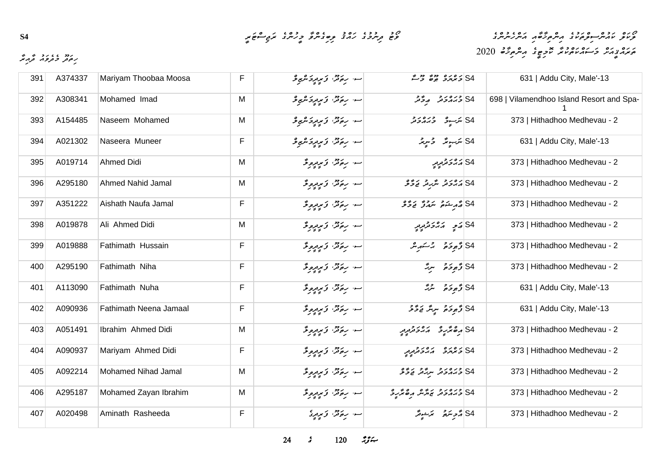*sCw7q7s5w7m< o<n9nOoAw7o< sCq;mAwBoEw7q<m; wBm;vB 2020*<br>*په پوهر وسوډيرونو لومو د موجو د مرمونه* 2020

| 391 | A374337 | Mariyam Thoobaa Moosa    | F | سە رەڭ ئېرىردىگەنى             | S4 ځمه ده ده ده ش                  | 631   Addu City, Male'-13                |
|-----|---------|--------------------------|---|--------------------------------|------------------------------------|------------------------------------------|
| 392 | A308341 | Mohamed Imad             | M | ىسە رەتر، <i>ۋېرىرە ئىرى</i>   | S4  <i>\$22,232, م</i> ۇنر         | 698   Vilamendhoo Island Resort and Spa- |
| 393 | A154485 | Naseem Mohamed           | M | سە رەڭ ئېرىردىگەنى             | S4 يترسون المجمد وترافير           | 373   Hithadhoo Medhevau - 2             |
| 394 | A021302 | Naseera Muneer           | F | - سەقدا ئەيدىرى مىي ئ          |                                    | 631   Addu City, Male'-13                |
| 395 | A019714 | Ahmed Didi               | M | ب. رەۋش ئەيدىرە ئ              | S4 كەبر3 قرىرىر                    | 373   Hithadhoo Medhevau - 2             |
| 396 | A295180 | <b>Ahmed Nahid Jamal</b> | M | سە رەتۇ، ئېرىروگ               | S4   كەندى قىرىق قى ئۇ ئو          | 373   Hithadhoo Medhevau - 2             |
| 397 | A351222 | Aishath Naufa Jamal      | F | ب رەۋش كەيدىرە ئە              | S4 مەم شەھ سىمىڭ ئى <i>3</i> .     | 373   Hithadhoo Medhevau - 2             |
| 398 | A019878 | Ali Ahmed Didi           | M | سە رەپىر، ئ <i>ېرىرە</i> ئ     | S4  كەبىر بەرگە ئەتەبىرى <i>يە</i> | 373   Hithadhoo Medhevau - 2             |
| 399 | A019888 | Fathimath Hussain        | F | ىسە رەۋش <sub>كە يوپوروگ</sub> | S4 ۇ <sub>جو</sub> رَى ئەسكىرىش    | 373   Hithadhoo Medhevau - 2             |
| 400 | A295190 | Fathimath Niha           | F | ىسە رەڭ ئ <i>ېرىرو</i> گە      | S4 ۇ <sub>جو</sub> رۇ مېرىژ        | 373   Hithadhoo Medhevau - 2             |
| 401 | A113090 | Fathimath Nuha           | F | ب. رەۋش ئەيدىرە ئ              | S4 <i>وَّجوح</i> قو مَتَرَبَّهُ    | 631   Addu City, Male'-13                |
| 402 | A090936 | Fathimath Neena Jamaal   | F | سە رەپىر، ئ <i>ېرىرە</i> ئ     | S4 ژَّجِردَةُ سِنَّرَ مَرَّدَّةِ   | 631   Addu City, Male'-13                |
| 403 | A051491 | Ibrahim Ahmed Didi       | M | ب رېږده. د پرېږدونځه           | S4  مەھەرىرى   مەكەر مەرىرىيە      | 373   Hithadhoo Medhevau - 2             |
| 404 | A090937 | Mariyam Ahmed Didi       | F | ىسە رەۋش كەيرى <i>رو</i> گە    | S4 كەبەر <i>25 كەبەر بورىي</i> ر   | 373   Hithadhoo Medhevau - 2             |
| 405 | A092214 | Mohamed Nihad Jamal      | M | سە رەۋىر، ئەيرىرە ئ            | S4 دره د د سرگانگاه کارگانگا       | 373   Hithadhoo Medhevau - 2             |
| 406 | A295187 | Mohamed Zayan Ibrahim    | M | - رەتۇ، ئېرىروگ                | S4 دره در و روه ره و ده            | 373   Hithadhoo Medhevau - 2             |
| 407 | A020498 | Aminath Rasheeda         | F | ب رەڭ ئېرىرد                   | S4 مٌحِ سَمَعٌ مَ سَمِعٌ مَ        | 373   Hithadhoo Medhevau - 2             |

*n8o<n@ q<m=s@s> r@mAo5*

 $24$  *s*  $120$  *z***<sub>3</sub>**  $\frac{2}{3}$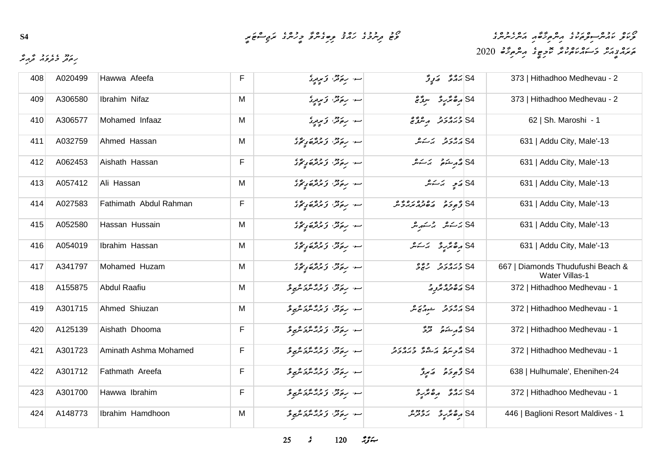*sCw7q7s5w7m< o<n9nOoAw7o< sCq;mAwBoEw7q<m; wBm;vB 2020<sup>, م</sup>وجدة المصرورة المجموعة المستورجة والم*جموعة والمجموعة والمجموعة والمجموعة والمجموعة والمجموعة والمجموعة

| 408 | A020499 | Hawwa Afeefa           | F            | سە رەۋش ئەربىرد                               | S4  يَہْدُوَ کَمَ <i>وِ</i> وَ          | 373   Hithadhoo Medhevau - 2                               |
|-----|---------|------------------------|--------------|-----------------------------------------------|-----------------------------------------|------------------------------------------------------------|
| 409 | A306580 | Ibrahim Nifaz          | M            | سە رەۋش كەيدىدى                               | S4 مەھم <i>گىي</i> ھەرقىمى              | 373   Hithadhoo Medhevau - 2                               |
| 410 | A306577 | Mohamed Infaaz         | M            | سە رەۋش كەيدىدۇ.                              | S4 درور د مرس                           | 62   Sh. Maroshi - 1                                       |
| 411 | A032759 | Ahmed Hassan           | M            | سه رود روور ده                                | S4 كەبروتى ئەسكىش                       | 631   Addu City, Male'-13                                  |
| 412 | A062453 | Aishath Hassan         | F            | سه روده و ووړ ده.<br>سه روون و مرمره د کړې    | S4 مەم يىشقى ئەسكەنلىر                  | 631   Addu City, Male'-13                                  |
| 413 | A057412 | Ali Hassan             | M            | ر دود. د دور به د د<br>پ. روتر، و برتره د گرد | S4  كەبىي كەسكەنلەر                     | 631   Addu City, Male'-13                                  |
| 414 | A027583 | Fathimath Abdul Rahman | F            | ــــ رود د وور ده                             |                                         | 631   Addu City, Male'-13                                  |
| 415 | A052580 | Hassan Hussain         | M            | سه رمود. د وور په د                           | S4  كەسكەر - يەسكە <i>ر بى</i> ر        | 631   Addu City, Male'-13                                  |
| 416 | A054019 | Ibrahim Hassan         | M            | سه رود و دور ده                               | S4 مەھەر بەر ئەسكەش                     | 631   Addu City, Male'-13                                  |
| 417 | A341797 | Mohamed Huzam          | M            | سه رمود. د وور ده و                           | S4 دېرونو دي.                           | 667   Diamonds Thudufushi Beach &<br><b>Water Villas-1</b> |
| 418 | A155875 | Abdul Raafiu           | M            | ب رود روويره وه                               | S4 كەھىر مەمۇر بەر                      | 372   Hithadhoo Medhevau - 1                               |
| 419 | A301715 | Ahmed Shiuzan          | M            | ب رەپىر زەمەر مەر                             | S4 كەبرىق سىمكەنتىر                     | 372   Hithadhoo Medhevau - 1                               |
| 420 | A125139 | Aishath Dhooma         | F            | ب رەپىر زومەر مەر                             | S4 مُجمعة مَرْحَرَّ                     | 372   Hithadhoo Medhevau - 1                               |
| 421 | A301723 | Aminath Ashma Mohamed  | F            | ب رەپىر زومەر مەر                             | S4 جُرِسَمَ جَمَعْتُ وَيَرْمُرُونَر     | 372   Hithadhoo Medhevau - 1                               |
| 422 | A301712 | Fathmath Areefa        | $\mathsf{F}$ | ب رەپر زودىرە                                 | S4 وَّجِ حَمَّ صَمِيوَّ                 | 638   Hulhumale', Ehenihen-24                              |
| 423 | A301700 | Hawwa Ibrahim          | $\mathsf F$  | ر به رود د ودور مرد برخ                       | S4 <i>بَهُمَّة م</i> ِ <i>مَحْبِ</i> دِ | 372   Hithadhoo Medhevau - 1                               |
| 424 | A148773 | Ibrahim Hamdhoon       | M            | ب رەپەن ۋىرتەشرە ھەم                          | S4  مەھەرىرى بەدەرە                     | 446   Baglioni Resort Maldives - 1                         |

 $25$  *s*  $120$  *z***<sub>3</sub>**  $\frac{2}{3}$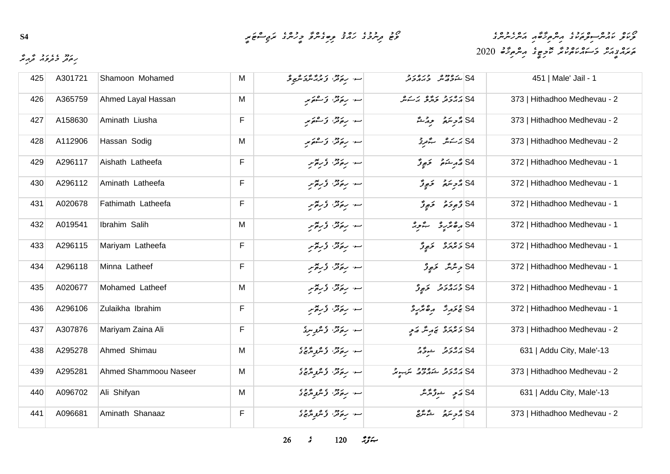*sCw7q7s5w7m< o<n9nOoAw7o< sCq;mAwBoEw7q<m; wBm;vB 2020<sup>, م</sup>وسوق المسجد التحقيق وسرمونية والم*جمع المسجد المسجد المسجد المسجد المسجد المسجد المسجد المسجد المسجد ال

| 425 | A301721 | Shamoon Mohamed       | M           | ب رەپر زودىرە                                    | S4 شوم مورور وردو                      | 451   Male' Jail - 1         |
|-----|---------|-----------------------|-------------|--------------------------------------------------|----------------------------------------|------------------------------|
| 426 | A365759 | Ahmed Layal Hassan    | M           | سە رەدىق ئەسىم بىر                               | S4  مەرىر ئەمەمى ئەسەھ                 | 373   Hithadhoo Medhevau - 2 |
| 427 | A158630 | Aminath Liusha        | F           | سە رەۋر ئەسىم بر                                 | S4 أَمَّ حِسَنَةً مَعَ حِسَنَةً        | 373   Hithadhoo Medhevau - 2 |
| 428 | A112906 | Hassan Sodig          | M           | سە رەۋىش ئۈستۈمبە                                | S4 ئەسەنىش سەھەرتى                     | 373   Hithadhoo Medhevau - 2 |
| 429 | A296117 | Aishath Latheefa      | $\mathsf F$ | سە رەۋىش ۋرەتىر                                  | S4 صَّمَرِ مَشَمَّرٍ حَمَدٍ وَّ        | 372   Hithadhoo Medhevau - 1 |
| 430 | A296112 | Aminath Latheefa      | $\mathsf F$ | سە رەۋىش ۋرەتىر                                  | S4 مَّ <i>جِ مَنْ جَمِيونَّ</i>        | 372   Hithadhoo Medhevau - 1 |
| 431 | A020678 | Fathimath Latheefa    | F           | سە رەۋىش ۋرىيمىز                                 | S4 وَّجِ حَمَّ حَج <sub>َ</sub> وَ     | 372   Hithadhoo Medhevau - 1 |
| 432 | A019541 | Ibrahim Salih         | M           | سە رەۋىش ۋرەمبر                                  | S4 مەھم <i>گىي</i> ئىستور              | 372   Hithadhoo Medhevau - 1 |
| 433 | A296115 | Mariyam Latheefa      | $\mathsf F$ | سە رەۋىش ۋرەمبر                                  | S4 كەممەر ئىمبۇ ئىچە ئى                | 372   Hithadhoo Medhevau - 1 |
| 434 | A296118 | Minna Latheef         | F           | سە رەۋىش ۋرىيمىز                                 | S4 <sub>ح</sub> ېشر ځېږو               | 372   Hithadhoo Medhevau - 1 |
| 435 | A020677 | Mohamed Latheef       | M           | سە رەۋىش ۋرىيمىر                                 | S4 دېرو دي ځېږو                        | 372   Hithadhoo Medhevau - 1 |
| 436 | A296106 | Zulaikha Ibrahim      | $\mathsf F$ | سە رەۋىش ۋرەم                                    | S4 ىخ ئور شەھ ئەر بىر ئى               | 372   Hithadhoo Medhevau - 1 |
| 437 | A307876 | Mariyam Zaina Ali     | $\mathsf F$ | ىسە ب <sub>ە ئ</sub> ۆتۈر ئۇنترىس <sub>ى</sub> د | S4 <i>دەرە <sub>تەم</sub>رىگە مۇ</i> ر | 373   Hithadhoo Medhevau - 2 |
| 438 | A295278 | Ahmed Shimau          | M           | ب رەۋە ئەھرىرى                                   | S4 كەبرى كىر ئىس <i>رە ئى</i> ر        | 631   Addu City, Male'-13    |
| 439 | A295281 | Ahmed Shammoou Naseer | M           | سە رەۋر، ۋىش ھەم                                 | S4 ג' <i>ביצי ה' פידי ה' היקית</i>     | 373   Hithadhoo Medhevau - 2 |
| 440 | A096702 | Ali Shifyan           | M           | ے رکوش ڈیٹرمیری                                  | S4   پر ہو گرمگر میں<br>               | 631   Addu City, Male'-13    |
| 441 | A096681 | Aminath Shanaaz       | F           | سە رەۋر، ۋىترومىرە                               | S4 مُرْحِسَةٌ حَدَّمَّتَّعَ            | 373   Hithadhoo Medhevau - 2 |

 $26$  *s*  $120$  *z*  $25$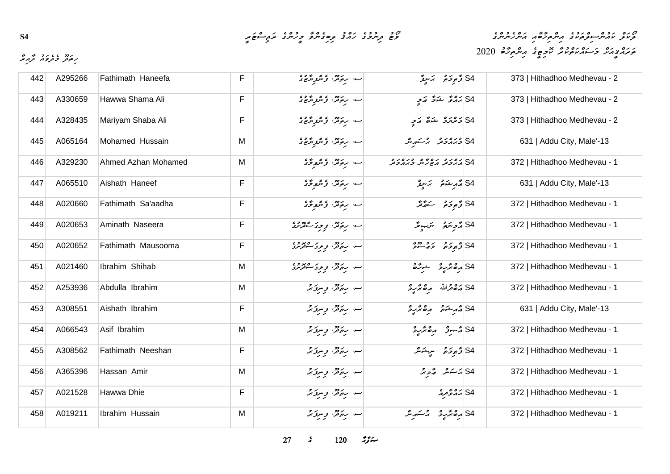*sCw7q7s5w7m< o<n9nOoAw7o< sCq;mAwBoEw7q<m; wBm;vB 2020<sup>, م</sup>وسوق المسجد التحقيق وسرمونية والم*جمع المسجد المسجد المسجد المسجد المسجد المسجد المسجد المسجد المسجد ال

| 442 | A295266 | Fathimath Haneefa   | F           | سە رەۋر ۋىلاپرى                        | S4 رَّج <i>وحَمْ بَ</i> سِرِدًّ                  | 373   Hithadhoo Medhevau - 2 |
|-----|---------|---------------------|-------------|----------------------------------------|--------------------------------------------------|------------------------------|
| 443 | A330659 | Hawwa Shama Ali     | $\mathsf F$ | سە رەۋر، ۋىترېۋىرى                     | S4 كَ <i>مَدْهُ مَّ</i> مَتَّحَدُّ مَ <i>َوْ</i> | 373   Hithadhoo Medhevau - 2 |
| 444 | A328435 | Mariyam Shaba Ali   | F           | سە رەۋر ۋىرومۇم ئ                      | S4 كا <i>كا جامبرد في شيخ مكرم</i>               | 373   Hithadhoo Medhevau - 2 |
| 445 | A065164 | Mohamed Hussain     | M           | سه رود و و دوه<br>سه روتر، ژنترون      | S4 دېم د د مختصر شر                              | 631   Addu City, Male'-13    |
| 446 | A329230 | Ahmed Azhan Mohamed | M           | ۔ رەقر، زىھوقۇ                         | S4 ג'מכנג השלית כמחכנג                           | 372   Hithadhoo Medhevau - 1 |
| 447 | A065510 | Aishath Haneef      | $\mathsf F$ | سە بەردە ۋىكروگۇر                      | S4 مَەمبە ئىككى بەس <i>ب</i> ۇ                   | 631   Addu City, Male'-13    |
| 448 | A020660 | Fathimath Sa'aadha  | $\mathsf F$ | ب رەقر، ۋىدە ۋە                        | S4 زَّەب <i>ە دَ</i> مَّ ئىستىر                  | 372   Hithadhoo Medhevau - 1 |
| 449 | A020653 | Aminath Naseera     | $\mathsf F$ | ر دود.<br>سه ره تر، و در سور در        | S4 مُرْحِبِّدَةٌ مَرْسِوِيْرٌ                    | 372   Hithadhoo Medhevau - 1 |
| 450 | A020652 | Fathimath Mausooma  | F           | ر در برود.<br>به برموتر، و پور کوتربرد | S4 زُجِرَة دَرُبَيْرَة                           | 372   Hithadhoo Medhevau - 1 |
| 451 | A021460 | Ibrahim Shihab      | M           | ر در برود.<br>سه بروتر، و وی سه تر دی  | S4 مەھم <i>گىر</i> ئىش <i>ەرگە</i>               | 372   Hithadhoo Medhevau - 1 |
| 452 | A253936 | Abdulla Ibrahim     | M           | سە رەقق ۋىلوگە                         | S4 مَەھمَراللە م <i>ەھمَّرد</i> گ                | 372   Hithadhoo Medhevau - 1 |
| 453 | A308551 | Aishath Ibrahim     | $\mathsf F$ | ے رکھن وسلام                           | S4 مُرمِسَمَ مِصْرَبِ                            | 631   Addu City, Male'-13    |
| 454 | A066543 | Asif Ibrahim        | M           | ے رکوش وسوکر                           | S4 م <sup>ح</sup> سور م <i>ەمگەي</i> ۇ           | 372   Hithadhoo Medhevau - 1 |
| 455 | A308562 | Fathimath Neeshan   | $\mathsf F$ | ے رکھی وسلام                           | S4 ۇي <sub>م</sub> وكى ھەسىسىسىسىسى              | 372   Hithadhoo Medhevau - 1 |
| 456 | A365396 | Hassan Amir         | M           | ے رکوش وسوکٹر                          | S4 پرسته گ <sub>ھر</sub> چہ                      | 372   Hithadhoo Medhevau - 1 |
| 457 | A021528 | Hawwa Dhie          | $\mathsf F$ | ے روڈن ویرونڈ                          | S4 بَرْدْءٌ مِرْدَ                               | 372   Hithadhoo Medhevau - 1 |
| 458 | A019211 | Ibrahim Hussain     | M           | ے رکوش وسوکٹر                          | S4  مەھەرىرى جەسىرىسى                            | 372   Hithadhoo Medhevau - 1 |

 $27$  *s*  $120$  *i*<sub>s</sub>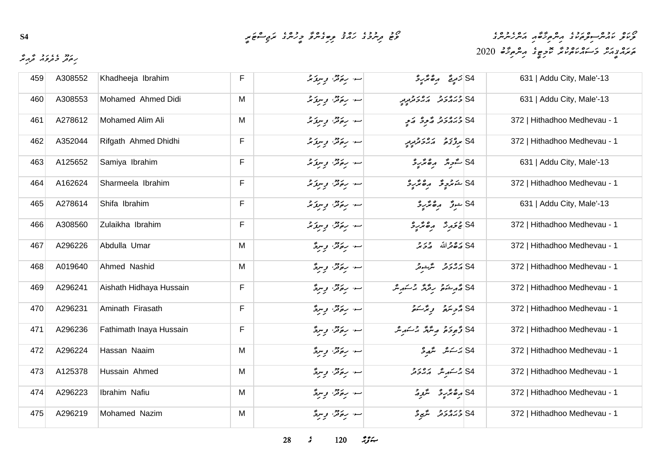*sCw7q7s5w7m< o<n9nOoAw7o< sCq;mAwBoEw7q<m; wBm;vB 2020<sup>, م</sup>وسوق المسجد التحقيق وسرمونية والم*جمع المسجد المسجد المسجد المسجد المسجد المسجد المسجد المسجد المسجد ال

| 459 | A308552 | Khadheeja Ibrahim       | $\mathsf{F}$ | ے رکوش وسوکر    | S4 كَتْرِيعٌ مِنْ صُرَّرِ \$         | 631   Addu City, Male'-13    |
|-----|---------|-------------------------|--------------|-----------------|--------------------------------------|------------------------------|
| 460 | A308553 | Mohamed Ahmed Didi      | M            | - رەقۇر وسۇنم   | S4 <i>22025 مىڭ قىرىرى</i> ر         | 631   Addu City, Male'-13    |
| 461 | A278612 | Mohamed Alim Ali        | M            | ے رکوش وسلام    | S4 <i>وبرەبرو مۇج</i> ۇ ك <i>ەي</i>  | 372   Hithadhoo Medhevau - 1 |
| 462 | A352044 | Rifgath Ahmed Dhidhi    | $\mathsf F$  | ے رکوش وسوکر    | S4 بروتز <i>قر مرد و ترور ب</i> ر    | 372   Hithadhoo Medhevau - 1 |
| 463 | A125652 | Samiya Ibrahim          | F            | ے رکوئی وسنگانگ | S4 گوچر م <i>ەمگرى</i> ئ             | 631   Addu City, Male'-13    |
| 464 | A162624 | Sharmeela Ibrahim       | $\mathsf F$  | سە رەۋش وسۇنم   | S4 ڪنگر <i>چو گري</i> مقديد ج        | 372   Hithadhoo Medhevau - 1 |
| 465 | A278614 | Shifa Ibrahim           | F            | ے رکوش وسویر    | S4 خوتر ب <i>رھ تر</i> پرو           | 631   Addu City, Male'-13    |
| 466 | A308560 | Zulaikha Ibrahim        | $\mathsf F$  | ے رکوش وسوکر    | S4 ىخ <i>مرد شىم مى</i> ئىچ          | 372   Hithadhoo Medhevau - 1 |
| 467 | A296226 | Abdulla Umar            | M            | سە رەۋى ۋىرۇ    | S4 مَەقىراللە مە <del>ر</del> ىمە    | 372   Hithadhoo Medhevau - 1 |
| 468 | A019640 | Ahmed Nashid            | M            | اسە رەدە رىدۇ   | S4 كەبرى بىر سىر ئىشىمىتىر           | 372   Hithadhoo Medhevau - 1 |
| 469 | A296241 | Aishath Hidhaya Hussain | F            | سە رەقرا وبىرد  | S4 مەم خىتى بەتكەر 2-ئىم بىر         | 372   Hithadhoo Medhevau - 1 |
| 470 | A296231 | Aminath Firasath        | F            | ے روترا ویبدی   | S4 مَّ <i>حِ سَمَعْ وِ مَدَّسَمْ</i> | 372   Hithadhoo Medhevau - 1 |
| 471 | A296236 | Fathimath Inaya Hussain | $\mathsf F$  | سە رەتر، وسرد   | S4 زَّەِرَە ئەسْرە ئەسەر س           | 372   Hithadhoo Medhevau - 1 |
| 472 | A296224 | Hassan Naaim            | M            | سە رەتر، وسرد   | S4 ئەسەئىر ئى <i>گە</i> م            | 372   Hithadhoo Medhevau - 1 |
| 473 | A125378 | Hussain Ahmed           | M            | ے روتر، ویبرڈ   | S4 پر <i>شہر میں می</i> کھیں         | 372   Hithadhoo Medhevau - 1 |
| 474 | A296223 | Ibrahim Nafiu           | M            | سە رەۋىر، ۋىلىڭ | S4 مەھەر ئىچە ئىستىمبىقى S4          | 372   Hithadhoo Medhevau - 1 |
| 475 | A296219 | Mohamed Nazim           | M            | سە رەۋر وسرد    | S4 <i>\$222 مرتب</i> و               | 372   Hithadhoo Medhevau - 1 |

*n8o<n@ q<m=s@s> r@mAo5*

 $28$  *s*  $120$  *z*  $25$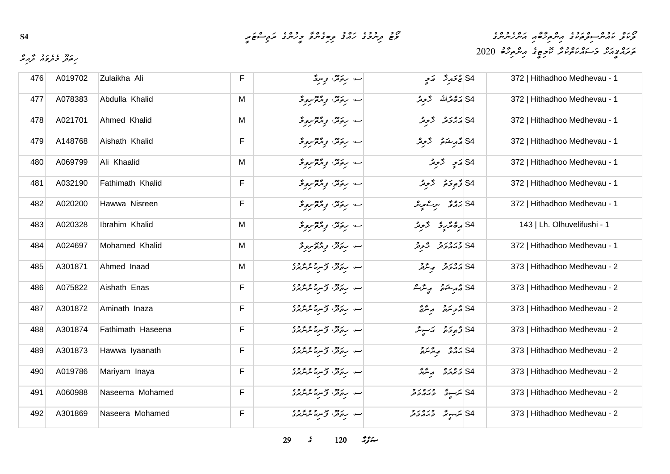*sCw7q7s5w7m< o<n9nOoAw7o< sCq;mAwBoEw7q<m; wBm;vB 2020<sup>, م</sup>وجدة المصرورة المجموعة المستورجة والم*جموعة والمجموعة والمجموعة والمجموعة والمجموعة والمجموعة والمجموعة

| 476 | A019702 | Zulaikha Ali      | $\mathsf{F}$ | سە رەۋىر، ۋىبرۇ                           | S4 جُحَم <i>دِتَ</i> صَعِ                                                                           | 372   Hithadhoo Medhevau - 1 |
|-----|---------|-------------------|--------------|-------------------------------------------|-----------------------------------------------------------------------------------------------------|------------------------------|
| 477 | A078383 | Abdulla Khalid    | M            | ے روڈن ویڑو روڈ                           | S4 مَەشراللە شەرقىر                                                                                 | 372   Hithadhoo Medhevau - 1 |
| 478 | A021701 | Ahmed Khalid      | M            | ب رەۋر، <i>و</i> مۇمروڭ                   | S4 كەنزى قىمىتى ئىل                                                                                 | 372   Hithadhoo Medhevau - 1 |
| 479 | A148768 | Aishath Khalid    | $\mathsf F$  | ب رەۋر، پەنھورە ئ                         | S4 مەمرىسىقى ئىمبىتىر                                                                               | 372   Hithadhoo Medhevau - 1 |
| 480 | A069799 | Ali Khaalid       | M            | ے رکوش و پڑھورو پھ                        | S4 کړې گرونگر                                                                                       | 372   Hithadhoo Medhevau - 1 |
| 481 | A032190 | Fathimath Khalid  | $\mathsf F$  | سە رەۋر <i>ا دەممىرە</i> ئ                | S4 وَّجِوَدَةٌ تَرْمِثْرُ                                                                           | 372   Hithadhoo Medhevau - 1 |
| 482 | A020200 | Hawwa Nisreen     | $\mathsf{F}$ | ب رەۋر، پەنگەر <i>بول</i>                 | S4 كەمگە ھەربىرىگە                                                                                  | 372   Hithadhoo Medhevau - 1 |
| 483 | A020328 | Ibrahim Khalid    | M            | ے روڈن ویڑو روڈ                           | S4 مەھەمگەر ئىگە دىمىتى ئىچە ئىككەن ئىچە ئىككەن ئىككەن ئىككەن ئىككەن ئىككەن ئىككەن ئىككەن ئىككەن ئى | 143   Lh. Olhuvelifushi - 1  |
| 484 | A024697 | Mohamed Khalid    | M            | ب رەۋر، <sub>ۋە</sub> رەتمىرە ئ           | S4 <i>\$222 \$3.52</i>                                                                              | 372   Hithadhoo Medhevau - 1 |
| 485 | A301871 | Ahmed Inaad       | M            | ے رکوم توسر موسر دی                       | S4 كەبرى قىر مەش <i>ەر</i>                                                                          | 373   Hithadhoo Medhevau - 2 |
| 486 | A075822 | Aishath Enas      | F            | ے روڈ پر روزورہ                           | S4 مۇم شۇمۇ بېرىشىشە                                                                                | 373   Hithadhoo Medhevau - 2 |
| 487 | A301872 | Aminath Inaza     | F            | ے رود پر دونوں                            | S4 مُرْحِسَةً مِسَّنَّةً                                                                            | 373   Hithadhoo Medhevau - 2 |
| 488 | A301874 | Fathimath Haseena | $\mathsf F$  | ے رکوم توسر موسر دی                       | S4 ۇج <sub>و</sub> چە ئەسىپىتىر                                                                     | 373   Hithadhoo Medhevau - 2 |
| 489 | A301873 | Hawwa Iyaanath    | $\mathsf F$  | ے رکوم توسر موسر دی                       | S4 بَرْدَةَ مِتَرَسْمَةِ                                                                            | 373   Hithadhoo Medhevau - 2 |
| 490 | A019786 | Mariyam Inaya     | $\mathsf{F}$ | ے روڈ پر روزورہ                           | S4 دىمەر ئەسىر ئىس                                                                                  | 373   Hithadhoo Medhevau - 2 |
| 491 | A060988 | Naseema Mohamed   | $\mathsf F$  | ر دود پر دو و دور<br>سوا روفرا و سرما شرس | S4   بَرَسٍوتٌ وَبَرَوْرُوتَر                                                                       | 373   Hithadhoo Medhevau - 2 |
| 492 | A301869 | Naseera Mohamed   | F            | ے روز ہورہ مرید ہوتا                      | S4 ىترىبوبتر - <i>3، 25%</i>                                                                        | 373   Hithadhoo Medhevau - 2 |

# *n8o<n@ q<m=s@s> r@mAo5*

 $29$  *s*  $120$  *z*  $29$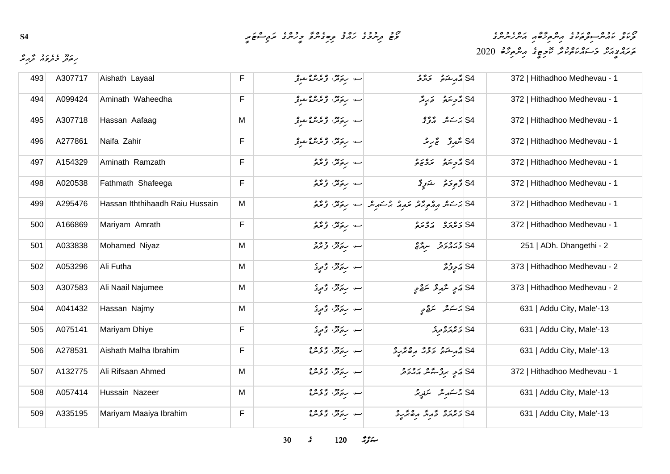*sCw7q7s5w7m< o<n9nOoAw7o< sCq;mAwBoEw7q<m; wBm;vB* م من المرة المرة المرة المرجع المرجع في المركبة 2020<br>مجم*د المريض المربوط المربع المرجع في المراجع المركبة* 

| 493 | A307717 | Aishath Layaal                  | F            | ب رود وه وه وه و شور            | S4 مُەمِسْمَى مَەرَّمْتَى                           | 372   Hithadhoo Medhevau - 1 |
|-----|---------|---------------------------------|--------------|---------------------------------|-----------------------------------------------------|------------------------------|
| 494 | A099424 | Aminath Waheedha                | F            | ے رکوش ویں وہ ہو                | S4 مُرْحِسَمُ وَبِهِ مَّ                            | 372   Hithadhoo Medhevau - 1 |
| 495 | A307718 | Hassan Aafaag                   | M            | ے رکوش ویں دہ دور               | S4 ئەسەئىر مەر <i>ق</i> ق                           | 372   Hithadhoo Medhevau - 1 |
| 496 | A277861 | Naifa Zahir                     | F            | ے رکوش وی دہ شوگر               | S4 سَمَدِ تَنْ سَمَرِ سَمَّ                         | 372   Hithadhoo Medhevau - 1 |
| 497 | A154329 | Aminath Ramzath                 | F            | سور سره ده و در د               | S4 مُرْحِسَمُ مَرْحَمَ مِ                           | 372   Hithadhoo Medhevau - 1 |
| 498 | A020538 | Fathmath Shafeega               | $\mathsf{F}$ | سه ره در و دود                  | S4 تَرْجِرَة حَمَّ مِسَوَيَّةَ                      | 372   Hithadhoo Medhevau - 1 |
| 499 | A295476 | Hassan Iththihaadh Raiu Hussain | M            |                                 | S4 ئەسەنگە مەھورگە ئەمەمە ئەسەمەش – سەنگە ئەمگە     | 372   Hithadhoo Medhevau - 1 |
| 500 | A166869 | Mariyam Amrath                  | $\mathsf F$  | سه ره در و دود                  | S4 كەمەدە بەھ <i>بەھ</i>                            | 372   Hithadhoo Medhevau - 1 |
| 501 | A033838 | Mohamed Niyaz                   | M            | سه رەتر، وترە                   | S4 دېم <i>ډېر د سرگن</i> ځ                          | 251   ADh. Dhangethi - 2     |
| 502 | A053296 | Ali Futha                       | M            | اسه برخ <sup>ود به</sup> دي     | S4 پرېژۀ                                            | 373   Hithadhoo Medhevau - 2 |
| 503 | A307583 | Ali Naail Najumee               | M            | سە رەۋىر، ئ <sup>ە</sup> ترى    | S4 كەير  شمېر تۇرىي بو                              | 373   Hithadhoo Medhevau - 2 |
| 504 | A041432 | Hassan Najmy                    | M            | ر دود ه د .<br>سور روفر، د تورد | S4 كەسكەنلەر س <i>ىۋەم</i>                          | 631   Addu City, Male'-13    |
| 505 | A075141 | Mariyam Dhiye                   | F            | سە رەۋىر، ئ <sup>ە</sup> ترى    | S4 كەبىر بىر ئەرىر                                  | 631   Addu City, Male'-13    |
| 506 | A278531 | Aishath Malha Ibrahim           | F            | سە رەۋىر، ئەۋەرە                | S4 مەم شىم تەرەب مەھەربى                            | 631   Addu City, Male'-13    |
| 507 | A132775 | Ali Rifsaan Ahmed               | M            | سور پروتر، د موسط               | S4 كەبىر بىرۇ يەش <i>ەر كەندە</i> تر                | 372   Hithadhoo Medhevau - 1 |
| 508 | A057414 | Hussain Nazeer                  | M            | سە رەۋە ئەمەم                   | S4 پر کے مریش میں ہونے                              | 631   Addu City, Male'-13    |
| 509 | A335195 | Mariyam Maaiya Ibrahim          | F            | اسە رەدەر ئەمەدە                | S4 <i>בֿיגּוּג'ב בֿ'וְ</i> וֹ <i>ב וַ</i> פּיּצֿיבַ | 631   Addu City, Male'-13    |

*30 sC 120 nNw?mS*

ردد ، ، ، ر د م*ع*د بر<br>برحو<sub>م</sub> و ترجمہ تحریر بر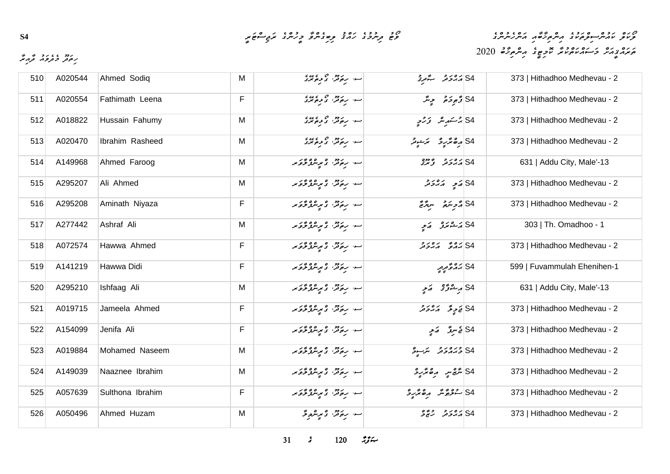*sCw7q7s5w7m< o<n9nOoAw7o< sCq;mAwBoEw7q<m; wBm;vB 2020<sup>, م</sup>وسوق المسجد التحقيق وسرمونية والم*جمع المسجد المسجد المسجد المسجد المسجد المسجد المسجد المسجد المسجد ال

| 510 | A020544 | Ahmed Sodiq      | M            | سه ریږده. صوبره                               | S4 كەبرى قىر سىگەر <i>تى</i>                   | 373   Hithadhoo Medhevau - 2 |
|-----|---------|------------------|--------------|-----------------------------------------------|------------------------------------------------|------------------------------|
| 511 | A020554 | Fathimath Leena  | $\mathsf{F}$ | سه رود ه ده د                                 | S4 <i>وَّجِودَة</i> مِيسَّر                    | 373   Hithadhoo Medhevau - 2 |
| 512 | A018822 | Hussain Fahumy   | M            | سه روده ۵ وروند                               | S4 پر کے <i>مربر تی تی</i>                     | 373   Hithadhoo Medhevau - 2 |
| 513 | A020470 | Ibrahim Rasheed  | M            | ر دو می دود.<br>سه روتر، و د و مرد            | S4 مەھەرىرى سىمئىيەتر                          | 373   Hithadhoo Medhevau - 2 |
| 514 | A149968 | Ahmed Faroog     | M            | سە رەپرى ئېرسروتخەر                           | S4 كەبروتر ئۇنىز <i>ۋ</i>                      | 631   Addu City, Male'-13    |
| 515 | A295207 | Ali Ahmed        | M            | سە رەپرا دېرىدۇ ئەر                           | S4 <i>جَرِحِہ مَہُدَوَمَہِ</i>                 | 373   Hithadhoo Medhevau - 2 |
| 516 | A295208 | Aminath Niyaza   | F            | سە رەترا كەيرىكرىگۈند                         | S4 أَمَّ حِسَمَةٌ مُسَمَّدَةٌ                  | 373   Hithadhoo Medhevau - 2 |
| 517 | A277442 | Ashraf Ali       | M            | سە رەترى ئېرىش ئەرىر                          | S4  پریٹریمربر ک <i>ے یو</i>                   | 303   Th. Omadhoo - 1        |
| 518 | A072574 | Hawwa Ahmed      | $\mathsf{F}$ | سه رمون ومره وه در به                         | S4 پروژ پروژو                                  | 373   Hithadhoo Medhevau - 2 |
| 519 | A141219 | Hawwa Didi       | F            | سە رەپرا دىرىش ۋە ئە                          | S4 كەمگەرىر                                    | 599   Fuvammulah Ehenihen-1  |
| 520 | A295210 | Ishfaag Ali      | M            | سە رەپرى ئېرىش ئەتكەر                         | S4 مِشْرَوَّةِ صَعِ                            | 631   Addu City, Male'-13    |
| 521 | A019715 | Jameela Ahmed    | $\mathsf{F}$ | سە رەپىر، ئەمرىكروگۇند                        | S4 <i>فَجِرةَ مَدْدَ</i> مْرَ                  | 373   Hithadhoo Medhevau - 2 |
| 522 | A154099 | Jenifa Ali       | $\mathsf{F}$ | سە رەترا كەيرىنگە ئەرىر                       | S4 فج س <i>بق ضع</i>                           | 373   Hithadhoo Medhevau - 2 |
| 523 | A019884 | Mohamed Naseem   | M            | سە رەپرە ەيرىش ۋە بر                          | S4 <i>\$ پروونز سرسو</i> د                     | 373   Hithadhoo Medhevau - 2 |
| 524 | A149039 | Naaznee Ibrahim  | M            | سە رەپرى ئېرىش ئەتكەر                         | S4 مَرْچ <sub>سم</sub> مِر <i>ە مَرْرِ د</i> ُ | 373   Hithadhoo Medhevau - 2 |
| 525 | A057639 | Sulthona Ibrahim | $\mathsf F$  | سە بەلەر ەيرىش ئەمەر                          | S4 جوء محمد مرکز مرکز پر                       | 373   Hithadhoo Medhevau - 2 |
| 526 | A050496 | Ahmed Huzam      | M            | سە ر <sub>ەۋى</sub> ن دېرىئ <sub>ىقى</sub> گە | S4 كەبرى بىر يەم 2%                            | 373   Hithadhoo Medhevau - 2 |

*n8o<n@ q<m=s@s> r@mAo5*

 $31$  *s*  $120$  *n***<sub>s</sub>**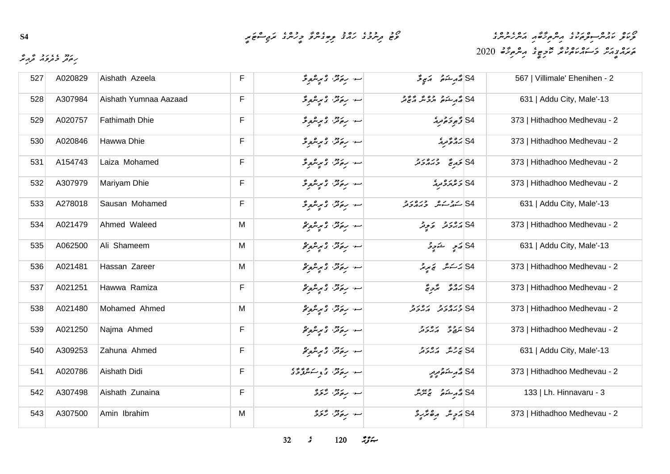*sCw7q7s5w7m< o<n9nOoAw7o< sCq;mAwBoEw7q<m; wBm;vB 2020<sup>, م</sup>وسوق المسجد التحقيق وسرمونية والم*جمع المسجد المسجد المسجد المسجد المسجد المسجد المسجد المسجد المسجد ال

| 527 | A020829 | Aishath Azeela        | F            | سە رەۋىر، دېرىئرو ئ   | S4 مَگْرِسْتَمْتَرْ كَرَى تَرْ              | 567   Villimale' Ehenihen - 2 |
|-----|---------|-----------------------|--------------|-----------------------|---------------------------------------------|-------------------------------|
| 528 | A307984 | Aishath Yumnaa Aazaad | F            | ے روڈن ویر شروڈ       | S4 \$ مەكتەم مەدەر مەيدىر                   | 631   Addu City, Male'-13     |
| 529 | A020757 | <b>Fathimath Dhie</b> | F            | ب رەمدا ئېرىشوق       | S4 ڙ <sub>ن</sub> جو <i>خ</i> وتورتر        | 373   Hithadhoo Medhevau - 2  |
| 530 | A020846 | Hawwa Dhie            | $\mathsf F$  | ے رکوش ویر شہر گھر    | S4 ئەرگە ئىروگە                             | 373   Hithadhoo Medhevau - 2  |
| 531 | A154743 | Laiza Mohamed         | F            | سە رەۋىر، دېرىئرو ئ   | S4 كَرْمِيحٌ وْبَرْمُ وَمَدْ                | 373   Hithadhoo Medhevau - 2  |
| 532 | A307979 | Mariyam Dhie          | $\mathsf F$  | سە رەۋىر، دېرىئرو ئ   | S4 كەممەر <i>2 مە</i> ركە                   | 373   Hithadhoo Medhevau - 2  |
| 533 | A278018 | Sausan Mohamed        | F            | سە رەۋىر، دىرىگرېز گ  | S4   سَهْرَسَتْ شَهْرِ 1945 كَمْبَرْدْ 1945 | 631   Addu City, Male'-13     |
| 534 | A021479 | Ahmed Waleed          | M            | سه رود و مرهوم        | S4 كەنزىقى ق <i>ۇم</i> ىتر                  | 373   Hithadhoo Medhevau - 2  |
| 535 | A062500 | Ali Shameem           | M            | سه رود و مرهوم        | S4  كەمچ ھەمچە ئى                           | 631   Addu City, Male'-13     |
| 536 | A021481 | Hassan Zareer         | M            | سه رود و مرهوم        | S4   يَرْسَدُ عَسَ سِمْرِ جَرْ              | 373   Hithadhoo Medhevau - 2  |
| 537 | A021251 | Hawwa Ramiza          | F            | سە رەۋر، دېرىگروكۇ    | S4 بَرْدْتَرْ بَرْدِيَّ                     | 373   Hithadhoo Medhevau - 2  |
| 538 | A021480 | Mohamed Ahmed         | M            | سه رود و مرهوم        | S4 درورو برورد                              | 373   Hithadhoo Medhevau - 2  |
| 539 | A021250 | Najma Ahmed           | $\mathsf F$  | سه رود و مرهوم        | S4 سَھتی مَدَومِر                           | 373   Hithadhoo Medhevau - 2  |
| 540 | A309253 | Zahuna Ahmed          | $\mathsf{F}$ | ے رکوش کی مرتکز کا کا | S4 ىخ شىر ئەيزى ئىلگەندىن بىر ئىلگەند       | 631   Addu City, Male'-13     |
| 541 | A020786 | Aishath Didi          | F            | سه رمون د و شهرون     | S4 ۾ پرڪو <i>تو</i> پر                      | 373   Hithadhoo Medhevau - 2  |
| 542 | A307498 | Aishath Zunaina       | $\mathsf F$  | سە رەۋر ئىمى          | S4 گەم شەھرىم تىم ئىرتىگر                   | 133   Lh. Hinnavaru - 3       |
| 543 | A307500 | Amin Ibrahim          | M            | اسه ربه دره ۲۶۷       | S4  مَرِيش مِرْهُ مَّرْرِدْ                 | 373   Hithadhoo Medhevau - 2  |

*n8o<n@ q<m=s@s> r@mAo5*

*32 sC 120 nNw?mS*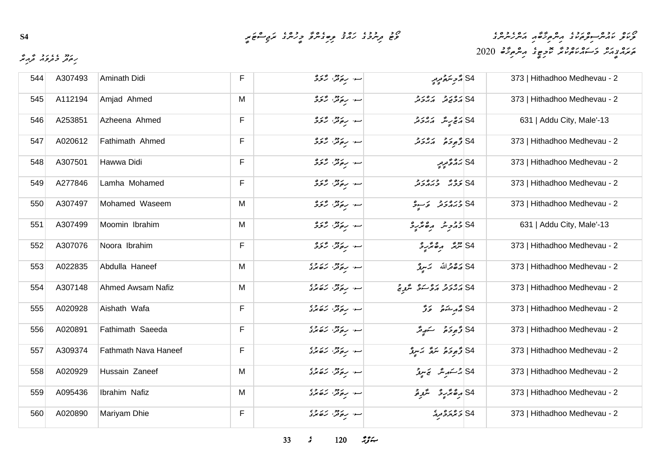*sCw7q7s5w7m< o<n9nOoAw7o< sCq;mAwBoEw7q<m; wBm;vB 2020<sup>, م</sup>وسوق المسجد التحقيق وسرمونية والم*جمع المسجد المسجد المسجد المسجد المسجد المسجد المسجد المسجد المسجد ال

| 544 | A307493 | Aminath Didi             | F           | سه رجود محرو                             | S4 مُرْحِ سَمْ وَمِرْمِرِ                      | 373   Hithadhoo Medhevau - 2 |
|-----|---------|--------------------------|-------------|------------------------------------------|------------------------------------------------|------------------------------|
| 545 | A112194 | Amjad Ahmed              | M           | سە رەتر، رىمى                            | S4 בכבת בכבת                                   | 373   Hithadhoo Medhevau - 2 |
| 546 | A253851 | Azheena Ahmed            | F           | سە رەتر، رىمى                            | S4 كەيج <i>يەش كەبىر دى</i> ر                  | 631   Addu City, Male'-13    |
| 547 | A020612 | Fathimath Ahmed          | $\mathsf F$ | سە رەۋى ئىۋو                             | S4 وَجوحَم مَدَحَمَد                           | 373   Hithadhoo Medhevau - 2 |
| 548 | A307501 | Hawwa Didi               | $\mathsf F$ | ر دو په ده<br>پ ر <sub>ک</sub> وتر، رنوو | S4 كەرگە ئوپور                                 | 373   Hithadhoo Medhevau - 2 |
| 549 | A277846 | Lamha Mohamed            | $\mathsf F$ | سە رەتر، رىمى                            | S4 كَرْوْبُرْ بْرَمْ دْمْرْ مْرْ               | 373   Hithadhoo Medhevau - 2 |
| 550 | A307497 | Mohamed Waseem           | M           | سە رەتر، رىمى                            | S4 <i>32222 ق</i> سور                          | 373   Hithadhoo Medhevau - 2 |
| 551 | A307499 | Moomin Ibrahim           | M           | سه ربه دره<br>سه ربوتر، ربود             | S4 دُمْرَ مِهْ مِهْرِ دِمْ                     | 631   Addu City, Male'-13    |
| 552 | A307076 | Noora Ibrahim            | F           | سە رەتر، رىخ                             | S4 تتربر معتقب                                 | 373   Hithadhoo Medhevau - 2 |
| 553 | A022835 | Abdulla Haneef           | M           | سه ره ده کرد وه                          | S4 كەھىراللە ئەس <i>بىر</i>                    | 373   Hithadhoo Medhevau - 2 |
| 554 | A307148 | <b>Ahmed Awsam Nafiz</b> | M           | سه رود روه                               | S4   د د د د ماه سره مسمَّدِی                  | 373   Hithadhoo Medhevau - 2 |
| 555 | A020928 | Aishath Wafa             | F           | سه ره ده ره ده                           | S4 مُگهرِ شَمَعٌ وَقَرْ                        | 373   Hithadhoo Medhevau - 2 |
| 556 | A020891 | Fathimath Saeeda         | F           | سه ره دو روه د                           | S4 ۇج <sub>و</sub> رَمْ سَمهِ مَّرْ            | 373   Hithadhoo Medhevau - 2 |
| 557 | A309374 | Fathmath Nava Haneef     | F           | سه ره ده که ده                           | S4 رَّج <i>ودَهُ</i> سَعَ بَسِيدٌ              | 373   Hithadhoo Medhevau - 2 |
| 558 | A020929 | Hussain Zaneef           | M           | سه ره ده کرد وه                          | S4 پر کے مری <sub>گر</sub> کے سرو <sup>2</sup> | 373   Hithadhoo Medhevau - 2 |
| 559 | A095436 | Ibrahim Nafiz            | M           | سه رود روه                               | S4 مەھەر بوھ س <i>گرىۋ</i>                     | 373   Hithadhoo Medhevau - 2 |
| 560 | A020890 | Mariyam Dhie             | F           | سە رەۋر، ئەھىرى                          | S4 كەبىر بىر ئەرىگە                            | 373   Hithadhoo Medhevau - 2 |

**33** *s* **120** *z***<sub>f</sub>** $\rightarrow$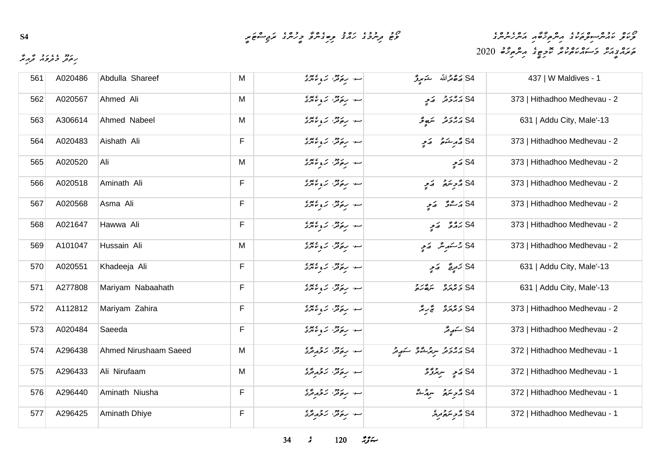*sCw7q7s5w7m< o<n9nOoAw7o< sCq;mAwBoEw7q<m; wBm;vB* م من المرة المرة المرة المرجع المرجع في المركبة 2020<br>مجم*د المريض المربوط المربع المرجع في المراجع المركبة* 

|  |  | 4 4 3 266 322    |  |
|--|--|------------------|--|
|  |  | رمير وتروم ترمهر |  |
|  |  |                  |  |

| 561 | A020486 | Abdulla Shareef       | м            | سه ره ده نومبره       | S4 كەڭ قىراللە     شەمبەر                                                                           | 437   W Maldives - 1         |
|-----|---------|-----------------------|--------------|-----------------------|-----------------------------------------------------------------------------------------------------|------------------------------|
| 562 | A020567 | Ahmed Ali             | M            | سه رړود کړېده         | S4  كەبۇر <i>كەنى ھەم</i>                                                                           | 373   Hithadhoo Medhevau - 2 |
| 563 | A306614 | Ahmed Nabeel          | M            | سه ره ده که عده       | S4   كەنگە ئىكدىنى ئىككە ئىككە ئىككە ئىككە ئىككە ئىككە ئىككە 194 كىل                                | 631   Addu City, Male'-13    |
| 564 | A020483 | Aishath Ali           | F            | سه ره ده که علاء      | S4 مُگهرڪو مَعِ                                                                                     | 373   Hithadhoo Medhevau - 2 |
| 565 | A020520 | Ali                   | M            | سه رود کرده           | S4 ڪچو                                                                                              | 373   Hithadhoo Medhevau - 2 |
| 566 | A020518 | Aminath Ali           | F            | سه رړود کړې ده.       | S4 م <i>ُّحِيدَة مَّ</i> حٍ                                                                         | 373   Hithadhoo Medhevau - 2 |
| 567 | A020568 | Asma Ali              | F            | سه ره ده کاونده       | S4 كەشىرى كەمب <i>ى</i>                                                                             | 373   Hithadhoo Medhevau - 2 |
| 568 | A021647 | Hawwa Ali             | F            | سه رړود کړېده         | S4 كەبۇر كەي <sub>ج</sub>                                                                           | 373   Hithadhoo Medhevau - 2 |
| 569 | A101047 | Hussain Ali           | M            | سه رړود کړېده         | S4 پرستمبر م <i>ی چ</i> و                                                                           | 373   Hithadhoo Medhevau - 2 |
| 570 | A020551 | Khadeeja Ali          | $\mathsf{F}$ | سه رړود کړې ده        | S4 كَتَمِيعٌ - مَتَمْحِ                                                                             | 631   Addu City, Male'-13    |
| 571 | A277808 | Mariyam Nabaahath     | F            | سه رړود کړېده.        | S4 كەبىر مەھمەم                                                                                     | 631   Addu City, Male'-13    |
| 572 | A112812 | Mariyam Zahira        | $\mathsf F$  | سه ره دود. که نام دره | S4 دېمهر د مخ پر مگر                                                                                | 373   Hithadhoo Medhevau - 2 |
| 573 | A020484 | Saeeda                | $\mathsf{F}$ | سه ره ده که عده       | S4 سَنَهُرِ مَدَّ                                                                                   | 373   Hithadhoo Medhevau - 2 |
| 574 | A296438 | Ahmed Nirushaam Saeed | M            | ے رکوش کو مرتزی       | S4 كەبرى قىر سىر ئىگە ئىگە ئىككەن ئىككەن ئىككەن ئىككەن ئىككەن ئىككەن ئىككەن ئىككەن ئىككەن ئىككەن ئى | 372   Hithadhoo Medhevau - 1 |
| 575 | A296433 | Ali Nirufaam          | M            | ے رکوش کے مرتزی       | S4  جرمير سيتمر <i>ؤ</i> د                                                                          | 372   Hithadhoo Medhevau - 1 |
| 576 | A296440 | Aminath Niusha        | F            | سە رەۋى ئەۋرەتمە      | S4 أَمَّ حِسَمَةٌ سِيمْشَّةٌ                                                                        | 372   Hithadhoo Medhevau - 1 |
| 577 | A296425 | Aminath Dhiye         | F            | ىسە رەۋىش ئەقەر قرى   | S4 أُمَّ حِ سَمَعُومِبَر                                                                            | 372   Hithadhoo Medhevau - 1 |

*34 sC 120 nNw?mS*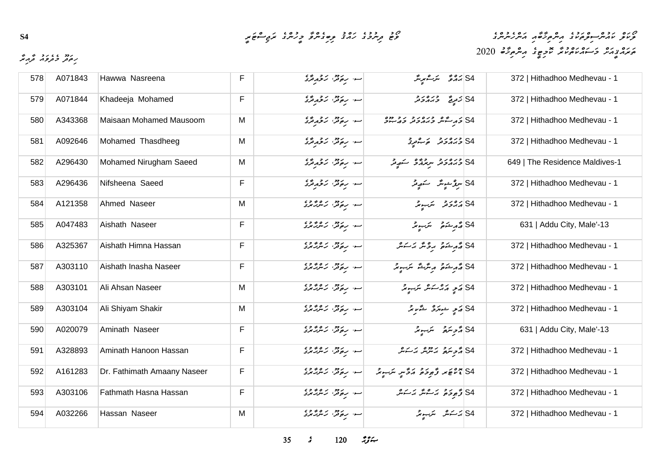*sCw7q7s5w7m< o<n9nOoAw7o< sCq;mAwBoEw7q<m; wBm;vB 2020<sup>, م</sup>وسوق المسجد التحقيق وسرمونية والم*جمع المسجد المسجد المسجد المسجد المسجد المسجد المسجد المسجد المسجد ال

| 578 | A071843 | Hawwa Nasreena              | F           | ىسە رەۋىقى ئەقەر قرى        | S4 ئەتر <i>ەش مىن شىرى</i> تر                                                  | 372   Hithadhoo Medhevau - 1   |
|-----|---------|-----------------------------|-------------|-----------------------------|--------------------------------------------------------------------------------|--------------------------------|
| 579 | A071844 | Khadeeja Mohamed            | F           | ر بەردە ئەقەرىمى<br>سەر بەھ | S4 كَتْمِيعٌ      وْيَرْوُوْتْرْ                                               | 372   Hithadhoo Medhevau - 1   |
| 580 | A343368 | Maisaan Mohamed Mausoom     | M           | سەر سەتر، ئەقەر قرى         | S4 زَبر شهر وره رو دوه                                                         | 372   Hithadhoo Medhevau - 1   |
| 581 | A092646 | Mohamed Thasdheeg           | M           | ىسە رەۋىقى ئەقەر قرى        | S4 <i>ۋېرە دو</i> ئەرم موسى <i>رى</i> تى                                       | 372   Hithadhoo Medhevau - 1   |
| 582 | A296430 | Mohamed Nirugham Saeed      | M           | ىسە رەۋى ئەۋەر قرى          | S4 <i>وبروبرو سربرو و سرب</i> رتر                                              | 649   The Residence Maldives-1 |
| 583 | A296436 | Nifsheena Saeed             | $\mathsf F$ | ب رەدد. ئەۋەپتى             | S4 سرگرھيں گر ڪوپيٽر                                                           | 372   Hithadhoo Medhevau - 1   |
| 584 | A121358 | Ahmed Naseer                | M           | سه رود ره ده ده             | S4 كەبروتىر سىبوتىر                                                            | 372   Hithadhoo Medhevau - 1   |
| 585 | A047483 | Aishath Naseer              | F           | سه رود ره ده ده             | S4 مەم ئىككە ئىش ئىككە ئىككە ئىككە ئىككە ئىككە ئىككە ئىككە ئىككە ئىككە 194 كىل | 631   Addu City, Male'-13      |
| 586 | A325367 | Aishath Himna Hassan        | F           | ے رکھی کی دی                | S4 مەم شەم بىرىگە ئەسەش                                                        | 372   Hithadhoo Medhevau - 1   |
| 587 | A303110 | Aishath Inasha Naseer       | $\mathsf F$ | سه رقمی زیگریزی             | S4 مَّەمِ شَمَّةٍ مِسَّرْشَّةٍ سَرَجِيْر                                       | 372   Hithadhoo Medhevau - 1   |
| 588 | A303101 | Ali Ahsan Naseer            | M           | ے رکھی کی دی                | S4 كەبىر كەشكەش ئىزىبويم                                                       | 372   Hithadhoo Medhevau - 1   |
| 589 | A303104 | Ali Shiyam Shakir           | M           | سه رود رود د.               | S4 كەنىي ھەترى ھەرىر                                                           | 372   Hithadhoo Medhevau - 1   |
| 590 | A020079 | Aminath Naseer              | $\mathsf F$ | سه رود رود د                | S4 مُجَ سَمَعُ مَسَنِ مِنْ                                                     | 631   Addu City, Male'-13      |
| 591 | A328893 | Aminath Hanoon Hassan       | $\mathsf F$ | ے رکھیں کی دی               | S4 گەجەنىھ بەشرىكە بەسەنگە                                                     | 372   Hithadhoo Medhevau - 1   |
| 592 | A161283 | Dr. Fathimath Amaany Naseer | F           | سه رجونو، رکانور مور        | \$8 يوم توجو <i>خو</i> مۇس ئىر بولىقى                                          | 372   Hithadhoo Medhevau - 1   |
| 593 | A303106 | Fathmath Hasna Hassan       | $\mathsf F$ | ے رکھی کی دی۔               | S4 ۇ <sub>جوخ</sub> و برىش <i>تر برىت</i> ىر                                   | 372   Hithadhoo Medhevau - 1   |
| 594 | A032266 | Hassan Naseer               | M           | سه رود روود                 | S4 كەسكەنلەر سىرسىر مىز                                                        | 372   Hithadhoo Medhevau - 1   |

*n8o<n@ q<m=s@s> r@mAo5*

*35 sC 120 nNw?mS*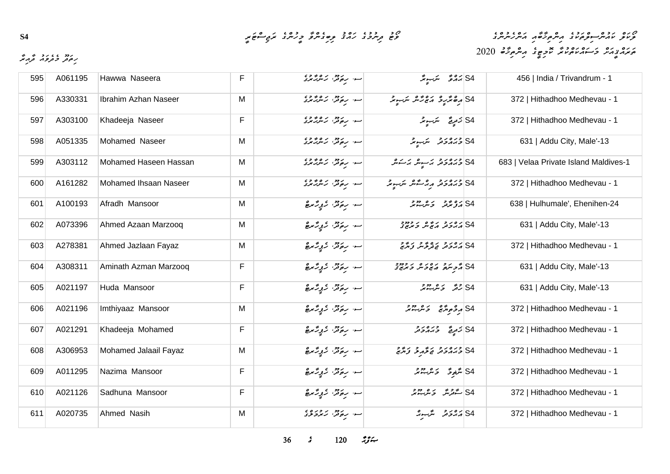*sCw7q7s5w7m< o<n9nOoAw7o< sCq;mAwBoEw7q<m; wBm;vB 2020<sup>, م</sup>وسوق المسجد التحقيق وسرمونية والم*جمع المسجد المسجد المسجد المسجد المسجد المسجد المسجد المسجد المسجد ال

| 595 | A061195 | Hawwa Naseera                | F            | سه ره دو زهره و ،               | S4 كەنزۇ ھەسىبەتىر                                  | 456   India / Trivandrum - 1          |
|-----|---------|------------------------------|--------------|---------------------------------|-----------------------------------------------------|---------------------------------------|
| 596 | A330331 | Ibrahim Azhan Naseer         | M            | ے رکھی کی دی                    | S4 مەھەر بەر ئەرگە ئىرگىچە ئىر                      | 372   Hithadhoo Medhevau - 1          |
| 597 | A303100 | Khadeeja Naseer              | $\mathsf{F}$ | سه رود ره دور                   | S4 كَتْرِيعٌ - سَرَسِوِيْرٌ -                       | 372   Hithadhoo Medhevau - 1          |
| 598 | A051335 | Mohamed Naseer               | M            | سه رود رود د.                   | S4 <i>ۋېرو دو</i> سربېر                             | 631   Addu City, Male'-13             |
| 599 | A303112 | Mohamed Haseen Hassan        | M            | سه رود. زه ده ده                | S4 <i>دېمم</i> وتر برس <sub>ې</sub> ش برخش          | 683   Velaa Private Island Maldives-1 |
| 600 | A161282 | <b>Mohamed Ihsaan Naseer</b> | M            | سه رود ره ده ده                 | S4 <i>ورەر دەستى</i> ر ئىب                          | 372   Hithadhoo Medhevau - 1          |
| 601 | A100193 | Afradh Mansoor               | M            | ے رکوش کروگرمی                  | S4 پرویژنر کریٹریٹر                                 | 638   Hulhumale', Ehenihen-24         |
| 602 | A073396 | Ahmed Azaan Marzooq          | M            | سە رەقۇ، ئەرگىدى                | S4 ג׳כ ב ג׳ ב ב ב ב ב ב                             | 631   Addu City, Male'-13             |
| 603 | A278381 | Ahmed Jazlaan Fayaz          | M            | سە رەۋىر، ئەرگەر ھ              | S4 كەبرو بەرە بەر بەر<br>S4 كەبروتىر   يۈرگىس ۋەرىخ | 372   Hithadhoo Medhevau - 1          |
| 604 | A308311 | Aminath Azman Marzooq        | $\mathsf{F}$ | ب رود بارده                     | S4 څرمنۍ پره ده.<br>په د کلمې پرې کري د درو         | 631   Addu City, Male'-13             |
| 605 | A021197 | Huda Mansoor                 | F            | ے رکوش کروگرمی                  | S4 ژنگر ځي <i>ه</i> رچينو                           | 631   Addu City, Male'-13             |
| 606 | A021196 | Imthiyaaz Mansoor            | M            | سە رەۋىر، ئ <sub>ە</sub> ر ئەرى | S4 موقومی کامردوج                                   | 372   Hithadhoo Medhevau - 1          |
| 607 | A021291 | Khadeeja Mohamed             | F            | ب رەقدا ئۇرگىرى                 | S4 كَتَمِيعٌ وَيَرْمُدَوْمَرْ                       | 372   Hithadhoo Medhevau - 1          |
| 608 | A306953 | Mohamed Jalaail Fayaz        | M            | ے روڈن کروگرو                   | S4 درورو رومز و روم                                 | 372   Hithadhoo Medhevau - 1          |
| 609 | A011295 | Nazima Mansoor               | F            | سە رەۋر ئورگىرى                 | S4 سَمْعِ حَسَّ حَسَّ حَسَّمَتْ                     | 372   Hithadhoo Medhevau - 1          |
| 610 | A021126 | Sadhuna Mansoor              | $\mathsf F$  | ے رکوش کروگرم                   | S4 گەنرىگر كەش <i>رىيەت</i> ر                       | 372   Hithadhoo Medhevau - 1          |
| 611 | A020735 | Ahmed Nasih                  | M            | سە رەۋش رىزدە ،                 | S4 <i>كەبردىق مۇسەبى</i>                            | 372   Hithadhoo Medhevau - 1          |

*36 sC 120 nNw?mS*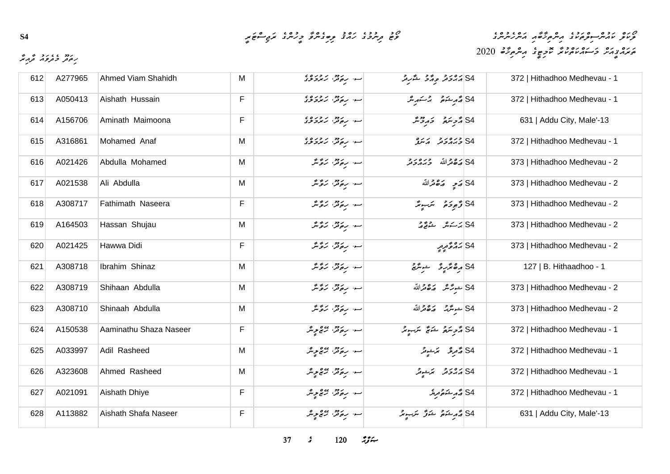*sCw7q7s5w7m< o<n9nOoAw7o< sCq;mAwBoEw7q<m; wBm;vB 2020 q9nOoAw7o< sCpHo>u; n8q;wAm;w<mEm> w6m<pYw<m8mA*

372 | Hithadhoo Medhevau - 1

and the contract

## 612 A277965 Ahmed Viam Shahidh M *egclwmurwh ,Udwtih .s udihWx umWaiv udwmcHwa* S4 ردد ، ، ، *، د » .*<br>ر<sub>حوتر</sub> و تروبر تربر *ب*ر

| 613 | A050413 | Aishath Hussain        | $\mathsf F$ | سه ریزه ریزده و              | S4 مەم ئىسكىم بىر شىرىشر                        | 372   Hithadhoo Medhevau - 1 |
|-----|---------|------------------------|-------------|------------------------------|-------------------------------------------------|------------------------------|
| 614 | A156706 | Aminath Maimoona       | $\mathsf F$ | سر رود روره د                | S4 مُجَمِّسَمَّةَ حَمَدَّةَ مَّدَّ              | 631   Addu City, Male'-13    |
| 615 | A316861 | Mohamed Anaf           | M           | - رەۋە ئەدەرە                | S4 <i>ۋېرودو مەترى</i>                          | 372   Hithadhoo Medhevau - 1 |
| 616 | A021426 | Abdulla Mohamed        | M           | سور رو دو پر                 | S4 مَرْهُ قُرَاللّه وَبَرْمُ دَيْرٍ             | 373   Hithadhoo Medhevau - 2 |
| 617 | A021538 | Ali Abdulla            | M           | سە رەۋىش ئەھەتگە             | S4 <i>مَجِ     مَەعْدَ</i> اللّه                | 373   Hithadhoo Medhevau - 2 |
| 618 | A308717 | Fathimath Naseera      | $\mathsf F$ | ب رەد روپ                    | S4 ۇ <sub>جو</sub> رَمْ سَر <sub>ْس</sub> بِرَّ | 373   Hithadhoo Medhevau - 2 |
| 619 | A164503 | Hassan Shujau          | M           | سە بەھ ئۇنىگە                | S4 كەسكەش ھە <i>قەق</i>                         | 373   Hithadhoo Medhevau - 2 |
| 620 | A021425 | Hawwa Didi             | F           | سە رەۋىش ئەقەتتى             | S4 كەمگە توپىر                                  | 373   Hithadhoo Medhevau - 2 |
| 621 | A308718 | Ibrahim Shinaz         | M           | ب رود رو و                   | S4 مەھەرگەر ئىستىدىكى ئى                        | 127   B. Hithaadhoo - 1      |
| 622 | A308719 | Shihaan Abdulla        | M           | سەر رودى روغ                 | S4 شو <i>رٌ مَدْ قَدْ</i> اللّه                 | 373   Hithadhoo Medhevau - 2 |
| 623 | A308710 | Shinaah Abdulla        | M           | سە رەۋرى ئەھ ئىر             | S4 حو <i>مترك<sub>ة ق</sub>رقة و</i> رالله      | 373   Hithadhoo Medhevau - 2 |
| 624 | A150538 | Aaminathu Shaza Naseer | $\mathsf F$ | ے رکبردہ میں مریکر           | S4 أَمَّ <i>حِ سَرَةً</i> مَنْ سَرَسِيْرَ مَنْ  | 372   Hithadhoo Medhevau - 1 |
| 625 | A033997 | Adil Rasheed           | M           | ے رکبردہ میں مریکر           | S4 صَّمِر حَمَّ سَمَّدِ مِّرْ                   | 372   Hithadhoo Medhevau - 1 |
| 626 | A323608 | Ahmed Rasheed          | M           | ے رکبوتر، رکبھ پر مگر        | S4 <i>م برون</i> محمد محرجة محر                 | 372   Hithadhoo Medhevau - 1 |
| 627 | A021091 | Aishath Dhiye          | $\mathsf F$ | سه سره در در مورد محمد می شر | S4 ۾ م شمو مرمز                                 | 372   Hithadhoo Medhevau - 1 |
| 628 | A113882 | Aishath Shafa Naseer   | $\mathsf F$ | سە رەۋر، ئەج بەھر            | S4 مُدمِ حُمَدِ حَمَوَّ سَرَجِعْ                | 631   Addu City, Male'-13    |

**37** *s* **120** *n***<sub>s</sub>***n***<sub>s</sub>**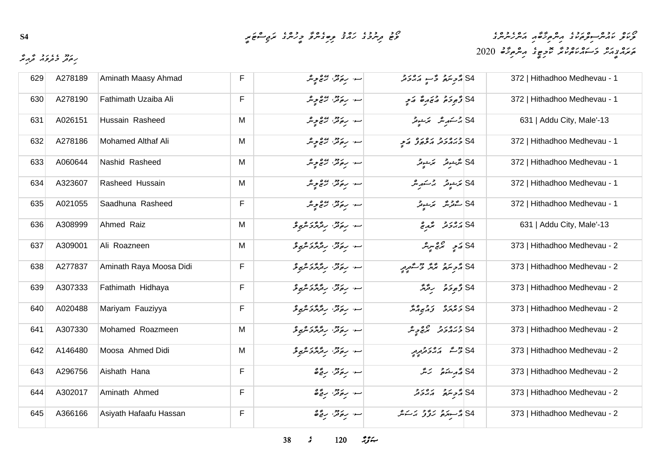*sCw7q7s5w7m< o<n9nOoAw7o< sCq;mAwBoEw7q<m; wBm;vB 2020<sup>, م</sup>وسوق المسجد التحقيق وسرمونية والم*جمع المسجد المسجد المسجد المسجد المسجد المسجد المسجد المسجد المسجد ال

| 629 | A278189 | Aminath Maasy Ahmad       | F           | ے رکبوتر، رکبھ بر مگر | S4  <i>مڈج ینٹی ڈیپ مذک</i> وتر                  | 372   Hithadhoo Medhevau - 1 |
|-----|---------|---------------------------|-------------|-----------------------|--------------------------------------------------|------------------------------|
| 630 | A278190 | Fathimath Uzaiba Ali      | F           | ے رکبردہ میں مریکر    | S4 <i>وُّجِرْدَة مُتَمَ</i> رِّةً مَرْمِ         | 372   Hithadhoo Medhevau - 1 |
| 631 | A026151 | Hussain Rasheed           | M           | سە رەد بىرە دەر       | S4 پرڪيريش پرڪيونگر                              | 631   Addu City, Male'-13    |
| 632 | A278186 | <b>Mohamed Althaf Ali</b> | M           | ے رکبردہ میں مریکر    | S4 ويرەرو رەرە ھېر                               | 372   Hithadhoo Medhevau - 1 |
| 633 | A060644 | Nashid Rasheed            | M           | ے رپوتر، رپوچھ        | S4 سَرَشونڈ کرشونڈ                               | 372   Hithadhoo Medhevau - 1 |
| 634 | A323607 | Rasheed Hussain           | M           | ے رکبوتر، رکبھ بر مگر | S4 بَرَسْوِتْر کے کہ بگر                         | 372   Hithadhoo Medhevau - 1 |
| 635 | A021055 | Saadhuna Rasheed          | $\mathsf F$ | ے رکبردہ میں مریکر    | S4 سەمەتىر ئىر ئىرىسىزلىر                        | 372   Hithadhoo Medhevau - 1 |
| 636 | A308999 | Ahmed Raiz                | M           | ب رەدە رەۋەر ھ        | S4 <i>مُمْدَوَنِّرَ مُحَمِّدٍ عُ</i>             | 631   Addu City, Male'-13    |
| 637 | A309001 | Ali Roazneen              | M           | سە رەتر، رەۋرىرچى     | S4 <i>ھَ۔ چ</i> ھ سرچر                           | 373   Hithadhoo Medhevau - 2 |
| 638 | A277837 | Aminath Raya Moosa Didi   | $\mathsf F$ | ب، رەۋر، رەگەرەش چ    | S4 أَمَّ مِ سَمَّ مَّرْ مَّرَ مَّسْمَّ مِرِ مِرِ | 373   Hithadhoo Medhevau - 2 |
| 639 | A307333 | Fathimath Hidhaya         | $\mathsf F$ | سە رەتر، رەۋرەش ئو    | S4 زَّەپە ئەھمە سِتَرْمَّزْ                      | 373   Hithadhoo Medhevau - 2 |
| 640 | A020488 | Mariyam Fauziyya          | F           | سە رەتر، رەۋرىرچى     | S4 كرەرە برو ەم                                  | 373   Hithadhoo Medhevau - 2 |
| 641 | A307330 | Mohamed Roazmeen          | M           | ب، رەۋر، رەگەرەش چ    | S4 درورو موجو مر                                 | 373   Hithadhoo Medhevau - 2 |
| 642 | A146480 | Moosa Ahmed Didi          | M           | ب رەۋر، رۇزۇڭروشوڭ    | S4  تۆگ كەنگە تەرىپرىيە                          | 373   Hithadhoo Medhevau - 2 |
| 643 | A296756 | Aishath Hana              | F           | سىز سەنتىر، سەنق ھ    | S4 مەم ئىسىم ئىگر                                | 373   Hithadhoo Medhevau - 2 |
| 644 | A302017 | Aminath Ahmed             | F           | سود برجون برقع ه      | S4 مُجِسَعَةِ مَبْحَدَثَر                        | 373   Hithadhoo Medhevau - 2 |
| 645 | A366166 | Asiyath Hafaafu Hassan    | F           | سىز سەنتىر، سەنق ھ    | S4 ۾ سوهري ترويج برڪس                            | 373   Hithadhoo Medhevau - 2 |

*38 sC 120 nNw?mS*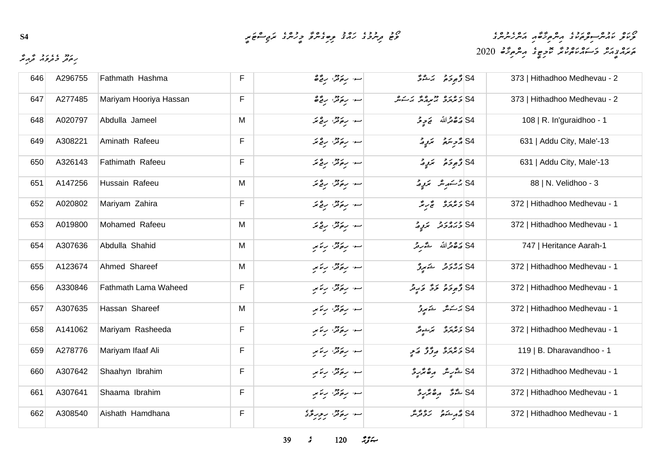*sCw7q7s5w7m< o<n9nOoAw7o< sCq;mAwBoEw7q<m; wBm;vB 2020<sup>, م</sup>وسوق المسجد التحقيق وسرمونية والم*جمع المسجد المسجد المسجد المسجد المسجد المسجد المسجد المسجد المسجد ال

| 646 | A296755 | Fathmath Hashma        | F | سىز سەنتىر، سەنق ھ             | S4 ۇ <sub>ج</sub> وڭ ئەشۇ                | 373   Hithadhoo Medhevau - 2 |
|-----|---------|------------------------|---|--------------------------------|------------------------------------------|------------------------------|
| 647 | A277485 | Mariyam Hooriya Hassan | F | سىز سەقىر، سەقىھ               | S4 وبروره دو وو بر کرد                   | 373   Hithadhoo Medhevau - 2 |
| 648 | A020797 | Abdulla Jameel         | M | سە رەۋىش رەپر                  | S4 كەچ قىراللە     قى يە قى              | 108   R. In'guraidhoo - 1    |
| 649 | A308221 | Aminath Rafeeu         | F | سىز سەۋىرى سەھ بىر             | S4 مُتَّحِسَّعَ مَرْدِمُ                 | 631   Addu City, Male'-13    |
| 650 | A326143 | Fathimath Rafeeu       | F | سىز سەۋىش سەھ ئىكە             | S4 ۇ <sub>جو</sub> رۇ ئرې <sub>ر</sub> ۇ | 631   Addu City, Male'-13    |
| 651 | A147256 | Hussain Rafeeu         | M | سە رەۋىش رەيخ                  | S4 بر <i>کے <sub>م</sub>ربٹر کرو</i> یر  | 88   N. Velidhoo - 3         |
| 652 | A020802 | Mariyam Zahira         | F | سە رەۋىش رەپر                  | S4 <i>5 بر مرد 3 بأب</i> بگر             | 372   Hithadhoo Medhevau - 1 |
| 653 | A019800 | Mohamed Rafeeu         | M | سە رەۋىش رەپر                  | S4 <i>2222 برود</i>                      | 372   Hithadhoo Medhevau - 1 |
| 654 | A307636 | Abdulla Shahid         | M | سە رەۋىش رىكىر                 | S4 مَەڤْتَراللَّه شَّرَتْرُ              | 747   Heritance Aarah-1      |
| 655 | A123674 | Ahmed Shareef          | M | سە رەڭ رىكىر                   | S4 كەش <sup>ى</sup> رىق شەمرىر           | 372   Hithadhoo Medhevau - 1 |
| 656 | A330846 | Fathmath Lama Waheed   | F | سە رەڭ رىكىر                   | S4 ۇُھِ <i>دَەڭ ھُ ب</i> ِيىر            | 372   Hithadhoo Medhevau - 1 |
| 657 | A307635 | Hassan Shareef         | M | سە رەڭ رىكىر                   | S4 كەسكەش خەمبوقر                        | 372   Hithadhoo Medhevau - 1 |
| 658 | A141062 | Mariyam Rasheeda       | F | سە رەڭ رىكىر                   | S4 <i>كَرْمَرْدْ بْرَ</i> حْمِيْرَ       | 372   Hithadhoo Medhevau - 1 |
| 659 | A278776 | Mariyam Ifaaf Ali      | F | سە رەۋە رىكىر                  | S4 <i>5 چرىزى ھۆ</i> ۋ كەمچ              | 119   B. Dharavandhoo - 1    |
| 660 | A307642 | Shaahyn Ibrahim        | F | سە رەڭ رىكىر                   | S4 ڪُنڀش پرڪشير ئ                        | 372   Hithadhoo Medhevau - 1 |
| 661 | A307641 | Shaama Ibrahim         | F | سە رەڭ رىكىر                   | S4 شَرَقَ مِنْ صَحَّرِ فِي               | 372   Hithadhoo Medhevau - 1 |
| 662 | A308540 | Aishath Hamdhana       | F | سە رەۋى رورۇ،<br>سەرەقىي رورۇ، | S4 مەم ئىسكىمە خەم <i>ھەت</i> تىر        | 372   Hithadhoo Medhevau - 1 |

*39 sC 120 nNw?mS*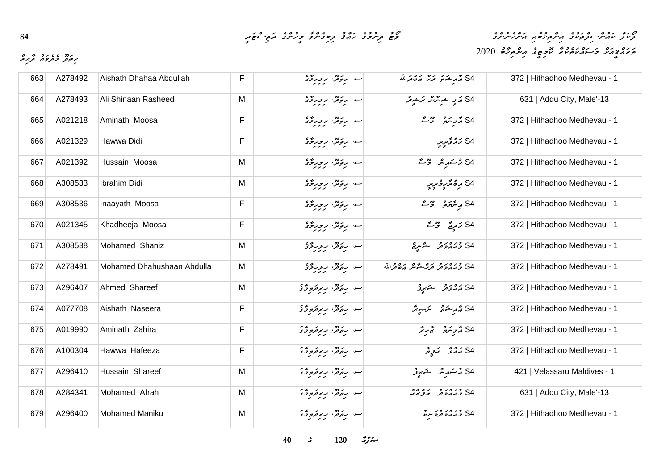*sCw7q7s5w7m< o<n9nOoAw7o< sCq;mAwBoEw7q<m; wBm;vB 2020<sup>, م</sup>وسوق المسجد التحقيق وسرمونية والم*جمع المسجد المسجد المسجد المسجد المسجد المسجد المسجد المسجد المسجد ال

| 663 | A278492 | Aishath Dhahaa Abdullah    | F           | سە رەۋش رورۇقى<br>سەر مۇقش رورۇقى                   | S4 صَّهرِ مُشْعَرِّهِ مَتَّ صَنْعَةَ لِللَّهُ     | 372   Hithadhoo Medhevau - 1 |
|-----|---------|----------------------------|-------------|-----------------------------------------------------|---------------------------------------------------|------------------------------|
| 664 | A278493 | Ali Shinaan Rasheed        | M           | سەر يەر ئەر يەر ئۇيج<br>  سەر يەر ئەر يەر ئەر ئۇيجى | S4 كەنوپ سىيەتگەنگر <i>مۇ</i> سىيەت <i>گ</i>      | 631   Addu City, Male'-13    |
| 665 | A021218 | Aminath Moosa              | F           | سە رەۋە رورۇئى                                      | S4 مُرْحِسَمُ حَرْثَ                              | 372   Hithadhoo Medhevau - 1 |
| 666 | A021329 | Hawwa Didi                 | F           | سە رەتۇ، رورۇئى                                     | S4 كەرگە ئويى <sub>ر</sub>                        | 372   Hithadhoo Medhevau - 1 |
| 667 | A021392 | Hussain Moosa              | M           | سە رەتقى رورۇئى                                     | S4 پر شہر میں مقرشہ                               | 372   Hithadhoo Medhevau - 1 |
| 668 | A308533 | <b>Ibrahim Didi</b>        | M           | سە رەۋە رورۇئى                                      | S4 <sub>مر</sub> ھ بَرَّرٍ وَ م <sub>َ</sub> مِرٍ | 372   Hithadhoo Medhevau - 1 |
| 669 | A308536 | Inaayath Moosa             | F           | سە رەتۇ، رورۇئى                                     | S4 مېشتر <i>ە دى</i> شە                           | 372   Hithadhoo Medhevau - 1 |
| 670 | A021345 | Khadheeja Moosa            | F           | سە رەتقى رورۇئى                                     | S4 كَرْمِرِيحٌ مَحْرٌ مُتَحَمَّ                   | 372   Hithadhoo Medhevau - 1 |
| 671 | A308538 | Mohamed Shaniz             | M           | سەر ئەقرى سەر ئەنجى                                 | S4 <i>وُبَهُ وَبَرْ</i> مِنْ مِنْ مِنْ مِنْ مِنْ  | 372   Hithadhoo Medhevau - 1 |
| 672 | A278491 | Mohamed Dhahushaan Abdulla | M           | سەر رەۋش رورۇغ                                      | S4 3 بروبر و بروث مرد برگ قرالله                  | 372   Hithadhoo Medhevau - 1 |
| 673 | A296407 | Ahmed Shareef              | M           | سە رەۋرا رىردىگە ئ                                  | S4 كەبرى قىر ئىقدىن كىلىن ئىن ئىلىن ئىل           | 372   Hithadhoo Medhevau - 1 |
| 674 | A077708 | Aishath Naseera            | F           | سە رەۋر رىرىگر <i>ە</i> دى                          | S4 مەمرىسىمۇ سىرسىتىگە                            | 372   Hithadhoo Medhevau - 1 |
| 675 | A019990 | Aminath Zahira             | $\mathsf F$ | سە رەۋە رىرىرە دى                                   | S4 مُتَّحِبَّعَةٌ تَجْرِبَّتُهُ                   | 372   Hithadhoo Medhevau - 1 |
| 676 | A100304 | Hawwa Hafeeza              | F           | سە رەۋر رىردىگە دى                                  | S4 <i>بَدْهُ جَ بَيْ وَ</i>                       | 372   Hithadhoo Medhevau - 1 |
| 677 | A296410 | Hussain Shareef            | M           | سە رەۋە رىرىزمۇرۇ                                   | S4 پرستمبر محمد مقدمری ک                          | 421   Velassaru Maldives - 1 |
| 678 | A284341 | Mohamed Afrah              | M           | - رەقرا رىرىزمۇمۇم                                  | S4 دره ده برونوه                                  | 631   Addu City, Male'-13    |
| 679 | A296400 | <b>Mohamed Maniku</b>      | M           | سە رەۋە رىرى <i>زە</i> ر ئ                          | S4 دېمه د د ترد سره                               | 372   Hithadhoo Medhevau - 1 |

*40 sC 120 nNw?mS*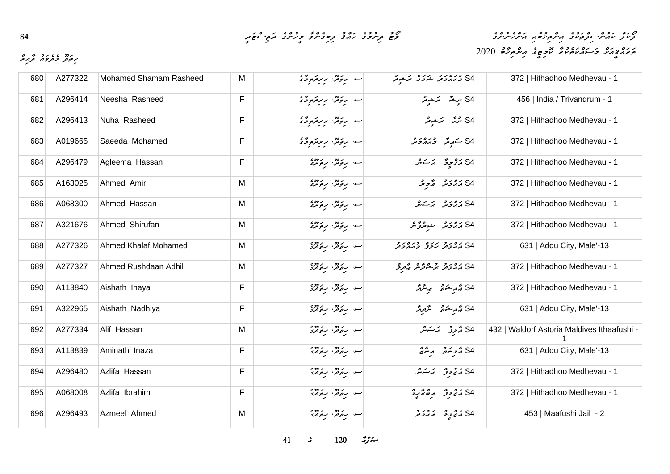*sCw7q7s5w7m< o<n9nOoAw7o< sCq;mAwBoEw7q<m; wBm;vB 2020<sup>, م</sup>وسوق المسجد التحقيق وسرمونية والم*جمع المسجد المسجد المسجد المسجد المسجد المسجد المسجد المسجد المسجد ال

| 680 | A277322 | Mohamed Shamam Rasheed      | M            | - رەڭ رىرىزمۇر ئ                      | S4 <i>وبروبر و شرک</i> و برخونر                     | 372   Hithadhoo Medhevau - 1                |
|-----|---------|-----------------------------|--------------|---------------------------------------|-----------------------------------------------------|---------------------------------------------|
| 681 | A296414 | Neesha Rasheed              | F            | سە رەۋرا رىردىگە دى                   | S4 سرینڈ کمرشوٹر                                    | 456   India / Trivandrum - 1                |
| 682 | A296413 | Nuha Rasheed                | F            | سە رەۋە رىرىرەدە                      | S4 ىترت <sub>ش</sub> تىرىش <sub>و</sub> تتر         | 372   Hithadhoo Medhevau - 1                |
| 683 | A019665 | Saeeda Mohamed              | $\mathsf{F}$ | - رەقرا رىرىزەرگە                     | S4 سَمهِ شَرِ 25 دوسر                               | 372   Hithadhoo Medhevau - 1                |
| 684 | A296479 | Agleema Hassan              | $\mathsf{F}$ | ر دو .<br>  سه ره ولمر ، ره تری       | S4 كەتۋىچە ئەسكىلى                                  | 372   Hithadhoo Medhevau - 1                |
| 685 | A163025 | Ahmed Amir                  | M            | سه ره ده دوه                          | S4 كەبروتىر گەج ئى                                  | 372   Hithadhoo Medhevau - 1                |
| 686 | A068300 | Ahmed Hassan                | M            | ر دو به دود .<br>سه برخوش برخوندی     | S4 كەبروتىر كەسكەنلە                                | 372   Hithadhoo Medhevau - 1                |
| 687 | A321676 | Ahmed Shirufan              | M            | ر دود روده<br> سوسرحوفر، رحوفری       | S4 كەبرىق ھەمرۇش                                    | 372   Hithadhoo Medhevau - 1                |
| 688 | A277326 | <b>Ahmed Khalaf Mohamed</b> | M            | سه رکوفر، رکوفری                      | S4   رەر د ترکو د درەر د                            | 631   Addu City, Male'-13                   |
| 689 | A277327 | Ahmed Rushdaan Adhil        | M            | ( دود ۱۶۶۷ کردود )<br>  سوء سره توري  | S4 كەردى تەرەپ ھەر ئەربى                            | 372   Hithadhoo Medhevau - 1                |
| 690 | A113840 | Aishath Inaya               | F            | سه ره ده دوه                          | S4 مەم ئىستىر مەمتىگر                               | 372   Hithadhoo Medhevau - 1                |
| 691 | A322965 | Aishath Nadhiya             | F            | ر دود.<br>سه ره تر، ره ترد            | S4 م <i>ەم ھەم ئىقىدى</i> گە                        | 631   Addu City, Male'-13                   |
| 692 | A277334 | Alif Hassan                 | M            | ر دو به برود دود.<br>سه برخوش برخوندی | S4 م <i>جمعرة بم</i> سك <i>م</i> ر                  | 432   Waldorf Astoria Maldives Ithaafushi - |
| 693 | A113839 | Aminath Inaza               | F            | ر دود.<br>سود مردود، مردود و          | S4 مُرْحِسَةٌ مِسَّنَةٌ                             | 631   Addu City, Male'-13                   |
| 694 | A296480 | Azlifa Hassan               | F            | سه ره ده دوه                          | S4 كەيج مۇغ بىر سىكىلىر                             | 372   Hithadhoo Medhevau - 1                |
| 695 | A068008 | Azlifa Ibrahim              | F            | ے روڈ رودہ                            | S4 أ <i>مَّ جُودٌ م</i> ِ هُ مَّر <sub>ْبِ</sub> دُ | 372   Hithadhoo Medhevau - 1                |
| 696 | A296493 | Azmeel Ahmed                | M            | سه ره ده رود،                         | S4 , جو چو د مرکز ته                                | 453   Maafushi Jail - 2                     |

*41 sC 120 nNw?mS*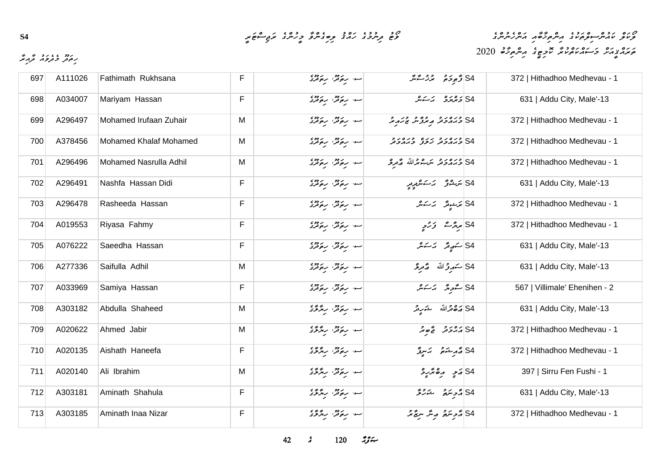*sCw7q7s5w7m< o<n9nOoAw7o< sCq;mAwBoEw7q<m; wBm;vB 2020<sup>, م</sup>وسوق المسجد التحقيق وسرمونية والم*جمع المسجد المسجد المسجد المسجد المسجد المسجد المسجد المسجد المسجد ال

| 697 | A111026 | Fathimath Rukhsana     | F           | ر دو به دود .<br>سه به دون به برود .            | S4 ۇ <sub>جو</sub> رۇ برزىش <i>ت</i> ر      | 372   Hithadhoo Medhevau - 1  |
|-----|---------|------------------------|-------------|-------------------------------------------------|---------------------------------------------|-------------------------------|
| 698 | A034007 | Mariyam Hassan         | F           | سه ره ده روه                                    | S4 <i>ۇيۇه بىر ئەسە</i> ش                   | 631   Addu City, Male'-13     |
| 699 | A296497 | Mohamed Irufaan Zuhair | M           | ( دو به دره به دود )<br>  سود به ده در به دود ک | S4 دره در در دور در در د                    | 372   Hithadhoo Medhevau - 1  |
| 700 | A378456 | Mohamed Khalaf Mohamed | M           | ( دو بره تر بر دود )<br>  سوسر موفر المرجوعری   | S4 ورەرو رىرە ورەرو                         | 372   Hithadhoo Medhevau - 1  |
| 701 | A296496 | Mohamed Nasrulla Adhil | M           | سور سر دود به دود به<br>  سور سره قرار مردود به | S4 <i>ورەبەد برجەن</i> داللە م <i>ەبو</i> گ | 372   Hithadhoo Medhevau - 1  |
| 702 | A296491 | Nashfa Hassan Didi     | $\mathsf F$ | سه ره ده روه                                    | S4  سَرَشْوَرٌ    بَرَسَة سَرْمِرِمِرِ      | 631   Addu City, Male'-13     |
| 703 | A296478 | Rasheeda Hassan        | F           | سه ربرود روده                                   | S4 بَرَجونَ <i>رٌ بَرَ سَ</i> مَسُ          | 372   Hithadhoo Medhevau - 1  |
| 704 | A019553 | Riyasa Fahmy           | $\mathsf F$ | سه ره ده روه                                    | S4 مرمَّزَ تَرَكْزِ                         | 372   Hithadhoo Medhevau - 1  |
| 705 | A076222 | Saeedha Hassan         | $\mathsf F$ | سه ربرود روده                                   | S4 س <i>َم<sub>ع</sub>ِینَ بَرَسَ</i> سَ    | 631   Addu City, Male'-13     |
| 706 | A277336 | Saifulla Adhil         | M           | ر دود.<br>  سوسر موفر، سرحوفری                  | S4 كورتر الله محمور محر                     | 631   Addu City, Male'-13     |
| 707 | A033969 | Samiya Hassan          | $\mathsf F$ | سه ره ده روه                                    | S4 گ <i>ے <sub>ج</sub>و بگر پر کے ب</i> ھر  | 567   Villimale' Ehenihen - 2 |
| 708 | A303182 | Abdulla Shaheed        | М           | سە رەۋرى رەۋە                                   | S4 كەڭ قىراللە خىمرىتر                      | 631   Addu City, Male'-13     |
| 709 | A020622 | Ahmed Jabir            | M           | سە رەۋە رەۋە                                    | S4 كەنزىقىر قى <sup>م</sup> ئىر             | 372   Hithadhoo Medhevau - 1  |
| 710 | A020135 | Aishath Haneefa        | F           | ے رکوش روزہ                                     | S4 مەم شىم سىس كىلىنى ئىس                   | 372   Hithadhoo Medhevau - 1  |
| 711 | A020140 | Ali Ibrahim            | M           | سە رەۋر رۇۋى                                    | S4  رَمِ مِهْ مَرْرِدْ                      | 397   Sirru Fen Fushi - 1     |
| 712 | A303181 | Aminath Shahula        | F           | ے رکوش روموی                                    | S4 مَّ حِسَمَةٌ شَمَّ مِّ                   | 631   Addu City, Male'-13     |
| 713 | A303185 | Aminath Inaa Nizar     | F           | سە رەۋر روزۇ                                    | S4 مُرْحِسَةً مِسَّر سِيَّتْمَ              | 372   Hithadhoo Medhevau - 1  |

*n8o<n@ q<m=s@s> r@mAo5*

*42 sC 120 nNw?mS*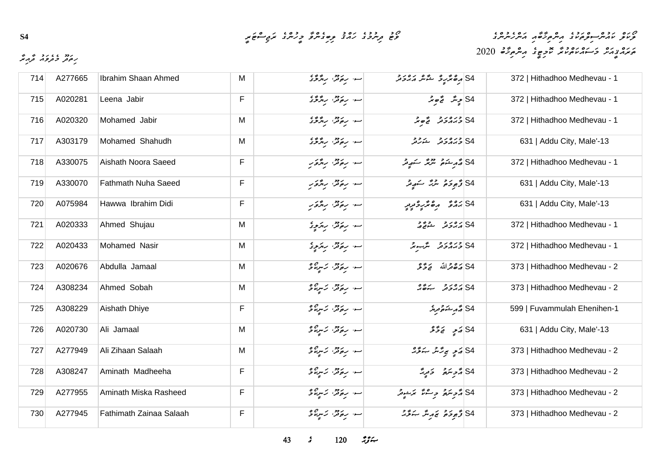*sCw7q7s5w7m< o<n9nOoAw7o< sCq;mAwBoEw7q<m; wBm;vB 2020<sup>, م</sup>وسوق المسجد التحقيق وسرمونية والم*جمع المسجد المسجد المسجد المسجد المسجد المسجد المسجد المسجد المسجد ال

| 714 | A277665 | Ibrahim Shaan Ahmed     | M           | سە رەۋىر، رەزۇر  | S4 مەھەر بۇ ھەمدى ئەرەپرى                      | 372   Hithadhoo Medhevau - 1 |
|-----|---------|-------------------------|-------------|------------------|------------------------------------------------|------------------------------|
| 715 | A020281 | Leena Jabir             | F           | سە رەۋر رۇۋى     | S4 م <sub>ج</sub> سَّر قُ <sub>ص</sub> مَّر    | 372   Hithadhoo Medhevau - 1 |
| 716 | A020320 | Mohamed Jabir           | M           | سە رەۋىش رەۋە    | S4 جرەر جۇھ بۇ                                 | 372   Hithadhoo Medhevau - 1 |
| 717 | A303179 | Mohamed Shahudh         | M           | سە رەۋى رەپرى    | S4 دېرونو خونو                                 | 631   Addu City, Male'-13    |
| 718 | A330075 | Aishath Noora Saeed     | $\mathsf F$ | سە رەۋرى رەزەر   | S4 مَّەمِ شَمَّة مَّتَهَدَّ سَمَهِ مَّرَ       | 372   Hithadhoo Medhevau - 1 |
| 719 | A330070 | Fathmath Nuha Saeed     | $\mathsf F$ | سە رەۋر روزۇر    | S4 ۇي <i>وخۇ بىرگ سەيدى</i> ر                  | 631   Addu City, Male'-13    |
| 720 | A075984 | Hawwa Ibrahim Didi      | $\mathsf F$ | سە رەۋش رەزەر    | S4 <i>جَهُرةٌ وهُ مُرْبِ</i> وْمِرِمِرِ        | 631   Addu City, Male'-13    |
| 721 | A020333 | Ahmed Shujau            | M           | سە رەۋى رەكروكى  | S4 كەبەر ئەرەپىيە ئەرەپىيە ئەنق                | 372   Hithadhoo Medhevau - 1 |
| 722 | A020433 | Mohamed Nasir           | M           | سە رەۋى رىزىرى   | S4 <i>دېمم</i> ونو گرسونو                      | 372   Hithadhoo Medhevau - 1 |
| 723 | A020676 | Abdulla Jamaal          | M           | ے روڈن کیریاؤ    | S4 مَرْهُ مِّرَاللَّهُ      مَوَكَّرْ          | 373   Hithadhoo Medhevau - 2 |
| 724 | A308234 | Ahmed Sobah             | M           | ے رہے تی کیریاؤ  | 222.581                                        | 373   Hithadhoo Medhevau - 2 |
| 725 | A308229 | Aishath Dhiye           | $\mathsf F$ | ے روڈن رسرچو     | S4 ۾ پر ڪوچورمر                                | 599   Fuvammulah Ehenihen-1  |
| 726 | A020730 | Ali Jamaal              | M           | ے رکھڑی کیریاؤ   | S4 كەنچە ئەڭ ئى                                | 631   Addu City, Male'-13    |
| 727 | A277949 | Ali Zihaan Salaah       | M           | ے روڈن کیرمامی   | S4 كەبىي بىر ئىگە سەنگەنز                      | 373   Hithadhoo Medhevau - 2 |
| 728 | A308247 | Aminath Madheeha        | $\mathsf F$ | ے روڈن کیریاؤ    | S4 مُتَّحِسَّعَةُ ۖ حَسِيَّةٌ                  | 373   Hithadhoo Medhevau - 2 |
| 729 | A277955 | Aminath Miska Rasheed   | $\mathsf F$ | ے رہے تر رسر عمر | S4 مُرْحِسَمْ وَسَنْتُمْ تَمْسُومُرْ           | 373   Hithadhoo Medhevau - 2 |
| 730 | A277945 | Fathimath Zainaa Salaah | F           | ے روڈن کیریاؤ    | S4 ۇ <sub>جو</sub> رَى <sub>كەر</sub> ىئر جۇير | 373   Hithadhoo Medhevau - 2 |

*43 sC 120 nNw?mS*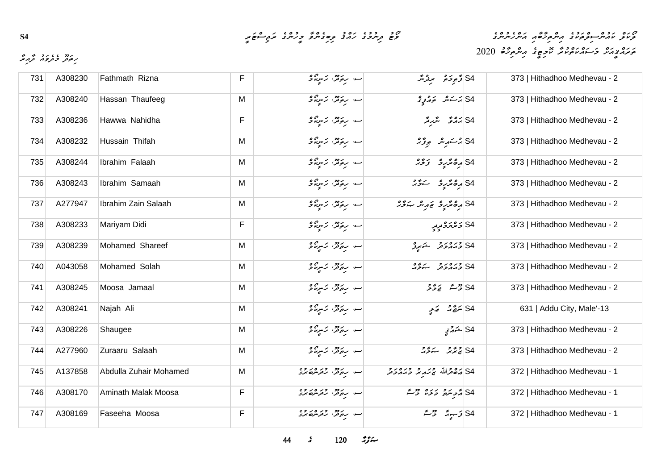*sCw7q7s5w7m< o<n9nOoAw7o< sCq;mAwBoEw7q<m; wBm;vB 2020<sup>, م</sup>وسوق المسجد التحقيق وسرمونية والم*جمع المسجد المسجد المسجد المسجد المسجد المسجد المسجد المسجد المسجد ال

| 731 | A308230 | Fathmath Rizna         | $\mathsf F$ | ے روڈن کیریاؤ                             | S4 ۇج <sub>و</sub> ىزىق مېنى <i>زىنگ</i>         | 373   Hithadhoo Medhevau - 2 |
|-----|---------|------------------------|-------------|-------------------------------------------|--------------------------------------------------|------------------------------|
| 732 | A308240 | Hassan Thaufeeg        | M           | ے روڈن کیرمامی                            | S4 بَرَسَىسْ مَح <i>ورْوِ</i> تْح                | 373   Hithadhoo Medhevau - 2 |
| 733 | A308236 | Hawwa Nahidha          | $\mathsf F$ | ے رکھڑی کیریاؤ                            | S4 كَ <i>مْ دُمْرةْ</i> سُرْمَرْ                 | 373   Hithadhoo Medhevau - 2 |
| 734 | A308232 | Hussain Thifah         | M           | ے روڈن کیریاؤ                             | S4 برسىمبر م <sub>و</sub> رَ بر                  | 373   Hithadhoo Medhevau - 2 |
| 735 | A308244 | Ibrahim Falaah         | M           | ے روڈن کیریاؤ                             | S4 مەھەر ئۇر ئۇرگە                               | 373   Hithadhoo Medhevau - 2 |
| 736 | A308243 | Ibrahim Samaah         | M           | ے رکھڑی کیریاؤ                            | S4 مەھم <i>گرى</i> ئىنگە                         | 373   Hithadhoo Medhevau - 2 |
| 737 | A277947 | Ibrahim Zain Salaah    | M           | ے رہی کیریاؤ                              | S4 مەھەر بىر ئەر سىر ئىكىنى كىلەر كىلە           | 373   Hithadhoo Medhevau - 2 |
| 738 | A308233 | Mariyam Didi           | $\mathsf F$ | ے روزہ رسر وہ                             | S4 كەبھەر 2 مرىر                                 | 373   Hithadhoo Medhevau - 2 |
| 739 | A308239 | Mohamed Shareef        | M           | ے روڈن کیریاؤ                             | S4 <i>وُبَهُ وَبَنْ</i> مِسْتَمَيْرُ             | 373   Hithadhoo Medhevau - 2 |
| 740 | A043058 | Mohamed Solah          | M           | ے روڈن کیریاؤ                             | S4 <i>جەممىتە بىر بىرى</i>                       | 373   Hithadhoo Medhevau - 2 |
| 741 | A308245 | Moosa Jamaal           | M           | ے روڈن کیریاؤ                             | $332223$ S4                                      | 373   Hithadhoo Medhevau - 2 |
| 742 | A308241 | Najah Ali              | M           | ے روڈن رسرچو                              | S4 سَرَةٌ بَرَ صَ <sub>حِ</sub>                  | 631   Addu City, Male'-13    |
| 743 | A308226 | Shaugee                | M           | ے ریڈی کیریڈی                             | S4 ڪم <i>۾ ت</i> و                               | 373   Hithadhoo Medhevau - 2 |
| 744 | A277960 | Zuraaru Salaah         | M           | ے روڈن کیریاؤ                             | S4يو محمد سيۇر                                   | 373   Hithadhoo Medhevau - 2 |
| 745 | A137858 | Abdulla Zuhair Mohamed | M           | ر دو وره ده ده.<br>سه رجون رتوسره بود     | S4 مَەھْرَاللَّهُ تُحْرَمَ مِرَّ وَبَرَمْرَ فَرَ | 372   Hithadhoo Medhevau - 1 |
| 746 | A308170 | Aminath Malak Moosa    | $\mathsf F$ | ر دو در ه ر د ه<br>سه رجونز، رتوسره برو ه | S4 أَمُّ <i>جِسَعْهُ حَجَّدٌ حَ</i> سُمُّ        | 372   Hithadhoo Medhevau - 1 |
| 747 | A308169 | Faseeha Moosa          | F           | ر دود وره ده ده.<br>سوسره فرا رفز سره مرد |                                                  | 372   Hithadhoo Medhevau - 1 |

*n8o<n@ q<m=s@s> r@mAo5*

*44 sC 120 nNw?mS*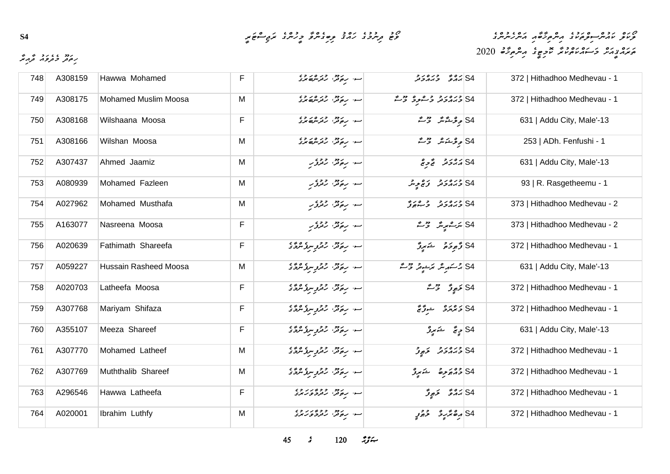*sCw7q7s5w7m< o<n9nOoAw7o< sCq;mAwBoEw7q<m; wBm;vB 2020<sup>, م</sup>وسوق المسجد التحقيق وسرمونية والم*جمع المسجد المسجد المسجد المسجد المسجد المسجد المسجد المسجد المسجد ال

| 748 | A308159 | Hawwa Mohamed               | $\mathsf F$  | ر دود - در ۵ در د د<br>سو، ره تر، رترس        | S4 يَرْمُوَّ وَيَرْمُرُونَّر                 | 372   Hithadhoo Medhevau - 1 |
|-----|---------|-----------------------------|--------------|-----------------------------------------------|----------------------------------------------|------------------------------|
| 749 | A308175 | <b>Mohamed Muslim Moosa</b> | M            | --- رود وره دوه<br>--- رونر، رنرس             | S4 دره دو د عبود و هنگ                       | 372   Hithadhoo Medhevau - 1 |
| 750 | A308168 | Wilshaana Moosa             | F            | ر دود وره ده ده.<br>پ. روفر، رفر مهمه         | S4 <sub>حە</sub> رشە ئىشر تۆرگ               | 631   Addu City, Male'-13    |
| 751 | A308166 | Wilshan Moosa               | M            | ر دو ور ه ر و ع<br>سه رجونس رتوسره بود        | S4 <sub>ح</sub> وثوشتر ويسته                 | 253   ADh. Fenfushi - 1      |
| 752 | A307437 | Ahmed Jaamiz                | M            | سە رەۋىش شەرىر                                | S4   <i>مرد جن في م</i> ح                    | 631   Addu City, Male'-13    |
| 753 | A080939 | Mohamed Fazleen             | M            | سە رەۋىر، روزىر                               | S4  <i>\$نەم</i> ۇمۇ كەنج م <sub>چ</sub> ىتر | 93   R. Rasgetheemu - 1      |
| 754 | A027962 | Mohamed Musthafa            | M            | سە رەۋرى رقرۇر                                | S4 ديره د د م د و                            | 373   Hithadhoo Medhevau - 2 |
| 755 | A163077 | Nasreena Moosa              | $\mathsf{F}$ | سە رەۋىش رودى                                 | S4 ىترىشمېرىتى ق <sup>4</sup> ىگە            | 373   Hithadhoo Medhevau - 2 |
| 756 | A020639 | Fathimath Shareefa          | F            | ے روکن رفروسوی وی                             | S4 تَرْجِرَةَ صَنَّمِيرَّ                    | 372   Hithadhoo Medhevau - 1 |
| 757 | A059227 | Hussain Rasheed Moosa       | M            | ے رکوبر، رکور سرو مرکز                        | S4 پرڪمرين پر <sub>ڪو</sub> بر وحڪ           | 631   Addu City, Male'-13    |
| 758 | A020703 | Latheefa Moosa              | $\mathsf{F}$ | ے رکوش رفروسوی مصر                            | S4 كَرْجِورٌ وَ <sup>2</sup> َتْ             | 372   Hithadhoo Medhevau - 1 |
| 759 | A307768 | Mariyam Shifaza             | F            | ىسە بەردە جۇرىپىدىكەن ئى                      | S4 <i>د مر<sub>م</sub>رو جوڙي</i> َ          | 372   Hithadhoo Medhevau - 1 |
| 760 | A355107 | Meeza Shareef               | $\mathsf F$  | ر داردو در در در در در د                      | S4 <i>ڇي شميرو</i>                           | 631   Addu City, Male'-13    |
| 761 | A307770 | Mohamed Latheef             | M            | ے روکن رفروسوی وی                             | S4 دېرو دي ځېږو                              | 372   Hithadhoo Medhevau - 1 |
| 762 | A307769 | Muththalib Shareef          | M            | ے رکوبر، رکور سرو مرکز                        | S4 <i>جەمۇجى شەيرۇ</i>                       | 372   Hithadhoo Medhevau - 1 |
| 763 | A296546 | Hawwa Latheefa              | $\mathsf{F}$ | ر دود. ووه در د و ،<br>سه رجونس رتون وربوی    | S4 <i>جَهُوَّ خَف</i> ِرَّ                   | 372   Hithadhoo Medhevau - 1 |
| 764 | A020001 | Ibrahim Luthfy              | M            | ر دود وولار د د و ه<br>سه روفرا رتزو وربر د ه | S4 م <i>ەھتىب</i> ۇ خ <sub>ى</sub> جى        | 372   Hithadhoo Medhevau - 1 |

*45 sC 120 nNw?mS*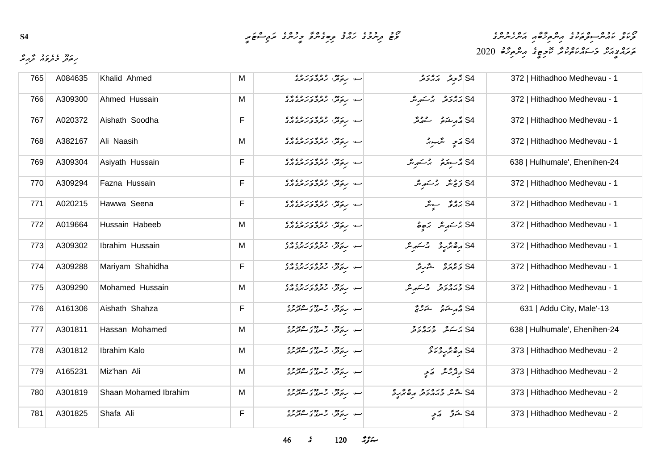*sCw7q7s5w7m< o<n9nOoAw7o< sCq;mAwBoEw7q<m; wBm;vB 2020<sup>, م</sup>وسوق المسجد التحقيق وسرمونية والم*جمع المسجد المسجد المسجد المسجد المسجد المسجد المسجد المسجد المسجد ال

| 765 | A084635 | Khalid Ahmed          | M            | ر دود. وولار د و ه<br>سه رمونس رتون وربوی        | S4 دَّىرى <i>زْ مَدْدَى</i> رْ      | 372   Hithadhoo Medhevau - 1  |
|-----|---------|-----------------------|--------------|--------------------------------------------------|-------------------------------------|-------------------------------|
| 766 | A309300 | Ahmed Hussain         | M            | ر ده و ووړر وه ده.<br>سه رهي رتون درکاري         | S4 كەبروتىر ب <sub>ە</sub> شىرىش    | 372   Hithadhoo Medhevau - 1  |
| 767 | A020372 | Aishath Soodha        | F            | ر دو ووډرر وه ده.<br>سو روتر، رترولوربر ده.      | S4 مُدمِسْدَهْ سُفْرَةَ <i>رٌ</i>   | 372   Hithadhoo Medhevau - 1  |
| 768 | A382167 | Ali Naasih            | M            | ر دو وولار د د وه در<br>سو روتر، رترو وربر د د د | S4  كەمچە مەش <i>بەي</i> گ          | 372   Hithadhoo Medhevau - 1  |
| 769 | A309304 | Asiyath Hussain       | F            | ر دو وودرد ودود.<br>سه ره تول رتون وربود و       | S4 مەسى <i>رەتى جىسكى</i> رىنگ      | 638   Hulhumale', Ehenihen-24 |
| 770 | A309294 | Fazna Hussain         | $\mathsf{F}$ | ر دو ووجدر وه ده.<br>سوا ره ترا رترو وربود و ده  | S4 كۈنچ يىگە ب <sub>ە</sub> شكىرىشە | 372   Hithadhoo Medhevau - 1  |
| 771 | A020215 | Hawwa Seena           | F            | ر دود و و در در دره<br>سه رهون رتورور در در      | S4 كەنزۇ سېتىر                      | 372   Hithadhoo Medhevau - 1  |
| 772 | A019664 | Hussain Habeeb        | M            | ر دود و و در در دره<br>سه رهون رتورور در در      | S4 بر <i>کم بره فی</i> م            | 372   Hithadhoo Medhevau - 1  |
| 773 | A309302 | Ibrahim Hussain       | M            | ر ده وود دروه ده ده.<br>پ روتو، رتوروربردو       | S4 مەھەرىرى ب <sub>ى</sub> شەمبىر   | 372   Hithadhoo Medhevau - 1  |
| 774 | A309288 | Mariyam Shahidha      | F            | ر دو ووډر روه ده.<br>سو رونل، رنوچور پروه د      | S4 كەنگەرگە شەرىگە                  | 372   Hithadhoo Medhevau - 1  |
| 775 | A309290 | Mohamed Hussain       | M            | ر دو وولار د د وه در<br>سو روتر، رترو وربر د د د | S4 دېرم د د مرمر                    | 372   Hithadhoo Medhevau - 1  |
| 776 | A161306 | Aishath Shahza        | F            | ر دود و دور ه دون<br>سه ره تر، رسری د سهرس       | S4 مەم ئىشەر ئىيەر يىلى ئىشەر ئىس   | 631   Addu City, Male'-13     |
| 777 | A301811 | Hassan Mohamed        | M            | ر دو در ورد و بروه<br>سوسر مرکز رسمه و سوتر در   | S4 ټريىش د <i>جره د</i> ور          | 638   Hulhumale', Ehenihen-24 |
| 778 | A301812 | Ibrahim Kalo          | M            | ر دود و دور ورد و د<br>سه رمونس رسری رستوربری    | S4 <sub>مەھ</sub> مَّر پەدىم        | 373   Hithadhoo Medhevau - 2  |
| 779 | A165231 | Miz'han Ali           | M            | ر دود. د در ۲۶۵ وی.<br>سه ره ترکی رسری سه ترس    | S4 <sub>ح</sub> وثر شمیر کامیر      | 373   Hithadhoo Medhevau - 2  |
| 780 | A301819 | Shaan Mohamed Ibrahim | M            | ر دود و دور ه دون<br>سه ره تر رسری دستربری       | S4 ڪُمبر <i>دبرونڊ م</i> ڪٽربر      | 373   Hithadhoo Medhevau - 2  |
| 781 | A301825 | Shafa Ali             | F            | ر دو و دور ه دوه.<br>سه ره تر، رسری د سهرس       | S4 شترق ت <sub>ھ</sub> ر            | 373   Hithadhoo Medhevau - 2  |

*46 sC 120 nNw?mS*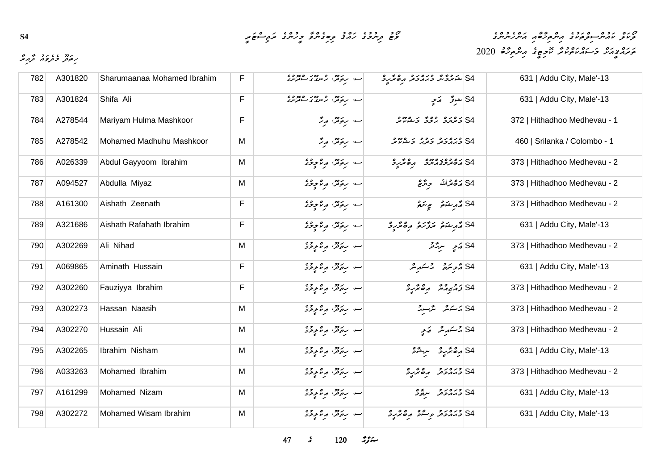*sCw7q7s5w7m< o<n9nOoAw7o< sCq;mAwBoEw7q<m; wBm;vB 2020<sup>, م</sup>وجدة المصرورة المجموعة المستورجة والم*جموعة والمجموعة والمجموعة والمجموعة والمجموعة والمجموعة والمجموعة

| 782 | A301820 | Sharumaanaa Mohamed Ibrahim | F            | ر دود و دود ه بروه<br>سه ره تش گرسری سه توسری | S4 خوړو ته د د د د د ه ټرگرو           | 631   Addu City, Male'-13    |
|-----|---------|-----------------------------|--------------|-----------------------------------------------|----------------------------------------|------------------------------|
| 783 | A301824 | Shifa Ali                   | F            | ر دو و دور ه دوه.<br>سه ره تر، رسری د سهرس    | S4 شوتر ک <i>ے م</i> ح                 | 631   Addu City, Male'-13    |
| 784 | A278544 | Mariyam Hulma Mashkoor      | $\mathsf F$  | ے رہور ور                                     | S4   د ۱۵ د مورد و د ۱۵ د د و          | 372   Hithadhoo Medhevau - 1 |
| 785 | A278542 | Mohamed Madhuhu Mashkoor    | M            | سە رەۋر، مەڭ                                  | S4 دره د د د در د دورو                 | 460   Srilanka / Colombo - 1 |
| 786 | A026339 | Abdul Gayyoom Ibrahim       | M            | ب ر <sub>یم</sub> وژ، مرعوفه د                | S4 בספק פרס בי פיציק כ                 | 373   Hithadhoo Medhevau - 2 |
| 787 | A094527 | Abdulla Miyaz               | M            | ب ر <sub>و</sub> ود، م <b>ر</b> موخه          | S4 مَرْه قرالله حرمَّز ج               | 373   Hithadhoo Medhevau - 2 |
| 788 | A161300 | Aishath Zeenath             | F            | - رەۋر مەمرىقى<br>سەر بەر                     | S4 مُدمِسْمَة بِمِسَمَّة               | 373   Hithadhoo Medhevau - 2 |
| 789 | A321686 | Aishath Rafahath Ibrahim    | F            | ۔ رەۋر مەم بەدى                               | S4 مەم شەھ مرزىرى مەھمەر 2             | 631   Addu City, Male'-13    |
| 790 | A302269 | Ali Nihad                   | M            | ب رړونه رعوفور                                | S4 کی میرشتر                           | 373   Hithadhoo Medhevau - 2 |
| 791 | A069865 | Aminath Hussain             | $\mathsf{F}$ | ے ر <sub>یم</sub> ور، <sub>مر</sub> طور دی    | S4 مَّ <i>جِسَمَّةَ بِرْسَمَ بِ</i> رْ | 631   Addu City, Male'-13    |
| 792 | A302260 | Fauziyya Ibrahim            | F            | ے ر <sub>یم</sub> وری مرعوفی ک                | S4 زَرَمِ مِهْرٌ مِهْتَرِ وَ           | 373   Hithadhoo Medhevau - 2 |
| 793 | A302273 | Hassan Naasih               | M            | ب ر <sub>و</sub> ږد را د دی                   | S4 ئەسەنلەر ش <i>ەسەن</i> ج            | 373   Hithadhoo Medhevau - 2 |
| 794 | A302270 | Hussain Ali                 | M            | ب ره ده مراجعه                                | S4 پرستوپە ئەمچە                       | 373   Hithadhoo Medhevau - 2 |
| 795 | A302265 | Ibrahim Nisham              | M            | - ر <sub>ەۋتى</sub> مەمزىرى                   | S4  مەھەر بەر سرىشى                    | 631   Addu City, Male'-13    |
| 796 | A033263 | Mohamed Ibrahim             | M            | - رەۋر مەمرىقى<br>سەر بەر                     | S4 دېممرد مقترب                        | 373   Hithadhoo Medhevau - 2 |
| 797 | A161299 | Mohamed Nizam               | M            | سە رەق <sup>ى</sup> مەمۋىرى                   | S4 <i>\$222 مِيغٌو</i>                 | 631   Addu City, Male'-13    |
| 798 | A302272 | Mohamed Wisam Ibrahim       | M            | سه ره در مره پروی                             | S4 درور د عرفه مقتربه                  | 631   Addu City, Male'-13    |

*47 sC 120 nNw?mS*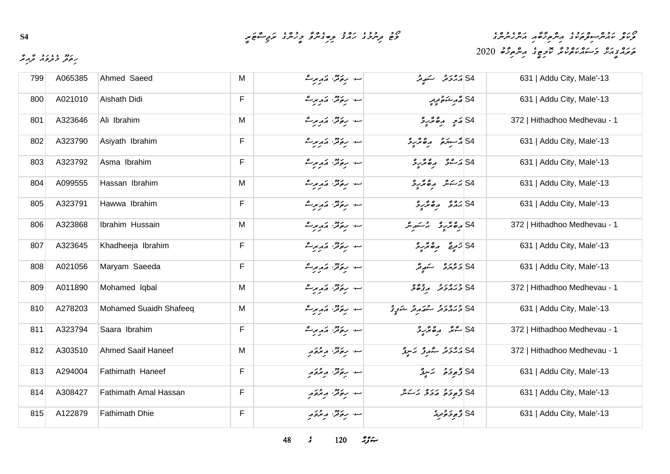*sCw7q7s5w7m< o<n9nOoAw7o< sCq;mAwBoEw7q<m; wBm;vB 2020<sup>, م</sup>وسوق المسجد التحقيق وسرمونية والم*جمع المسجد المسجد المسجد المسجد المسجد المسجد المسجد المسجد المسجد ال

| 799 | A065385 | Ahmed Saeed                  | M           | سە رەۋىش مەمدىرىش | S4 كەبروتر س <i>ەپە</i> تر                | 631   Addu City, Male'-13    |
|-----|---------|------------------------------|-------------|-------------------|-------------------------------------------|------------------------------|
| 800 | A021010 | Aishath Didi                 | F           | ے رکوش مکہ مرے    | S4 ۾ مرڪو <i>مو</i> مبر                   | 631   Addu City, Male'-13    |
| 801 | A323646 | Ali Ibrahim                  | M           | سە رەۋىش مەمدىرىش | S4 <i>مَج م</i> ەم <i>َّرى</i> د          | 372   Hithadhoo Medhevau - 1 |
| 802 | A323790 | Asiyath Ibrahim              | F           | سە رەۋىش مەمدىرىش | S4 أَرَّ سِيرَةَ مِنْ مَرْبِرَةَ          | 631   Addu City, Male'-13    |
| 803 | A323792 | Asma Ibrahim                 | F           | سە رەۋىش مەمدىرىش | S4  مَسْعَرٌ مِعْمَدٍ حِ                  | 631   Addu City, Male'-13    |
| 804 | A099555 | Hassan Ibrahim               | M           | سە رەۋىش مەمدىرىش | S4 ئەسەمىر مەھ <i>مگرى</i> ۋ              | 631   Addu City, Male'-13    |
| 805 | A323791 | Hawwa Ibrahim                | F           | سە رەۋىش مەمدىرىش | S4 <i>بَهُمَّة مِعْتَرِدْ</i>             | 631   Addu City, Male'-13    |
| 806 | A323868 | Ibrahim Hussain              | M           | سە رەۋىش مەمدىرىش | S4  مەھەرىرى جەسىمبەسىر                   | 372   Hithadhoo Medhevau - 1 |
| 807 | A323645 | Khadheeja Ibrahim            | F           | ے رکھ مہرے        | S4 كَتَعِيقٌ مِنْ صُحَّرِ فِي             | 631   Addu City, Male'-13    |
| 808 | A021056 | Maryam Saeeda                | F           | سە بەھ ئەرەبىر شە | S4 كەندىرى سى <i>مبەن</i> گە              | 631   Addu City, Male'-13    |
| 809 | A011890 | Mohamed Iqbal                | M           | سە رەۋىش مەمدىرىش | S4 درور درور                              | 372   Hithadhoo Medhevau - 1 |
| 810 | A278203 | Mohamed Suaidh Shafeeq       | M           | سە رەۋىش مەمدىرىش | S4 <i>دبروبر دبر مقریفر شوی</i> تخ        | 631   Addu City, Male'-13    |
| 811 | A323794 | Saara Ibrahim                | $\mathsf F$ | سە رەۋىش مەمدىرىش | S4 سَمَعَہُ م <i>ِ ھ</i> غرب <sup>و</sup> | 372   Hithadhoo Medhevau - 1 |
| 812 | A303510 | <b>Ahmed Saaif Haneef</b>    | M           | سە رەۋىش مەمرەم   | S4   ئەبەد ئەرقى ئەس <i>ب</i> ۇ           | 372   Hithadhoo Medhevau - 1 |
| 813 | A294004 | Fathimath Haneef             | $\mathsf F$ | سە رەقق مەمگەم    | S4 رَّج <i>وحَمْ بَ</i> سِرِرْ            | 631   Addu City, Male'-13    |
| 814 | A308427 | <b>Fathimath Amal Hassan</b> | F           | سە رەقق مەمگەم    | S4 ۇ <sub>جوخت</sub> ى مەدى ئەسەنلە       | 631   Addu City, Male'-13    |
| 815 | A122879 | <b>Fathimath Dhie</b>        | F           | سە رەتر مەرەم     | S4 ۇ <sub>جو</sub> رَ م <sub>ۇ</sub> رىر  | 631   Addu City, Male'-13    |

*48 sC 120 nNw?mS*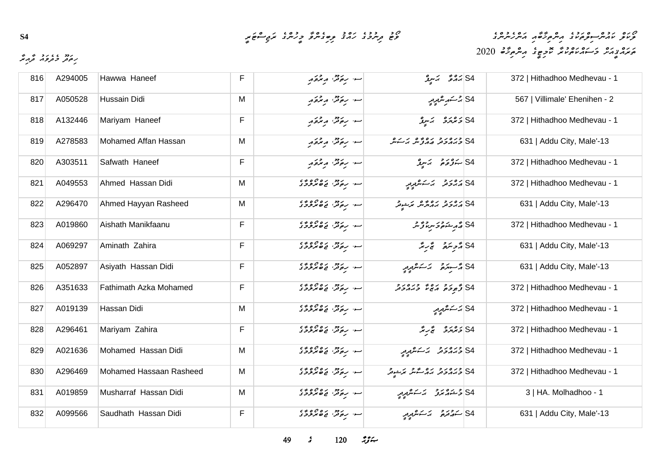*sCw7q7s5w7m< o<n9nOoAw7o< sCq;mAwBoEw7q<m; wBm;vB* م من المرة المرة المرة المرجع المرجع في المركبة 2020<br>مجم*د المريض المربوط المربع المرجع في المراجع المركبة* 

| 816 | A294005 | Hawwa Haneef            | $\mathsf F$ | سە رەۋر مەرەم                                                | S4 ئەبرق ئەس <i>ب</i> ر                       | 372   Hithadhoo Medhevau - 1  |
|-----|---------|-------------------------|-------------|--------------------------------------------------------------|-----------------------------------------------|-------------------------------|
| 817 | A050528 | Hussain Didi            | M           | سە رەتر مەرەم                                                | S4 ترڪ <i>ر ت</i> ٿوپور                       | 567   Villimale' Ehenihen - 2 |
| 818 | A132446 | Mariyam Haneef          | $\mathsf F$ | سة رەقق مەختىر                                               | S4 <i>جىمىر ئىبى ئىبى</i> ر                   | 372   Hithadhoo Medhevau - 1  |
| 819 | A278583 | Mohamed Affan Hassan    | M           | سه ره ده مروم                                                | S4 ديره د د بروژه ټر شهر                      | 631   Addu City, Male'-13     |
| 820 | A303511 | Safwath Haneef          | F           | سة رەقق مەمدەم                                               | S4 بەدىرە بەيدى <sub>س</sub> ىر               | 372   Hithadhoo Medhevau - 1  |
| 821 | A049553 | Ahmed Hassan Didi       | M           | ر دود دره ۵۵۵۰<br>سه روتر، تع ۱۳۶۴ و                         | S4 كەندى كە ئەسەئىر بىر                       | 372   Hithadhoo Medhevau - 1  |
| 822 | A296470 | Ahmed Hayyan Rasheed    | M           | ر دود ده ۵۵۵ وه.<br>سه رونر، نوځ د د د د                     | S4 <i>גېرو د و</i> ه په کرېږمن                | 631   Addu City, Male'-13     |
| 823 | A019860 | Aishath Manikfaanu      | $\mathsf F$ | ر دود ده ۵۵۵ وه و.<br>سه روتر، نع ۱۳۶۴ و د                   | S4 ۇرمەمۇر <i>كىرىدۇ تى</i> ر                 | 372   Hithadhoo Medhevau - 1  |
| 824 | A069297 | Aminath Zahira          | $\mathsf F$ | ر دود ده ۵۵۵ وي.<br>سه رونر، ن <sub>ځ</sub> ۱۵ <i>بر</i> ون  | S4 مُتَصِبَعَةً تَجْرِبَتَّهُ                 | 631   Addu City, Male'-13     |
| 825 | A052897 | Asiyath Hassan Didi     | F           | ر دود دره ۵۵۵ وی<br>سه روتر، تع ۱۳۶۴ و                       | S4 ۾ُ <i>سبوري پر سنگهويو</i> ر               | 631   Addu City, Male'-13     |
| 826 | A351633 | Fathimath Azka Mohamed  | $\mathsf F$ | ر دود دره ۵۵۵ وی<br>سه روتر، تع ۱۳۶۴ و                       | S4 ژُجِرَ وَ رَه وَ وَرَه دِ                  | 372   Hithadhoo Medhevau - 1  |
| 827 | A019139 | Hassan Didi             | M           | ر دو ره ۵۵۵ وه.<br>سه روتر، ن <sub>و</sub> ه بروژ            | S4 ټرسکوپوپور                                 | 372   Hithadhoo Medhevau - 1  |
| 828 | A296461 | Mariyam Zahira          | $\mathsf F$ | ر دود دره ۵۵۵۰<br>سه روتر، تع ۱۳۶۴ و                         | S4 <i>خىمىدۇ</i> ت <sub>ى</sub> رىگە          | 372   Hithadhoo Medhevau - 1  |
| 829 | A021636 | Mohamed Hassan Didi     | M           | ر دود دره ۵۵۵ وی<br>سه روتر، تع ۱۳۶۴ و                       | S4 <i>ڈیزوونو پر کے نگ</i> ورمی               | 372   Hithadhoo Medhevau - 1  |
| 830 | A296469 | Mohamed Hassaan Rasheed | M           | ر دو ده ده ۵۵۰ وي.<br>سه رونز، ده دود د                      | S4 <i>دره د د ده گس</i> گس مر <sub>شو</sub> ر | 372   Hithadhoo Medhevau - 1  |
| 831 | A019859 | Musharraf Hassan Didi   | M           | ر دود دره ۵۵۵ وی<br>سه روتر، تع ۱۳۶۴ و                       | S4 ۇشەھەتدى كەسكەتلىرىنى                      | 3   HA. Molhadhoo - 1         |
| 832 | A099566 | Saudhath Hassan Didi    | F           | ر دود ده ۵۵۵ وي.<br>سه رونر، ن <sub>ځ</sub> ۱۵ <i>بر</i> و د | S4  سەھەتەھە - ئەسەھەتەپەتەر                  | 631   Addu City, Male'-13     |

## ردد ، ، ، ر د م*ع*د بر<br>برحو<sub>م</sub> و ترجمہ تحریر بر

*49 sC 120 nNw?mS*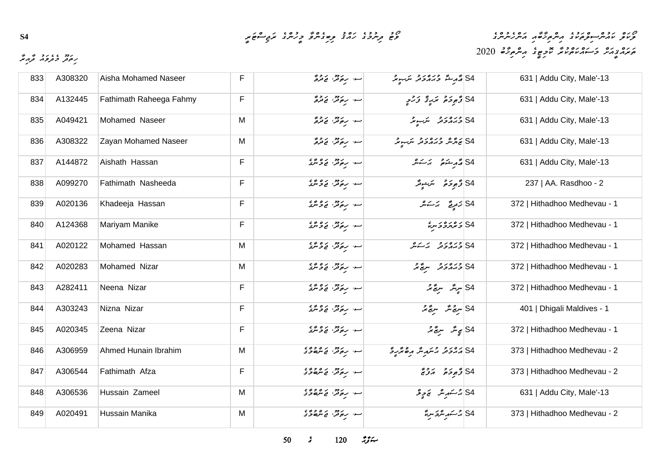*sCw7q7s5w7m< o<n9nOoAw7o< sCq;mAwBoEw7q<m; wBm;vB 2020<sup>, م</sup>وجدة المصرورة المجموعة المستورجة والم*جموعة والمجموعة والمجموعة والمجموعة والمجموعة والمجموعة والمجموعة

| 833 | A308320 | Aisha Mohamed Naseer    | F           | سه ره در در در در        | S4 مُهرِسُہٗ وَرَوْرُو سَرَجِرَ                                                                                                                                                                                                     | 631   Addu City, Male'-13    |
|-----|---------|-------------------------|-------------|--------------------------|-------------------------------------------------------------------------------------------------------------------------------------------------------------------------------------------------------------------------------------|------------------------------|
| 834 | A132445 | Fathimath Raheega Fahmy | F           | سه رەۋە روپ              | S4 ژَّجِوَدَ تَرَبِرُّ وَرَّحِ                                                                                                                                                                                                      | 631   Addu City, Male'-13    |
| 835 | A049421 | Mohamed Naseer          | M           |                          | S4 <i>ڈیزہ دور</i> س <i>رجن</i> گ                                                                                                                                                                                                   | 631   Addu City, Male'-13    |
| 836 | A308322 | Zayan Mohamed Naseer    | M           | سه ره ده کرده.           | S4 ىڭ ئۇنىڭ ئەتكەر ئەس ئىرىبولىر                                                                                                                                                                                                    | 631   Addu City, Male'-13    |
| 837 | A144872 | Aishath Hassan          | F           | سور پره ده وه            | S4 <i>ھي مڪمر ترڪيش</i>                                                                                                                                                                                                             | 631   Addu City, Male'-13    |
| 838 | A099270 | Fathimath Nasheeda      | F           | سه رود ده وه             | S4 گەچە كەش سىزىسى ئىشرىتىگە                                                                                                                                                                                                        | 237   AA. Rasdhoo - 2        |
| 839 | A020136 | Khadeeja Hassan         | F           | سه ره ده ده ور           | S4 زَمِرِیَّ بَرَسَہْر                                                                                                                                                                                                              | 372   Hithadhoo Medhevau - 1 |
| 840 | A124368 | Mariyam Manike          | $\mathsf F$ | سه ره ده ره وی           | S4 كەبر <i>ھەكە بىرىت</i>                                                                                                                                                                                                           | 372   Hithadhoo Medhevau - 1 |
| 841 | A020122 | Mohamed Hassan          | M           | سه ره ده کار شد          | S4 دېم د دي بر شهر                                                                                                                                                                                                                  | 372   Hithadhoo Medhevau - 1 |
| 842 | A020283 | Mohamed Nizar           | M           | سور سره ده وره وره ده به | S4 دېرورو سرچ تر                                                                                                                                                                                                                    | 372   Hithadhoo Medhevau - 1 |
| 843 | A282411 | Neena Nizar             | F           | سه ره دوه ره وه و        | S4 سریئر سریج تر                                                                                                                                                                                                                    | 372   Hithadhoo Medhevau - 1 |
| 844 | A303243 | Nizna Nizar             | F           | سه ره ده ره ده د         | S4 سرچ مٿر سرچ تٽر                                                                                                                                                                                                                  | 401   Dhigali Maldives - 1   |
| 845 | A020345 | Zeena Nizar             | $\mathsf F$ | سه ره ده کار شد          | S4 پویٹر سرگائٹر                                                                                                                                                                                                                    | 372   Hithadhoo Medhevau - 1 |
| 846 | A306959 | Ahmed Hunain Ibrahim    | M           | - رود دود.               | S4 رُورُ 3 رَسُمُ مِنْ مِرْهُ مُرِيْرِ                                                                                                                                                                                              | 373   Hithadhoo Medhevau - 2 |
| 847 | A306544 | Fathimath Afza          | F           | ے رکھی محمدہ             | S4 ۇج <sub>و</sub> خى مۇيج                                                                                                                                                                                                          | 373   Hithadhoo Medhevau - 2 |
| 848 | A306536 | Hussain Zameel          | M           | سه رجون و موده           | S4 پر <i>شہر میں چار</i> ی                                                                                                                                                                                                          | 631   Addu City, Male'-13    |
| 849 | A020491 | Hussain Manika          | M           | سه رود. د ه دوه          | S4 پر مستعد شریع میں پاکستانی کے ایک ایک پاکستانی کے ایک پاکستان کے ایک پاکستان کے ایک پاکستان کے ما<br>مسائلہ کا مسائلہ کا مسائلہ کا ایک پاکستان کے بارے کے ساتھ ایک پاکستان کے بارے کے بارے کے بارے کے بارے کے بارے<br>ایک پاکستا | 373   Hithadhoo Medhevau - 2 |

 $50$  *s*  $120$  *z*  $\frac{2}{3}$  *x*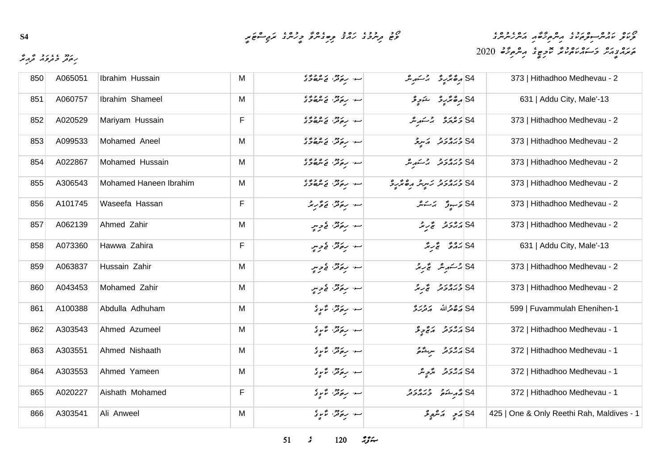*sCw7q7s5w7m< o<n9nOoAw7o< sCq;mAwBoEw7q<m; wBm;vB* م من المسجد المسجد المسجد المسجد المسجد العام 2020<br>مسجد المسجد المسجد المسجد المسجد المسجد المسجد المسجد المسجد ال

| 850 | A065051 | Ibrahim Hussain        | M           | سه رود دروده     | S4 مەھەرىرى ب <sub>ى</sub> شەمبەش    | 373   Hithadhoo Medhevau - 2              |
|-----|---------|------------------------|-------------|------------------|--------------------------------------|-------------------------------------------|
| 851 | A060757 | Ibrahim Shameel        | M           | سه ریږد د ه د ده | S4  مەھم <i>گىر ئى</i> ھ سىمبار ئىچە | 631   Addu City, Male'-13                 |
| 852 | A020529 | Mariyam Hussain        | F           | سه رود دروده     | S4 كەبىر بىر يەسىر بىر               | 373   Hithadhoo Medhevau - 2              |
| 853 | A099533 | Mohamed Aneel          | M           | ر دو ره وه وه    | S4 <i>3222 كەبىرى</i>                | 373   Hithadhoo Medhevau - 2              |
| 854 | A022867 | Mohamed Hussain        | M           | سه رود. د ۱۶۶۵   | S4 دېرم د د مشهد ش                   | 373   Hithadhoo Medhevau - 2              |
| 855 | A306543 | Mohamed Haneen Ibrahim | M           | ے رود دودہ       | S4 دبرو دی کریر مرگ برد و            | 373   Hithadhoo Medhevau - 2              |
| 856 | A101745 | Waseefa Hassan         | F           | سە رەۋىر، ئەۋرىر | S4 كۈسبوتۇ - ئەسكەنلە                | 373   Hithadhoo Medhevau - 2              |
| 857 | A062139 | Ahmed Zahir            | M           | سه ره ده نموسر   | S4 <i>مَدْدَوَنْتْ</i> يُحْرِيْرُ    | 373   Hithadhoo Medhevau - 2              |
| 858 | A073360 | Hawwa Zahira           | $\mathsf F$ | سه ره ده نموس    | S4 بَرْدْتَرْ تَجْرِبْتُهِ           | 631   Addu City, Male'-13                 |
| 859 | A063837 | Hussain Zahir          | M           | سه ره ده نموس    | S4 برسکوریٹر گاریٹر                  | 373   Hithadhoo Medhevau - 2              |
| 860 | A043453 | Mohamed Zahir          | M           | سه ریږدو ځې پر   | S4 <i>دېم دې چې پ</i> ر              | 373   Hithadhoo Medhevau - 2              |
| 861 | A100388 | Abdulla Adhuham        | M           | سە رەۋىر، ئايونى | S4 مَەشراللە مَەرىرد                 | 599   Fuvammulah Ehenihen-1               |
| 862 | A303543 | Ahmed Azumeel          | M           | سة رەۋر ئورى     | S4   دیرو ته از دیم و ی              | 372   Hithadhoo Medhevau - 1              |
| 863 | A303551 | Ahmed Nishaath         | M           | سو رەۋر، ئاياتى  | S4 كەبرى كىر سرىش <i>ۇ ئ</i> و       | 372   Hithadhoo Medhevau - 1              |
| 864 | A303553 | Ahmed Yameen           | M           | سو ره ده عمومی   | S4   كەبرى قىر قىرىپىتىر             | 372   Hithadhoo Medhevau - 1              |
| 865 | A020227 | Aishath Mohamed        | $\mathsf F$ | سە رەۋر، ئاپارى  | S4 مەم شەھرىم <i>25مەدىر</i>         | 372   Hithadhoo Medhevau - 1              |
| 866 | A303541 | Ali Anweel             | M           | سىز رەۋر، ئاپاي  | S4   كەمچە سىم كەنگە ئىچە ئىس        | 425   One & Only Reethi Rah, Maldives - 1 |

*n8o<n@ q<m=s@s> r@mAo5*

 $51$  *s*  $120$  *z***<sub>3</sub>**  $\frac{2}{3}$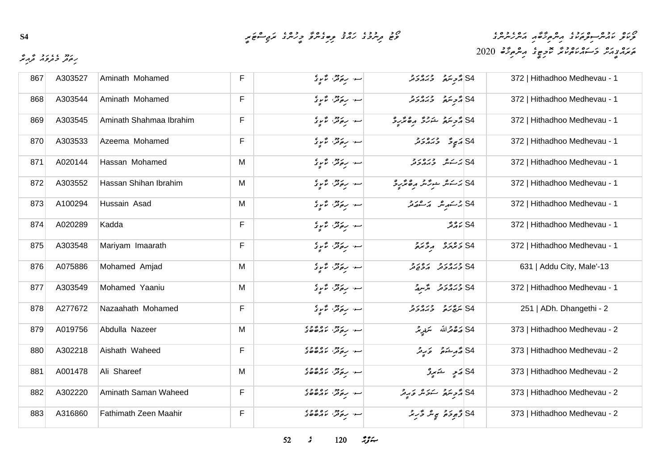*sCw7q7s5w7m< o<n9nOoAw7o< sCq;mAwBoEw7q<m; wBm;vB 2020<sup>, م</sup>وسوق المسجد التحقيق وسرمونية والم*جمع المسجد المسجد المسجد المسجد المسجد المسجد المسجد المسجد المسجد ال

| 867 | A303527 | Aminath Mohamed         | F           | سە رەۋر ئىرى                | S4 أوسَعة وبرەرو                                | 372   Hithadhoo Medhevau - 1 |
|-----|---------|-------------------------|-------------|-----------------------------|-------------------------------------------------|------------------------------|
| 868 | A303544 | Aminath Mohamed         | F           | سه ره ده مي ک               | S4 مُوسَع ويرەرو                                | 372   Hithadhoo Medhevau - 1 |
| 869 | A303545 | Aminath Shahmaa Ibrahim | F           | سە رەۋر ئىرى                | S4 مُجِسَعَةٍ حَدَثَةً مِـ صَغَّرِةً            | 372   Hithadhoo Medhevau - 1 |
| 870 | A303533 | Azeema Mohamed          | F           | سە رەۋىش ئايىرى             | S4 كەيپى قەممىر دىر                             | 372   Hithadhoo Medhevau - 1 |
| 871 | A020144 | Hassan Mohamed          | M           | سىز رەۋەر ئەرى              | S4 ئەسەمبر <i>25,050</i>                        | 372   Hithadhoo Medhevau - 1 |
| 872 | A303552 | Hassan Shihan Ibrahim   | M           | سە رەۋر ئىرى                | S4 ئەسەنگە ھەر <i>گە مەھەتگەي</i> 3             | 372   Hithadhoo Medhevau - 1 |
| 873 | A100294 | Hussain Asad            | M           | سە رەۋر، ئاپار              | S4 پر کے مرکز مرکز میں تعدید ال                 | 372   Hithadhoo Medhevau - 1 |
| 874 | A020289 | Kadda                   | F           | سە رەۋىش ئايدى              | S4 ئەۋەتىر                                      | 372   Hithadhoo Medhevau - 1 |
| 875 | A303548 | Mariyam Imaarath        | F           | سە رەۋر، ئاپار              | S4 ويرمزو بروبرو                                | 372   Hithadhoo Medhevau - 1 |
| 876 | A075886 | Mohamed Amjad           | M           | سة رەۋر ئورى                | S4 دره در بره دو                                | 631   Addu City, Male'-13    |
| 877 | A303549 | Mohamed Yaaniu          | M           | سە رەۋىر، ئاي <sub>رى</sub> | S4 3222 <i>مرسمة</i>                            | 372   Hithadhoo Medhevau - 1 |
| 878 | A277672 | Nazaahath Mohamed       | F           | سو رەۋر، ئاياتى             | S4 شەرە مەدەرە                                  | 251   ADh. Dhangethi - 2     |
| 879 | A019756 | Abdulla Nazeer          | M           |                             | S4 صَرْحَةَ لِللّه سَمْعِرِيْتَر                | 373   Hithadhoo Medhevau - 2 |
| 880 | A302218 | Aishath Waheed          | F           | $\frac{1}{2}$               | S4 مُدمِسَمَ وَبِيْدَ                           | 373   Hithadhoo Medhevau - 2 |
| 881 | A001478 | Ali Shareef             | M           | سه رود رود ده               | S4 كەمچە سىمب <i>و</i> گر                       | 373   Hithadhoo Medhevau - 2 |
| 882 | A302220 | Aminath Saman Waheed    | $\mathsf F$ |                             | S4 مَّ <i>جِ سَعْہ سَخ</i> س حَ بِرِ قَر        | 373   Hithadhoo Medhevau - 2 |
| 883 | A316860 | Fathimath Zeen Maahir   | F           | $\frac{1}{2}$               | S4 ژ <sub>ن</sub> جوځنځ ب <sub>ې</sub> ش وگرېټر | 373   Hithadhoo Medhevau - 2 |

*n8o<n@ q<m=s@s> r@mAo5*

 $52$  *s*  $120$  *z***<sub>3</sub>**  $\frac{2}{3}$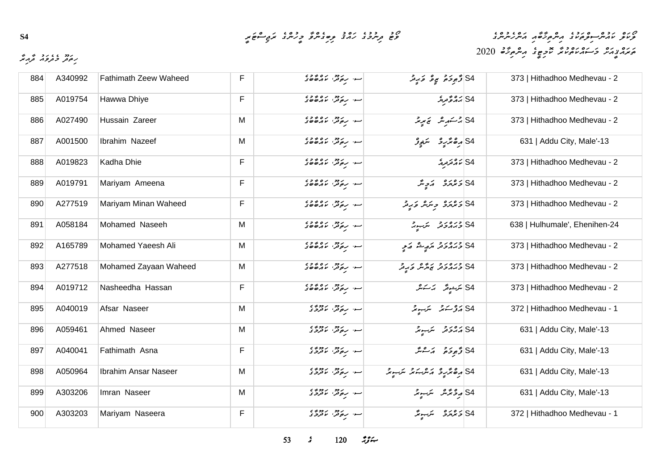*sCw7q7s5w7m< o<n9nOoAw7o< sCq;mAwBoEw7q<m; wBm;vB 2020<sup>, م</sup>وسوق المسجد التحقيق وسرمونية والم*جمع المسجد المسجد المسجد المسجد المسجد المسجد المسجد المسجد المسجد ال

| 884 | A340992 | <b>Fathimath Zeew Waheed</b> | F | ب رود رود ده                       | S4 ژَّجِرَدَةُ بِيَّةُ كَابِرِيْرُ                                                                                      | 373   Hithadhoo Medhevau - 2  |
|-----|---------|------------------------------|---|------------------------------------|-------------------------------------------------------------------------------------------------------------------------|-------------------------------|
| 885 | A019754 | Hawwa Dhiye                  | F | $\frac{1}{2}$                      | S4 كەرگە ئورىگە                                                                                                         | 373   Hithadhoo Medhevau - 2  |
| 886 | A027490 | Hussain Zareer               | M | $\frac{1}{2}$                      | S4 بر سک <i>م بند</i> ہے ہو بڑ                                                                                          | 373   Hithadhoo Medhevau - 2  |
| 887 | A001500 | Ibrahim Nazeef               | M |                                    | S4 مەھەر ئىچە ئىنتى ئىچە ئىچە ئىچە ئىچە ئىككەن ئىنتى ئىچە ئىككەن ئىنتى ئىچە ئىككەن ئىنتى ئىچە ئىنتى ئىنتى ئىنت<br>مەنبە | 631   Addu City, Male'-13     |
| 888 | A019823 | Kadha Dhie                   | F |                                    | S4 كەچرى <i>رى</i> گە                                                                                                   | 373   Hithadhoo Medhevau - 2  |
| 889 | A019791 | Mariyam Ameena               | F |                                    | S4 <i>جامع</i> مرو م <i>زہ</i> میں                                                                                      | 373   Hithadhoo Medhevau - 2  |
| 890 | A277519 | Mariyam Minan Waheed         | F | $\frac{1}{2}$                      | S4 كەبۇرگە بەيرىگە كەببەتر                                                                                              | 373   Hithadhoo Medhevau - 2  |
| 891 | A058184 | Mohamed Naseeh               | M | $\frac{1}{50000}$                  | S4 <i>ڈیزوونو س کیبوی</i> ژ                                                                                             | 638   Hulhumale', Ehenihen-24 |
| 892 | A165789 | Mohamed Yaeesh Ali           | M |                                    | S4 <i>وُټرونر <sub>م</sub>ز<sub>م</sub>یش <sub>م</sub>زم</i> ر                                                          | 373   Hithadhoo Medhevau - 2  |
| 893 | A277518 | Mohamed Zayaan Waheed        | M | $\frac{1}{2}$                      | S4 درەرو روما ھارى                                                                                                      | 373   Hithadhoo Medhevau - 2  |
| 894 | A019712 | Nasheedha Hassan             | F |                                    | S4   سَرَڪونَدُ /  پرڪسُر                                                                                               | 373   Hithadhoo Medhevau - 2  |
| 895 | A040019 | Afsar Naseer                 | M | ر دود روده در<br>سه روفر، متروی    | S4 كەنۇسىنىڭ سىنېدىتىر                                                                                                  | 372   Hithadhoo Medhevau - 1  |
| 896 | A059461 | Ahmed Naseer                 | M | ر رود روده و<br>سو روتر، ماترو د   | S4 كەبرو تەربىيە ئىر                                                                                                    | 631   Addu City, Male'-13     |
| 897 | A040041 | Fathimath Asna               | F | ر دود روده در<br>سه روفر، ماترو د  | S4 ۇ <sub>جو</sub> رَى مەسىر                                                                                            | 631   Addu City, Male'-13     |
| 898 | A050964 | Ibrahim Ansar Naseer         | M | ( دو برووړي)<br>سوند بروتر المتروی | S4 رەڭرىرى كەش <i>بەكى</i> س <i>رجىرى</i> گە                                                                            | 631   Addu City, Male'-13     |
| 899 | A303206 | Imran Naseer                 | м | سه رقص رووی                        | S4 مەقەممىش سىببولىم                                                                                                    | 631   Addu City, Male'-13     |
| 900 | A303203 | Mariyam Naseera              | F | ر به رود دود د<br>د روتر، ماترو د  | S4 كەبىر بىر سىر يىتىر ئىكتىر يىتىل                                                                                     | 372   Hithadhoo Medhevau - 1  |

*n8o<n@ q<m=s@s> r@mAo5*

 $53$   $\cancel{5}$   $120$   $\cancel{5}$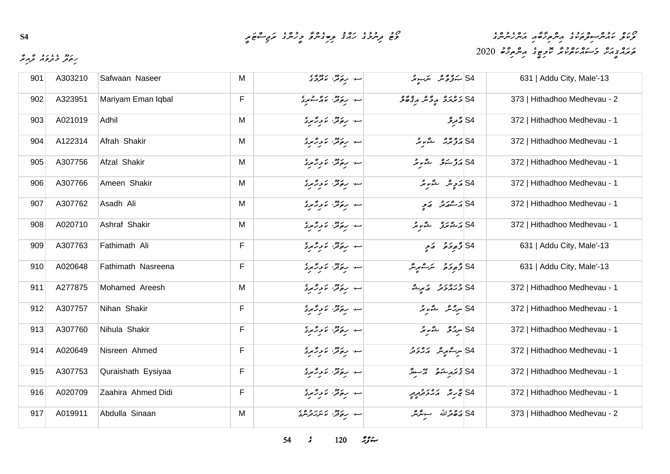*sCw7q7s5w7m< o<n9nOoAw7o< sCq;mAwBoEw7q<m; wBm;vB 2020<sup>, م</sup>وسوق المسجد التحقيق وسرمونية والم*جمع المسجد المسجد المسجد المسجد المسجد المسجد المسجد المسجد المسجد ال

| 901 | A303210 | Safwaan Naseer     | M            | ر رود رود در<br>د روتر، ماترو د | S4 بەر ئۇرۇش ئىزبىر                         | 631   Addu City, Male'-13    |
|-----|---------|--------------------|--------------|---------------------------------|---------------------------------------------|------------------------------|
| 902 | A323951 | Mariyam Eman Iqbal | F            | سە رەۋر، ئەھ شورى               | S4 <i>وَجْهَدُوْ بِرِدُّهْرِ بِرِدْهُوْ</i> | 373   Hithadhoo Medhevau - 2 |
| 903 | A021019 | Adhil              | M            | سە رەۋرى ئايور تىرى             | S4 صحيو عمر                                 | 372   Hithadhoo Medhevau - 1 |
| 904 | A122314 | Afrah Shakir       | M            | سە رەۋىش ئۈرگەيدى               | S4 مۇتترىيە شىرىتى                          | 372   Hithadhoo Medhevau - 1 |
| 905 | A307756 | Afzal Shakir       | M            | سە رەۋى ئىرگىرى                 | S4 كەنزىسىز ھەمبەتر                         | 372   Hithadhoo Medhevau - 1 |
| 906 | A307766 | Ameen Shakir       | M            | سە رەۋى ئارىرىمى                | S4 كەچەش ھەمبەتتى                           | 372   Hithadhoo Medhevau - 1 |
| 907 | A307762 | Asadh Ali          | M            | سە رەۋىش ئۈرگىرى                | S4 كەشھەتىر كەيجە                           | 372   Hithadhoo Medhevau - 1 |
| 908 | A020710 | Ashraf Shakir      | M            | سە رەۋرى ئايور تىرى             | S4 كەشقىمىر شىرىم                           | 372   Hithadhoo Medhevau - 1 |
| 909 | A307763 | Fathimath Ali      | F            | سە رەۋىش ئۈرگەيدى               | S4 وَّج <i>وحَ</i> هُ صَعِي                 | 631   Addu City, Male'-13    |
| 910 | A020648 | Fathimath Nasreena | F            | سە رەۋىش ئۈرگىرى                | S4 ۇ <sub>جو</sub> رۇ مىر سىمبەتر           | 631   Addu City, Male'-13    |
| 911 | A277875 | Mohamed Areesh     | M            | سە رەۋىش ئۈرگەيدى               | S4 <i>وُبَرودو مَبِرِ</i> ّ ش               | 372   Hithadhoo Medhevau - 1 |
| 912 | A307757 | Nihan Shakir       | F            | سە رەۋرى ئايور تىرى             | S4 سربر مگر مگر مربز                        | 372   Hithadhoo Medhevau - 1 |
| 913 | A307760 | Nihula Shakir      | F            | سە رەۋىش ئۈرگەيدى               | S4 سربرگر گھر مگر بر                        | 372   Hithadhoo Medhevau - 1 |
| 914 | A020649 | Nisreen Ahmed      | F            | سە رەۋى ئارگىرى                 | S4 سرے پر شہر کر کر دیگر<br>ا               | 372   Hithadhoo Medhevau - 1 |
| 915 | A307753 | Quraishath Eysiyaa | $\mathsf{F}$ | سە رەۋىش ئۈرگەرى                | S4 تۇتترەپ ئىش قرىسىدىگر                    | 372   Hithadhoo Medhevau - 1 |
| 916 | A020709 | Zaahira Ahmed Didi | F            | سە رەۋىق ئۈرگىرى                | S4 تج بريتر به براكرد قرور مربع             | 372   Hithadhoo Medhevau - 1 |
| 917 | A019911 | Abdulla Sinaan     | M            | ر دود. رود وه د                 | S4 كەھەراللە سومگرى <i>گر</i>               | 373   Hithadhoo Medhevau - 2 |

 $54$  *s*  $120$  *z*  $29$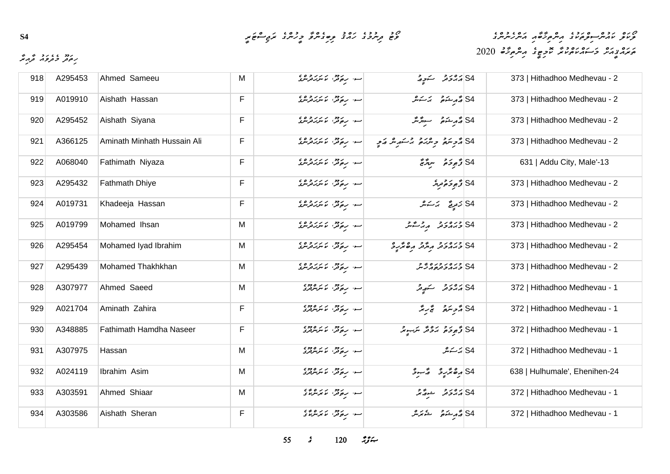*sCw7q7s5w7m< o<n9nOoAw7o< sCq;mAwBoEw7q<m; wBm;vB 2020<sup>, م</sup>وجدة المصرورة المجموعة المستورجة والم*جموعة والمجموعة والمجموعة والمجموعة والمجموعة والمجموعة والمجموعة

| 918 | A295453 | Ahmed Sameeu                   | M            | سه ره ده کامرزوه و                                     | S4 كەبروتىر سە <i>جە</i> كە                          | 373   Hithadhoo Medhevau - 2  |
|-----|---------|--------------------------------|--------------|--------------------------------------------------------|------------------------------------------------------|-------------------------------|
| 919 | A019910 | Aishath Hassan                 | $\mathsf F$  | سه ریزود کامرکروه د                                    | S4 مەم يىقىمە كەسكەنلىر                              | 373   Hithadhoo Medhevau - 2  |
| 920 | A295452 | Aishath Siyana                 | $\mathsf{F}$ | سه ره دود. کامکر وه ده                                 | S4 قەم شەھ سىي <i>رىتى</i> ر                         | 373   Hithadhoo Medhevau - 2  |
| 921 | A366125 | Aminath Minhath Hussain Ali    | $\mathsf F$  | ے رود ریزدوہ                                           | S4 مُجَرِسَمَةٌ وِسْرَبَهُمْ يُرْسَمَهِ شَرْ مَهِ وَ | 373   Hithadhoo Medhevau - 2  |
| 922 | A068040 | Fathimath Niyaza               | F            | ر در در در ده در ده د                                  | S4 زَّجِرْۃَ مِّ سِرْبَعَ                            | 631   Addu City, Male'-13     |
| 923 | A295432 | <b>Fathmath Dhiye</b>          | $\mathsf F$  | ر دود. زبر ده و ده<br>سه ره تر نامبرژ ترمبرد           | S4 ۇ <sub>جو</sub> رۇمۇمېرىر                         | 373   Hithadhoo Medhevau - 2  |
| 924 | A019731 | Khadeeja Hassan                | $\mathsf F$  | سه رړود تر بروه د                                      | S4 كَتَعِيقٌ - بَرْسَتَاسٌ                           | 373   Hithadhoo Medhevau - 2  |
| 925 | A019799 | Mohamed Ihsan                  | M            | سه ره دود. کامکر وه ده                                 | S4 دېم ده د مرگ مر                                   | 373   Hithadhoo Medhevau - 2  |
| 926 | A295454 | Mohamed Iyad Ibrahim           | M            | سه رود رسروه و                                         | S4 درور د مرد مقترب                                  | 373   Hithadhoo Medhevau - 2  |
| 927 | A295439 | Mohamed Thakhkhan              | M            | ر در در در ده و ده و<br>سه روفر، م <i>اس تر تو</i> سری | S4 دېره پروره ويه په                                 | 373   Hithadhoo Medhevau - 2  |
| 928 | A307977 | Ahmed Saeed                    | M            | ر دو رود .<br>سه روفر، ما سرس دود                      | S4 كەبرى ئىم يىتىمبە ئىش                             | 372   Hithadhoo Medhevau - 1  |
| 929 | A021704 | Aminath Zahira                 | F            | ر در برود که کاروده<br>سوسر بروتر، که کرس              | S4 مَّ حِ سَمَعَ تَجْ سِمَّرَ                        | 372   Hithadhoo Medhevau - 1  |
| 930 | A348885 | <b>Fathimath Hamdha Naseer</b> | $\mathsf F$  | ر دود. زر دوده<br>سه ره تر، نامبرس                     | S4 رَّج <i>ودَه بردندَ</i> سَ <i>بِ</i> ومُر         | 372   Hithadhoo Medhevau - 1  |
| 931 | A307975 | Hassan                         | M            | ر دو رود .<br>سه روفر، ما سرس دود                      | S4 ئەستەنلە                                          | 372   Hithadhoo Medhevau - 1  |
| 932 | A024119 | Ibrahim Asim                   | M            | ر دود.<br>سه رجونس کامکرس                              | S4  مەھەرىرى كەسىرى                                  | 638   Hulhumale', Ehenihen-24 |
| 933 | A303591 | Ahmed Shiaar                   | M            | سه رود رده وه                                          | S4 كەبرى ئىرگە ئىر                                   | 372   Hithadhoo Medhevau - 1  |
| 934 | A303586 | Aishath Sheran                 | F            | سه ره ده کارگاه د                                      | S4 مەمرىش <i>ەم شەم</i> رى <i>ش</i>                  | 372   Hithadhoo Medhevau - 1  |

## *n8o<n@ q<m=s@s> r@mAo5*

 $55$   $\frac{2}{3}$   $120$   $\frac{2}{3}$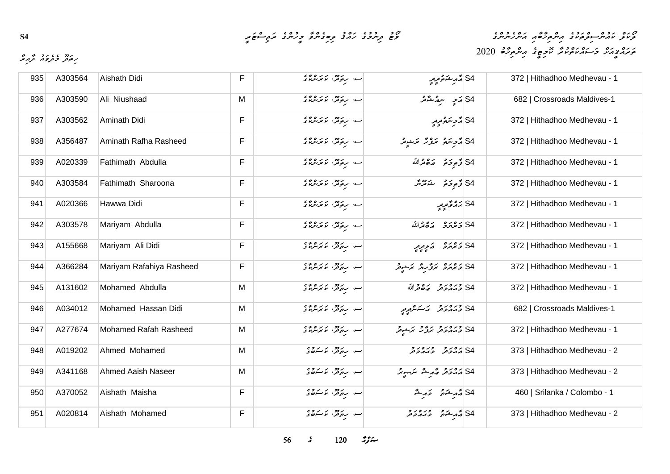*sCw7q7s5w7m< o<n9nOoAw7o< sCq;mAwBoEw7q<m; wBm;vB 2020<sup>, م</sup>وسوق المسجد التحقيق وسرمونية والم*جمع المسجد المسجد المسجد المسجد المسجد المسجد المسجد المسجد المسجد ال

| 935 | A303564 | Aishath Didi              | F           | سه رړود نمرس                    | S4   مُذْمِر شَوَجْوِيعِيهِ                     | 372   Hithadhoo Medhevau - 1 |
|-----|---------|---------------------------|-------------|---------------------------------|-------------------------------------------------|------------------------------|
| 936 | A303590 | Ali Niushaad              | M           | سه رود ریز وی                   | S4 كەمچە سىمەئىسىگەنتر                          | 682   Crossroads Maldives-1  |
| 937 | A303562 | Aminath Didi              | F           | سه رود رره ده                   | S4 مَرْحِ سَرَةَ مِرِمِرِ                       | 372   Hithadhoo Medhevau - 1 |
| 938 | A356487 | Aminath Rafha Rasheed     | $\mathsf F$ | ر دو رر ه ده.<br>پ. روتر، منرس  | S4 مُرْحِ سَمَّةَ - سَرْشِيْتَرَ - سَرْشِيْتَرَ | 372   Hithadhoo Medhevau - 1 |
| 939 | A020339 | Fathimath Abdulla         | F           | سه رود رره ده.<br>سه روفر، مترس | S4 وَجِعِدَ صَدَّقَ اللّه                       | 372   Hithadhoo Medhevau - 1 |
| 940 | A303584 | Fathimath Sharoona        | $\mathsf F$ | ر دو رر ه ده.<br>پ. روتر، منرس  | S4 ۇ <sub>جو</sub> رَى <sub>م</sub> شەنزىتر     | 372   Hithadhoo Medhevau - 1 |
| 941 | A020366 | Hawwa Didi                | F           | سه رقص بره ده.<br>سه رقص بایرس  | S4 كەرگە ئويور                                  | 372   Hithadhoo Medhevau - 1 |
| 942 | A303578 | Mariyam Abdulla           | $\mathsf F$ | سه رود رره دره<br>سه رون        | S4 <i>5 بترمزد من ه</i> ترالله                  | 372   Hithadhoo Medhevau - 1 |
| 943 | A155668 | Mariyam Ali Didi          | F           | سه رود رره ده.                  | S4  <i>ويمەدۋە مۇم</i> رىر                      | 372   Hithadhoo Medhevau - 1 |
| 944 | A366284 | Mariyam Rafahiya Rasheed  | F           | سه رود رره ده                   | S4 كەممەر ئەرگەر ئىز ئىر ئىر                    | 372   Hithadhoo Medhevau - 1 |
| 945 | A131602 | Mohamed Abdulla           | M           | سه رود رره ده.                  | S4 32025 مَرْهُ قَدَاللّه                       | 372   Hithadhoo Medhevau - 1 |
| 946 | A034012 | Mohamed Hassan Didi       | M           | سه رود رره ده.<br>سه روفر، مترس | S4 <i>ڈیزور و</i> پر کے مگرمی <sub>ر</sub> میں  | 682   Crossroads Maldives-1  |
| 947 | A277674 | Mohamed Rafah Rasheed     | M           | سه ره ده کرده وی                | S4 <i>وبروبرو برؤ? برَخوبر</i>                  | 372   Hithadhoo Medhevau - 1 |
| 948 | A019202 | Ahmed Mohamed             | M           | سه رود روی                      | S4 ג׳כית כג' בינ                                | 373   Hithadhoo Medhevau - 2 |
| 949 | A341168 | <b>Ahmed Aaish Naseer</b> | M           | سه ره ده کاستن                  | S4 كەبردى قەم ھەسىم ئىسبوبى                     | 373   Hithadhoo Medhevau - 2 |
| 950 | A370052 | Aishath Maisha            | $\mathsf F$ | سه رود کاست                     | S4 مُدِينَة دَرِيْتُهِ                          | 460   Srilanka / Colombo - 1 |
| 951 | A020814 | Aishath Mohamed           | F           | سه ره ده کاستون                 | S4 مُصِيَّمَة وَيَسْرَونَّر                     | 373   Hithadhoo Medhevau - 2 |

*n8o<n@ q<m=s@s> r@mAo5*

 $56$  *s*  $120$  *z*  $29$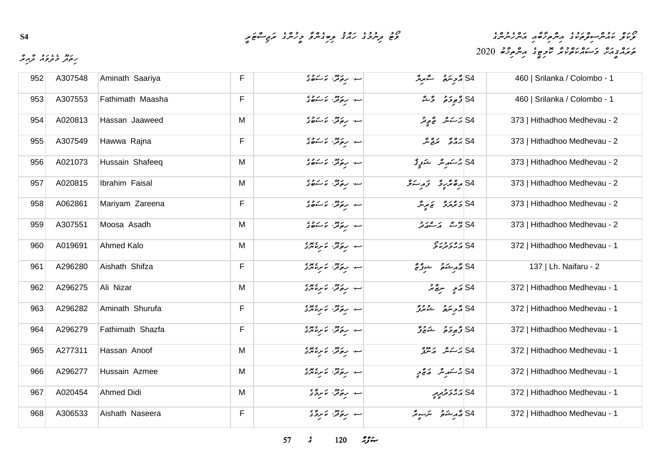*sCw7q7s5w7m< o<n9nOoAw7o< sCq;mAwBoEw7q<m; wBm;vB 2020<sup>, م</sup>وسوق المسجد التحقيق وسرمونية والم*جمع المسجد المسجد المسجد المسجد المسجد المسجد المسجد المسجد المسجد ال

| 952 | A307548 | Aminath Saariya  | $\mathsf F$ | سه رود. کاست       | S4 مُرْحِسَمُ مُسْتَمِيدً           | 460   Srilanka / Colombo - 1 |
|-----|---------|------------------|-------------|--------------------|-------------------------------------|------------------------------|
| 953 | A307553 | Fathimath Maasha | F           | سه رپه در ده د     | S4 وَم <i>ُوحَمَّة</i> حَشَّة       | 460   Srilanka / Colombo - 1 |
| 954 | A020813 | Hassan Jaaweed   | M           | سه رود. کاست       | S4 بَرَسَہْ مَ <i>وَّوِم</i> ْ      | 373   Hithadhoo Medhevau - 2 |
| 955 | A307549 | Hawwa Rajna      | F           | سه رود روی         | S4 كَ <i>مْ مْدْ مِنْ</i> مَدْ      | 373   Hithadhoo Medhevau - 2 |
| 956 | A021073 | Hussain Shafeeq  | M           | سه رود روی         | S4 پرڪ <i>مبر هر ڪوپ</i> و          | 373   Hithadhoo Medhevau - 2 |
| 957 | A020815 | Ibrahim Faisal   | M           | سه رقمی کاست       | S4  مەھەرىرى ق.م.سكى                | 373   Hithadhoo Medhevau - 2 |
| 958 | A062861 | Mariyam Zareena  | F           | سه رکوش کاستھائی   | S4 <i>خەمدى ئىم ئىرىنگ</i>          | 373   Hithadhoo Medhevau - 2 |
| 959 | A307551 | Moosa Asadh      | M           | سه رود روی         | S4 چې پر مه پر د                    | 373   Hithadhoo Medhevau - 2 |
| 960 | A019691 | Ahmed Kalo       | M           | سه ره ده کاریده    | S4 كەبر <i>ە دىرى</i>               | 372   Hithadhoo Medhevau - 1 |
| 961 | A296280 | Aishath Shifza   | F           | سه رجود کامریوی    | S4 مَدْمِرْ مَشْمَرَ مَسْوَرْحَ     | 137   Lh. Naifaru - 2        |
| 962 | A296275 | Ali Nizar        | M           | سه رړود کامرداوی   | S4 کیمو سرچ تم                      | 372   Hithadhoo Medhevau - 1 |
| 963 | A296282 | Aminath Shurufa  | F           | ے رکوفر، ماہر میرہ | S4 مُرْحِبَتَهُمْ شَمَعَتْرَ        | 372   Hithadhoo Medhevau - 1 |
| 964 | A296279 | Fathimath Shazfa | $\mathsf F$ | سه رړود کامریون    | S4 تَ <i>وْجِوْحَةْ</i> شَوْيَحْتَّ | 372   Hithadhoo Medhevau - 1 |
| 965 | A277311 | Hassan Anoof     | М           | ے رود ریو          | S4 ئەسەھەر بەيد <i>ۇ</i>            | 372   Hithadhoo Medhevau - 1 |
| 966 | A296277 | Hussain Azmee    | M           | ے رود ریو          | S4 بر سَمبر شرح پر چ                | 372   Hithadhoo Medhevau - 1 |
| 967 | A020454 | Ahmed Didi       | M           | سە رەۋرى ئابرۇ ئ   | S4 كەبر 3 قرىرىر                    | 372   Hithadhoo Medhevau - 1 |
| 968 | A306533 | Aishath Naseera  | F           | سە رەۋر ئابرۇي     | S4 مَدْمِرْ يَحْمَدُ مَدَسِرِيْرَ   | 372   Hithadhoo Medhevau - 1 |

*n8o<n@ q<m=s@s> r@mAo5*

 $57$  *s*  $120$   $29$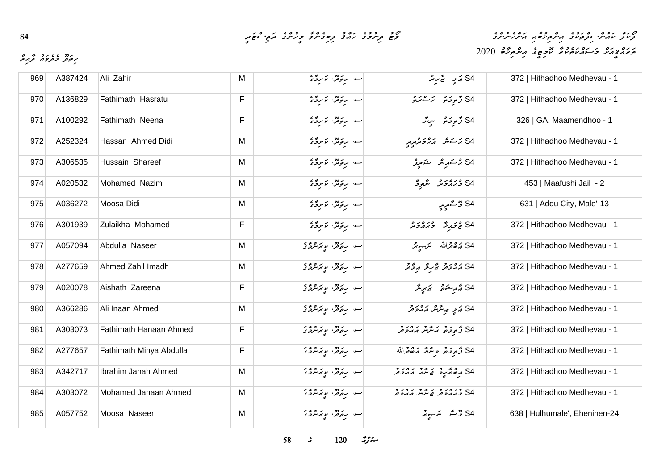*sCw7q7s5w7m< o<n9nOoAw7o< sCq;mAwBoEw7q<m; wBm;vB 2020*<br>*په پوهر وسوډيرونو لومو د موجو د مرمونه* 2020

| 969 | A387424 | Ali Zahir               | M           | سە رەۋىر، ئابرۇ ئ | S4  مَعٍ گارِیْر                                                    | 372   Hithadhoo Medhevau - 1  |
|-----|---------|-------------------------|-------------|-------------------|---------------------------------------------------------------------|-------------------------------|
| 970 | A136829 | Fathimath Hasratu       | F           | سە رەۋر ئابرۇي    | S4 ۇج <sub>و</sub> رى ئەسىمبى                                       | 372   Hithadhoo Medhevau - 1  |
| 971 | A100292 | Fathimath Neena         | $\mathsf F$ | سە رەۋرى ئايرۇ ئ  | S4 ۇ <sub>جو</sub> رۇ س <sub>ې</sub> تر                             | 326   GA. Maamendhoo - 1      |
| 972 | A252324 | Hassan Ahmed Didi       | M           | سە رەۋرى ئايرۇ ئ  | S4 كەسكەش كەبمى <i>قىرىپرى</i> ر                                    | 372   Hithadhoo Medhevau - 1  |
| 973 | A306535 | Hussain Shareef         | M           | سە رەۋى ئابرۇي    | S4 پر <i>کمبر پر شمېرو</i>                                          | 372   Hithadhoo Medhevau - 1  |
| 974 | A020532 | Mohamed Nazim           | M           | سە رەۋىش ئابرۇ ئ  | S4 <i>25222 سَمْع</i> و                                             | 453   Maafushi Jail - 2       |
| 975 | A036272 | Moosa Didi              | M           | سە رەۋرى ئايرۇ ئ  | S4  تۆسىھورىيە                                                      | 631   Addu City, Male'-13     |
| 976 | A301939 | Zulaikha Mohamed        | F           | سە رەۋرى ئايرۇ ئ  | S4يح تر مقدم تر مقدم حسنه جنوب<br>المحمد تحصيل المحمد المحمد المحمد | 372   Hithadhoo Medhevau - 1  |
| 977 | A057094 | Abdulla Naseer          | M           | ے رکوش پر مرد دی  | S4 مَـُـهُمْرالله سَرَسِوِيْر                                       | 372   Hithadhoo Medhevau - 1  |
| 978 | A277659 | Ahmed Zahil Imadh       | M           | ے رود برتر وی     | S4   كەبرى مەرىخە مەدىخەر                                           | 372   Hithadhoo Medhevau - 1  |
| 979 | A020078 | Aishath Zareena         | $\mathsf F$ | ے رکوش پر مرد دی  | S4 مەم بەيئەتقى سىم ئىرىنگر                                         | 372   Hithadhoo Medhevau - 1  |
| 980 | A366286 | Ali Inaan Ahmed         | M           | ے رود برتروی      | S4 كەبىر بەيدىكە ئەبرەتر                                            | 372   Hithadhoo Medhevau - 1  |
| 981 | A303073 | Fathimath Hanaan Ahmed  | F           | ے رود برتر وی     | S4 ۇَج <sup>و</sup> حەم بەش <i>ىر مەدە</i> ر                        | 372   Hithadhoo Medhevau - 1  |
| 982 | A277657 | Fathimath Minya Abdulla | $\mathsf F$ | ے رکوش پر مرد دی  | S4 وَج <i>وِدَه وِ مَهْتَر مَ</i> صَ <sub>ّ</sub> قَراللّه          | 372   Hithadhoo Medhevau - 1  |
| 983 | A342717 | Ibrahim Janah Ahmed     | M           | ے رود برتر وی     | S4 رەئزىرى ئەشرىم مەدىر                                             | 372   Hithadhoo Medhevau - 1  |
| 984 | A303072 | Mohamed Janaan Ahmed    | M           | ے رکوش پر مرکزی   | S4 درەرد <sub>كى</sub> رترىر مەردىر                                 | 372   Hithadhoo Medhevau - 1  |
| 985 | A057752 | Moosa Naseer            | M           | ے رود برتر ووی    | S4 رششہ سرسومر                                                      | 638   Hulhumale', Ehenihen-24 |

 $58$  *s*  $\cancel{120}$  *z*  $\cancel{25}$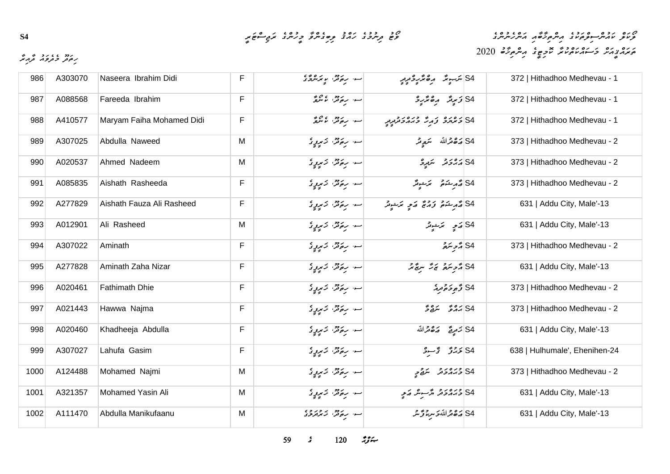*sCw7q7s5w7m< o<n9nOoAw7o< sCq;mAwBoEw7q<m; wBm;vB 2020<sup>, م</sup>وسوق المسجد التحقيق وسرمونية والم*جمع المسجد المسجد المسجد المسجد المسجد المسجد المسجد المسجد المسجد ال

| 986  | A303070 | Naseera Ibrahim Didi      | F           | ے رکوش پانگلزدی      | S4 كەسبەتمە بەھ <i>تۈر</i> ۋىرىر                                                                      | 372   Hithadhoo Medhevau - 1  |
|------|---------|---------------------------|-------------|----------------------|-------------------------------------------------------------------------------------------------------|-------------------------------|
| 987  | A088568 | Fareeda Ibrahim           | F           | سه رود ، دره         | S4 كۆمىرى <i>گە مەھەتگەي</i> ىۋ                                                                       | 372   Hithadhoo Medhevau - 1  |
| 988  | A410577 | Maryam Faiha Mohamed Didi | F           | سه رود ، را د        | S4 د ورو زمر د دروردبر                                                                                | 372   Hithadhoo Medhevau - 1  |
| 989  | A307025 | Abdulla Naweed            | M           | سە رەۋىق ئەيرو ئ     | S4 مَەقْرَاللە مَرَمِّدْ                                                                              | 373   Hithadhoo Medhevau - 2  |
| 990  | A020537 | Ahmed Nadeem              | M           | سە رەۋى ئامرىرى      | S4   كەندى كىلى ئىكتىر ئىكتىر ئىكتىر ئىكتار ئىكتاب ئىكتاب ئىكتاب ئىكتاب ئىكتاب ئىكتاب ئىكتاب ئىكتاب ئ | 373   Hithadhoo Medhevau - 2  |
| 991  | A085835 | Aishath Rasheeda          | F           | سەر سەقىرى ئەسرىيە ئ | S4 م <i>ەم ھەم مەھبىرى</i> گە                                                                         | 373   Hithadhoo Medhevau - 2  |
| 992  | A277829 | Aishath Fauza Ali Rasheed | F           | - رەۋش ئەبروكى       | S4 مەم شەھ كەم كەم كەسپىد                                                                             | 631   Addu City, Male'-13     |
| 993  | A012901 | Ali Rasheed               | M           | سە رەۋش ئەيرو ئ      | S4 كەمچە كەش <sub>ت</sub> وتر                                                                         | 631   Addu City, Male'-13     |
| 994  | A307022 | Aminath                   | $\mathsf F$ | سە رەۋىق ئەيرو ئ     | S4 مَج يَتَعْدَ                                                                                       | 373   Hithadhoo Medhevau - 2  |
| 995  | A277828 | Aminath Zaha Nizar        | F           | سە رەۋر، ئەيروپۇ     | S4 أَمُّ حِسَمَةً بِحَثَّ سِبِجَ مُّرَ                                                                | 631   Addu City, Male'-13     |
| 996  | A020461 | <b>Fathimath Dhie</b>     | F           | سە رەۋش ئەروكى       | S4 ۇج <sub>و</sub> ئەمۇمەر                                                                            | 373   Hithadhoo Medhevau - 2  |
| 997  | A021443 | Hawwa Najma               | F           | سە رەۋىق ئەيرو ئ     | \$2 <i>بَہُمْ مَیْ</i> مَعْ                                                                           | 373   Hithadhoo Medhevau - 2  |
| 998  | A020460 | Khadheeja Abdulla         | F           | سە رەۋش ئەبروكى      |                                                                                                       | 631   Addu City, Male'-13     |
| 999  | A307027 | Lahufa Gasim              | F           | سە رەۋىق ئەيروپى     | S4 كَرْكَرُ تَوْسِرْتُ                                                                                | 638   Hulhumale', Ehenihen-24 |
| 1000 | A124488 | Mohamed Najmi             | M           | سە رەۋىق ئەيروپى     | S4 <i>\$22,23 مرة و</i>                                                                               | 373   Hithadhoo Medhevau - 2  |
| 1001 | A321357 | <b>Mohamed Yasin Ali</b>  | M           | سە رەۋش ئەروكى       | S4 دېزه د ته پژسونتر ډ <i>ړ</i> مو                                                                    | 631   Addu City, Male'-13     |
| 1002 | A111470 | Abdulla Manikufaanu       | M           | ے رکوش کروروی        | S4   رَحْمَةَ اللَّهُ حَسِرِيمْ وَ تَعْر                                                              | 631   Addu City, Male'-13     |

 $59$  *s*  $120$  *z*  $29$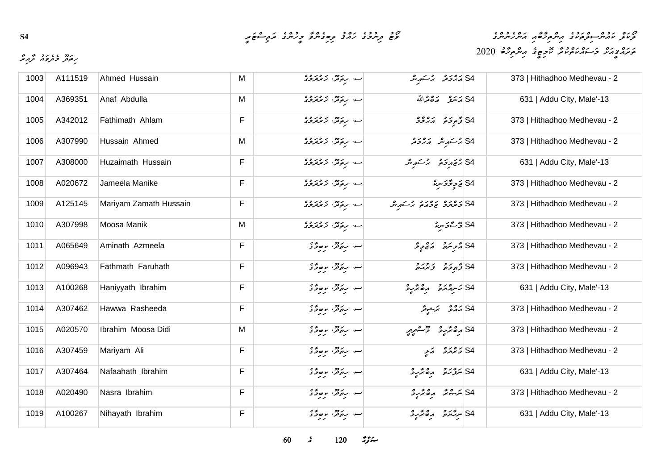*sCw7q7s5w7m< o<n9nOoAw7o< sCq;mAwBoEw7q<m; wBm;vB 2020<sup>, م</sup>وسوق المسجد التحقيق وسرمونية والم*جمع المسجد المسجد المسجد المسجد المسجد المسجد المسجد المسجد المسجد ال

| 1003 | A111519 | Ahmed Hussain          | M | سه ره دو زروه<br>سه ره تون   | S4 كەبروتىر ب <sub>ە</sub> شكەر بىر      | 373   Hithadhoo Medhevau - 2 |
|------|---------|------------------------|---|------------------------------|------------------------------------------|------------------------------|
| 1004 | A369351 | Anaf Abdulla           | M | سه ره دو زروه<br>سه ره تون   | S4تر <i>متر مەھىر</i> اللە               | 631   Addu City, Male'-13    |
| 1005 | A342012 | Fathimath Ahlam        | F | ب رړو. زېږدو،                | S4 ۇ <sub>ج</sub> و <i>دەر ئەرگە</i>     | 373   Hithadhoo Medhevau - 2 |
| 1006 | A307990 | Hussain Ahmed          | M | ر رود دوره<br>سه روس زیرتروی | S4 يُر سَمه شرح مَدَّ تَدَوَّ مَد        | 373   Hithadhoo Medhevau - 2 |
| 1007 | A308000 | Huzaimath Hussain      | F | ے رکوش کر تر تر دی           | S4 يُسَمَّ مِرْحَمَّةٍ مِنْ سَمَّ مِنْدَ | 631   Addu City, Male'-13    |
| 1008 | A020672 | Jameela Manike         | F | ے رکوش کروروی                | S4 کے <i>ج</i> و تحریکو سرینا            | 373   Hithadhoo Medhevau - 2 |
| 1009 | A125145 | Mariyam Zamath Hussain | F | سه ره دو زوروه               | S4 كى مەدە بەدە ج سكەش                   | 373   Hithadhoo Medhevau - 2 |
| 1010 | A307998 | Moosa Manik            | M | ے رکوش کروروی                | S4 تۈشكە ئەس <sup>رىز</sup>              | 373   Hithadhoo Medhevau - 2 |
| 1011 | A065649 | Aminath Azmeela        | F | سه ره ده بره ده              | S4 مَّحِسَمَۃ مَیْحِوَّدَّ               | 373   Hithadhoo Medhevau - 2 |
| 1012 | A096943 | Fathmath Faruhath      | F | سه روده موده                 | S4 زُجِرْدَ مَرْبَرْدَ مِنْ              | 373   Hithadhoo Medhevau - 2 |
| 1013 | A100268 | Haniyyath Ibrahim      | F | ٢٠ رەقر، بوھ دى              | S4 كسيمه مره مصر د د                     | 631   Addu City, Male'-13    |
| 1014 | A307462 | Hawwa Rasheeda         | F | سة رەقرا بوھى د              | S4 بَرْدُعٌ - بَرَحْوِنَّرُ              | 373   Hithadhoo Medhevau - 2 |
| 1015 | A020570 | Ibrahim Moosa Didi     | M | سة رەۋر بوھ دى               | S4  مەھەرىرى قاسىمىرىر                   | 373   Hithadhoo Medhevau - 2 |
| 1016 | A307459 | Mariyam Ali            | F | سة رەۋر بوھ دى               | S4 <i>5 پر پڑو م</i> ی پر                | 373   Hithadhoo Medhevau - 2 |
| 1017 | A307464 | Nafaahath Ibrahim      | F | سە رەتر، بىرە دى             | S4 <i>تروَّزه م</i> ەھرَّرٍ 3            | 631   Addu City, Male'-13    |
| 1018 | A020490 | Nasra Ibrahim          | F | سة رەقرا بوھى د              | S4 ىتربىقى مەھ <i>ت</i> رىيى             | 373   Hithadhoo Medhevau - 2 |
| 1019 | A100267 | Nihayath Ibrahim       | F | سه ره ده موځ د               | S4 س <i>رتەمزە مەھەترىي</i> ئ            | 631   Addu City, Male'-13    |

*n8o<n@ q<m=s@s> r@mAo5*

 $60$  *s*  $120$  *z*  $25$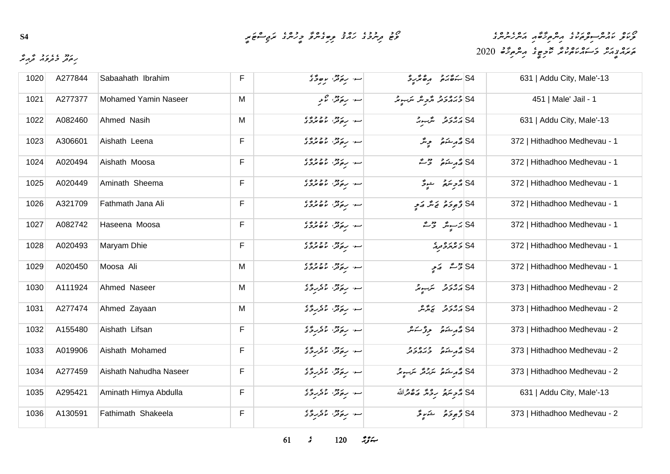*sCw7q7s5w7m< o<n9nOoAw7o< sCq;mAwBoEw7q<m; wBm;vB 2020<sup>, م</sup>وسوق المسجد التحقيق وسرمونية والم*جمع المسجد المسجد المسجد المسجد المسجد المسجد المسجد المسجد المسجد ال

| 1020 | A277844 | Sabaahath Ibrahim           | F | ے روڈر، روڈ                        | S4 يەھەم مەھەربى                                | 631   Addu City, Male'-13    |
|------|---------|-----------------------------|---|------------------------------------|-------------------------------------------------|------------------------------|
| 1021 | A277377 | <b>Mohamed Yamin Naseer</b> | M | سه رجوفر، مرغبه                    | S4 <i>دېم</i> رونر تر <sub>و</sub> نر تربېږ     | 451   Male' Jail - 1         |
| 1022 | A082460 | Ahmed Nasih                 | M | ر دو وووه.<br>پ روتر، مصرور        | S4   دېرو تر مگرسه پر                           | 631   Addu City, Male'-13    |
| 1023 | A306601 | Aishath Leena               | F | גדר בכביר.<br>היי תוקיטי מים זהב ב | S4 مەمرىشىق <sub>ە م</sub> ېرى <i>گ</i>         | 372   Hithadhoo Medhevau - 1 |
| 1024 | A020494 | Aishath Moosa               | F | ر دود و و و ده و ده و به د         | S4 مەم ئىستىم ق <sup>ىم م</sup> ە               | 372   Hithadhoo Medhevau - 1 |
| 1025 | A020449 | Aminath Sheema              | F | ر دو وووه.<br>پ ره ترکي            | S4 مُرْحِسَمُ مِشْرِحٌ                          | 372   Hithadhoo Medhevau - 1 |
| 1026 | A321709 | Fathmath Jana Ali           | F | ر دو دووه<br>پ روتر، ماه بروی      | S4 ژ <sub>ن</sub> ج دَ مَ يَرَ مَ مِ            | 372   Hithadhoo Medhevau - 1 |
| 1027 | A082742 | Haseena Moosa               | F | ر دو دووه<br>د روتر مهمزد          | S4 كەسپەنتر ق <sup>ىم</sup> شق                  | 372   Hithadhoo Medhevau - 1 |
| 1028 | A020493 | Maryam Dhie                 | F | ر دو وووی<br>سه روتر، مهمزدی       | S4 كەبىر <i>مەرەبىر</i> گە                      | 372   Hithadhoo Medhevau - 1 |
| 1029 | A020450 | Moosa Ali                   | M | ر دو وووي<br>پ ره تر لاه بروي      | S4 چڪ <i>چ</i> و                                | 372   Hithadhoo Medhevau - 1 |
| 1030 | A111924 | Ahmed Naseer                | M | ے رکوفر، عقررونج                   | S4 <i>م برون مگر م</i> ترسومگر                  | 373   Hithadhoo Medhevau - 2 |
| 1031 | A277474 | Ahmed Zayaan                | M | ے رکوفر، عظر کوئی کا               | S4 كەبر <i>ە دىغ ئەر</i> تىر                    | 373   Hithadhoo Medhevau - 2 |
| 1032 | A155480 | Aishath Lifsan              | F | ے رکوش عظر کوئی                    | S4 مەمرىشىق <sub>ە مو</sub> ۋىتەنگر             | 373   Hithadhoo Medhevau - 2 |
| 1033 | A019906 | Aishath Mohamed             | F | ے رکوبی وی وی                      | S4 مەم ئىق ئەم ئەرەبىر                          | 373   Hithadhoo Medhevau - 2 |
| 1034 | A277459 | Aishath Nahudha Naseer      | F | ے رکوش عظر کوئی                    | S4 <i>مُذْمِ شَوَةْ مَرْرَةُدْ</i> سَرَسِوِيْرَ | 373   Hithadhoo Medhevau - 2 |
| 1035 | A295421 | Aminath Himya Abdulla       | F | - رەۋر دىرەي                       | S4 مُرْحِسَمْ رِحْمُ مُصْعَرِ اللَّه            | 631   Addu City, Male'-13    |
| 1036 | A130591 | Fathimath Shakeela          | F | ىسە رەۋىقى مەق <i>رىر</i> ۇ ئ      | S4 رَّجوحَۃ صَنَّہِ مَ                          | 373   Hithadhoo Medhevau - 2 |
|      |         |                             |   |                                    |                                                 |                              |

 $61$  *s*  $120$  *z***<sub>3</sub>**  $\frac{2}{3}$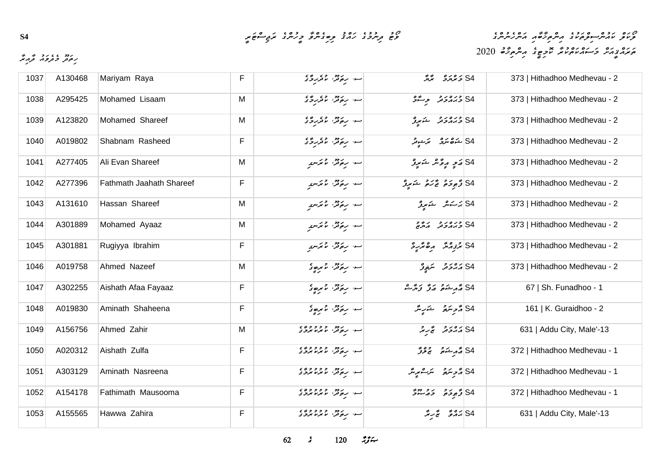*sCw7q7s5w7m< o<n9nOoAw7o< sCq;mAwBoEw7q<m; wBm;vB 2020<sup>, م</sup>وسوق المسجد التحقيق وسرمونية والم*جمع المسجد المسجد المسجد المسجد المسجد المسجد المسجد المسجد المسجد ال

| 1037 | A130468 | Mariyam Raya             | F           | ے رکوفر، عظر کوئ                           | S4 دېمه دي پېڅه                                 | 373   Hithadhoo Medhevau - 2 |
|------|---------|--------------------------|-------------|--------------------------------------------|-------------------------------------------------|------------------------------|
| 1038 | A295425 | Mohamed Lisaam           | M           | ۔ رِیروز وی دی                             | S4 <i>جەنەدىتە</i> مەشۇ                         | 373   Hithadhoo Medhevau - 2 |
| 1039 | A123820 | Mohamed Shareef          | M           | ے رکوفر، عظر کری                           | S4 <i>وُبَهُ وَبَنْ</i> سُوَمِرِتْرِ            | 373   Hithadhoo Medhevau - 2 |
| 1040 | A019802 | Shabnam Rasheed          | $\mathsf F$ | سە رەۋر دى دى                              | S4 ش <i>ەھ ئىرقى تىرىش</i> وتر                  | 373   Hithadhoo Medhevau - 2 |
| 1041 | A277405 | Ali Evan Shareef         | M           | ب رود در در                                | S4 کیم پیوگر شہرو                               | 373   Hithadhoo Medhevau - 2 |
| 1042 | A277396 | Fathmath Jaahath Shareef | F           | ے روڈر انگرمیں                             | S4 وَجِعِدَمُ فَيَمَمْ شَهْرِوْ                 | 373   Hithadhoo Medhevau - 2 |
| 1043 | A131610 | Hassan Shareef           | M           | سە رەۋىش ئاتىرىدىمە                        | S4 كەسكەش خۇمبوتر                               | 373   Hithadhoo Medhevau - 2 |
| 1044 | A301889 | Mohamed Ayaaz            | M           | سە رەۋر مىمەر                              | S4 در دور د برود                                | 373   Hithadhoo Medhevau - 2 |
| 1045 | A301881 | Rugiyya Ibrahim          | $\mathsf F$ | سە رەدە جوڭلىرىد                           | S4 ىزى <sub>ر</sub> مۇ مەھزىرى                  | 373   Hithadhoo Medhevau - 2 |
| 1046 | A019758 | Ahmed Nazeef             | M           | سه ره ده کموه د                            | S4 كەش <sup>ى</sup> ر قىر سىنجى تو              | 373   Hithadhoo Medhevau - 2 |
| 1047 | A302255 | Aishath Afaa Fayaaz      | F           | سە رەۋر ئىمرە ئ                            | S4 مەم ئىقىم مەتر توم <sup>ىرى</sup>            | 67   Sh. Funadhoo - 1        |
| 1048 | A019830 | Aminath Shaheena         | F           | سە رەۋر ئىمرە ئ                            | S4 مَرْحِ مَتَمَعٌ مَسْتَسِسَّرَ                | 161   K. Guraidhoo - 2       |
| 1049 | A156756 | Ahmed Zahir              | M           | ر دو و و و و ده د<br>سه ره تر سر سر سر بر  | S4 كەندى قىلى ئىچە يەنتىكى ئىس                  | 631   Addu City, Male'-13    |
| 1050 | A020312 | Aishath Zulfa            | F           | ر دو و و و و ده د<br>سه ره تر سر سر سر بر  | S4 مەم يىلىم ئىم ئىم ئى                         | 372   Hithadhoo Medhevau - 1 |
| 1051 | A303129 | Aminath Nasreena         | F           | ر دو و و و و ده و.<br>سه رجونس لامریم مرحو | S4 مٌ <i>ج</i> سَمَ <i>وْ سَرَ شَهْرِ مَدَّ</i> | 372   Hithadhoo Medhevau - 1 |
| 1052 | A154178 | Fathimath Mausooma       | F           | ر دو و و و و ده و<br>سه رجونس لا بولا بول  | S4 زُب <i>وِدَه دَه</i> جو                      | 372   Hithadhoo Medhevau - 1 |
| 1053 | A155565 | Hawwa Zahira             | F           | ر در دو د د د ده و.<br>سه روتر، ماندماندوی | S4 كەندۇ ئى <i>بە</i> نگە                       | 631   Addu City, Male'-13    |

 $62$  *s*  $120$  *z***<sub>3</sub>**  $\frac{2}{3}$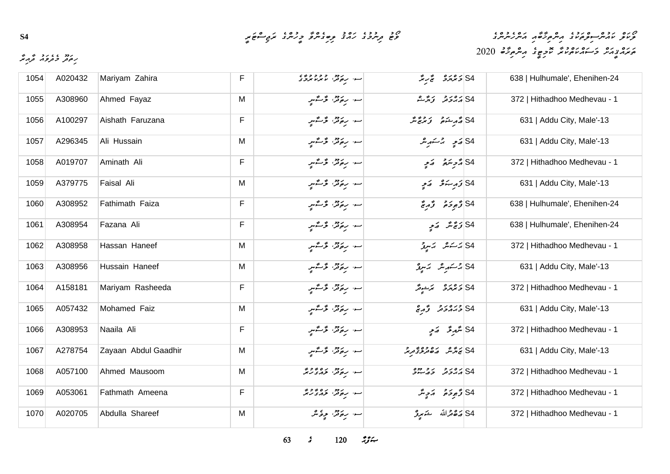*sCw7q7s5w7m< o<n9nOoAw7o< sCq;mAwBoEw7q<m; wBm;vB 2020<sup>, م</sup>وسوق المسجد التحقيق وسرمونية والم*جمع المسجد المسجد المسجد المسجد المسجد المسجد المسجد المسجد المسجد ال

| 1054 | A020432 | Mariyam Zahira       | F | ر دو و و و و ده و<br>سه ره تر لا برلا برو و | S4 <i>جەمەدى تج</i> ارىتى                                                                           | 638   Hulhumale', Ehenihen-24 |
|------|---------|----------------------|---|---------------------------------------------|-----------------------------------------------------------------------------------------------------|-------------------------------|
| 1055 | A308960 | Ahmed Fayaz          | M | ب رەۋر، ئۇسەر                               | S4 كەبردىر زېر شە                                                                                   | 372   Hithadhoo Medhevau - 1  |
| 1056 | A100297 | Aishath Faruzana     | F | سە رەۋرى ئۇسەس                              | S4 مەم ئىسكىمە ئ <i>ىرتى ئى</i> ر                                                                   | 631   Addu City, Male'-13     |
| 1057 | A296345 | Ali Hussain          | M | سە رەۋرى ئۇسەمىر                            | S4 كەمچە ج <i>ەستىمبەنل</i> ە                                                                       | 631   Addu City, Male'-13     |
| 1058 | A019707 | Aminath Ali          | F | سە رەۋر، ئۇسۇس                              | S4 مُجمِعَتِهِ مَعِ                                                                                 | 372   Hithadhoo Medhevau - 1  |
| 1059 | A379775 | Faisal Ali           | M | سە رەۋرى ئۇسەمبر                            | S4 كۆم يىچە ھەمچە                                                                                   | 631   Addu City, Male'-13     |
| 1060 | A308952 | Fathimath Faiza      | F | ب رەۋر، ئۇسەمبر                             | S4 وَج <i>ُوحَةَ</i> وَمِعَ                                                                         | 638   Hulhumale', Ehenihen-24 |
| 1061 | A308954 | Fazana Ali           | F | سە رەۋرى ئۇسەمىر                            | S4 زیچ تئر <sub>ص</sub> َعِ                                                                         | 638   Hulhumale', Ehenihen-24 |
| 1062 | A308958 | Hassan Haneef        | M | سە رەۋرى ئۇسەمىر                            | S4 ئەستەمىش ئەس <i>بى</i> تى                                                                        | 372   Hithadhoo Medhevau - 1  |
| 1063 | A308956 | Hussain Haneef       | M | سە رەۋرى ئۇستىر                             | S4 پر کے ہر پر بربرو<br>ا                                                                           | 631   Addu City, Male'-13     |
| 1064 | A158181 | Mariyam Rasheeda     | F | سە رەۋىر، ئۇس <sup>ت</sup> ەس               | S4 كەمھەر تەرىئون <i>گ</i> ە                                                                        | 372   Hithadhoo Medhevau - 1  |
| 1065 | A057432 | Mohamed Faiz         | M | ب رىدۇر، ئۇسەبىر                            | S4 <i>جەنە جىرى ئۇرى</i>                                                                            | 631   Addu City, Male'-13     |
| 1066 | A308953 | Naaila Ali           | F | سە رەۋىر، ئۇس <sup>ت</sup> ەس               | S4 سَمَدِ تَرَ مَرَ ج                                                                               | 372   Hithadhoo Medhevau - 1  |
| 1067 | A278754 | Zayaan Abdul Gaadhir | M | ب رەۋر، ئۇسەمبر                             | S4 يخ تر شهر مردم در محمد بر حرار در حرار در حرار الله عن الله عن الله عن الله عن الله عن الله عن ا | 631   Addu City, Male'-13     |
| 1068 | A057100 | Ahmed Mausoom        | M | سه رود روه دوه                              | S4 كەبرو بول دەپلىتو                                                                                | 372   Hithadhoo Medhevau - 1  |
| 1069 | A053061 | Fathmath Ameena      | F | ر دود ره ۵۶۵۶<br>سه رپه تر کرد کرد          | S4 ۇ <sub>جو</sub> رَمْ كەرپىگە                                                                     | 372   Hithadhoo Medhevau - 1  |
| 1070 | A020705 | Abdulla Shareef      | M | ے رہوش وعص                                  | S4 كەھەراللە خ <i>ەمرى</i> ر                                                                        | 372   Hithadhoo Medhevau - 1  |

 $63$  *s*  $120$  *z*  $29$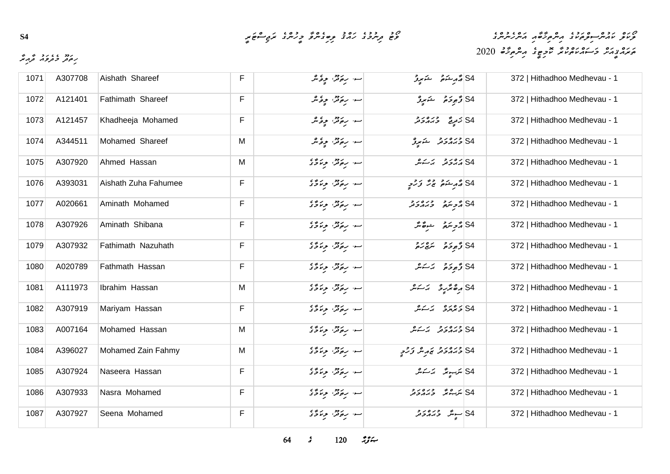*sCw7q7s5w7m< o<n9nOoAw7o< sCq;mAwBoEw7q<m; wBm;vB 2020<sup>, م</sup>وسر در مدد مدرج به مدرم مقرم قرار 2020*<br>موسر المستقرم المستقرم المستقرم المستقرم المستقرم المستقرم المستقرم المستقرم المستقرم المستقرم المستقرم المستقر

| 1071 | A307708 | Aishath Shareef      | F | ے رکوش موکو مگر   | S4 مۇم شىم سىم ئىي بوقر              | 372   Hithadhoo Medhevau - 1 |
|------|---------|----------------------|---|-------------------|--------------------------------------|------------------------------|
| 1072 | A121401 | Fathimath Shareef    | F | سە رەۋىر، بوھ بىر | S4 تَرْجِرَة حَمَّ مِيْتَر           | 372   Hithadhoo Medhevau - 1 |
| 1073 | A121457 | Khadheeja Mohamed    | F | ے رہوش وعص        | S4 كَتْمَرِيحٌ      وَيُرْمُرْوَمْرُ | 372   Hithadhoo Medhevau - 1 |
| 1074 | A344511 | Mohamed Shareef      | M | سە رەۋىر، بوھ بىر | S4 <i>\$ برو ج</i> ور شميرو          | 372   Hithadhoo Medhevau - 1 |
| 1075 | A307920 | Ahmed Hassan         | M | سە رەۋى دىدە،     | S4 كەبروتىر كەسكەنلە                 | 372   Hithadhoo Medhevau - 1 |
| 1076 | A393031 | Aishath Zuha Fahumee | F | سە رەۋى دىدە،     | S4 مُگرِسْدَهُ جُرَّ وَرُحٍ          | 372   Hithadhoo Medhevau - 1 |
| 1077 | A020661 | Aminath Mohamed      | F | سه ره تر وروی     | S4 مُوسَرَ ورورو                     | 372   Hithadhoo Medhevau - 1 |
| 1078 | A307926 | Aminath Shibana      | F | سه ره تر وروی     | S4 مُتَّحِسَةٌ مُشَوَّمَّةٌ          | 372   Hithadhoo Medhevau - 1 |
| 1079 | A307932 | Fathimath Nazuhath   | F | سە رەۋى دىدە،     | S4 ژ <sub>ېج</sub> و تم شي شره د     | 372   Hithadhoo Medhevau - 1 |
| 1080 | A020789 | Fathmath Hassan      | F | سه ره تر وروی     | S4 ۇ <sub>جو</sub> رَى ئەسكەش        | 372   Hithadhoo Medhevau - 1 |
| 1081 | A111973 | Ibrahim Hassan       | M | سە رەۋى دىدە،     | S4 مەھەر بەر ئەسەملىر                | 372   Hithadhoo Medhevau - 1 |
| 1082 | A307919 | Mariyam Hassan       | F | سه ره تر وروی     | S4 كەبىر بەر بەر يەر يەر             | 372   Hithadhoo Medhevau - 1 |
| 1083 | A007164 | Mohamed Hassan       | M | سه ره تر وروی     | S4 دېره د تر تر تر                   | 372   Hithadhoo Medhevau - 1 |
| 1084 | A396027 | Mohamed Zain Fahmy   | M | سە رەۋى دىدە،     | S4 <i>ڈیز مرد تا م</i> یگر کرتے      | 372   Hithadhoo Medhevau - 1 |
| 1085 | A307924 | Naseera Hassan       | F | سە رەۋر جەدى      | S4 ىترىيەن <i>گە بەسكەنل</i>         | 372   Hithadhoo Medhevau - 1 |
| 1086 | A307933 | Nasra Mohamed        | F | سه ره تر وروی     | S4 مَرْبَدْعُرَّ حِرُودُورَ          | 372   Hithadhoo Medhevau - 1 |
| 1087 | A307927 | Seena Mohamed        | F | سە رەۋە دىرە،     | S4 سېنگر د <i>جن</i> گردند           | 372   Hithadhoo Medhevau - 1 |

 $64$  *s*  $120$  *z*  $29$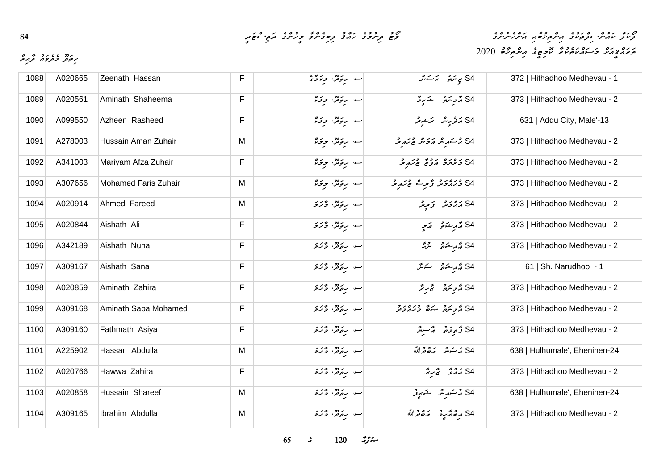*sCw7q7s5w7m< o<n9nOoAw7o< sCq;mAwBoEw7q<m; wBm;vB 2020<sup>, م</sup>وسوق المسجد التحقيق وسرمونية والم*جمع المسجد المسجد المسجد المسجد المسجد المسجد المسجد المسجد المسجد ال

| 1088 | A020665 | Zeenath Hassan              | F | سه ره ده ورو،   | S4ع يىتىق <sub>ە</sub> ئەسەنلەر                        | 372   Hithadhoo Medhevau - 1  |
|------|---------|-----------------------------|---|-----------------|--------------------------------------------------------|-------------------------------|
| 1089 | A020561 | Aminath Shaheema            | F | - رەمز، جۇر،    | S4 مُتَّحِسَمَةٌ حَسَبِةٌ                              | 373   Hithadhoo Medhevau - 2  |
| 1090 | A099550 | Azheen Rasheed              | F | سە رەتر، دۆر    | S4 كەنقرىرىش - ئىزىشونتر                               | 631   Addu City, Male'-13     |
| 1091 | A278003 | Hussain Aman Zuhair         | M | سە رەۋە بوۇر    | S4 يُرْسَمَ مِهْ مَدَ مِنْ مِنْ مِرْمِهْ حَرْبِهِ مِرْ | 373   Hithadhoo Medhevau - 2  |
| 1092 | A341003 | Mariyam Afza Zuhair         | F | سە رەتر، دۇر    | S4 كەممەدى مەدىج ئەرمەر                                | 373   Hithadhoo Medhevau - 2  |
| 1093 | A307656 | <b>Mohamed Faris Zuhair</b> | M | سە رەتۇ، جەنئ   | S4 دېممرد ژبرت تر <i>دي</i> ر                          | 373   Hithadhoo Medhevau - 2  |
| 1094 | A020914 | Ahmed Fareed                | M | سە رەترا ۋرى    | S4 كەندى قىرىتر                                        | 373   Hithadhoo Medhevau - 2  |
| 1095 | A020844 | Aishath Ali                 | F | سە رەتر، ۋرى    | S4 مُگهرڪو مَعِ                                        | 373   Hithadhoo Medhevau - 2  |
| 1096 | A342189 | Aishath Nuha                | F | سە رەترا ۋرى    | S4 مەم ئىقىمە ئىرگە                                    | 373   Hithadhoo Medhevau - 2  |
| 1097 | A309167 | Aishath Sana                | F | سە رەترا ۋرى    | S4 مەم ئىستىر كەنگە                                    | 61   Sh. Narudhoo - 1         |
| 1098 | A020859 | Aminath Zahira              | F | سە رەترا ۋرى    | S4 مُجِسَعَةٍ تَجْرِبَتُهِ                             | 373   Hithadhoo Medhevau - 2  |
| 1099 | A309168 | Aminath Saba Mohamed        | F | - رەپى ئەرىخ    | S4 أَرْحِ سَيْءَ مَدَ وَبَرْ الْمَرْحَةِ مِنْ          | 373   Hithadhoo Medhevau - 2  |
| 1100 | A309160 | Fathmath Asiya              | F | سه ربردو به ربر | S4 ۇج <sub>و</sub> چۇ ئەسىتە                           | 373   Hithadhoo Medhevau - 2  |
| 1101 | A225902 | Hassan Abdulla              | M | سە رەترا ۋرى    | S4 بَرَسَة مَّة قَدَاللَّه                             | 638   Hulhumale', Ehenihen-24 |
| 1102 | A020766 | Hawwa Zahira                | F | سە رەترا ۋرى    | S4 ئەبرق <sub>ى</sub> ئىم <i>ب</i> ىر                  | 373   Hithadhoo Medhevau - 2  |
| 1103 | A020858 | Hussain Shareef             | M | سە رەۋە ئەتەق   | S4 پرستمبر مش <i>مین</i> گی                            | 638   Hulhumale', Ehenihen-24 |
| 1104 | A309165 | Ibrahim Abdulla             | M | سه ربوده وری    | S4 م <i>وھ مگرچ</i> و محکم همرالله                     | 373   Hithadhoo Medhevau - 2  |

*n8o<n@ q<m=s@s> r@mAo5*

 $65$  *s*  $120$  *z***<sub>3</sub>**  $\frac{2}{3}$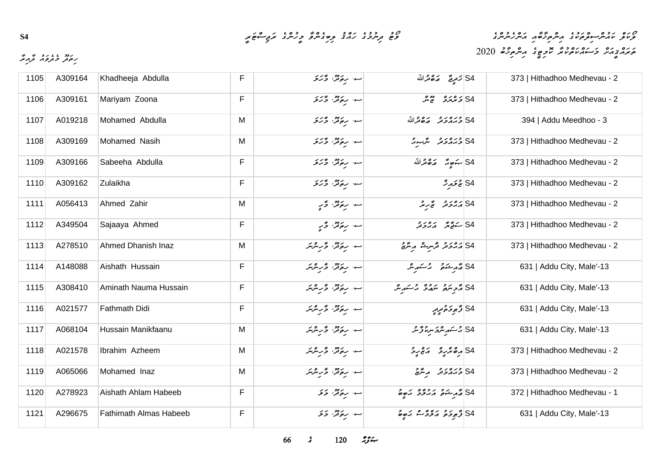*sCw7q7s5w7m< o<n9nOoAw7o< sCq;mAwBoEw7q<m; wBm;vB 2020<sup>, م</sup>وسر در مدد مدرج به مدرم مقرم قرار 2020*<br>موسر المستقرم المستقرم المستقرم المستقرم المستقرم المستقرم المستقرم المستقرم المستقرم المستقرم المستقرم المستقر

| 1105 | A309164 | Khadheeja Abdulla             | F | سە رەۋە ئەتەق    |                                        | 373   Hithadhoo Medhevau - 2 |
|------|---------|-------------------------------|---|------------------|----------------------------------------|------------------------------|
| 1106 | A309161 | Mariyam Zoona                 | F | - رەپىر، ئەزى    | S4 كەبىر بىر تەرىپى ئى                 | 373   Hithadhoo Medhevau - 2 |
| 1107 | A019218 | Mohamed Abdulla               | M | - رەتر، ۋرى      | S4 وبرورو ركاة الله                    | 394   Addu Meedhoo - 3       |
| 1108 | A309169 | Mohamed Nasih                 | M | سە رەتر، ۋرى     | S4 <i>ۋېرو دو</i> سرگېدنه              | 373   Hithadhoo Medhevau - 2 |
| 1109 | A309166 | Sabeeha Abdulla               | F | - رەپىر، ئەرىخ   | S4 جَمْعِيمٌ صَرْحَةَ لِللَّه          | 373   Hithadhoo Medhevau - 2 |
| 1110 | A309162 | Zulaikha                      | F | سە رەتر، ۋرى     | S4ج تحرمر جح                           | 373   Hithadhoo Medhevau - 2 |
| 1111 | A056413 | Ahmed Zahir                   | M | سه ره ده ځ       | S4   <i>مَدْدَوَنْتْهِ</i> مِحْرِ مِرْ | 373   Hithadhoo Medhevau - 2 |
| 1112 | A349504 | Sajaaya Ahmed                 | F | سە رەۋر، ۋر      | S4 سەقەم ئەرەبەر                       | 373   Hithadhoo Medhevau - 2 |
| 1113 | A278510 | <b>Ahmed Dhanish Inaz</b>     | M | ے روڈر، ڈریٹرنگر | S4  كەندى كەرىرىشە مەيگەنج             | 373   Hithadhoo Medhevau - 2 |
| 1114 | A148088 | Aishath Hussain               | F | ے رکوش ڈریگریئر  | S4 مەم شىم ئىس ئىسكىرىش                | 631   Addu City, Male'-13    |
| 1115 | A308410 | Aminath Nauma Hussain         | F | ۔ رہوش ڈریگریئر  | S4 مُعِسَمٌ سَمَعٌ بِرَ سَمبِ سُمَّ    | 631   Addu City, Male'-13    |
| 1116 | A021577 | <b>Fathmath Didi</b>          | F | ۔ رہوش ڈریگریئر  | S4 وَّجوحَ مُحْمَّدِيدٍ                | 631   Addu City, Male'-13    |
| 1117 | A068104 | Hussain Manikfaanu            | M | ے رکوش ڈریگریئر  | S4 ئەسەمەبىرى سرىر ئۇ تىر              | 631   Addu City, Male'-13    |
| 1118 | A021578 | Ibrahim Azheem                | M | ے روڈر، ڈریٹرنگر | S4  مەھەر يەرق مەنجارىيەتى<br>         | 373   Hithadhoo Medhevau - 2 |
| 1119 | A065066 | Mohamed Inaz                  | M | ے رکوش ڈریگریئر  | S4 <i>2222 م</i> ىتىنى                 | 373   Hithadhoo Medhevau - 2 |
| 1120 | A278923 | Aishath Ahlam Habeeb          | F | سە رەتر، 35      | S4 مەم شىم مەم <i>دەھ</i>              | 372   Hithadhoo Medhevau - 1 |
| 1121 | A296675 | <b>Fathimath Almas Habeeb</b> | F | سه رحوص نحتی     | S4 زُب <i>ودو م</i> ورُ مُ رَبِّ هُ    | 631   Addu City, Male'-13    |

*n8o<n@ q<m=s@s> r@mAo5*

 $66$  *s*  $120$  *z*  $29$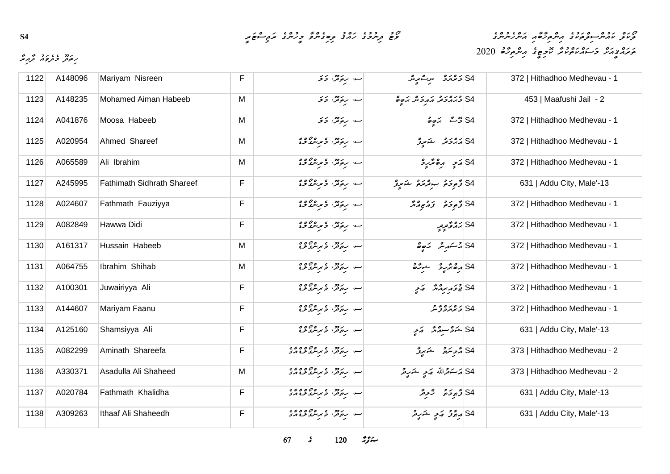*sCw7q7s5w7m< o<n9nOoAw7o< sCq;mAwBoEw7q<m; wBm;vB 2020<sup>, م</sup>وسوق المسجد التحقيق وسرمونية والم*جمع المسجد المسجد المسجد المسجد المسجد المسجد المسجد المسجد المسجد ال

| 1122 | A148096 | Mariyam Nisreen                   | F | سە رەپى ى ئ          | S4 5 <i>بروزي سرڪيمبرنگر</i>                      | 372   Hithadhoo Medhevau - 1 |
|------|---------|-----------------------------------|---|----------------------|---------------------------------------------------|------------------------------|
| 1123 | A148235 | Mohamed Aiman Habeeb              | M | سە رەپى ئ            | S4 <i>دېم</i> دېمر <i>م</i> ه کړه کم په           | 453   Maafushi Jail - 2      |
| 1124 | A041876 | Moosa Habeeb                      | M | سە رەپىر، ئەتى       | $202 \div 23$ S4                                  | 372   Hithadhoo Medhevau - 1 |
| 1125 | A020954 | Ahmed Shareef                     | M | سه رود و پر ۱۵۵۵     | S4 كەندى قىرىق ھەمرىر                             | 372   Hithadhoo Medhevau - 1 |
| 1126 | A065589 | Ali Ibrahim                       | M | ے رکوبرا کے مرتفق وہ | S4 <i>جَرِم م</i> ِ <i>مَدْبِ</i> دْ              | 372   Hithadhoo Medhevau - 1 |
| 1127 | A245995 | <b>Fathimath Sidhrath Shareef</b> | F | ے رکوش کے مرکز وہ    | S4 ۇي <sub>م</sub> وڭ مەشكەر شىرو                 | 631   Addu City, Male'-13    |
| 1128 | A024607 | Fathmath Fauziyya                 | F | ے رکوبرا کے مرتفق وہ | S4 ژٌجوحَمَد وَمَعِ مَمَّرَ                       | 372   Hithadhoo Medhevau - 1 |
| 1129 | A082849 | Hawwa Didi                        | F | سه ریږونه و بر ۱۵۵۵  | S4 كەمگە توپىر                                    | 372   Hithadhoo Medhevau - 1 |
| 1130 | A161317 | Hussain Habeeb                    | M | سه رود و ره ۵۵۵      | S4 بر سَمبر شَر سَمَّةٍ صَنْعَةٍ مُحَمَّدٍ        | 372   Hithadhoo Medhevau - 1 |
| 1131 | A064755 | Ibrahim Shihab                    | M | سه رود عروه وه       | S4 مەھم <i>گرى</i> شى <i>ڭ ق</i>                  | 372   Hithadhoo Medhevau - 1 |
| 1132 | A100301 | Juwairiyya Ali                    | F | سه رود و روماه       | S4اقح <i>قرم برونگر وک</i> یر                     | 372   Hithadhoo Medhevau - 1 |
| 1133 | A144607 | Mariyam Faanu                     | F | سه رود عر ۱۵۵۵       | S4 ئەنزىردۇ ئەتر                                  | 372   Hithadhoo Medhevau - 1 |
| 1134 | A125160 | Shamsiyya Ali                     | F | سه رود عربره وه      | S4 شەۋىس <i>ەمەڭ ھ</i> ېر                         | 631   Addu City, Male'-13    |
| 1135 | A082299 | Aminath Shareefa                  | F | سه رود ، وه وه وه.   | S4 مَرْحِ سَمَّ سَمَ سِرَدَّ                      | 373   Hithadhoo Medhevau - 2 |
| 1136 | A330371 | Asadulla Ali Shaheed              | M | سه رود ، وه وه وه.   | S4 كَرْسَةَ قَرْاللَّهُ     كَمَعٍ   مَشَرَبِقَرْ | 373   Hithadhoo Medhevau - 2 |
| 1137 | A020784 | Fathmath Khalidha                 | F | سه رود ، وه وه وه .  | S4 وَّجِ دَمَّةَ مَتَّحِمَّدَ                     | 631   Addu City, Male'-13    |
| 1138 | A309263 | Ithaaf Ali Shaheedh               | F | سه ره د ، وه وه وه . | S4 مِي <i>وُدْ مَ</i> ي حَ <i>ي</i> تْر           | 631   Addu City, Male'-13    |

 $67$  *s*  $120$  *i*<sub>s</sub>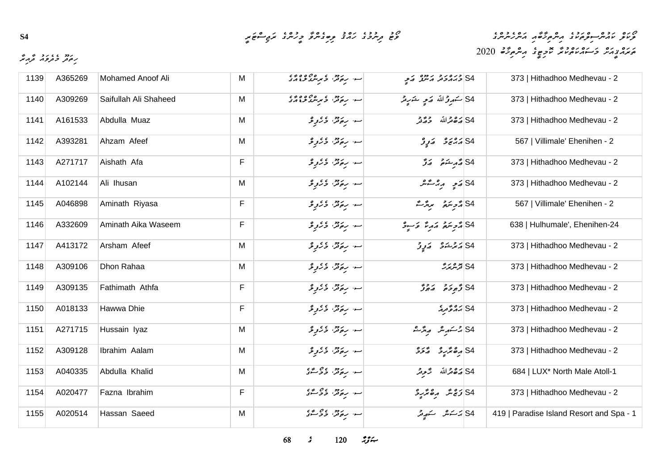*sCw7q7s5w7m< o<n9nOoAw7o< sCq;mAwBoEw7q<m; wBm;vB 2020<sup>, م</sup>وسوق المسجد التحقيق وسرمونية والم*جمع المسجد المسجد المسجد المسجد المسجد المسجد المسجد المسجد المسجد ال

| 1139 | A365269 | <b>Mohamed Anoof Ali</b> | M           | ے روز ، ویرسی وہ وہ ،                     | S4 دېرولر مشرق مخې                 | 373   Hithadhoo Medhevau - 2             |
|------|---------|--------------------------|-------------|-------------------------------------------|------------------------------------|------------------------------------------|
| 1140 | A309269 | Saifullah Ali Shaheed    | M           | ر دو در ۵۵۵۵ وي.<br>سه رپوتر، ومرس ورو در | S4 سَمَرِوْ اللّه صَعِي حَمَدِيثَر | 373   Hithadhoo Medhevau - 2             |
| 1141 | A161533 | Abdulla Muaz             | M           | سە رەۋر، ئ <i>ۇرۇ</i> ئ                   | S4 كەھەراللە ئەھمىز                | 373   Hithadhoo Medhevau - 2             |
| 1142 | A393281 | Ahzam Afeef              | M           | ب ر <sub>يم</sub> ون ورو و                | S4 <i>جَدْجَ جَ وَفِ</i>           | 567   Villimale' Ehenihen - 2            |
| 1143 | A271717 | Aishath Afa              | F           | سە رەۋر ئ                                 | S4 مەم ئىقى ھۆ                     | 373   Hithadhoo Medhevau - 2             |
| 1144 | A102144 | Ali Ihusan               | M           | ب ريږي ور <sub>و</sub> و                  | S4 كەمبە مەرشىشىر                  | 373   Hithadhoo Medhevau - 2             |
| 1145 | A046898 | Aminath Riyasa           | F           | سە رەۋە ئەرولى                            | S4 أَمَّ حِبَّرَتَهُ مَسِّرَّتَ ا  | 567   Villimale' Ehenihen - 2            |
| 1146 | A332609 | Aminath Aika Waseem      | F           | ر بەردە ئەربى                             | S4 مُتَعِسَمَ مَهِنَّ عَــوْ       | 638   Hulhumale', Ehenihen-24            |
| 1147 | A413172 | Arsham Afeef             | M           | ب رەتر، ئ <sup>و</sup> رو ئ               | S4 كەيمرىش <i>ەۋ كەن</i> وتۇ       | 373   Hithadhoo Medhevau - 2             |
| 1148 | A309106 | Dhon Rahaa               | M           | ب رەتر، ئ <sup>و</sup> رو ئ               | S4 تريريز مح                       | 373   Hithadhoo Medhevau - 2             |
| 1149 | A309135 | Fathimath Athfa          | F           | ر بەردە ئەربى                             | S4 وَجوحَمَ صَعِرَ                 | 373   Hithadhoo Medhevau - 2             |
| 1150 | A018133 | Hawwa Dhie               | F           | ب ريږي ور <sub>و</sub> و                  | S4 ئەۋۋىرو                         | 373   Hithadhoo Medhevau - 2             |
| 1151 | A271715 | Hussain Iyaz             | M           | ب رەتر، ئ <sup>و</sup> رو ئ               | S4 پرسمبر مرمزشہ                   | 373   Hithadhoo Medhevau - 2             |
| 1152 | A309128 | Ibrahim Aalam            | M           | ر بەردە ئەربى                             | S4 مەھ <i>مگىي</i> ھە <i>مگى</i>   | 373   Hithadhoo Medhevau - 2             |
| 1153 | A040335 | Abdulla Khalid           | M           | سه رود ۵۵ وی<br>سه روتر، ووسو             | S4 مَەشراللە شەرىتر                | 684   LUX* North Male Atoll-1            |
| 1154 | A020477 | Fazna Ibrahim            | $\mathsf F$ | سه رود وه وه<br>سه روز، ووسو              | S4 زېږ مەمۇر ئ                     | 373   Hithadhoo Medhevau - 2             |
| 1155 | A020514 | Hassan Saeed             | M           | ردو ۵۵ وه<br>سه رونز، ووسو                | S4 كەسكەر سەم <sub>و</sub> قر      | 419   Paradise Island Resort and Spa - 1 |

 $68$  *s*  $120$  *z*  $29$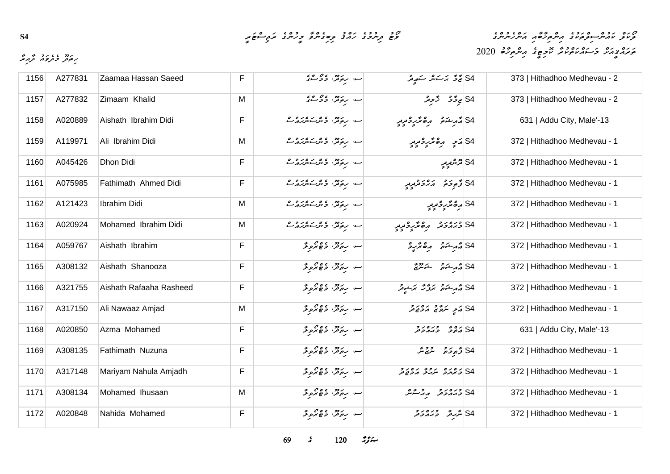*sCw7q7s5w7m< o<n9nOoAw7o< sCq;mAwBoEw7q<m; wBm;vB 2020*<br>*په پوهر وسوډيرونو لومو د موجو د مرمونه* 2020

| 1156 | A277831 | Zaamaa Hassan Saeed     | F           | سه رود وه وه                                                                                                                                                                                                                   | S4 ئچ ئ <i>ۇ ئەسەھى سەمبەت</i> ر    | 373   Hithadhoo Medhevau - 2 |
|------|---------|-------------------------|-------------|--------------------------------------------------------------------------------------------------------------------------------------------------------------------------------------------------------------------------------|-------------------------------------|------------------------------|
| 1157 | A277832 | Zimaam Khalid           | M           | سه رود ۵۵ وی<br>سه روتر، ووسو                                                                                                                                                                                                  | S4 ى <sub>م</sub> ۇق گې <i>رى</i> گ | 373   Hithadhoo Medhevau - 2 |
| 1158 | A020889 | Aishath Ibrahim Didi    | F           | ے روزہ میں روزہ ہے                                                                                                                                                                                                             | S4 مەم شىم مەھەر دورىر              | 631   Addu City, Male'-13    |
| 1159 | A119971 | Ali Ibrahim Didi        | M           | سو، زەۋىن كەرگەردە ئە                                                                                                                                                                                                          | S4 كەبىر بەھ ئ <i>ۇر ۋىرىر</i>      | 372   Hithadhoo Medhevau - 1 |
| 1160 | A045426 | Dhon Didi               | F           | سه رود ، و رورو ه                                                                                                                                                                                                              | S4 كَرْسْرِيرِ                      | 372   Hithadhoo Medhevau - 1 |
| 1161 | A075985 | Fathimath Ahmed Didi    | F           | سه رود ، و رورو ه                                                                                                                                                                                                              | S4 ۇي <i>وخۇ مەدە</i> ترىرىر        | 372   Hithadhoo Medhevau - 1 |
| 1162 | A121423 | <b>Ibrahim Didi</b>     | M           | ے روزہ میں روزہ ہے                                                                                                                                                                                                             | S4 مەھ ئۇر <sub>3 تو</sub> ير       | 372   Hithadhoo Medhevau - 1 |
| 1163 | A020924 | Mohamed Ibrahim Didi    | M           | سه رود ، و رورو ه                                                                                                                                                                                                              | S4 دېم د د موغربوتر                 | 372   Hithadhoo Medhevau - 1 |
| 1164 | A059767 | Aishath Ibrahim         | F           | سه رود ٥٥٥ مي                                                                                                                                                                                                                  | S4 مەم شەم مەھەرد                   | 372   Hithadhoo Medhevau - 1 |
| 1165 | A308132 | Aishath Shanooza        | $\mathsf F$ | ر دور موجود عام ده شرح محر                                                                                                                                                                                                     | S4 مەمۇمۇس ئىقتى <i>رىنى</i>        | 372   Hithadhoo Medhevau - 1 |
| 1166 | A321755 | Aishath Rafaaha Rasheed | F           | ے روز ءە موتى                                                                                                                                                                                                                  | S4 مەم شەقر بىرۇ <i>ر بىر</i> خوند  | 372   Hithadhoo Medhevau - 1 |
| 1167 | A317150 | Ali Nawaaz Amjad        | M           | ے روز یہ میں گھر                                                                                                                                                                                                               | S4 בَ مِي سَمَّةٌ مَرْدَّةٍ مَرْ    | 372   Hithadhoo Medhevau - 1 |
| 1168 | A020850 | Azma Mohamed            | $\mathsf F$ | ر در در ۵۵۰ ورم محمد برگرانی به سورت برگرانی کرد و برگرانی برگرانی برگرانی برگرانی برگرانی برگرانی برگرانی برگ<br>مرکز برگرانی برگرانی برگرانی برگرانی برگرانی برگرانی برگرانی برگرانی برگرانی برگرانی برگرانی برگرانی برگرانی | S4 كەنبى قەرەر د                    | 631   Addu City, Male'-13    |
| 1169 | A308135 | Fathimath Nuzuna        | F           | سە رەبىر، ئەھ ئىرە ئى                                                                                                                                                                                                          | S4 ۇ <sub>جو</sub> رَمْ مېرىمىگە    | 372   Hithadhoo Medhevau - 1 |
| 1170 | A317148 | Mariyam Nahula Amjadh   | F           | ے روزہ وہ میں گھر                                                                                                                                                                                                              | S4  محمد مربر محمد مردح تر          | 372   Hithadhoo Medhevau - 1 |
| 1171 | A308134 | Mohamed Ihusaan         | M           | ے روز ءە موتى                                                                                                                                                                                                                  | S4 دېرونو مرحمش                     | 372   Hithadhoo Medhevau - 1 |
| 1172 | A020848 | Nahida Mohamed          | F           | ب رود وه وه وهم                                                                                                                                                                                                                | S4 مَرْرِمَّر حَمَدُ حَرَّمَ        | 372   Hithadhoo Medhevau - 1 |

*n8o<n@ q<m=s@s> r@mAo5*

*69 sC 120 nNw?mS*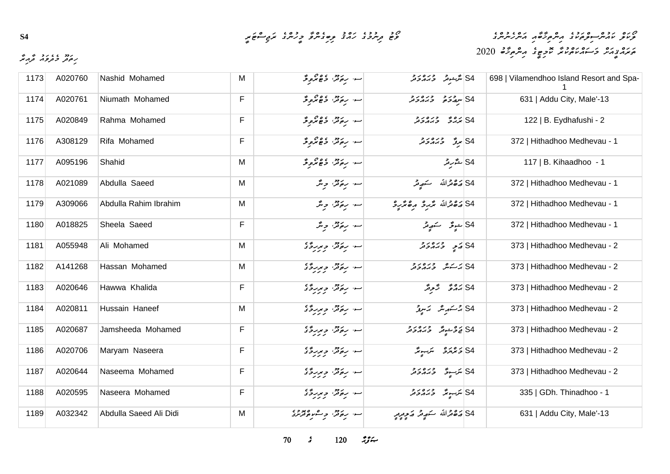*sCw7q7s5w7m< o<n9nOoAw7o< sCq;mAwBoEw7q<m; wBm;vB* م من المرة المرة المرة المرجع المرجع في المركبة 2020<br>مجم*د المريض المربوط المربع المرجع في المراجع المركبة* 

|  |  | 4 4 3 266 322    |  |
|--|--|------------------|--|
|  |  | رمير وتروم ترمير |  |
|  |  |                  |  |

| 1173 | A020760 | Nashid Mohamed         | M           | ۔ ریزوز، ڈھ ٹرو ڈ                                                                                                                                                      | S4 سُرْسِوتْر   تَرَكْرُدُوتْرُ          | 698   Vilamendhoo Island Resort and Spa- |
|------|---------|------------------------|-------------|------------------------------------------------------------------------------------------------------------------------------------------------------------------------|------------------------------------------|------------------------------------------|
| 1174 | A020761 | Niumath Mohamed        | $\mathsf F$ | ر دور مومور عام دیگر دیگر در شده در شده برگزار باشد.<br>مسیر از سره مومور در سره مومور شده برگزار برگزار برگزار برگزار برگزار برگزار برگزار برگزار برگزار برگزار برگزا | $52025 - 522$ S4                         | 631   Addu City, Male'-13                |
| 1175 | A020849 | Rahma Mohamed          | F           |                                                                                                                                                                        | S4 يَرْدَرُّ وَبَرْدُونَر                | 122   B. Eydhafushi - 2                  |
| 1176 | A308129 | Rifa Mohamed           | $\mathsf F$ | سه روور، وه موځ                                                                                                                                                        | S4 بروٌ وبرودورٌ                         | 372   Hithadhoo Medhevau - 1             |
| 1177 | A095196 | Shahid                 | M           | ١                                                                                                                                                                      | S4 ڪمبرمتر                               | 117   B. Kihaadhoo - 1                   |
| 1178 | A021089 | Abdulla Saeed          | M           | سه ره تر، د مگر                                                                                                                                                        | S4 كەھەراللە ك <i>ەم</i> ەتر             | 372   Hithadhoo Medhevau - 1             |
| 1179 | A309066 | Abdulla Rahim Ibrahim  | M           | سه ره تر و مگر                                                                                                                                                         | S4 رَصْرَاللّه عَرَبِ 3 رِصْعَرِبِ 3     | 372   Hithadhoo Medhevau - 1             |
| 1180 | A018825 | Sheela Saeed           | F           | سه ره تر، دیگر                                                                                                                                                         | S4  شوقز    ستم <i>وي</i> ٹر             | 372   Hithadhoo Medhevau - 1             |
| 1181 | A055948 | Ali Mohamed            | M           | سه رړونه وېررون                                                                                                                                                        | S4 <i>جَرِجِہ ج</i> گہ جو حر             | 373   Hithadhoo Medhevau - 2             |
| 1182 | A141268 | Hassan Mohamed         | M           | سه رودو وبرروی                                                                                                                                                         | S4 ئەسەھرە <i>دەرەرە</i>                 | 373   Hithadhoo Medhevau - 2             |
| 1183 | A020646 | Hawwa Khalida          | F           | ے رکوش ویرروی                                                                                                                                                          | S4 بَرْدُوَّ رَّحِيَّرَ                  | 373   Hithadhoo Medhevau - 2             |
| 1184 | A020811 | Hussain Haneef         | M           | سه رەۋە دېرىدۇ ك                                                                                                                                                       | S4 پر کے پر پر بر کیلی تھا۔<br>ا         | 373   Hithadhoo Medhevau - 2             |
| 1185 | A020687 | Jamsheeda Mohamed      | $\mathsf F$ | سه رړونه وبررون                                                                                                                                                        | S4 كۆم <i>ھەمەھەرە</i>                   | 373   Hithadhoo Medhevau - 2             |
| 1186 | A020706 | Maryam Naseera         | F           | سه رړونه وېررون                                                                                                                                                        | S4 كەبىر بىر سىر يىتىسى ئىككى ئىستىك     | 373   Hithadhoo Medhevau - 2             |
| 1187 | A020644 | Naseema Mohamed        | F           | ے رکھی ویرزوگی                                                                                                                                                         | S4 ىترسوى ئ <i>ەتمەدى</i> ر              | 373   Hithadhoo Medhevau - 2             |
| 1188 | A020595 | Naseera Mohamed        | $\mathsf F$ | سه ره ده و برروی                                                                                                                                                       | S4 ىترىبوبتر - <i>3×20رو</i>             | 335   GDh. Thinadhoo - 1                 |
| 1189 | A032342 | Abdulla Saeed Ali Didi | M           | سه ره دو و سوره بود و ،                                                                                                                                                | S4  جەھەتراللە س <i>ەمپەتر مەم</i> بىرىر | 631   Addu City, Male'-13                |

 $70$  *s*  $120$   $29$   $\div$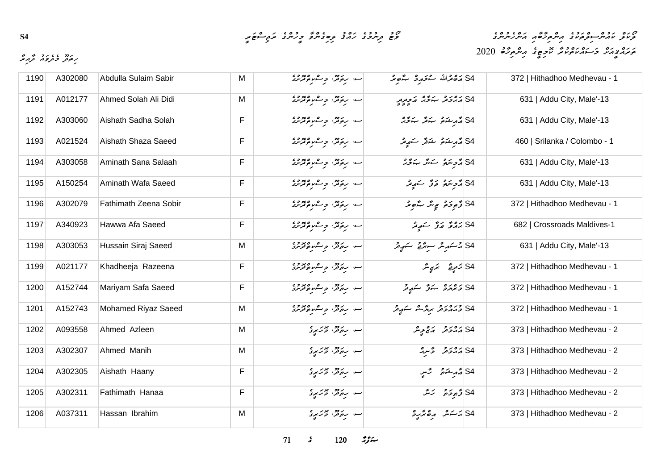*sCw7q7s5w7m< o<n9nOoAw7o< sCq;mAwBoEw7q<m; wBm;vB 2020<sup>, م</sup>وسوق المسجد التحقيق وسرمونية والم*جمع المسجد المسجد المسجد المسجد المسجد المسجد المسجد المسجد المسجد ال

| 1190 | A302080 | Abdulla Sulaim Sabir       | M | سه ره ده و شره بود و ،    | S4 كَ صَعْرَاللَّهُ تَحْتَوَبُّهِ سَنَّوْصِهُ   | 372   Hithadhoo Medhevau - 1 |
|------|---------|----------------------------|---|---------------------------|-------------------------------------------------|------------------------------|
| 1191 | A012177 | Ahmed Solah Ali Didi       | M | سه ره ده و سر و و ده      |                                                 | 631   Addu City, Male'-13    |
| 1192 | A303060 | Aishath Sadha Solah        | F | سه ره ده و سر و و ده      | S4 مەم شەھ سەنگر سەن <i>گە</i>                  | 631   Addu City, Male'-13    |
| 1193 | A021524 | Aishath Shaza Saeed        | F | سه رود و شروعه            | S4 مُگرِسْدَمُ شَوَتَر سَورٍثَر                 | 460   Srilanka / Colombo - 1 |
| 1194 | A303058 | Aminath Sana Salaah        | F | سه ره دود. د شره ورود و د | S4 مٌ <i>وِ سَهْ</i> سَمَّرٌ سِمَوْ يَرُ        | 631   Addu City, Male'-13    |
| 1195 | A150254 | Aminath Wafa Saeed         | F | سه ره تر، د شره ورود      | S4 مَّ <i>حِ سَهْءَ کَ مَ مِ</i> مِرْ           | 631   Addu City, Male'-13    |
| 1196 | A302079 | Fathimath Zeena Sobir      | F | سه رود و شره ودوه         | S4 ژَّجِردَةُ بِي سُّ سُدَّحَةٍ مُرَّ           | 372   Hithadhoo Medhevau - 1 |
| 1197 | A340923 | Hawwa Afa Saeed            | F | سه ره دو د شما ه بود و    | S4 بَرْدَةَ   يَرَوَّ   سَميرةَ ل               | 682   Crossroads Maldives-1  |
| 1198 | A303053 | Hussain Siraj Saeed        | M | سه ره ده و سر و و ده      | S4 بر سور مگر مگر ہے کہ مگر مگر مگر مگر مگر ایک | 631   Addu City, Male'-13    |
| 1199 | A021177 | Khadheeja Razeena          | F | سه رود و شره وبوده        | S4 كَتْمِيعٌ - مَرْبِحِ مَّرْ                   | 372   Hithadhoo Medhevau - 1 |
| 1200 | A152744 | Mariyam Safa Saeed         | F | سه ره ده و شوه وده و      | S4 كەنگەر ئەسىر ئىس سىر ئىر                     | 372   Hithadhoo Medhevau - 1 |
| 1201 | A152743 | <b>Mohamed Riyaz Saeed</b> | м | سه ره ده و سر و و ده      | S4 <i>دېمم</i> ونر بروگ س <i>وړ</i> تر          | 372   Hithadhoo Medhevau - 1 |
| 1202 | A093558 | Ahmed Azleen               | M | سه رەۋر، درىرى            | S4   كەبروتىر    كەنج يوپىر                     | 373   Hithadhoo Medhevau - 2 |
| 1203 | A302307 | Ahmed Manih                | M | سە رەۋر بورىم             | S4 كەندى قى ئەرگ                                | 373   Hithadhoo Medhevau - 2 |
| 1204 | A302305 | Aishath Haany              | F | سه رەۋە بورىدى            | S4 مُدمِسْمَعُ رَّسِ                            | 373   Hithadhoo Medhevau - 2 |
| 1205 | A302311 | Fathimath Hanaa            | F | سە رەۋر بورىم             | S4 ۇج <sub>و</sub> خ <sub>ە</sub> جە ئەنگە      | 373   Hithadhoo Medhevau - 2 |
| 1206 | A037311 | Hassan Ibrahim             | M | سە رەۋر ئۆزىرە            | S4 ئەسەمىر مەھ <i>م</i> ۇرىي<br>                | 373   Hithadhoo Medhevau - 2 |

 $71$  *s*  $120$  *z***<sub>3</sub>**  $\frac{2}{3}$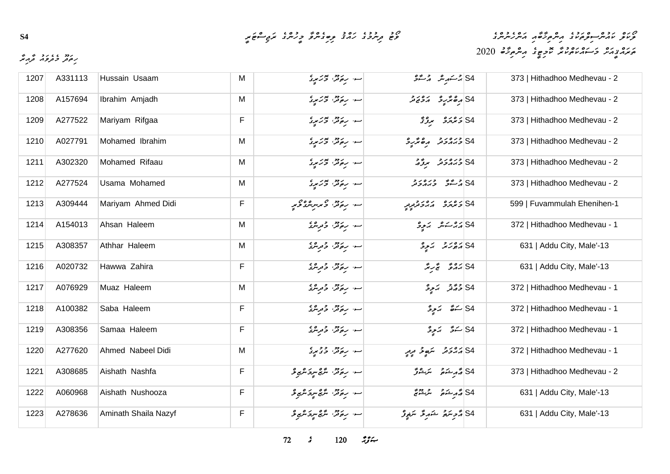*sCw7q7s5w7m< o<n9nOoAw7o< sCq;mAwBoEw7q<m; wBm;vB* م من المرة المرة المرة المرجع المرجع في المركبة 2020<br>مجم*د المريض المربوط المربع المرجع في المراجع المركبة* 

| 1207 | A331113 | Hussain Usaam        | M | سە رەۋر ئەرىرى           | S4 پرستمبر مر پر شوتر                         | 373   Hithadhoo Medhevau - 2 |
|------|---------|----------------------|---|--------------------------|-----------------------------------------------|------------------------------|
| 1208 | A157694 | Ibrahim Amjadh       | M | سە رەۋر ئەرىرى           | S4 مەھەر بەر مەدە تەر                         | 373   Hithadhoo Medhevau - 2 |
| 1209 | A277522 | Mariyam Rifgaa       | F | سه ره ده پر ره           | S4 كەممەر ئەرگە ئىروگە                        | 373   Hithadhoo Medhevau - 2 |
| 1210 | A027791 | Mohamed Ibrahim      | M | سه ره ده پورنده          | S4 دره در ده تربرد                            | 373   Hithadhoo Medhevau - 2 |
| 1211 | A302320 | Mohamed Rifaau       | M | سه رەۋر، ئەرىرى          | S4 <i>322,25 بروَّة</i>                       | 373   Hithadhoo Medhevau - 2 |
| 1212 | A277524 | Usama Mohamed        | M | سە رەۋر ئەرىرى           | S4 پر شوی دیرورو                              | 373   Hithadhoo Medhevau - 2 |
| 1213 | A309444 | Mariyam Ahmed Didi   | F | ب ریږد ه پرېږمونکوي      | S4 كەبەر <i>25 كەبەر تو</i> يرىر              | 599   Fuvammulah Ehenihen-1  |
| 1214 | A154013 | Ahsan Haleem         | M | ے روڈن ویرمز             | S4  كەبۇسىگە كەب <i>و</i> گ                   | 372   Hithadhoo Medhevau - 1 |
| 1215 | A308357 | Athhar Haleem        | M | ے روڈن ڈیریڈر            | S4 <i>جَهْدُ جَ</i> وِدْ                      | 631   Addu City, Male'-13    |
| 1216 | A020732 | Hawwa Zahira         | F | ے رکوئر، ڈیرمگز          | S4 ئەمەم ئى ئىرىتى                            | 631   Addu City, Male'-13    |
| 1217 | A076929 | Muaz Haleem          | M | ے رکوش ویرس              | S4 دَمَّةْرْ      بَرِوْ                      | 372   Hithadhoo Medhevau - 1 |
| 1218 | A100382 | Saba Haleem          | F | ے ریزور ویرس             | S4 سَتَرَّةَ كَمَرْتِرْدُ                     | 372   Hithadhoo Medhevau - 1 |
| 1219 | A308356 | Samaa Haleem         | F | ے ریڈی ڈیرمگ             | S4 جَدَمَّة - بَرْمِرْدُ                      | 372   Hithadhoo Medhevau - 1 |
| 1220 | A277620 | Ahmed Nabeel Didi    | M | سه ره ده وو د            | S4 كەبروتر سىھىمى مەمىر<br>S4 كەبرى قىر       | 372   Hithadhoo Medhevau - 1 |
| 1221 | A308685 | Aishath Nashfa       | F | ے روزہ مگھ مرکز مگھو     | S4 <sub>م</sub> َّەمِ شَمَّعْ سَرَسْتْرَ      | 373   Hithadhoo Medhevau - 2 |
| 1222 | A060968 | Aishath Nushooza     | F | سە رەڭزا مۇھ مېرىگىرى ئى | S4 مەم ئىشقى ھەردىنى ئى                       | 631   Addu City, Male'-13    |
| 1223 | A278636 | Aminath Shaila Nazyf | F | ے روتر، سگھ سرکاسی ک     | S4 مَّ <i>حِ سَمَّۃُ</i> حَمَدِ مََّ سَمْوِرْ | 631   Addu City, Male'-13    |

 $72$  *s*  $120$   $23$   $\div$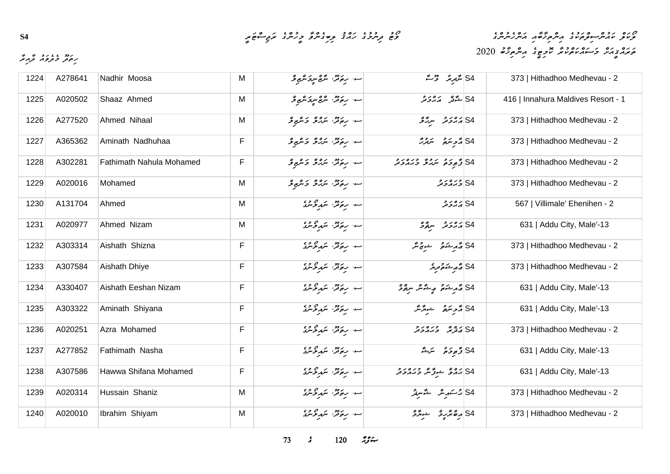*sCw7q7s5w7m< o<n9nOoAw7o< sCq;mAwBoEw7q<m; wBm;vB 2020<sup>, م</sup>وسوق المسجد التحقيق وسرمونية والم*جمع المسجد المسجد المسجد المسجد المسجد المسجد المسجد المسجد المسجد ال

| 1224 | A278641 | Nadhir Moosa                    | M | سە رەۋر، ئۇچ ئېرى ئىز چى | S4 سَّرْمِرِ سَمَّ حَ-شَّ               | 373   Hithadhoo Medhevau - 2       |
|------|---------|---------------------------------|---|--------------------------|-----------------------------------------|------------------------------------|
| 1225 | A020502 | Shaaz Ahmed                     | M | سە رەۋر، ئۇچ ئېرى ئىرىج  | S4 شَمَوْ <i>مَدْدَود</i> ْ             | 416   Innahura Maldives Resort - 1 |
| 1226 | A277520 | Ahmed Nihaal                    | M | ے رکھی ترکی ویرج کے      | S4 كەنزى قىر س <i>رگى</i> ئى            | 373   Hithadhoo Medhevau - 2       |
| 1227 | A365362 | Aminath Nadhuhaa                | F | ے روز روز دیکھی          | S4 أَمَّ مِ سَمَّ مِنْ مَسْتَمَرَّتَّ   | 373   Hithadhoo Medhevau - 2       |
| 1228 | A302281 | <b>Fathimath Nahula Mohamed</b> | F | ے روزہ روڈ زمرو          | S4 تُرجوحه سُهُ تُوَ وَبِرودِ د         | 373   Hithadhoo Medhevau - 2       |
| 1229 | A020016 | Mohamed                         | M | ے رکھڑا اسرائی کرھی گھر  | S4 دېږ د ته                             | 373   Hithadhoo Medhevau - 2       |
| 1230 | A131704 | Ahmed                           | M | سه ره ده شهر ۲۶۵         | S4 پر برخ متر                           | 567   Villimale' Ehenihen - 2      |
| 1231 | A020977 | Ahmed Nizam                     | M | ے رود شہر محمد           | S4 كەبرى قىر سى <i>نگى</i>              | 631   Addu City, Male'-13          |
| 1232 | A303314 | Aishath Shizna                  | F | ے رود شہر محمد           | S4 م <i>ەڭمە</i> شكەم ھەمتىگە           | 373   Hithadhoo Medhevau - 2       |
| 1233 | A307584 | Aishath Dhiye                   | F | ے رود شہر محمد           | S4 ۾ پر ڪوچوريز                         | 373   Hithadhoo Medhevau - 2       |
| 1234 | A330407 | Aishath Eeshan Nizam            | F | ے رکھڑ شہر محمد          | S4 مَّەمِ شَمَّ مِرْ شَمَّىر سِيَّةَ وَ | 631   Addu City, Male'-13          |
| 1235 | A303322 | Aminath Shiyana                 | F | ے رود شہر محمد           | S4 مَرْحِ سَمَعَ مَسْتَرْسَرَ           | 631   Addu City, Male'-13          |
| 1236 | A020251 | Azra Mohamed                    | F | ے رود شہر محمد           | S4 كەنىرىتر <i>27070</i> ر              | 373   Hithadhoo Medhevau - 2       |
| 1237 | A277852 | Fathimath Nasha                 | F | ے رود شہر محمد           | S4 ۇ <sub>جو</sub> رَمْ سَرْشَ          | 631   Addu City, Male'-13          |
| 1238 | A307586 | Hawwa Shifana Mohamed           | F | ے رکھڑ شہر محمد          | S4 يَهُمَّ شِوَّسَّر وَيَهُ وَمَ        | 631   Addu City, Male'-13          |
| 1239 | A020314 | Hussain Shaniz                  | M | ے رود شہر محمد           | S4 ئر <i>كىمبىر ئىشتىرىنى</i> ز         | 373   Hithadhoo Medhevau - 2       |
| 1240 | A020010 | Ibrahim Shiyam                  | M | ے روڈ سکر وی             | S4  مەھمىرى <sub>د</sub> ى ھوشى         | 373   Hithadhoo Medhevau - 2       |

## *n8o<n@ q<m=s@s> r@mAo5*

 $73$  *s*  $\qquad$  120  $29$   $\qquad$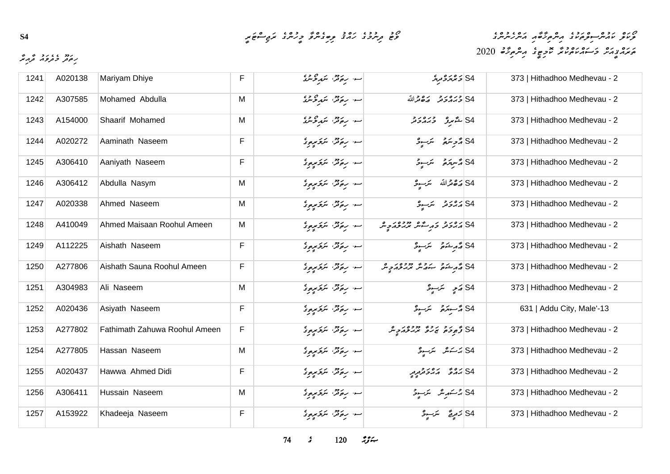*sCw7q7s5w7m< o<n9nOoAw7o< sCq;mAwBoEw7q<m; wBm;vB 2020<sup>, م</sup>وسر در مدد مدرج به مدرم مقرم قرار 2020*<br>موسر المستقرم المستقرم المستقرم المستقرم المستقرم المستقرم المستقرم المستقرم المستقرم المستقرم المستقرم المستقر

| 1241 | A020138 | Mariyam Dhiye                 | F           | ے رکوش سکر محمد            | S4 كەممەر 2 مەرگە                                                                                              | 373   Hithadhoo Medhevau - 2 |
|------|---------|-------------------------------|-------------|----------------------------|----------------------------------------------------------------------------------------------------------------|------------------------------|
| 1242 | A307585 | Mohamed Abdulla               | M           | ے رود شہر وی               | S4 <i>جەمەدە مەھ</i> تراللە                                                                                    | 373   Hithadhoo Medhevau - 2 |
| 1243 | A154000 | Shaarif Mohamed               | M           | ے رود شہر محمد             | S4 شَمِرُوْ دَبَرْدُدَتْر                                                                                      | 373   Hithadhoo Medhevau - 2 |
| 1244 | A020272 | Aaminath Naseem               | $\mathsf F$ | سە رەۋر، ئىرى ئىرە         | S4 مُجِسَعَةٍ سَرَسِيط                                                                                         | 373   Hithadhoo Medhevau - 2 |
| 1245 | A306410 | Aaniyath Naseem               | $\mathsf F$ | سە رەۋش ئىركىرىدۇ          | S4 مُس <i>ِمَرَة مَرَسِرة</i>                                                                                  | 373   Hithadhoo Medhevau - 2 |
| 1246 | A306412 | Abdulla Nasym                 | M           | سە رەۋىش ئىركىزىدە ئ       | S4 كَەڭ قىراللە س <i>رسى</i> ۋ                                                                                 | 373   Hithadhoo Medhevau - 2 |
| 1247 | A020338 | Ahmed Naseem                  | M           | سە رەۋر، ئىركە بىرە ئ      | S4 كەبرى تەربىر ئى                                                                                             | 373   Hithadhoo Medhevau - 2 |
| 1248 | A410049 | Ahmed Maisaan Roohul Ameen    | M           | سە رەۋە ئىرى بىرە          | S4  مددور تهرسته مدروروس                                                                                       | 373   Hithadhoo Medhevau - 2 |
| 1249 | A112225 | Aishath Naseem                | F           | ے رکوش مرکز مرکز ک         | S4 مەم يىسىم ھىر بىرى ئى                                                                                       | 373   Hithadhoo Medhevau - 2 |
| 1250 | A277806 | Aishath Sauna Roohul Ameen    | $\mathsf F$ | ے رکوش مرکز مرکز ک         | S4 محمد شوق سور محمد العرب محمد المحمد المحمد المحمد المحمد المحمد المحمد المحمد المحمد المحمد المحمد المحمد ا | 373   Hithadhoo Medhevau - 2 |
| 1251 | A304983 | Ali Naseem                    | M           | سە رەۋە ئىرى بور           | S4  رَمِ سَرَسِوْ                                                                                              | 373   Hithadhoo Medhevau - 2 |
| 1252 | A020436 | Asiyath Naseem                | F           | ب رەقرا ئىركىرە ئ          | S4 مُنْ سِبْرَةٌ مَدَ سِبْرَةٌ                                                                                 | 631   Addu City, Male'-13    |
| 1253 | A277802 | Fathimath Zahuwa Roohul Ameen | $\mathsf F$ | سە رەۋە ئىرىجىدە ئ         | S4 ژُجِرَمُ مِن دِ دِ دِ دِ مِنْ دِ مِنْ                                                                       | 373   Hithadhoo Medhevau - 2 |
| 1254 | A277805 | Hassan Naseem                 | M           | ىسە رەۋش مە <i>كەنبە</i> ئ | S4   ئەسەنلەر    سەرسونى                                                                                       | 373   Hithadhoo Medhevau - 2 |
| 1255 | A020437 | Hawwa Ahmed Didi              | F           | سە رەۋە ئىرى بىرە          | S4   يروثر   مركزة مرمرمبر<br> -                                                                               | 373   Hithadhoo Medhevau - 2 |
| 1256 | A306411 | Hussain Naseem                | M           | سە رەۋر، ئىرى ئىرە         | S4 يُرْسَمْ مِيْنْ مَرْسِيْرَتْ                                                                                | 373   Hithadhoo Medhevau - 2 |
| 1257 | A153922 | Khadeeja Naseem               | F           | ب رەقرا ئىگە بومۇ          | S4 كَتْرِيعٌ = سَرَسِيوْ =                                                                                     | 373   Hithadhoo Medhevau - 2 |

*n8o<n@ q<m=s@s> r@mAo5*

 $74$  *s*  $120$   $29$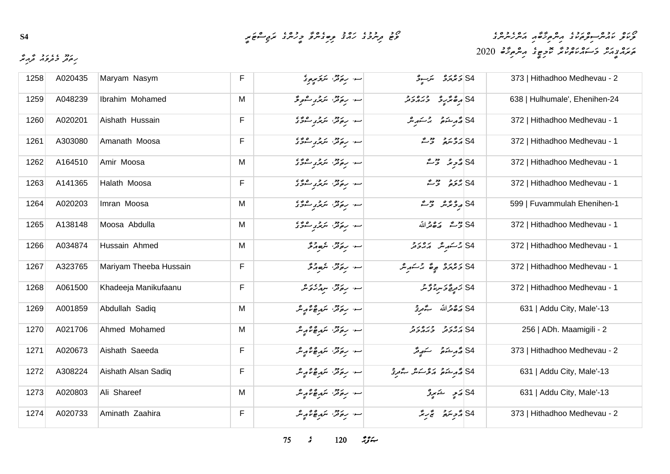*sCw7q7s5w7m< o<n9nOoAw7o< sCq;mAwBoEw7q<m; wBm;vB 2020<sup>, م</sup>وسوق المسجد التحقيق وسرمونية والم*جمع المسجد المسجد المسجد المسجد المسجد المسجد المسجد المسجد المسجد ال

| 1258 | A020435 | Maryam Nasym           | F | سە رەۋە ئىركەرە ئ     | S4 كەمەد مىز بىر                                       | 373   Hithadhoo Medhevau - 2  |
|------|---------|------------------------|---|-----------------------|--------------------------------------------------------|-------------------------------|
| 1259 | A048239 | Ibrahim Mohamed        | M | سە رەۋر، ئىرىرى سورۇ  | S4 مەھمگىر <i>25050 د</i>                              | 638   Hulhumale', Ehenihen-24 |
| 1260 | A020201 | Aishath Hussain        | F | سه رړود ترکړي سوی     | S4 مەمرىشىق ب <sub>ە</sub> شكىرىش                      | 372   Hithadhoo Medhevau - 1  |
| 1261 | A303080 | Amanath Moosa          | F | سه رړود ترکړي سوی     | S4 أَمَرَّسْهُمْ حَرْبٌ                                | 372   Hithadhoo Medhevau - 1  |
| 1262 | A164510 | Amir Moosa             | M | سه رړود ترکړي سوی     | S4 پڑ جيم ترمشم                                        | 372   Hithadhoo Medhevau - 1  |
| 1263 | A141365 | Halath Moosa           | F | سە بەرەد شرىرى سىزى   | S4 بَرْتَرَ <i>هِ 2</i> ْ بَرْ                         | 372   Hithadhoo Medhevau - 1  |
| 1264 | A020203 | Imran Moosa            | м | سە رەۋە ئەروپەسىدى    | S4 مەنزىگە يەسىم                                       | 599   Fuvammulah Ehenihen-1   |
| 1265 | A138148 | Moosa Abdulla          | M | سە رەۋر، سەر دەپرى    | S4 تُرْسَمُ بَرَهْتِمْرَاللّهِ                         | 372   Hithadhoo Medhevau - 1  |
| 1266 | A034874 | Hussain Ahmed          | M | ے رکوئی شھارتی        | S4 يُرْسَمَ بِهِ مَدْحَقَّدَ                           | 372   Hithadhoo Medhevau - 1  |
| 1267 | A323765 | Mariyam Theeba Hussain | F | ے رکوش شھارتی         | S4 كەبۇر ئەھ ئەسەمب                                    | 372   Hithadhoo Medhevau - 1  |
| 1268 | A061500 | Khadeeja Manikufaanu   | F | ے رکوش سرور کو مگر    | S4 كەيرى <i>ق كەبىرىدۇ</i> تىر                         | 372   Hithadhoo Medhevau - 1  |
| 1269 | A001859 | Abdullah Sadiq         | M | ے روتر، سَرے عامر مگر | S4 مَەھْمَراللە ج <sup>ە</sup> مِر <i>قى</i>           | 631   Addu City, Male'-13     |
| 1270 | A021706 | Ahmed Mohamed          | M | ے روتر، سَرے عامر مگر | S4 كەبرو مەمدە 32                                      | 256   ADh. Maamigili - 2      |
| 1271 | A020673 | Aishath Saeeda         | F | ے روتر، سَرے عامر مثر | S4 م <i>ۇم شۇمۇ</i> سى <i>مپى</i> گر                   | 373   Hithadhoo Medhevau - 2  |
| 1272 | A308224 | Aishath Alsan Sadiq    | F | - رەتر، سَرەغ ئوس     | S4 مەم ئىكىم مەكرىكەش ج <sup>ە</sup> مرى <sup>تى</sup> | 631   Addu City, Male'-13     |
| 1273 | A020803 | Ali Shareef            | M | ے روڈن سکرھ مار مگر   | S4 <i>۾َ جِ</i> شَمَرِوْ                               | 631   Addu City, Male'-13     |
| 1274 | A020733 | Aminath Zaahira        | F | ے روتر، سَرے عامہ س   | S4 مُتَّحِسَّعَةً تَجْرِبَّتُهُ                        | 373   Hithadhoo Medhevau - 2  |

 $75$  *s*  $120$   $29$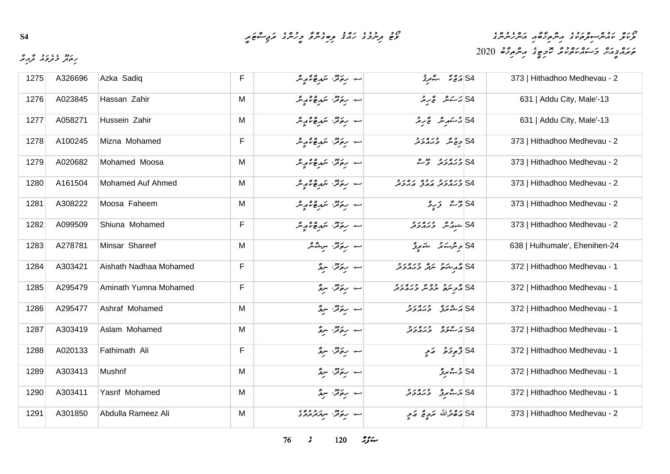*sCw7q7s5w7m< o<n9nOoAw7o< sCq;mAwBoEw7q<m; wBm;vB 2020<sup>, م</sup>وسوق المسجد التحقيق وسرمونية والم*جمع المسجد المسجد المسجد المسجد المسجد المسجد المسجد المسجد المسجد ال

| 1275 | A326696 | Azka Sadiq               | F | ے روتر، سَرے عامر مگر   | S4 كەنتى ئىش ئىستى <i>رىتى</i>          | 373   Hithadhoo Medhevau - 2  |
|------|---------|--------------------------|---|-------------------------|-----------------------------------------|-------------------------------|
| 1276 | A023845 | Hassan Zahir             | M | ے روتر، سَرے عامر مگر   | S4  > ئەسىكە ئ <sub>ە</sub> رىتى        | 631   Addu City, Male'-13     |
| 1277 | A058271 | Hussein Zahir            | M | ے روتر، سکرھ مار مگر    | S4 بر سے ہر سی سی سر بر                 | 631   Addu City, Male'-13     |
| 1278 | A100245 | Mizna Mohamed            | F | ے روتر، سَرے عامر مگر   | S4 جەنمىگە ئ <i>ەيمەدە</i> تر           | 373   Hithadhoo Medhevau - 2  |
| 1279 | A020682 | Mohamed Moosa            | M | ے روتر، سکرھ مار مگر    | S4 دېم دې ه د ح                         | 373   Hithadhoo Medhevau - 2  |
| 1280 | A161504 | <b>Mohamed Auf Ahmed</b> | M | ے روتر، سَرے عامر مثر   | S4 כממכנג ממג ממכנג S4                  | 373   Hithadhoo Medhevau - 2  |
| 1281 | A308222 | Moosa Faheem             | M | ے روتر، سَروع ماہرِ مگر | S4 چې ئەربى                             | 373   Hithadhoo Medhevau - 2  |
| 1282 | A099509 | Shiuna Mohamed           | F | ے روتر، سَرے عامر مگر   | S4 شوړنگر ور د د د                      | 373   Hithadhoo Medhevau - 2  |
| 1283 | A278781 | Minsar Shareef           | M | ے رکوئی سرگے مگر        | S4 <i>جىنگە بىكە يو</i> تۇ              | 638   Hulhumale', Ehenihen-24 |
| 1284 | A303421 | Aishath Nadhaa Mohamed   | F | سە رەقرا سرەً           | S4 مُهرِشَمُ سَرَبَّرُ وَبَرَهُ وَبَرْ  | 372   Hithadhoo Medhevau - 1  |
| 1285 | A295479 | Aminath Yumna Mohamed    | F | سە بەھ بىر سىرگە        | S4 جُرِ سَرَ وَ وَ وَ رَوَ دَ وَ رَ     | 372   Hithadhoo Medhevau - 1  |
| 1286 | A295477 | Ashraf Mohamed           | M | سە رەقرا سرەگە          | S4 كەشىمى دىرەرد                        | 372   Hithadhoo Medhevau - 1  |
| 1287 | A303419 | Aslam Mohamed            | M | ے رہ قرار سرگا          | S4 كەسىرە مەمەدىر                       | 372   Hithadhoo Medhevau - 1  |
| 1288 | A020133 | Fathimath Ali            | F | ے روتر، سرو             | S4 وَج <i>وحَ</i> هُمَ مِيسِ            | 372   Hithadhoo Medhevau - 1  |
| 1289 | A303413 | Mushrif                  | M | ب رەقرا بىرگە           | S4 ۇيۇمر <i>ۇ</i>                       | 372   Hithadhoo Medhevau - 1  |
| 1290 | A303411 | Yasrif Mohamed           | M | ے رکوش سرچ              | S4 يرجع و مردور د                       | 372   Hithadhoo Medhevau - 1  |
| 1291 | A301850 | Abdulla Rameez Ali       | M | ے رکوش سرگرمرون         | S4 كَرْھْتْرَاللَّهُ عَرَجٍ مَّ كَرَمِّ | 373   Hithadhoo Medhevau - 2  |

 $76$  *s*  $120$   $29$   $\div$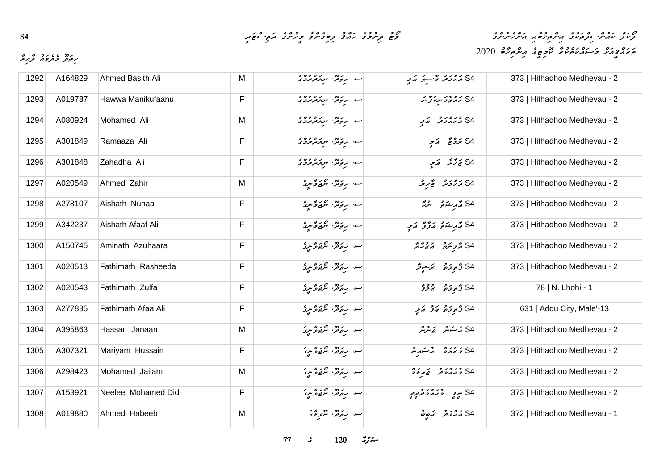*sCw7q7s5w7m< o<n9nOoAw7o< sCq;mAwBoEw7q<m; wBm;vB 2020<sup>, م</sup>وسوق المسجد التحقيق وسرمونية والم*جمع المسجد المسجد المسجد المسجد المسجد المسجد المسجد المسجد المسجد ال

| 1292 | A164829 | Ahmed Basith Ali    | M           | ے رکبور سرگرفربرو ک         | S4 كەبر <i>2 ھەسوچە كەب</i> ر      | 373   Hithadhoo Medhevau - 2 |
|------|---------|---------------------|-------------|-----------------------------|------------------------------------|------------------------------|
| 1293 | A019787 | Hawwa Manikufaanu   | F           | ے رکوش سرگر مرکز وہ ہ       | S4 <i>بَهُموُّدَ مِرِينُوَ</i> مَر | 373   Hithadhoo Medhevau - 2 |
| 1294 | A080924 | Mohamed Ali         | M           | ر در در برود و ده و         | S4  <i>وبزودو م</i> َع             | 373   Hithadhoo Medhevau - 2 |
| 1295 | A301849 | Ramaaza Ali         | F           | ے رکوبر، سرگرگرمرون         |                                    | 373   Hithadhoo Medhevau - 2 |
| 1296 | A301848 | Zahadha Ali         | F           | ے رکوش سرگر گردی            | S4 ىخ تىگر گەمچە                   | 373   Hithadhoo Medhevau - 2 |
| 1297 | A020549 | Ahmed Zahir         | M           | ے روزہ مرکز کو اس           | S4 كەبرى قىم ئىچ بىر ئىل           | 373   Hithadhoo Medhevau - 2 |
| 1298 | A278107 | Aishath Nuhaa       | F           | ے رود مرکز کے ایک           | S4 گەم شىم ھەر                     | 373   Hithadhoo Medhevau - 2 |
| 1299 | A342237 | Aishath Afaaf Ali   | $\mathsf F$ | ے رود عدادت                 | S4 صَّمِ مُشَمَّدٍ صَوَّرٌ صَعِ    | 373   Hithadhoo Medhevau - 2 |
| 1300 | A150745 | Aminath Azuhaara    | F           | ے رود مرکز کے گرم           | S4 مُجِسَعَةِ مَتَحَدَّثَمُ        | 373   Hithadhoo Medhevau - 2 |
| 1301 | A020513 | Fathimath Rasheeda  | F           | ے رود مرد شرق و مرد         | S4 ۇج <sub>و</sub> دۇ مەسىر        | 373   Hithadhoo Medhevau - 2 |
| 1302 | A020543 | Fathimath Zulfa     | F           | ے رکوش مرکز کر ک            | S4 وَج <i>ُوحَة بِحَوْدٌ</i>       | 78   N. Lhohi - 1            |
| 1303 | A277835 | Fathimath Afaa Ali  | F           | ے رود مرکز شرکے شرکتے       | S4 وَّجِوحَۃ مَتَرَ مَی            | 631   Addu City, Male'-13    |
| 1304 | A395863 | Hassan Janaan       | M           | ے رود مرد شرق و مرد         | S4   پرسكىش ئى ئىگەنلىر            | 373   Hithadhoo Medhevau - 2 |
| 1305 | A307321 | Mariyam Hussain     | F           | سە رەۋر، سرە ھەر            | S4 كەبىر بىر ئەسكىرىش              | 373   Hithadhoo Medhevau - 2 |
| 1306 | A298423 | Mohamed Jailam      | M           | ے رود مرد شرق و مرد         | S4 دُبَرْدَدَ مَدَرَدْ             | 373   Hithadhoo Medhevau - 2 |
| 1307 | A153921 | Neelee Mohamed Didi | F           | ے رود میں شروع ہوت          | S4 سرچ <i>دی۔ دیو</i> توپر         | 373   Hithadhoo Medhevau - 2 |
| 1308 | A019880 | Ahmed Habeeb        | M           | ب رەۋر، تر <sub>ە</sub> رۇ، | $50 - 55.5$ S4                     | 372   Hithadhoo Medhevau - 1 |

## *n8o<n@ q<m=s@s> r@mAo5*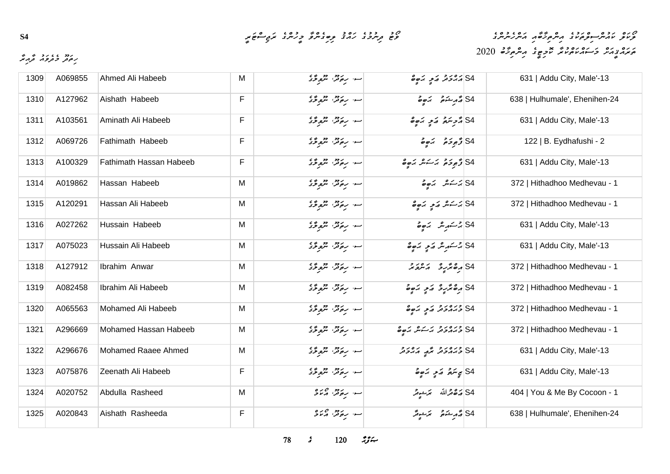*sCw7q7s5w7m< o<n9nOoAw7o< sCq;mAwBoEw7q<m; wBm;vB 2020<sup>, م</sup>وسوق المسجد التحقيق وسرمونية والم*جمع المسجد المسجد المسجد المسجد المسجد المسجد المسجد المسجد المسجد ال

| 1309 | A069855 | Ahmed Ali Habeeb               | M | سە رەۋر، «مۇڭ                               | S4 كەبرى <i>تىر كىچ ھ</i>                                                                            | 631   Addu City, Male'-13     |
|------|---------|--------------------------------|---|---------------------------------------------|------------------------------------------------------------------------------------------------------|-------------------------------|
| 1310 | A127962 | Aishath Habeeb                 | F | ب رەق شوڭرى                                 | $50 - 50$ $\frac{2}{3}$ $\frac{2}{3}$ $\frac{2}{3}$ $\frac{2}{3}$                                    | 638   Hulhumale', Ehenihen-24 |
| 1311 | A103561 | Aminath Ali Habeeb             | F | ے روتو، دو دی<br>۔ روتو، متبوتون            | S4 أَدُّحِ سَمَّةَ ۖ اَدَّمِ سَمَّةٍ ۖ اللَّهُ عَلَيْهِ ۖ وَاللَّهِ ۖ وَاللَّهِ ۖ وَاللَّهُ وَاللَّه | 631   Addu City, Male'-13     |
| 1312 | A069726 | Fathimath Habeeb               | F | سە رەۋىش شرەر ئى                            | S4 وَّجِوحَمْ بَرَصِهُ                                                                               | 122   B. Eydhafushi - 2       |
| 1313 | A100329 | <b>Fathimath Hassan Habeeb</b> | F | سە سەۋىرى قرىم ئىگە<br>سەس سەۋىرى ئىشھوقىدى | S4 زُودو برڪش برُھ ھ                                                                                 | 631   Addu City, Male'-13     |
| 1314 | A019862 | Hassan Habeeb                  | M | سە رەۋر ترەۋى                               | S4 كەسكە <i>كەھ</i>                                                                                  | 372   Hithadhoo Medhevau - 1  |
| 1315 | A120291 | Hassan Ali Habeeb              | M | سە رەۋىش شھرۇر                              | S4 كەسكەنگە م <i>ەي مەھ</i>                                                                          | 372   Hithadhoo Medhevau - 1  |
| 1316 | A027262 | Hussain Habeeb                 | M | سە رەۋر ترەۋى                               | S4 بر سَمبر مَرَ سَمَعِ صَ                                                                           | 631   Addu City, Male'-13     |
| 1317 | A075023 | Hussain Ali Habeeb             | M | سە رەۋىق شرەر ئ                             | S4 يُرْسَمبر شَرِ مَرَ مَرَ 2⁄2                                                                      | 631   Addu City, Male'-13     |
| 1318 | A127912 | Ibrahim Anwar                  | M | سە رەۋر ترەۋى                               | S4  مەھم <i>گىرى مەھ</i> مە                                                                          | 372   Hithadhoo Medhevau - 1  |
| 1319 | A082458 | Ibrahim Ali Habeeb             | M | ب رەق شوڭرى                                 | S4 مەھمگىر 3 مگر مگرم ق                                                                              | 372   Hithadhoo Medhevau - 1  |
| 1320 | A065563 | Mohamed Ali Habeeb             | M | سە رەۋىق شھوقۇي                             | S4 <i>وُبَهُ وَبَرٍ يَوْ يَوْ هُ</i>                                                                 | 372   Hithadhoo Medhevau - 1  |
| 1321 | A296669 | Mohamed Hassan Habeeb          | M | ب رەق شوڭرى                                 | S4 درەردە برخش بر ق                                                                                  | 372   Hithadhoo Medhevau - 1  |
| 1322 | A296676 | Mohamed Raaee Ahmed            | M | ب رەدە « ئوغ                                | S4 دُبَرُ مِرْمٍ مَدَّومٌ                                                                            | 631   Addu City, Male'-13     |
| 1323 | A075876 | Zeenath Ali Habeeb             | F | سە رەۋر ترەۋى                               | S4 پ <i>ې ترکې هغې بر کو</i> ځ                                                                       | 631   Addu City, Male'-13     |
| 1324 | A020752 | Abdulla Rasheed                | M | سه ره ده ۲۵ وره                             | S4 كَەھقراللە كَرىشوقر                                                                               | 404   You & Me By Cocoon - 1  |
| 1325 | A020843 | Aishath Rasheeda               | F | ر دو مره<br>پ ر <sub>مون</sub> س اردو       | S4 مَ <i>ذِرِ شَعْرِ مَرْ</i> شِي <i>دَ</i>                                                          | 638   Hulhumale', Ehenihen-24 |

 $78$  *s*  $\qquad$  **120** *z*  $\frac{2}{3}$  *k*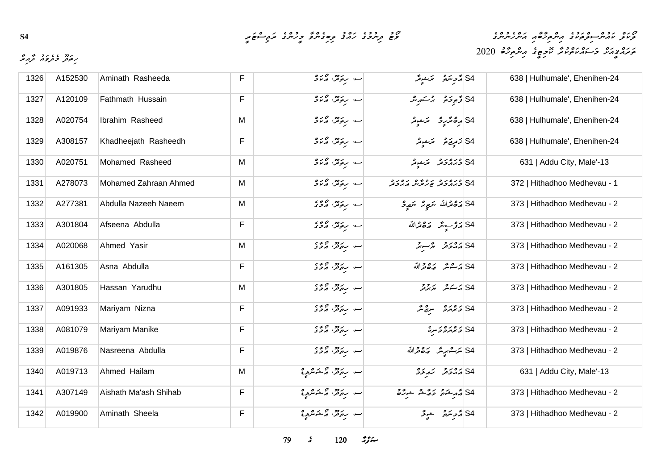*sCw7q7s5w7m< o<n9nOoAw7o< sCq;mAwBoEw7q<m; wBm;vB 2020<sup>, م</sup>وسوق المسجد التحقيق وسرمونية والم*جمع المسجد المسجد المسجد المسجد المسجد المسجد المسجد المسجد المسجد ال

| 1326 | A152530 | Aminath Rasheeda      | F | سه ربود ۲۷۵                              | S4 مُجِسَمَةٌ مَمَسِّبِةٌ                       | 638   Hulhumale', Ehenihen-24 |
|------|---------|-----------------------|---|------------------------------------------|-------------------------------------------------|-------------------------------|
| 1327 | A120109 | Fathmath Hussain      | F | سه ره ده ۲۵ وره                          | S4 ۇ <sub>جو</sub> رَى ئەسەر ش                  | 638   Hulhumale', Ehenihen-24 |
| 1328 | A020754 | Ibrahim Rasheed       | M | سه رود ۲۷۵<br>سه روفرا ارلام             | S4 مەھەمگەر تەسىم ئىسىمىتى كى                   | 638   Hulhumale', Ehenihen-24 |
| 1329 | A308157 | Khadheejath Rasheedh  | F | $310 - 362 = -1$                         | S4 كَرْمَتِيْتُهُمْ = مَرْسُومْرُ               | 638   Hulhumale', Ehenihen-24 |
| 1330 | A020751 | Mohamed Rasheed       | M | $310^{22}$                               | S4 <i>وُبَرُوْدُو مَرْ</i> خِيْتَر              | 631   Addu City, Male'-13     |
| 1331 | A278073 | Mohamed Zahraan Ahmed | M | سه ره ده ۲۵ وره                          | S4 ورەرو روپوە رەرو                             | 372   Hithadhoo Medhevau - 1  |
| 1332 | A277381 | Abdulla Nazeeh Naeem  | M | ر دود ۵ وه<br>سو ر <sub>کو</sub> تر، دود | S4 كەھەراللە ئىرىم ئىر ئىر                      | 373   Hithadhoo Medhevau - 2  |
| 1333 | A301804 | Afseena Abdulla       | F | $550^{32} - 20$                          | S4 مَوْسِعِتَر مَ <b>صْ</b> قَرَاللَّه          | 373   Hithadhoo Medhevau - 2  |
| 1334 | A020068 | Ahmed Yasir           | M | ر دو ۶۵ وی<br>سو روفرا ۶۶۸               | S4 كەبرى قرىسىتىر                               | 373   Hithadhoo Medhevau - 2  |
| 1335 | A161305 | Asna Abdulla          | F | سه رود ۵ ده                              | S4 كەشقىق كەھقراللە                             | 373   Hithadhoo Medhevau - 2  |
| 1336 | A301805 | Hassan Yarudhu        | м | سه ره ده ۲۶۵ ک                           | S4 ئەسەئىر مەئرىتر                              | 373   Hithadhoo Medhevau - 2  |
| 1337 | A091933 | Mariyam Nizna         | F | سه ره ده ۶۶۵<br>سه ره در ۶۶۸             | S4 كەممە <i>ھ</i> ى سىنى ئىگە                   | 373   Hithadhoo Medhevau - 2  |
| 1338 | A081079 | Mariyam Manike        | F | سه ره ده ۲۶۵ و                           | S4 كەبھە <i>ر 25 س</i> رىئ <i>ا</i>             | 373   Hithadhoo Medhevau - 2  |
| 1339 | A019876 | Nasreena Abdulla      | F | $550, 350 - -$                           | S4 <del>مَرْ</del> ــْمَعِيمَّر كَمْـ8مْراللَّه | 373   Hithadhoo Medhevau - 2  |
| 1340 | A019713 | Ahmed Hailam          | M | ے روزہ میں مور                           | S4   كەبرى كەرىخە                               | 631   Addu City, Male'-13     |
| 1341 | A307149 | Aishath Ma'ash Shihab | F | ے رکوش مر شکر مرد و                      | S4 مەم ئىم ئەرگىشى ئىرگە                        | 373   Hithadhoo Medhevau - 2  |
| 1342 | A019900 | Aminath Sheela        | F | ب ربردد می شود.                          | S4 مُرْحِسَمُ مُسِوَّر                          | 373   Hithadhoo Medhevau - 2  |

*79 sC 120 nNw?mS*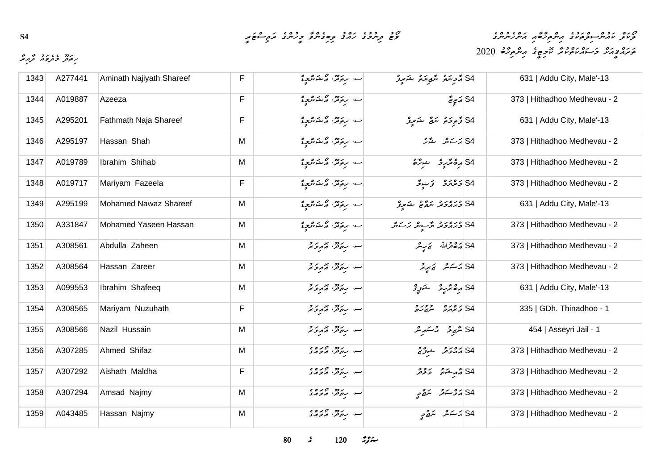*sCw7q7s5w7m< o<n9nOoAw7o< sCq;mAwBoEw7q<m; wBm;vB* م من المرة المرة المرة المرجع المرجع في المركبة 2020<br>مجم*د المريض المربوط المربع المرجع في المراجع المركبة* 

| 1343 | A277441 | Aminath Najiyath Shareef     | F | ۔ رومز، مشکر                                                        | S4 مُرْحِ سَرَمْۃُ سُرْمِ مُرْحَمَّةٍ مِسْتَمَهِ فِرْ | 631   Addu City, Male'-13    |
|------|---------|------------------------------|---|---------------------------------------------------------------------|-------------------------------------------------------|------------------------------|
| 1344 | A019887 | Azeeza                       | F | ے روزہ کرے مرورہ                                                    | S4 ڪيپوتنج                                            | 373   Hithadhoo Medhevau - 2 |
| 1345 | A295201 | Fathmath Naja Shareef        | F | ے روزہ کرے مرورہ                                                    | S4 ژ <sub>َّب</sub> ودَنْ سَنَّے شَہرِرٌ              | 631   Addu City, Male'-13    |
| 1346 | A295197 | Hassan Shah                  | M | ے روزہ مشکر                                                         | S4 پرسته شر ش <sup>و</sup> ژ                          | 373   Hithadhoo Medhevau - 2 |
| 1347 | A019789 | Ibrahim Shihab               | M | ب رود محمد من                                                       | S4 مەھم <i>گىر</i> ئىشرىقى ئىش                        | 373   Hithadhoo Medhevau - 2 |
| 1348 | A019717 | Mariyam Fazeela              | F | سە رەۋىر، كەشكەردى                                                  | S4 <i>5 پروژه ق-پ</i> وگ                              | 373   Hithadhoo Medhevau - 2 |
| 1349 | A295199 | <b>Mohamed Nawaz Shareef</b> | M | ۔ رومن مشکر                                                         | S4 دېم ده ده ترو ځيږو                                 | 631   Addu City, Male'-13    |
| 1350 | A331847 | Mohamed Yaseen Hassan        | M | ب رود محمد و                                                        | S4 دره در و محب محمد بر کندگر                         | 373   Hithadhoo Medhevau - 2 |
| 1351 | A308561 | Abdulla Zaheen               | M | سه ره ده مهم د د                                                    | S4 مَەھىراللە ت <sub>ى كى</sub> رىتر                  | 373   Hithadhoo Medhevau - 2 |
| 1352 | A308564 | Hassan Zareer                | M | ے رکوش مردوند                                                       | S4   پرسته س <i>ي پېر پر</i>                          | 373   Hithadhoo Medhevau - 2 |
| 1353 | A099553 | Ibrahim Shafeeq              | M | سه ره ده مهم در د                                                   | S4  مەھەر ئەرق ھەرقى                                  | 631   Addu City, Male'-13    |
| 1354 | A308565 | Mariyam Nuzuhath             | F | سه ره ده مهم در د                                                   | S4 كەبىر بىر يېزىق                                    | 335   GDh. Thinadhoo - 1     |
| 1355 | A308566 | Nazil Hussain                | M | سە رەتر، مەركە                                                      | S4 سگیر تحریف جمعہ جنگ ک                              | 454   Asseyri Jail - 1       |
| 1356 | A307285 | Ahmed Shifaz                 | M | سه ریزود ۱۶۸۵                                                       | S4 كەبرى قىر ئىس ئىس ئىس ئىس ئى                       | 373   Hithadhoo Medhevau - 2 |
| 1357 | A307292 | Aishath Maldha               | F | - رود موده                                                          | S4 مەم ئىشقى ئىقى ئى                                  | 373   Hithadhoo Medhevau - 2 |
| 1358 | A307294 | Amsad Najmy                  | M | $\begin{pmatrix} 0 & 0 & 0 \\ 0 & 0 & 0 \\ 0 & 0 & 0 \end{pmatrix}$ | S4 كەبۇسىقىر سى <i>نق</i> و                           | 373   Hithadhoo Medhevau - 2 |
| 1359 | A043485 | Hassan Najmy                 | M | سه ریزه به ده با                                                    | S4 كەسكەشى ئىز <sub>ق</sub> ى ج <sub>ە</sub>          | 373   Hithadhoo Medhevau - 2 |

 $80$  *s*  $120$  *n***<sub>s</sub>**  $\frac{2}{3}$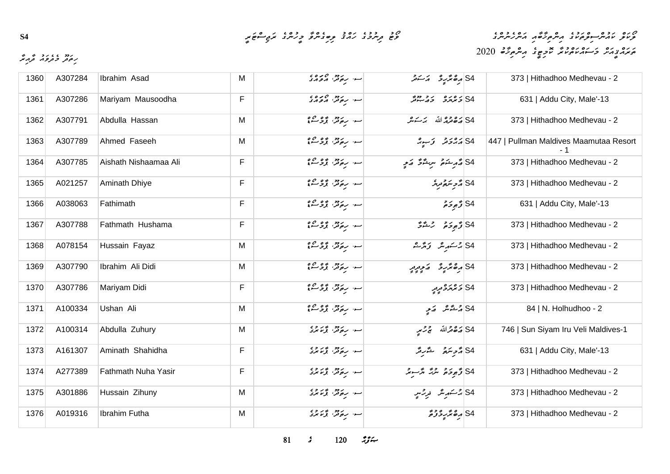*sCw7q7s5w7m< o<n9nOoAw7o< sCq;mAwBoEw7q<m; wBm;vB 2020<sup>, م</sup>وسر در مدد مدرج به مدرم مقرم قرار 2020*<br>موسر المستقرم المستقرم المستقرم المستقرم المستقرم المستقرم المستقرم المستقرم المستقرم المستقرم المستقرم المستقر

| 1360 | A307284 | Ibrahim Asad          | M | سه ریزه ۲۰۰۵<br>سه ریونس اروادی                                                  | S4 مەھەترىر قەرىسىتىر                       | 373   Hithadhoo Medhevau - 2                  |
|------|---------|-----------------------|---|----------------------------------------------------------------------------------|---------------------------------------------|-----------------------------------------------|
| 1361 | A307286 | Mariyam Mausoodha     | F |                                                                                  | S4 كەبەرە بەر دەپىر                         | 631   Addu City, Male'-13                     |
| 1362 | A307791 | Abdulla Hassan        | M | سى رەتئى، ئۇچرىسى                                                                | S4 مَرْجَعْهُ اللّه بَرَسَهْ                | 373   Hithadhoo Medhevau - 2                  |
| 1363 | A307789 | Ahmed Faseeh          | M | سى رەۋىش بۇر شوم                                                                 | S4   <i>مەندى قىبەن</i>                     | 447   Pullman Maldives Maamutaa Resort<br>- 1 |
| 1364 | A307785 | Aishath Nishaamaa Ali | F | سى رود بوە مەە                                                                   | S4 صَّەتْ مِنْ مِنْ مِنْتَمَعَ صَرْحِ       | 373   Hithadhoo Medhevau - 2                  |
| 1365 | A021257 | Aminath Dhiye         | F | $\begin{pmatrix} 0 & 0 & 0 & 0 \\ 0 & -1 & 0 & 0 \\ 0 & 0 & 0 & 0 \end{pmatrix}$ | S4 مَرْحِ سَرْمَرْ مَرِ مَرْ                | 373   Hithadhoo Medhevau - 2                  |
| 1366 | A038063 | Fathimath             | F | سه رود وه ده و                                                                   | S4 رَّجوحر                                  | 631   Addu City, Male'-13                     |
| 1367 | A307788 | Fathmath Hushama      | F | سه رود وه ده و                                                                   | S4 تَ <i>وْجِوَةْ</i> رَّسْتَرَّ            | 373   Hithadhoo Medhevau - 2                  |
| 1368 | A078154 | Hussain Fayaz         | M | سە بەھ بۇر بۇرغ                                                                  | S4 پرستمبر تر تژر می                        | 373   Hithadhoo Medhevau - 2                  |
| 1369 | A307790 | Ibrahim Ali Didi      | M | سه رود وه ده و                                                                   | S4  مەھەرىرى كەمەمەمەد                      | 373   Hithadhoo Medhevau - 2                  |
| 1370 | A307786 | Mariyam Didi          | F | سە بەھ بۇر بۇرغ                                                                  | S4 كەچرىر 3 مرىر                            | 373   Hithadhoo Medhevau - 2                  |
| 1371 | A100334 | Ushan Ali             | M | سە رەۋر ئۇچرىققى                                                                 | S4 پر شمس ک <i>ے یو</i>                     | 84   N. Holhudhoo - 2                         |
| 1372 | A100314 | Abdulla Zuhury        | M | سە رەۋىش ۋىروي                                                                   | S4  رَجْعَة اللَّهُ بِحْرَمِي               | 746   Sun Siyam Iru Veli Maldives-1           |
| 1373 | A161307 | Aminath Shahidha      | F | سة رەۋە ئەروە                                                                    | S4 مُرْحِسَةً شَّرِيْتُر                    | 631   Addu City, Male'-13                     |
| 1374 | A277389 | Fathmath Nuha Yasir   | F | سە رەۋىش تۇرىرى                                                                  | S4 رَّج <i>و دَوْ</i> مَرْبَّہُ مَرَّسِمَہُ | 373   Hithadhoo Medhevau - 2                  |
| 1375 | A301886 | Hussain Zihuny        | M | سە رەۋىش ۋىروي                                                                   | S4  پرستمبر عمر فریر سر                     | 373   Hithadhoo Medhevau - 2                  |
| 1376 | A019316 | Ibrahim Futha         | M | سة رەۋىش كەردە                                                                   | S4 <sub>مەھ</sub> مۇر <i>ج</i> ۇرۇ          | 373   Hithadhoo Medhevau - 2                  |

*n8o<n@ q<m=s@s> r@mAo5*

 $81$  *s*  $120$  *n***<sub>s</sub>**  $\frac{2}{3}$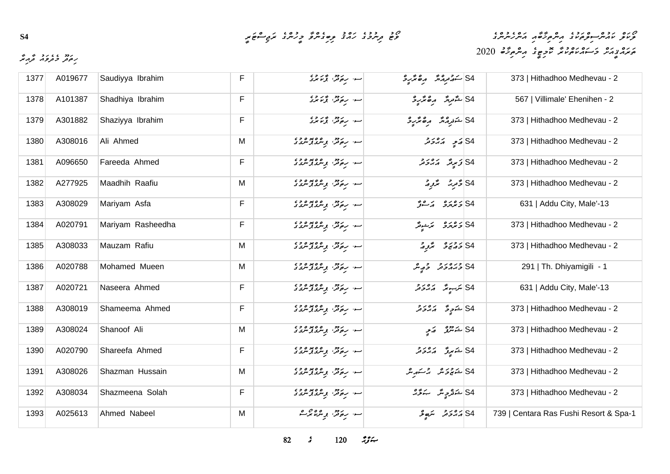*sCw7q7s5w7m< o<n9nOoAw7o< sCq;mAwBoEw7q<m; wBm;vB 2020<sup>, م</sup>وسوق المسجد التحقيق وسرمونية والم*جمع المسجد المسجد المسجد المسجد المسجد المسجد المسجد المسجد المسجد ال

| 1377 | A019677 | Saudiyya Ibrahim  | F | سە رەۋە ئۇروپ                                        | S4 سَمَ <i>دِيدةَ م</i> ِعْتَرِيْتَ                                                                                   | 373   Hithadhoo Medhevau - 2           |
|------|---------|-------------------|---|------------------------------------------------------|-----------------------------------------------------------------------------------------------------------------------|----------------------------------------|
| 1378 | A101387 | Shadhiya Ibrahim  | F | سە رەۋىش ۋىروي                                       | S4 شَمَعِيهُ مِنْ مُرْسِرْ .                                                                                          | 567   Villimale' Ehenihen - 2          |
| 1379 | A301882 | Shaziyya Ibrahim  | F | سة رەقق ۋىروپى                                       | S4 شَو <i>َډِرْ جَه وَ هُجُرِ دُ</i>                                                                                  | 373   Hithadhoo Medhevau - 2           |
| 1380 | A308016 | Ali Ahmed         | M | ر دود.<br>سه روون پرسربر دسر                         | S4 كەبىر كەبر <i>ى</i> رد                                                                                             | 373   Hithadhoo Medhevau - 2           |
| 1381 | A096650 | Fareeda Ahmed     | F | ر دو ده وه ده ده<br>پ. رونز، په دیگرس                | S4 كۆي <sub>ى</sub> نگە كەش <sup>ى</sup> دىكى                                                                         | 373   Hithadhoo Medhevau - 2           |
| 1382 | A277925 | Maadhih Raafiu    | M | ر دود. ده ده ده ده.<br>پ. روتر، برسرو سر             | S4 دَّمِيدُ گُرُوِيْر                                                                                                 | 373   Hithadhoo Medhevau - 2           |
| 1383 | A308029 | Mariyam Asfa      | F | ر در برود و ۵۶۵ و د و د<br>سه بروتر، پرسرو پرسرو د   | S4 ئەبىر بەر يەر ئەنگەنز                                                                                              | 631   Addu City, Male'-13              |
| 1384 | A020791 | Mariyam Rasheedha | F | ر دود.<br>سه رمونس پرسرو تسری د                      | S4 ك <i>ر جرمر \$ مرَسْ</i> وِمَّرُ                                                                                   | 373   Hithadhoo Medhevau - 2           |
| 1385 | A308033 | Mauzam Rafiu      | M | ر به رود و ۵۵ وه و د و د<br>سوسر مرکز به به برند و د | S4 كەندىمى ئىگى <i>مى</i> ئىگەنىمىتى ئىگەنىيەت ئىگەن ئىگەن ئىگەن كەنتە كەنتەت كەنتەت كەنتەت كەنتەت كەنتەت كەنتەت كەنت | 373   Hithadhoo Medhevau - 2           |
| 1386 | A020788 | Mohamed Mueen     | M | ر دود. ده ده ده ده.<br>پ. روتر، برسرو سر             | S4 <i>\$222 \$ي. م</i>                                                                                                | 291   Th. Dhiyamigili - 1              |
| 1387 | A020721 | Naseera Ahmed     | F | ر به رود و ۵۵ وه و د و د<br>سوسر مرکز به به برند و د | S4 سَرَسِوِسَّر     مَرْكَرْ قَدْ                                                                                     | 631   Addu City, Male'-13              |
| 1388 | A308019 | Shameema Ahmed    | F | ر به رود و ۵۵ وه و د و د<br>سوسر مرکز به به برند و د | S4 شَوِرَ 5.2 دَرَ 1                                                                                                  | 373   Hithadhoo Medhevau - 2           |
| 1389 | A308024 | Shanoof Ali       | M | ر به رود و ۵۵ وه و د و د<br>سوسر مرکز به به برند و د | S4 ڪيترو <i>۾ ج</i>                                                                                                   | 373   Hithadhoo Medhevau - 2           |
| 1390 | A020790 | Shareefa Ahmed    | F | ر دود.<br>سه ره ترکي پرسري تسري د                    | S4 شەمرى <sup>ت</sup> ە ئەرەتمە                                                                                       | 373   Hithadhoo Medhevau - 2           |
| 1391 | A308026 | Shazman Hussain   | M | ر دود. ده ده ده ده.<br>پ. روتر، برسرو سر             | S4 شىم تەكتىر بىر شەر بىر                                                                                             | 373   Hithadhoo Medhevau - 2           |
| 1392 | A308034 | Shazmeena Solah   | F | ر دود.<br>سه روون پرسربر دسر                         | S4 شۇر <sub>ىر</sub> شەئەتە                                                                                           | 373   Hithadhoo Medhevau - 2           |
| 1393 | A025613 | Ahmed Nabeel      | M | ے روفرا بر مردمی                                     | S4   <i>م بروتر متھ</i> و                                                                                             | 739   Centara Ras Fushi Resort & Spa-1 |

*n8o<n@ q<m=s@s> r@mAo5*

 $82$  *s*  $120$  *n***<sub>s</sub>**  $\frac{2}{3}$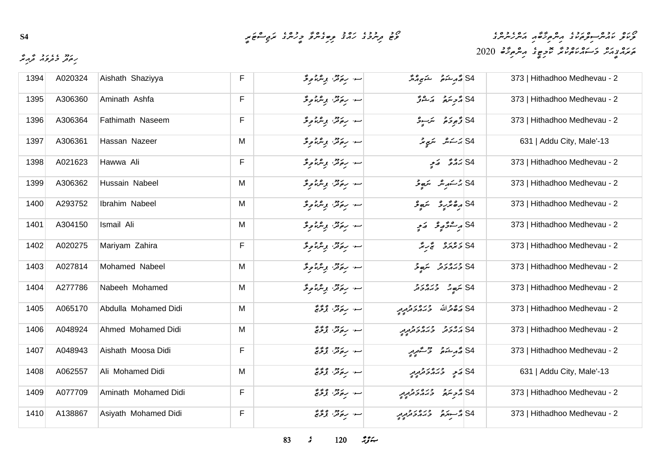*sCw7q7s5w7m< o<n9nOoAw7o< sCq;mAwBoEw7q<m; wBm;vB 2020<sup>, م</sup>وسوق المسجد التحقيق وسرمونية والم*جمع المسجد المسجد المسجد المسجد المسجد المسجد المسجد المسجد المسجد ال

| 1394 | A020324 | Aishath Shaziyya     | F | ے روزش برم <i>زدو</i> ک                     | S4 مُذْمِرْ مُشْمَعْ مُشْمَعِ مُرْمَّرٌ                 | 373   Hithadhoo Medhevau - 2 |
|------|---------|----------------------|---|---------------------------------------------|---------------------------------------------------------|------------------------------|
| 1395 | A306360 | Aminath Ashfa        | F | ے ر <sub>وک</sub> ر برم <i>رد و</i>         | S4 مَّ <i>جِسَعَة مَ</i> شَوْرً                         | 373   Hithadhoo Medhevau - 2 |
| 1396 | A306364 | Fathimath Naseem     | F | ے ر <sub>یم</sub> ون بریکر کو مح            | S4 ۇج <sub>و</sub> دۇ مەسىر                             | 373   Hithadhoo Medhevau - 2 |
| 1397 | A306361 | Hassan Nazeer        | M | ے ر <sub>مو</sub> رم بر عروفہ               | S4  ئەسىھرى سىپى تىر                                    | 631   Addu City, Male'-13    |
| 1398 | A021623 | Hawwa Ali            | F | ے ر <sub>مو</sub> رم بر عروفہ               | S4 كەبۇر كەمب <i>ى</i>                                  | 373   Hithadhoo Medhevau - 2 |
| 1399 | A306362 | Hussain Nabeel       | M | ے رہے تر برندو ڈ                            | S4 پر کے مربعہ محمد اس کی تعلیم کی ایک                  | 373   Hithadhoo Medhevau - 2 |
| 1400 | A293752 | Ibrahim Nabeel       | M | ے ر <sub>مو</sub> ر برمرم کو مح             | S4  مەھەردى سەھى                                        | 373   Hithadhoo Medhevau - 2 |
| 1401 | A304150 | Ismail Ali           | M | ۔ روژه ویثراوڈ                              | S4 ۾ ڪوڻي قريمبر                                        | 373   Hithadhoo Medhevau - 2 |
| 1402 | A020275 | Mariyam Zahira       | F | ے ر <sub>یم</sub> ون بریکر کو مح            | S4 <i>جەمەدى تج ب</i>                                   | 373   Hithadhoo Medhevau - 2 |
| 1403 | A027814 | Mohamed Nabeel       | M | سە رەۋىر، ب <sub>و</sub> يرى <i>مام</i> وڭر | S4 دېم دېمر تر موقع                                     | 373   Hithadhoo Medhevau - 2 |
| 1404 | A277786 | Nabeeh Mohamed       | M | ۔ روژه ویثراوڈ                              | S4 سَهِ پَر دِروتر                                      | 373   Hithadhoo Medhevau - 2 |
| 1405 | A065170 | Abdulla Mohamed Didi | M | سە رەۋر، بۇ ئۇ                              | S4  جەھەراللە <i>دېرەردىرى</i> ر                        | 373   Hithadhoo Medhevau - 2 |
| 1406 | A048924 | Ahmed Mohamed Didi   | M | سور روم ووي                                 | S4 كەبرو بول مەمروپىرىيە                                | 373   Hithadhoo Medhevau - 2 |
| 1407 | A048943 | Aishath Moosa Didi   | F | سە رەۋر دوم                                 | S4 مُەرشەق ق <sup>ىر</sup> شەربىر                       | 373   Hithadhoo Medhevau - 2 |
| 1408 | A062557 | Ali Mohamed Didi     | M | سە رەۋر دوم                                 | S4 كەي تەركە ئەتەرىپە                                   | 631   Addu City, Male'-13    |
| 1409 | A077709 | Aminath Mohamed Didi | F | ب رەقرى بۇ ئۇچ                              | S4 مُرْجِسَمْ وَبَرْمُ وَتَرْتَزِيرِ                    | 373   Hithadhoo Medhevau - 2 |
| 1410 | A138867 | Asiyath Mohamed Didi | F | سور سردو و و څخه                            | S4 جُرِ مِيرَ حَ بِرُ وَ بِرَ وَ بِرِ وَ بِرِ بِرِ بِرِ | 373   Hithadhoo Medhevau - 2 |

*n8o<n@ q<m=s@s> r@mAo5*

**83** *s* **120** *n***<sub>s</sub>***n***<sub>s</sub>**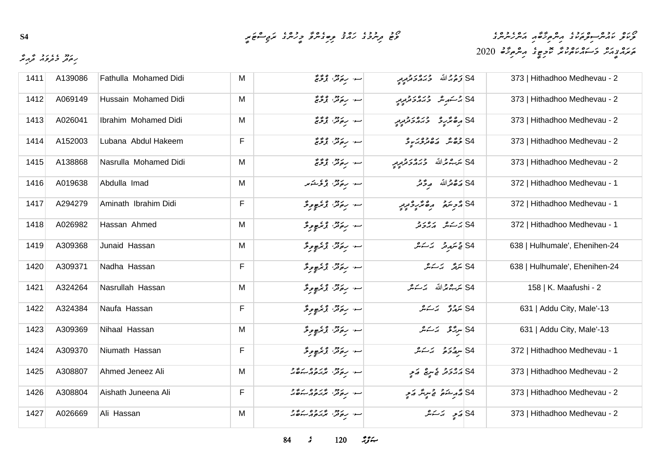*sCw7q7s5w7m< o<n9nOoAw7o< sCq;mAwBoEw7q<m; wBm;vB 2020<sup>, م</sup>وسوق المسجد التحقيق وسرمونية والم*جمع المسجد المسجد المسجد المسجد المسجد المسجد المسجد المسجد المسجد ال

| 1411 | A139086 | Fathulla Mohamed Didi | M            | سه رِهِ دَرْ بِرْمَزْ حَمْ                    | S4 وَحَدَّ اللّهُ وَبَرَهْ وَمُرْمِرِمِرِ   | 373   Hithadhoo Medhevau - 2  |
|------|---------|-----------------------|--------------|-----------------------------------------------|---------------------------------------------|-------------------------------|
| 1412 | A069149 | Hussain Mohamed Didi  | M            | سه ره در ووځ                                  | S4 پر کے مربع کے مربع مربع ہے<br>ا          | 373   Hithadhoo Medhevau - 2  |
| 1413 | A026041 | Ibrahim Mohamed Didi  | M            | سور سره در در در در                           | S4 مەھگرى <sup>1</sup> ئەمەم ئىرىرىر        | 373   Hithadhoo Medhevau - 2  |
| 1414 | A152003 | Lubana Abdul Hakeem   | $\mathsf F$  | سە رەۋر ووم                                   | S4 ژەڭش مەھىر <i>دىن</i> دە                 | 373   Hithadhoo Medhevau - 2  |
| 1415 | A138868 | Nasrulla Mohamed Didi | M            | سە رەملە بۇلۇم                                | S4 ىزبە تراللە <i>ھەدە ت</i> رىرىر          | 373   Hithadhoo Medhevau - 2  |
| 1416 | A019638 | Abdulla Imad          | M            | سە رەۋش بۇ ئۇيغۇر                             | S4 مَ <i>ـُهِ مَ</i> رَّاللَّهُ مِتَرَمَّرُ | 372   Hithadhoo Medhevau - 1  |
| 1417 | A294279 | Aminath Ibrahim Didi  | F            | سەرەقتى بۇترىچ بوڭر                           | S4 <i>مُجرِسَعْة م</i> ِهْ مُرْسِوْمِيْرِ   | 372   Hithadhoo Medhevau - 1  |
| 1418 | A026982 | Hassan Ahmed          | M            | سە رەقرا ۋىزچوقە                              | S4 ئەسەمب <i>ى مەدە</i> مر                  | 372   Hithadhoo Medhevau - 1  |
| 1419 | A309368 | Junaid Hassan         | M            | ۔ رِيونُ بُرَيْرِ جِوَ تَرَ                   | S4 فے س <i>کہ وڈ</i> کے سکھ                 | 638   Hulhumale', Ehenihen-24 |
| 1420 | A309371 | Nadha Hassan          | $\mathsf{F}$ | ب رەقرا ۋىزچورۇ                               | S4 سَرْمَّر بَرَسَكَسْر                     | 638   Hulhumale', Ehenihen-24 |
| 1421 | A324264 | Nasrullah Hassan      | M            | ب رەقۇر، بۇترىچ بوڭر                          | S4 يتربح بحرالله بركت محر                   | 158   K. Maafushi - 2         |
| 1422 | A324384 | Naufa Hassan          | F            | ب رەقۇر، بۇترىچ بوڭر                          | S4 ئىرتى <i>ر ئەسكى</i> ر                   | 631   Addu City, Male'-13     |
| 1423 | A309369 | Nihaal Hassan         | M            | ب رەقر، ژىزچورۇ                               | S4 س <i>رگی بر ش</i> کر                     | 631   Addu City, Male'-13     |
| 1424 | A309370 | Niumath Hassan        | F            | ۔ رِيُوتُو، وَيَرْجِعِ وَ                     | S4 س <i>مەڭ ئۇسى</i> ر                      | 372   Hithadhoo Medhevau - 1  |
| 1425 | A308807 | Ahmed Jeneez Ali      | M            | 7.810318.76                                   | S4 كەبرى قى ئاس كە كەب                      | 373   Hithadhoo Medhevau - 2  |
| 1426 | A308804 | Aishath Juneena Ali   | F            | سه رود وروه دود                               | S4 مٌہرِ مُتَوَمٌ   تي سرِ سَرٌ   مَرْمِرِ  | 373   Hithadhoo Medhevau - 2  |
| 1427 | A026669 | Ali Hassan            | M            | גדי הקבל יוני גורד.<br>היי הקבל יוניקאי היסוג | S4   كەمچە    ئەسكەنلەر                     | 373   Hithadhoo Medhevau - 2  |

 $84$  *s*  $\cancel{0}$  **120** *n***<sub>s</sub>**  $\cancel{0}$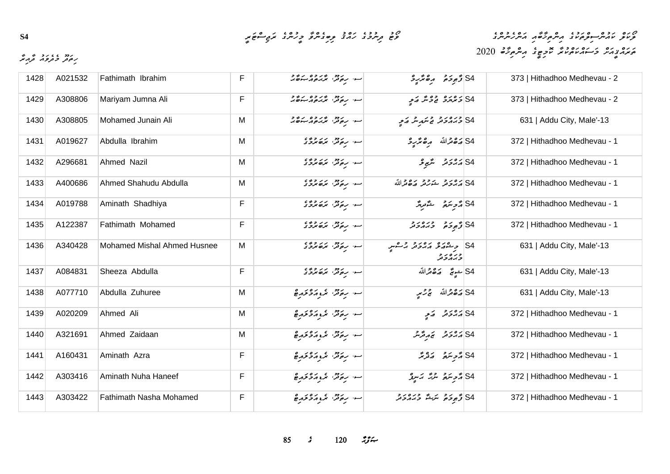*sCw7q7s5w7m< o<n9nOoAw7o< sCq;mAwBoEw7q<m; wBm;vB 2020<sup>, م</sup>وجدة المصرورة المجموعة المستورجة والم*جموعة والمجموعة والمجموعة والمجموعة والمجموعة والمجموعة والمجموعة

| 1428 | A021532 | Fathimath Ibrahim                  | F | سه ره در ۱۶۷۶ ده د                   | S4 ژ <sub>ن</sub> جو دَمْ مِهْ مَ <sup>حْ</sup> دِدْ          | 373   Hithadhoo Medhevau - 2 |
|------|---------|------------------------------------|---|--------------------------------------|---------------------------------------------------------------|------------------------------|
| 1429 | A308806 | Mariyam Jumna Ali                  | F | ر دو دروه ددون<br>د روتر، ترزوه برده | S4 كا <i>كار جمهري محمد مك</i> و                              | 373   Hithadhoo Medhevau - 2 |
| 1430 | A308805 | Mohamed Junain Ali                 | M | $7.870278$<br>- 1941 x 1944          | S4  <i>دبرہ دو</i> وسر مگر مگر کے ب                           | 631   Addu City, Male'-13    |
| 1431 | A019627 | Abdulla Ibrahim                    | M | ٢٠٠ مرح و ٢٠٠                        | S4 مَصْعَداللّه مِصْعَرِ وَ                                   | 372   Hithadhoo Medhevau - 1 |
| 1432 | A296681 | Ahmed Nazil                        | M | היי הפרקי הביטוריים מביעים בי        | S4 كەنزى قىرىم ئىلىنى ئىلىن ئىلىن ئىلىن ئىلىن ئىلىن ئىلىن ئىل | 372   Hithadhoo Medhevau - 1 |
| 1433 | A400686 | Ahmed Shahudu Abdulla              | M | رود رود                              | S4 كەبرى ئەرەر كەھەر للە                                      | 372   Hithadhoo Medhevau - 1 |
| 1434 | A019788 | Aminath Shadhiya                   | F | ٢٠٠ مرح و ٢٠٠                        | S4 مُرْحِسَمُ مُشْعِرْ مُرْ                                   | 372   Hithadhoo Medhevau - 1 |
| 1435 | A122387 | Fathimath Mohamed                  | F | גדו מדער ביט<br>היי מפלקי מסמכב      | S4 ۇج <sub>و</sub> خى خەممەد                                  | 372   Hithadhoo Medhevau - 1 |
| 1436 | A340428 | <b>Mohamed Mishal Ahmed Husnee</b> | M | سه رجونو، مرد و ده و                 | S4 ويشهر وبروتر برحس ح                                        | 631   Addu City, Male'-13    |
| 1437 | A084831 | Sheeza Abdulla                     | F | ردو بره وه د                         | S4 حوتم كەھەتراللە                                            | 631   Addu City, Male'-13    |
| 1438 | A077710 | Abdulla Zuhuree                    | M | ٢٠٠ رود، عرود و دره                  | S4 مَەھتراللە ي <i>ج</i> رىمبر                                | 631   Addu City, Male'-13    |
| 1439 | A020209 | Ahmed Ali                          | M | سو رەمى مودە دەرە                    | S4 كەبردىق كەي <sub>ج</sub>                                   | 372   Hithadhoo Medhevau - 1 |
| 1440 | A321691 | Ahmed Zaidaan                      | M | سو روده عموم دو دره                  | S4   <i>مەدەنى ئەمەم</i> گىتر                                 | 372   Hithadhoo Medhevau - 1 |
| 1441 | A160431 | Aminath Azra                       | F | سو روده عموم دو خرم                  | S4 مُرْحِ سَمَعُ مَقْرَ مَمَّ                                 | 372   Hithadhoo Medhevau - 1 |
| 1442 | A303416 | Aminath Nuha Haneef                | F | سو رەتر، مروكروگور                   | S4 مَّ <i>جِ سَمَّةَ سَنَّہُ بَسِيدُ</i>                      | 372   Hithadhoo Medhevau - 1 |
| 1443 | A303422 | <b>Fathimath Nasha Mohamed</b>     | F | سو رود عدد و دوره                    | S4 تُرجوحَمُ سَمَيْتُمْ وَبَرْمُ وَسَ                         | 372   Hithadhoo Medhevau - 1 |

*n8o<n@ q<m=s@s> r@mAo5*

 $85$  *s*  $\frac{120}{56}$  *n***<sub>3</sub>** *i***<sub>3</sub>** *i*<sub>3</sub>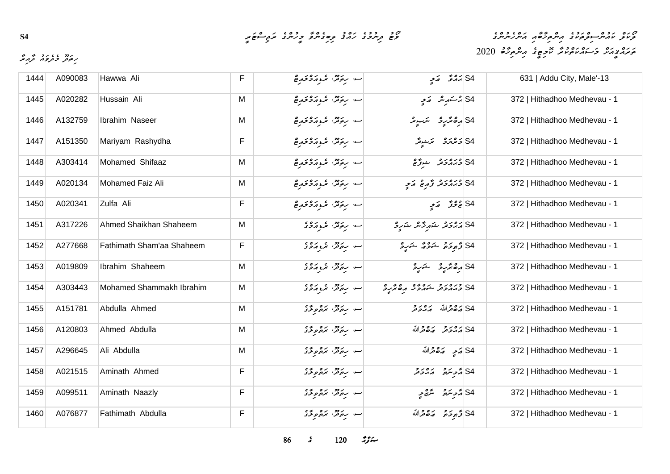*sCw7q7s5w7m< o<n9nOoAw7o< sCq;mAwBoEw7q<m; wBm;vB 2020<sup>, م</sup>وسر در مدد مدرج به مدرم مقرم قرار 2020*<br>موسر المستقرم المستقرم المستقرم المستقرم المستقرم المستقرم المستقرم المستقرم المستقرم المستقرم المستقرم المستقر

| 1444 | A090083 | Hawwa Ali                 | F | سوا رەترا مروزكروگو      | S4 <i>جَهُرَّةً مَ</i> حِ        | 631   Addu City, Male'-13    |
|------|---------|---------------------------|---|--------------------------|----------------------------------|------------------------------|
| 1445 | A020282 | Hussain Ali               | M | ٢٠٠ رود ، مرورد و دره    | S4 پر سمبر م <i>گرم</i> چ        | 372   Hithadhoo Medhevau - 1 |
| 1446 | A132759 | Ibrahim Naseer            | M | سو رەتر، ئوروگروڭ        | S4 مەھەر ئىر سىزىيە ئىككى ئىستىد | 372   Hithadhoo Medhevau - 1 |
| 1447 | A151350 | Mariyam Rashydha          | F | سو روده عرود و دو        | S4 <i>5 بروكر فى برَحيا قر</i> ّ | 372   Hithadhoo Medhevau - 1 |
| 1448 | A303414 | Mohamed Shifaaz           | M | سوا رود عدد و دوره       | S4 <i>ۇنەۋەتر شوۋى</i>           | 372   Hithadhoo Medhevau - 1 |
| 1449 | A020134 | Mohamed Faiz Ali          | M | سوا رود عدد و دوره       | S4 دُبَرُمْ دَيْرٍ وَمِنْ مَرْمِ | 372   Hithadhoo Medhevau - 1 |
| 1450 | A020341 | Zulfa Ali                 | F | ٢٠٠ رود ، مرد مرد و در ه | S4 ج فوتر - <i>م</i> َج          | 372   Hithadhoo Medhevau - 1 |
| 1451 | A317226 | Ahmed Shaikhan Shaheem    | M | سه ره ده کرده د          | S4 <i>בکرد و تذریح شری</i>       | 372   Hithadhoo Medhevau - 1 |
| 1452 | A277668 | Fathimath Sham'aa Shaheem | F | سه رود و ره و            | S4 تَهوِمَ تَمَوَّثَ حَدِمَّ     | 372   Hithadhoo Medhevau - 1 |
| 1453 | A019809 | Ibrahim Shaheem           | M | سه رکړي شوه ده ده        | S4  مەھم <i>گرى</i> شىرى         | 372   Hithadhoo Medhevau - 1 |
| 1454 | A303443 | Mohamed Shammakh Ibrahim  | M | سه رکړې لره ده ده        | S4 دره در دره ده ده مرده         | 372   Hithadhoo Medhevau - 1 |
| 1455 | A151781 | Abdulla Ahmed             | M | سە رەۋر، ئۇھ بۇ ئ        | S4 مَەمْراللە مَ <sup>رەرو</sup> | 372   Hithadhoo Medhevau - 1 |
| 1456 | A120803 | Ahmed Abdulla             | M | سە رەۋر، ئۇھ بۇ ئ        | S4 كەبروتىر كەھىراللە            | 372   Hithadhoo Medhevau - 1 |
| 1457 | A296645 | Ali Abdulla               | M | ب رەدد ئەھ بۇ            | S4  تەمچ    تەڭ قىراللە          | 372   Hithadhoo Medhevau - 1 |
| 1458 | A021515 | Aminath Ahmed             | F | ے رکوش ترکوعرمی          | S4 مُجِسَعَةِ مَبْحَدَثَ         | 372   Hithadhoo Medhevau - 1 |
| 1459 | A099511 | Aminath Naazly            | F | ے رکوش ترکویوی           |                                  | 372   Hithadhoo Medhevau - 1 |
| 1460 | A076877 | Fathimath Abdulla         | F | ب رەقرى ئۇھ بۇ           | S4 قُرْجِرَة مَرْكَ مَدْاللّه    | 372   Hithadhoo Medhevau - 1 |

*n8o<n@ q<m=s@s> r@mAo5*

 $86$  *s*  $120$  *n***<sub>3</sub>** *i***<sub>3</sub>** *i***<sub>3</sub>** *i***<sub>3</sub>**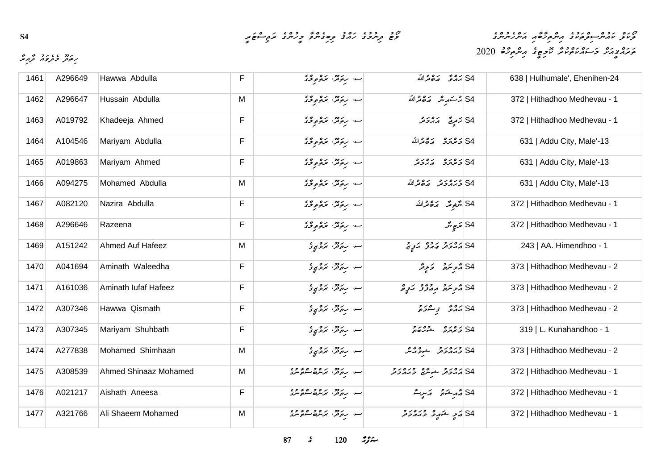*sCw7q7s5w7m< o<n9nOoAw7o< sCq;mAwBoEw7q<m; wBm;vB 2020<sup>, م</sup>وسوق المسجد التحقيق وسرمونية والم*جمع المسجد المسجد المسجد المسجد المسجد المسجد المسجد المسجد المسجد ال

| 1461 | A296649 | Hawwa Abdulla           | F | ے رکھڑی مرکزوری                            | S4 بَرْمَوْ بَرْصْوَراللّه             | 638   Hulhumale', Ehenihen-24 |
|------|---------|-------------------------|---|--------------------------------------------|----------------------------------------|-------------------------------|
| 1462 | A296647 | Hussain Abdulla         | M | سە رەۋىش ئۇھ بۇ ئى                         | S4 يُرْسَمَّرِ مُثْرَّ مُدَّالِلَّهُ   | 372   Hithadhoo Medhevau - 1  |
| 1463 | A019792 | Khadeeja Ahmed          | F | سە رەۋىش ئۇھ بۇي                           | S4 كَتْمِيعٌ مَدْوَمْرٌ                | 372   Hithadhoo Medhevau - 1  |
| 1464 | A104546 | Mariyam Abdulla         | F | سە رەۋىش ئۇھ بۇي                           | S4 كر مرد مركاته بين                   | 631   Addu City, Male'-13     |
| 1465 | A019863 | Mariyam Ahmed           | F | ب رەق ئەۋرى                                | S4 كرمرده بره رو                       | 631   Addu City, Male'-13     |
| 1466 | A094275 | Mohamed Abdulla         | M | سە رەۋىش ئۇھ بۇي                           | S4 3223 مَرْهُولله                     | 631   Addu City, Male'-13     |
| 1467 | A082120 | Nazira Abdulla          | F | ے رکوش ترکوعرمی                            | S4 سَمْعِيمَتْہ صَ <b>صْ</b> قَرْاللّه | 372   Hithadhoo Medhevau - 1  |
| 1468 | A296646 | Razeena                 | F | ب رەۋر برە دە                              | S4 ئىزىپەتتر                           | 372   Hithadhoo Medhevau - 1  |
| 1469 | A151242 | <b>Ahmed Auf Hafeez</b> | M | سە رەۋىق ئۇچ ئ                             | S4 <i>הככת החצ</i> ה <sub>ک</sub> رچ   | 243   AA. Himendhoo - 1       |
| 1470 | A041694 | Aminath Waleedha        | F | سە رەۋىر ئەۋىئ                             | S4 مَّ <i>جِ مَنْ جَهْ بِ</i> مََّ     | 373   Hithadhoo Medhevau - 2  |
| 1471 | A161036 | Aminath Iufaf Hafeez    | F | سە رەۋى ئۇۋېرى                             | S4 مُرْحِسَمُ مِمْرُوْ رَبِي           | 373   Hithadhoo Medhevau - 2  |
| 1472 | A307346 | Hawwa Qismath           | F | سه رەۋر، ئرومى                             | S4 بروء ت <sub>و</sub> سعر             | 373   Hithadhoo Medhevau - 2  |
| 1473 | A307345 | Mariyam Shuhbath        | F | ب رەۋىق ئەۋىبى                             | S4 كەبىرە مەدەم                        | 319   L. Kunahandhoo - 1      |
| 1474 | A277838 | Mohamed Shimhaan        | M | سه رېږده بروېږي                            | S4 دېرمان سورېمبر                      | 373   Hithadhoo Medhevau - 2  |
| 1475 | A308539 | Ahmed Shinaaz Mohamed   | M | سه رود رود وه ور                           | S4 ג د د و شوشی تاره د و               | 372   Hithadhoo Medhevau - 1  |
| 1476 | A021217 | Aishath Aneesa          | F | سه رود رود وه وه.                          | S4 گەم شەھ كەسرىگ                      | 372   Hithadhoo Medhevau - 1  |
| 1477 | A321766 | Ali Shaeem Mohamed      | M | ر دو ده وه وه ده ده<br>سو روتر، مرس ها موس | S4 كەبچ شەمەق <i>دىمەدىر</i>           | 372   Hithadhoo Medhevau - 1  |

*87 sC 120 nNw?mS*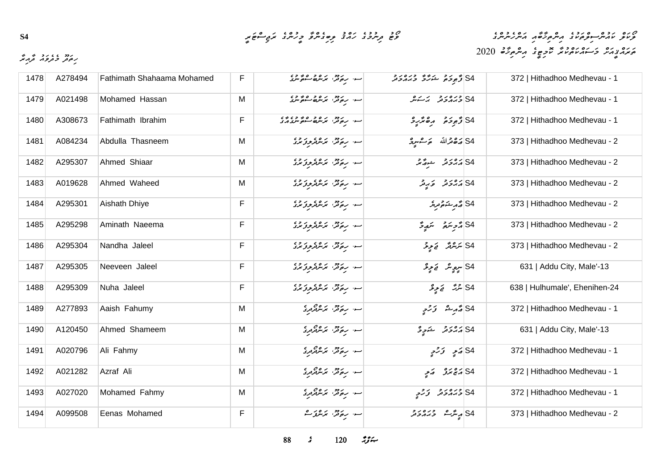*sCw7q7s5w7m< o<n9nOoAw7o< sCq;mAwBoEw7q<m; wBm;vB 2020<sup>, م</sup>وسوق المسجد التحقيق وسرمونية والم*جمع المسجد المسجد المسجد المسجد المسجد المسجد المسجد المسجد المسجد ال

| 1478 | A278494 | Fathimath Shahaama Mohamed | $\mathsf F$ | ر دو دره وه وه ده.<br>سو، رجوتر، برس        | S4 ژُجِ دَمَ ۾ رُمُ دره رو                         | 372   Hithadhoo Medhevau - 1  |
|------|---------|----------------------------|-------------|---------------------------------------------|----------------------------------------------------|-------------------------------|
| 1479 | A021498 | Mohamed Hassan             | M           | ر در در دوره ده ده<br>سوسره تر مرسره سوه سر | S4 دېرورو برخو                                     | 372   Hithadhoo Medhevau - 1  |
| 1480 | A308673 | Fathimath Ibrahim          | $\mathsf F$ | ر دو در ۵۶۵ و ۶۵ و ۶۵ و د م                 | S4 ژ <sub>ن</sub> جو دَمْ مِهْ مَرْرِدْ            | 372   Hithadhoo Medhevau - 1  |
| 1481 | A084234 | Abdulla Thasneem           | M           | ے رود رود دی                                | S4 صَدَّةَ مِّرَ اللَّهُ مَوَ سَمْسِرَةَ           | 373   Hithadhoo Medhevau - 2  |
| 1482 | A295307 | Ahmed Shiaar               | M           | ر به رود.<br>به رود. نرمهروز برد            | S4 كەبرى ئىرگە ئىر                                 | 373   Hithadhoo Medhevau - 2  |
| 1483 | A019628 | Ahmed Waheed               | M           | ب رود. نرونوژنوژن                           | S4 <i>مَدْدَوَنْتْ وَبِ</i> يْرَ                   | 373   Hithadhoo Medhevau - 2  |
| 1484 | A295301 | Aishath Dhiye              | $\mathsf F$ | ر دود. ده ده د ده.<br>پ. روتر، مرمونویوی    | S4 ۾ پر ڪوچرير                                     | 373   Hithadhoo Medhevau - 2  |
| 1485 | A295298 | Aminath Naeema             | F           | ر دود. ده ده د ده.<br>پ. روتر، مرمونویوی    | S4 مُجِسَعَة سَمِيعً                               | 373   Hithadhoo Medhevau - 2  |
| 1486 | A295304 | Nandha Jaleel              | $\mathsf F$ | ر دود. بره دوم د وه<br>سه روفر، برگرفرفرن   | S4  سَرشرنگر کے م <sub>ح</sub> وثر                 | 373   Hithadhoo Medhevau - 2  |
| 1487 | A295305 | Neeveen Jaleel             | $\mathsf F$ | ر در دور بر ده در ده د                      | S4 س <sub>م</sub> مبر کے پی                        | 631   Addu City, Male'-13     |
| 1488 | A295309 | Nuha Jaleel                | $\mathsf F$ | ر دود. ده ده د ده د<br>سه رمونژ، مرس ترویزی | S4 يُرْرٌ <sub>گَي</sub> چو                        | 638   Hulhumale', Ehenihen-24 |
| 1489 | A277893 | Aaish Fahumy               | M           | سە رەۋر. ئەس دەر ،                          | S4 م <i>گهر</i> يش تر <sup>ح</sup> رم <sub>ي</sub> | 372   Hithadhoo Medhevau - 1  |
| 1490 | A120450 | Ahmed Shameem              | M           | ے رود بردوں                                 | S4 <i>252.5 مشو</i> ر                              | 631   Addu City, Male'-13     |
| 1491 | A020796 | Ali Fahmy                  | M           | سه رود. نرمزمزمرد                           | S4 کړ <i>ي ذ</i> رحي                               | 372   Hithadhoo Medhevau - 1  |
| 1492 | A021282 | Azraf Ali                  | M           | سه رود تر همروره                            | S4 كەنچ ئىرق كەنجە                                 | 372   Hithadhoo Medhevau - 1  |
| 1493 | A027020 | Mohamed Fahmy              | M           | ے رود تر مصر دی                             | S4 <i>\$22,23 قررّو</i>                            | 372   Hithadhoo Medhevau - 1  |
| 1494 | A099508 | Eenas Mohamed              | $\mathsf F$ | سە رەۋىش ئەس <i>رىق ش</i>                   | S4 مەنگەشقا بەيھەدىتە                              | 373   Hithadhoo Medhevau - 2  |

## *n8o<n@ q<m=s@s> r@mAo5*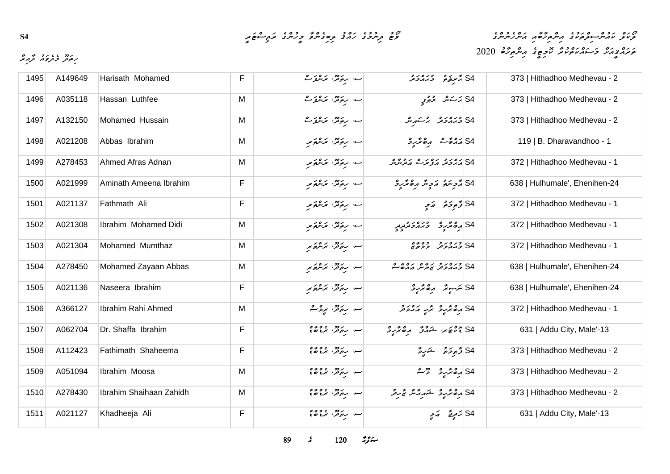*sCw7q7s5w7m< o<n9nOoAw7o< sCq;mAwBoEw7q<m; wBm;vB 2020<sup>, م</sup>وسوق المسجد التحقيق وسرمونية والم*جمع المسجد المسجد المسجد المسجد المسجد المسجد المسجد المسجد المسجد ال

| 1495 | A149649 | Harisath Mohamed        | F           | سە رەۋىر، ئەسرى ك                | S4 جُمِيهُم وَبَرْمُ وَبِرَ                                      | 373   Hithadhoo Medhevau - 2  |
|------|---------|-------------------------|-------------|----------------------------------|------------------------------------------------------------------|-------------------------------|
| 1496 | A035118 | Hassan Luthfee          | M           | ۔ رِیرُوْرُ، بَرَسْرُ ک          | S4 كەس <i>تەنلە</i> ق <i>وتۇ</i> ر                               | 373   Hithadhoo Medhevau - 2  |
| 1497 | A132150 | Mohamed Hussain         | M           | ے رکھوڑی مرکٹروگ                 | S4 دېرمه د مختصر شر                                              | 373   Hithadhoo Medhevau - 2  |
| 1498 | A021208 | Abbas Ibrahim           | M           | ب رود. برمور                     | $5.500$ $2.500$ $\sqrt{5.4}$                                     | 119   B. Dharavandhoo - 1     |
| 1499 | A278453 | Ahmed Afras Adnan       | M           | - رود بره به                     | S4 كەبرو برەپرىشە كەترىگەش                                       | 372   Hithadhoo Medhevau - 1  |
| 1500 | A021999 | Aminath Ameena Ibrahim  | $\mathsf F$ | - سە ئەقرى ئەسھەسمە              | S4 أُمُّ جِسَمَةَ أُمَّ جِسَّرٌ أَمِنَّةٌ مِنْ الْمَسْتَخْرِجَةُ | 638   Hulhumale', Ehenihen-24 |
| 1501 | A021137 | Fathmath Ali            | F           | سە رەۋر، ئەسمەر                  | S4 وَجوحَمَ صَعِ                                                 | 372   Hithadhoo Medhevau - 1  |
| 1502 | A021308 | Ibrahim Mohamed Didi    | M           | ب رود. ئرمۇم                     | S4 مەھەر بەر مەدەر بويدىر<br>S4 مەھەربىرى مەدەر مەدىرىدىر        | 372   Hithadhoo Medhevau - 1  |
| 1503 | A021304 | Mohamed Mumthaz         | M           | - رەقرا ئەندەبر                  | S4 ديره د ده ده و                                                | 372   Hithadhoo Medhevau - 1  |
| 1504 | A278450 | Mohamed Zayaan Abbas    | M           | سە رەۋر، ئەندە ئېر               | S4 دره رو بروه روه م                                             | 638   Hulhumale', Ehenihen-24 |
| 1505 | A021136 | Naseera Ibrahim         | $\mathsf F$ | - سە ئەقرى ئەسھەسمە              | S4 <del>مرجو عرب</del> مقدر پرو                                  | 638   Hulhumale', Ehenihen-24 |
| 1506 | A366127 | Ibrahim Rahi Ahmed      | M           | ے رہوش ہروے                      | S4 مەھەر بەر ئەرەر دېرىد                                         | 372   Hithadhoo Medhevau - 1  |
| 1507 | A062704 | Dr. Shaffa Ibrahim      | F           |                                  | $5.20$ $1.00$ $1.00$ $1.00$ $8.4$                                | 631   Addu City, Male'-13     |
| 1508 | A112423 | Fathimath Shaheema      | F           |                                  | S4 زَّەپرىق شَىرِدَّ                                             | 373   Hithadhoo Medhevau - 2  |
| 1509 | A051094 | Ibrahim Moosa           | M           |                                  | S4  مەھمەر ئەستە                                                 | 373   Hithadhoo Medhevau - 2  |
| 1510 | A278430 | Ibrahim Shaihaan Zahidh | M           |                                  | S4 مەھەر يەھ ئەم بەشىر تم <i>بە</i> ر                            | 373   Hithadhoo Medhevau - 2  |
| 1511 | A021127 | Khadheeja Ali           | F           | ر دو ده ده ده<br>سو روتر، برون د | S4 كَتَمْرِيعٌ - مَدْمٍ -                                        | 631   Addu City, Male'-13     |
|      |         |                         |             |                                  |                                                                  |                               |

*89 sC 120 nNw?mS*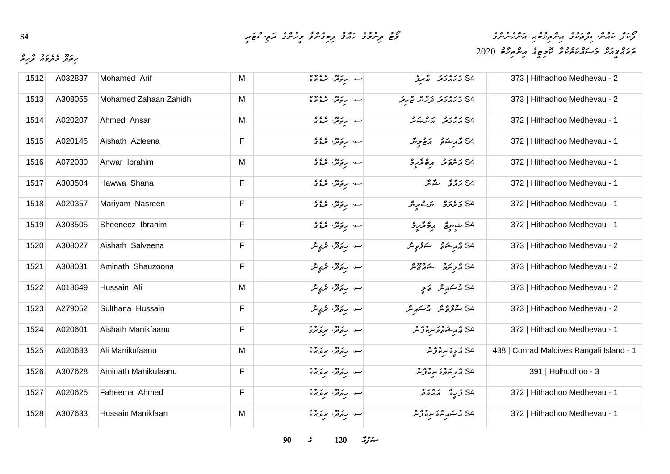*sCw7q7s5w7m< o<n9nOoAw7o< sCq;mAwBoEw7q<m; wBm;vB 2020<sup>, م</sup>وسوق المسجد التحقيق وسرمونية والم*جمع المسجد المسجد المسجد المسجد المسجد المسجد المسجد المسجد المسجد ال

| 1512 | A032837 | Mohamed Arif          | M |                                                               | S4 <i>2222 مجبر</i> و                  | 373   Hithadhoo Medhevau - 2             |
|------|---------|-----------------------|---|---------------------------------------------------------------|----------------------------------------|------------------------------------------|
| 1513 | A308055 | Mohamed Zahaan Zahidh | M | سه رود ۶۵۷ و.                                                 | S4 <i>دېرو دو نرگنگ ځ</i> رنگ          | 373   Hithadhoo Medhevau - 2             |
| 1514 | A020207 | Ahmed Ansar           | M | سه ره ده ۶۵ وی                                                | S4 كەبروتىر كەنگەنىيەتتىر              | 372   Hithadhoo Medhevau - 1             |
| 1515 | A020145 | Aishath Azleena       | F | سه ره ده وه ده و                                              | S4 مَەم شەھ مەتىم <i>جى</i> ش          | 372   Hithadhoo Medhevau - 1             |
| 1516 | A072030 | Anwar Ibrahim         | M | سه ره ده وه ده و                                              | S4 كەشھەم مەھەربە                      | 372   Hithadhoo Medhevau - 1             |
| 1517 | A303504 | Hawwa Shana           | F | سه ره ده وه ده و                                              | S4 يَرْدُوَّ شَدَّسَّ                  | 372   Hithadhoo Medhevau - 1             |
| 1518 | A020357 | Mariyam Nasreen       | F | سه ره ده وه ده و                                              | S4 كەبۇر <i>ۇ بىرگىمى</i> رى <i>گ</i>  | 372   Hithadhoo Medhevau - 1             |
| 1519 | A303505 | Sheeneez Ibrahim      | F | سه ره ده ده د                                                 | S4 سيسرچ م <i>ي شرق</i> ر              | 372   Hithadhoo Medhevau - 1             |
| 1520 | A308027 | Aishath Salveena      | F | سە سەھ ئىرى ئىرى ئىگە                                         | S4 مەم ئىقق سىمۇم <i>و</i> مىگە        | 373   Hithadhoo Medhevau - 2             |
| 1521 | A308031 | Aminath Shauzoona     | F | سە سەھەر ئەھم بىگە                                            | S4 مُرْحِسَمُ مُسَمَّدَ مِسَمَّد       | 373   Hithadhoo Medhevau - 2             |
| 1522 | A018649 | Hussain Ali           | M | سە سەھ ئىرى ئىگە بىر<br>سەر سەھەر ئىرى ئىگ                    | S4 پر کے پر میں کی تھا۔<br>ا           | 373   Hithadhoo Medhevau - 2             |
| 1523 | A279052 | Sulthana Hussain      | F | سە سەھەر ئىم ئىرى <i>مى</i><br>سەر سەھەر، ئىرى <i>م</i> ى ئىر | S4 جۇيچە شەر ب <sub>ىر</sub> مەر بىر   | 373   Hithadhoo Medhevau - 2             |
| 1524 | A020601 | Aishath Manikfaanu    | F | سه ره ده برو ده                                               | S4 <mark>مۇر سەمۇر ئىرىدۇ ئ</mark> ىتر | 372   Hithadhoo Medhevau - 1             |
| 1525 | A020633 | Ali Manikufaanu       | M | سه ره ده بروی                                                 | S4 كەبىرى ئىرىدۇ ئەيگە                 | 438   Conrad Maldives Rangali Island - 1 |
| 1526 | A307628 | Aminath Manikufaanu   | F | سه ره ده برو ده                                               | S4 مەھ ئىرىمۇ ئەس <sup>رى</sup> ئەش    | 391   Hulhudhoo - 3                      |
| 1527 | A020625 | Faheema Ahmed         | F | سه ره ده برو ده                                               | S4 ۇرِ <i>52.5 مەدى</i> تى             | 372   Hithadhoo Medhevau - 1             |
| 1528 | A307633 | Hussain Manikfaan     | M | سه رەۋر برەبرد                                                | S4 ئرسىم بەش <i>ۇ سرىن</i> ۇ تىر       | 372   Hithadhoo Medhevau - 1             |

## *n8o<n@ q<m=s@s> r@mAo5*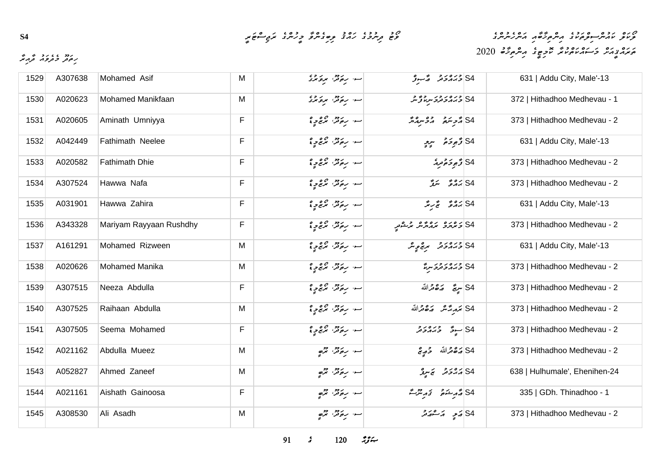*sCw7q7s5w7m< o<n9nOoAw7o< sCq;mAwBoEw7q<m; wBm;vB 2020<sup>, م</sup>وسوق المسجد التحقيق وسرمونية والم*جمع المسجد المسجد المسجد المسجد المسجد المسجد المسجد المسجد المسجد ال

| 1529 | A307638 | Mohamed Asif            | M | سه ره ده برو ده                                                                               | S4 <i>جەنەدى ھ</i> ېرۇ                              | 631   Addu City, Male'-13     |
|------|---------|-------------------------|---|-----------------------------------------------------------------------------------------------|-----------------------------------------------------|-------------------------------|
| 1530 | A020623 | Mohamed Manikfaan       | M | سه ره ده بروی                                                                                 | S4 <i>ۋېرو د وگرو تېرىز ۋ</i> ىتر                   | 372   Hithadhoo Medhevau - 1  |
| 1531 | A020605 | Aminath Umniyya         | F | سە رەۋىق ئىرىم ج                                                                              | S4 مُوسَمَّة مُحسِمَّةً                             | 373   Hithadhoo Medhevau - 2  |
| 1532 | A042449 | Fathimath Neelee        | F | سە رەۋىق ئىرىم ج                                                                              | S4 رَّ <sub>جو</sub> حَمَّ سِعِي                    | 631   Addu City, Male'-13     |
| 1533 | A020582 | <b>Fathimath Dhie</b>   | F | ے ریزودی مرج ح و ہ                                                                            | S4 ۇ <sub>جو</sub> رَ <sub>حو</sub> رِ گ            | 373   Hithadhoo Medhevau - 2  |
| 1534 | A307524 | Hawwa Nafa              | F | سە رەۋىر، ئۇچ دە                                                                              | S4 كَ <i>مَدْهُ</i> مَعَدٌ                          | 373   Hithadhoo Medhevau - 2  |
| 1535 | A031901 | Hawwa Zahira            | F | سە رەۋىش ئىرىم ج                                                                              | S4 ئەبرقە ئ <sub>ى</sub> ئەرىتى                     | 631   Addu City, Male'-13     |
| 1536 | A343328 | Mariyam Rayyaan Rushdhy | F | سە رەۋىر، ئىرىم ج                                                                             | S4 <i>ב</i> بروره بروبرمر برشوبر                    | 373   Hithadhoo Medhevau - 2  |
| 1537 | A161291 | Mohamed Rizween         | M | سە رەۋىق ئىرىم ج                                                                              | S4 <i>وُبَرُودَوَ مِنْ مِي مَّ</i>                  | 631   Addu City, Male'-13     |
| 1538 | A020626 | <b>Mohamed Manika</b>   | M | سه روده وه وه                                                                                 | S4 دېم د دېرو سرچ                                   | 373   Hithadhoo Medhevau - 2  |
| 1539 | A307515 | Neeza Abdulla           | F | سە رەۋىق ئوچ دە                                                                               | S4 سِمَّۃ صَرَّحْمَدَاللَّه                         | 373   Hithadhoo Medhevau - 2  |
| 1540 | A307525 | Raihaan Abdulla         | M | سە رەۋىق ئوچ دە                                                                               | S4 <i>تتم مرشد من ه</i> قرالله                      | 373   Hithadhoo Medhevau - 2  |
| 1541 | A307505 | Seema Mohamed           | F | سە رەۋىر، ئىرىم ج                                                                             | S4 سوءً ويممونه.                                    | 373   Hithadhoo Medhevau - 2  |
| 1542 | A021162 | Abdulla Mueez           | M | $\varphi$ $\mathcal{L}$ $\mathcal{L}$ $\mathcal{L}$ $\mathcal{L}$ $\mathcal{L}$ $\mathcal{L}$ | S4 مَەھىراللە خ <sub>ەرم</sub> ى                    | 373   Hithadhoo Medhevau - 2  |
| 1543 | A052827 | Ahmed Zaneef            | M | ر دو دو<br>سه رموند، بوده                                                                     | S4 كەش <sup>ى</sup> ر تىكى ئىس بىر ئىكى ئىس بىر ئىك | 638   Hulhumale', Ehenihen-24 |
| 1544 | A021161 | Aishath Gainoosa        | F | سە رەتر، ترە                                                                                  | S4 مۇم ھۇم قوم تىرىشى<br>ئ                          | 335   GDh. Thinadhoo - 1      |
| 1545 | A308530 | Ali Asadh               | M | سه ره در در پره                                                                               | S4 <i>جَرْحِيہ مَرْ حَمَدَ قَرْ</i>                 | 373   Hithadhoo Medhevau - 2  |

## *n8o<n@ q<m=s@s> r@mAo5*

 $91$  *s*  $120$  *z***<sub>3</sub>**  $\frac{2}{3}$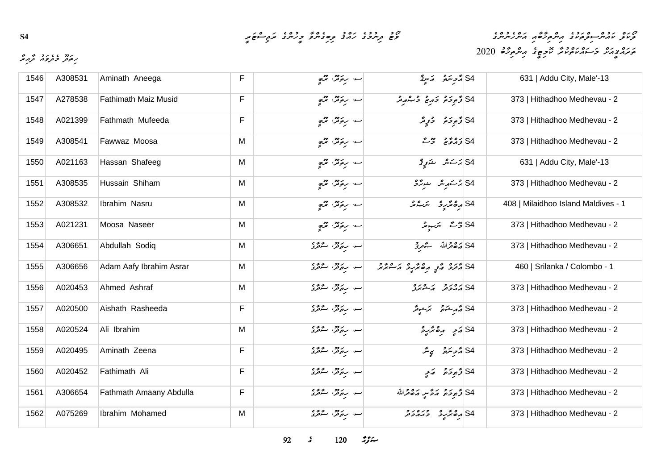*sCw7q7s5w7m< o<n9nOoAw7o< sCq;mAwBoEw7q<m; wBm;vB 2020<sup>, م</sup>وسوق المسجد التحقيق وسرمونية والم*جمع المسجد المسجد المسجد المسجد المسجد المسجد المسجد المسجد المسجد ال

| A308531 | Aminath Aneega              | F | سه ره در در                    | S4 مَّ <i>جِ مَعْهَ م</i> َ مِيَّةً                                                                    | 631   Addu City, Male'-13           |
|---------|-----------------------------|---|--------------------------------|--------------------------------------------------------------------------------------------------------|-------------------------------------|
| A278538 | <b>Fathimath Maiz Musid</b> | F | ب رود ده                       | S4 ۇَمِوَدَةَ دَرِجْ دَمبۇر                                                                            | 373   Hithadhoo Medhevau - 2        |
| A021399 | Fathmath Mufeeda            | F | سه ره ده چې                    | S4 زَّجِ دَمَ مَ دَرِ مَّر                                                                             | 373   Hithadhoo Medhevau - 2        |
| A308541 | Fawwaz Moosa                | M | سه رود دو                      | S4 زەۋىج ج <sup>ەم</sup>                                                                               | 373   Hithadhoo Medhevau - 2        |
| A021163 | Hassan Shafeeg              | M | سه ره در در                    | S4 كەسكەنلەر ئىك <i>رو</i> تۇ                                                                          | 631   Addu City, Male'-13           |
| A308535 | Hussain Shiham              | M | سه ره ده چې                    | S4 يُرْسَمَ مِيْشَ سُورَّدَةِ الْمَسْتَقَدِّرَةِ الْمُسْتَقَدِّرَةِ الْمُسْتَقَدِّرَةِ الْمُسْتَقَدِّر | 373   Hithadhoo Medhevau - 2        |
| A308532 | Ibrahim Nasru               | M | سە رەۋر ترە                    | S4 مەھەر ئىر سىر ئىسىم                                                                                 | 408   Milaidhoo Island Maldives - 1 |
| A021231 | Moosa Naseer                | M | سە رەۋر، جۇھ                   | S4 رششہ سرسویٹر                                                                                        | 373   Hithadhoo Medhevau - 2        |
| A306651 | Abdullah Sodiq              | M | سه ره دوم<br>سه ره وش          | S4 كَەھەراللە ج <sup>ە</sup> مرتى                                                                      | 373   Hithadhoo Medhevau - 2        |
| A306656 | Adam Aafy Ibrahim Asrar     | M | سه ره ده ده به ده به           | S4 أَمْتَرَدُّ أَمَّةٍ أَمْرَةٌ مَنْ الْمُسْتَمَّةِ                                                    | 460   Srilanka / Colombo - 1        |
| A020453 | Ahmed Ashraf                | M | سە رەۋش سەتىرى                 | S4 كەبروتر كەش <i>ەتر</i> ۇ                                                                            | 373   Hithadhoo Medhevau - 2        |
| A020500 | Aishath Rasheeda            | F | سه ره دوم<br>سه ره وش          | S4 م <i>ۇم ھۇم مۇ</i> ھيوم <i>گ</i>                                                                    | 373   Hithadhoo Medhevau - 2        |
| A020524 | Ali Ibrahim                 | M | سه ره دوم شور و                | S4 <i>ھَجِ م</i> ُھڻَ <i>رِ دُ</i>                                                                     | 373   Hithadhoo Medhevau - 2        |
| A020495 | Aminath Zeena               | F | سه ره دوم<br>سه ره وش          | S4 مُرْحِسَمُ مِسَّر                                                                                   | 373   Hithadhoo Medhevau - 2        |
| A020452 | Fathimath Ali               | F | سە رەۋىقى سەترى                | S4 وَج <i>وحَ</i> هُ صَعِ                                                                              | 373   Hithadhoo Medhevau - 2        |
| A306654 | Fathmath Amaany Abdulla     | F | ر دود.<br>سه ره تونس سه تری    | S4 تَ <i>جِ حَ</i> هُم مَرَّسٍ مَ <b>صْ</b> مَرْاللَّه                                                 | 373   Hithadhoo Medhevau - 2        |
| A075269 | Ibrahim Mohamed             | M | ر دو دی دی.<br>سه رجوتر، سهمزی | S4 مەھەر بەر 27مەدىر                                                                                   | 373   Hithadhoo Medhevau - 2        |
|         |                             |   |                                |                                                                                                        |                                     |

*92 sC 120 nNw?mS*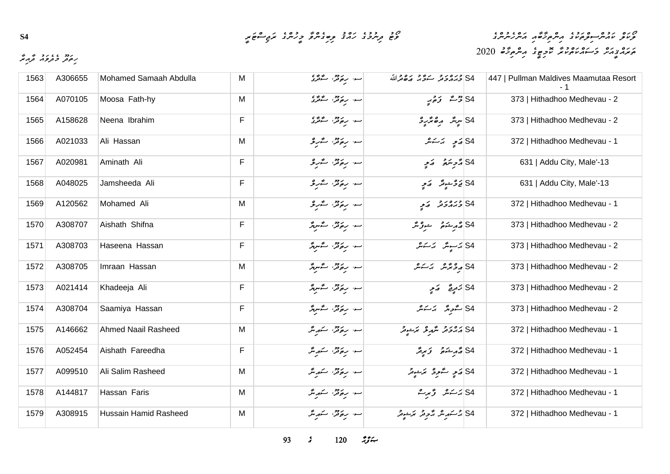*sCw7q7s5w7m< o<n9nOoAw7o< sCq;mAwBoEw7q<m; wBm;vB 2020<sup>, م</sup>وسوق المسجد التحقيق وسرمونية والم*جمع المسجد المسجد المسجد المسجد المسجد المسجد المسجد المسجد المسجد ال

## *n8o<n@ q<m=s@s> r@mAo5*

| 1563 | A306655 | Mohamed Samaah Abdulla       | M           | ے روڈن گوری                    | S4 <i>وَبَرُورُورْ سَوَّرْ مُ</i> هُ قُرَاللَّهُ | 447   Pullman Maldives Maamutaa Resort |
|------|---------|------------------------------|-------------|--------------------------------|--------------------------------------------------|----------------------------------------|
| 1564 | A070105 | Moosa Fath-hy                | M           | ر دو دی دی.<br>سه رجونس، ستوری | S4 تۇشقە ئۇغۇر                                   | 373   Hithadhoo Medhevau - 2           |
| 1565 | A158628 | Neena Ibrahim                | F           | سه ره دوم شوید و               | S4 سرینگر بر <i>ے تذک</i> ر م                    | 373   Hithadhoo Medhevau - 2           |
| 1566 | A021033 | Ali Hassan                   | M           | ے رہ بھی گرو                   | S4 كەبىي ئەس <i>ە</i> ش                          | 372   Hithadhoo Medhevau - 1           |
| 1567 | A020981 | Aminath Ali                  | F           | سە رەۋر، سەربۇ                 | S4 مُرْحِسَةً صَعِ                               | 631   Addu City, Male'-13              |
| 1568 | A048025 | Jamsheeda Ali                | F           | سە رەۋىش شەرقى                 | S4 كۆرىيەن <i>گە كەي</i>                         | 631   Addu City, Male'-13              |
| 1569 | A120562 | Mohamed Ali                  | M           | سە رەۋر، سۇرۇ                  | S4 <i>دېمبروته مکم</i>                           | 372   Hithadhoo Medhevau - 1           |
| 1570 | A308707 | Aishath Shifna               | F           | ے روڈن سامبر                   | S4 قەمرىشقى ھورىگر                               | 373   Hithadhoo Medhevau - 2           |
| 1571 | A308703 | Haseena Hassan               | F           | ب رەۋر، سەمبەر                 | S4 برَسوِیٹر برَسک <i>یٹر</i>                    | 373   Hithadhoo Medhevau - 2           |
| 1572 | A308705 | Imraan Hassan                | M           | ے روڈن سامبر                   | S4 مەمەممىر ئەسەمىر                              | 373   Hithadhoo Medhevau - 2           |
| 1573 | A021414 | Khadeeja Ali                 | F           | ے روڈن سامبر                   | S4 كَتَمِيعٌ - مَتَحٍ                            | 373   Hithadhoo Medhevau - 2           |
| 1574 | A308704 | Saamiya Hassan               | F           | ے رہ بھی گسرم <i>گ</i>         | S4 ست <sub>م</sub> وپژ برسکار                    | 373   Hithadhoo Medhevau - 2           |
| 1575 | A146662 | Ahmed Naail Rasheed          | M           | ے رکھوڑ، سکھ مگر               | S4 كەردى تەر ئىم كىرىسى تەر                      | 372   Hithadhoo Medhevau - 1           |
| 1576 | A052454 | Aishath Fareedha             | $\mathsf F$ | ے رہ قدا سکھ ملک               | S4 مَ <i>ذْمِ شَمَّة وَم</i> ِيثَر               | 372   Hithadhoo Medhevau - 1           |
| 1577 | A099510 | Ali Salim Rasheed            | M           | ے رکوش کے بدیگر                | S4 كەي سەمرۇ  برىشوش                             | 372   Hithadhoo Medhevau - 1           |
| 1578 | A144817 | Hassan Faris                 | M           | ے رہ بھی کہ مگر                | S4   يز سنه على محر مركز من                      | 372   Hithadhoo Medhevau - 1           |
| 1579 | A308915 | <b>Hussain Hamid Rasheed</b> | M           | سە رەۋش سەرىتر                 | S4 پُرکرمرنگر برگرم بَرَنْسِوتَر                 | 372   Hithadhoo Medhevau - 1           |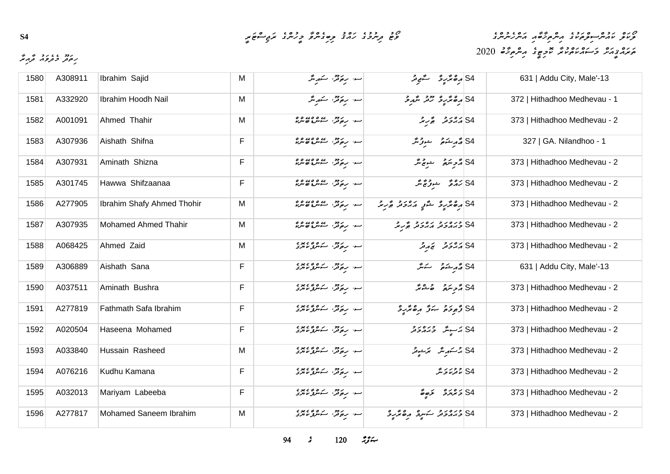*sCw7q7s5w7m< o<n9nOoAw7o< sCq;mAwBoEw7q<m; wBm;vB 2020*<br>*په پوهر وسوډيرونو لومو د موجو د مرمونه* 2020

| 1580 | A308911 | Ibrahim Sajid                 | M | سە رەۋىش سەرىتر                                                                                                                                                                                                                  | S4 م <i>وھنڑر پڑھ گون</i> ڈ                        | 631   Addu City, Male'-13    |
|------|---------|-------------------------------|---|----------------------------------------------------------------------------------------------------------------------------------------------------------------------------------------------------------------------------------|----------------------------------------------------|------------------------------|
| 1581 | A332920 | Ibrahim Hoodh Nail            | M | سە رەۋش سەرىش                                                                                                                                                                                                                    | S4  مەھەرىرى خىمە مى <i>گە</i> بى                  | 372   Hithadhoo Medhevau - 1 |
| 1582 | A001091 | Ahmed Thahir                  | M | ر دود در ۵۵ ماره ۵<br>سه روتر، سه سره صریر                                                                                                                                                                                       | S4 كەبرى قىرىتى بىر                                | 373   Hithadhoo Medhevau - 2 |
| 1583 | A307936 | Aishath Shifna                | F | ر دوسری ده ده ده ده ده<br>سه روتر، سه سرع تصمیم                                                                                                                                                                                  | S4 مَ <i>ذْمِرْ مَشَمَّة مُسْبِرْ مَدَّ</i>        | 327   GA. Nilandhoo - 1      |
| 1584 | A307931 | Aminath Shizna                | F | ر دود ده ده ده ده ده ده دارد کاربرد در داران در داران در داران در داران در داران در داران داران داران داران د<br>در داران داران داران داران داران داران داران داران داران داران داران داران داران داران داران داران داران داران  | S4 مَرْحِ سَرَمَ مَسْوِيمْ مَتَر                   | 373   Hithadhoo Medhevau - 2 |
| 1585 | A301745 | Hawwa Shifzaanaa              | F | ر دود ده ده ده ده ده ده دارد کاربرد در داران در داران در داران در داران داران داران داران داران داران داران دا<br>در داران داران داران داران داران داران داران داران داران داران داران داران داران داران داران داران داران داران | S4 <i>تەمۇھىيىتى</i> ر                             | 373   Hithadhoo Medhevau - 2 |
| 1586 | A277905 | Ibrahim Shafy Ahmed Thohir    | M | ر دوسری وه ده ده و ده ده د                                                                                                                                                                                                       | S4  مەھمەر ئاھىرى مەدەبىر ئاھىرىم                  | 373   Hithadhoo Medhevau - 2 |
| 1587 | A307935 | <b>Mohamed Ahmed Thahir</b>   | M | ر دود ده ده ده ده ده<br>سه روز سه ده سرد                                                                                                                                                                                         | S4 دره در ده درو پورتز                             | 373   Hithadhoo Medhevau - 2 |
| 1588 | A068425 | Ahmed Zaid                    | M | ر دود دره دوره در<br>سه روز سه رود در                                                                                                                                                                                            | S4 كەبروتىر ئىم بىر                                | 373   Hithadhoo Medhevau - 2 |
| 1589 | A306889 | Aishath Sana                  | F | سه ردود کشور دوره در                                                                                                                                                                                                             | S4 مەمرىشىق <sub>ە</sub> سەنئر                     | 631   Addu City, Male'-13    |
| 1590 | A037511 | Aminath Bushra                | F | ر دود دره دوره در<br>سه روز سه رود در                                                                                                                                                                                            | S4 مُتَعِسَمَةٌ صَشْعَتُ                           | 373   Hithadhoo Medhevau - 2 |
| 1591 | A277819 | Fathmath Safa Ibrahim         | F | ر دو رود ده دوره ده د                                                                                                                                                                                                            | S4 زَ <sub>ّەپ</sub> رَ ت <sub>ە</sub> ئۇ رەھرىر ئ | 373   Hithadhoo Medhevau - 2 |
| 1592 | A020504 | Haseena Mohamed               | F | ر دود دره دوره در<br>سه روز سه رود در                                                                                                                                                                                            | S4 ئەسەن <i>ىگە قەتمەدى</i> ر                      | 373   Hithadhoo Medhevau - 2 |
| 1593 | A033840 | Hussain Rasheed               | M | ر دود دره دوره ده.<br>پ روس کشور دور                                                                                                                                                                                             | S4 پرڪ <i>مبر بھر سمڪونگر</i>                      | 373   Hithadhoo Medhevau - 2 |
| 1594 | A076216 | Kudhu Kamana                  | F | ر دود دره ورود.<br>سه روس سه روس                                                                                                                                                                                                 | S4 ئەقرىمۇ ئەتىر                                   | 373   Hithadhoo Medhevau - 2 |
| 1595 | A032013 | Mariyam Labeeba               | F | ر دود دره دوره در<br>سه روز سه رود در                                                                                                                                                                                            | $502$ $502$ $54$                                   | 373   Hithadhoo Medhevau - 2 |
| 1596 | A277817 | <b>Mohamed Saneem Ibrahim</b> | M | سه رود سوره در ۱۶ دره<br>  سه رودر، سوسرو ۱۶ دره                                                                                                                                                                                 | S4 <i>دېمگ</i> ونکر سکېږي مرگ <i>مگړ</i> و         | 373   Hithadhoo Medhevau - 2 |

*n8o<n@ q<m=s@s> r@mAo5*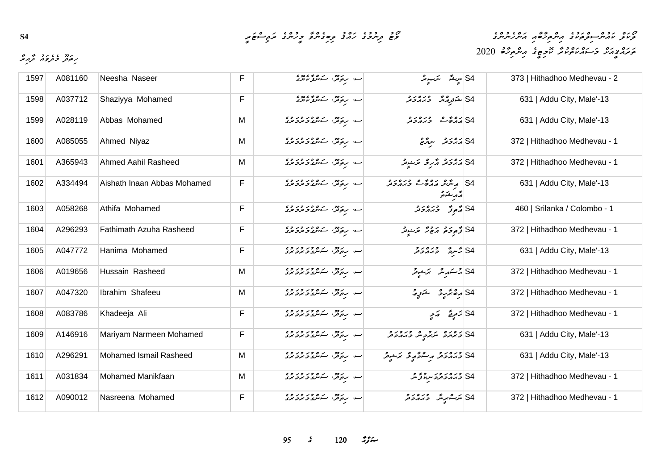*sCw7q7s5w7m< o<n9nOoAw7o< sCq;mAwBoEw7q<m; wBm;vB 2020<sup>, م</sup>وسوق المسجد التحقيق وسرمونية والم*جمع المسجد المسجد المسجد المسجد المسجد المسجد المسجد المسجد المسجد ال

| 1597 | A081160 | Neesha Naseer                  | F | سه رود درود و                                   | S4 سرینڈ کربوٹر                                      | 373   Hithadhoo Medhevau - 2 |
|------|---------|--------------------------------|---|-------------------------------------------------|------------------------------------------------------|------------------------------|
| 1598 | A037712 | Shaziyya Mohamed               | F | سه رود کشور دوره در                             | S4 شَوَ <i>بْرْهُ مَذَ دُور</i>                      | 631   Addu City, Male'-13    |
| 1599 | A028119 | Abbas Mohamed                  | M | ر دو در ده در در در<br>سه روتر، سهرو بروبرد     | $52025 - 2625$ S4                                    | 631   Addu City, Male'-13    |
| 1600 | A085055 | Ahmed Niyaz                    | M | ر دو ده د ۱۶۵۶ وروده<br>سوا روتر، سوسری مرد مرد | S4 كەبرى قىر سى <i>رگى</i> ج                         | 372   Hithadhoo Medhevau - 1 |
| 1601 | A365943 | <b>Ahmed Aahil Rasheed</b>     | M | ر دود. رود وروه<br>سه روتر، سهرد دبروبرد        | S4   كەردە ئەرىگە ئەر كەردىنى ئ                      | 372   Hithadhoo Medhevau - 1 |
| 1602 | A334494 | Aishath Inaan Abbas Mohamed    | F | ر دو در در در در در                             | S4 په شهر محمده دره د د<br>وگرم شکره<br>م            | 631   Addu City, Male'-13    |
| 1603 | A058268 | Athifa Mohamed                 | F | ر دو در ده در در در<br>سه روتر، سهرو بروبرد     | S4 مَهورٌ حيد معر                                    | 460   Srilanka / Colombo - 1 |
| 1604 | A296293 | <b>Fathimath Azuha Rasheed</b> | F | ر دو در ده در در در<br>سه روتر، سهرو برو برد    | S4 ۇَج <sup>و</sup> د قرىر ئەر ئىرىش <sub>ى</sub> نى | 372   Hithadhoo Medhevau - 1 |
| 1605 | A047772 | Hanima Mohamed                 | F | ر دو روه ده در در ده                            | S4 گەسرىگە ئ <i>ەندە</i> ئىر                         | 631   Addu City, Male'-13    |
| 1606 | A019656 | Hussain Rasheed                | M | ر دود. رود ورود و                               | S4 پر کے ہر مگر سو تھر                               | 372   Hithadhoo Medhevau - 1 |
| 1607 | A047320 | Ibrahim Shafeeu                | M | ر دو در ده در در در<br>سه روتر، سهرو برو برد    | S4  مەھەرىرى سى <i>زو</i> گ                          | 372   Hithadhoo Medhevau - 1 |
| 1608 | A083786 | Khadeeja Ali                   | F | ر دود. در ۲۶ در ور ور<br>سه ره تون              | S4 تزمریح ک <i>ے م</i>                               | 372   Hithadhoo Medhevau - 1 |
| 1609 | A146916 | Mariyam Narmeen Mohamed        | F | ر دود. رود ورود و                               | S4 تره بره مربر په در در د                           | 631   Addu City, Male'-13    |
| 1610 | A296291 | Mohamed Ismail Rasheed         | M | ر دو در ۲۶۵۰ در ور<br>  سه رجونس، سهسری مرح مرد | S4 دبره دیگر مرتفقهر مرشوم                           | 631   Addu City, Male'-13    |
| 1611 | A031834 | Mohamed Manikfaan              | M | ر دود. در ۲۶ در ور ور<br>سه ره تون              | S4 <i>ۋېرو د وېر مربرو</i> تر                        | 372   Hithadhoo Medhevau - 1 |
| 1612 | A090012 | Nasreena Mohamed               | F | ر دود. رود ورود و                               | S4 ىترىشمېرى <i>ش دېمبرونت</i> ر                     | 372   Hithadhoo Medhevau - 1 |

*n8o<n@ q<m=s@s> r@mAo5*

 $95$  *s*  $120$  *z*  $\frac{2}{3}$  *k*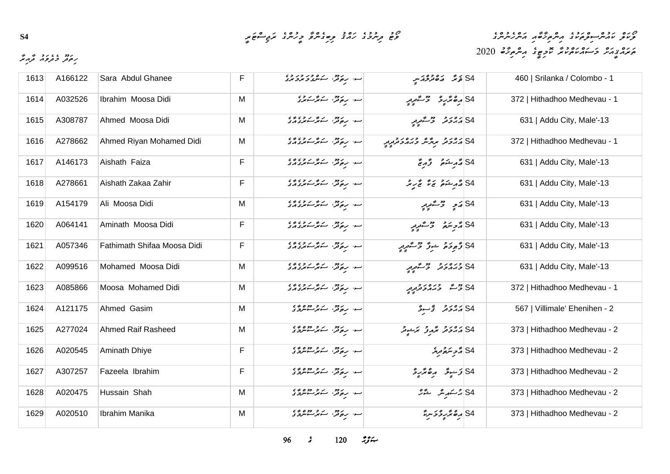*sCw7q7s5w7m< o<n9nOoAw7o< sCq;mAwBoEw7q<m; wBm;vB 2020<sup>, م</sup>وسوق المسجد التحقيق وسرمونية والم*جمع المسجد المسجد المسجد المسجد المسجد المسجد المسجد المسجد المسجد ال

| 1613 | A166122 | Sara Abdul Ghanee           | F | ر دو روه ده دور وروه<br>سو روند، سوسرو برو برد        | S4 فۇتمە ئەھەر <i>خەن</i> زىبر                        | 460   Srilanka / Colombo - 1  |
|------|---------|-----------------------------|---|-------------------------------------------------------|-------------------------------------------------------|-------------------------------|
| 1614 | A032526 | Ibrahim Moosa Didi          | M | سه ره ده کنگرستری                                     | S4  مەھەرىرى ق <sup>ەر</sup> ئەربىر                   | 372   Hithadhoo Medhevau - 1  |
| 1615 | A308787 | Ahmed Moosa Didi            | M | سه رەپىر، سەندىسەندە بەر                              | S4 كەبرو تەرىخ سەربىر                                 | 631   Addu City, Male'-13     |
| 1616 | A278662 | Ahmed Riyan Mohamed Didi    | M | سە رەۋە سەرگەردە دە                                   | S4 كەبرو تەرگىر 22025 كىرلىرلىر                       | 372   Hithadhoo Medhevau - 1  |
| 1617 | A146173 | Aishath Faiza               | F | ر دود. درواده در درواد                                | S4 مەم ئىشقى قى بەلتى                                 | 631   Addu City, Male'-13     |
| 1618 | A278661 | Aishath Zakaa Zahir         | F |                                                       | S4 مەم ھەقق تى ئەسىم يىلىمىتى بىر                     | 631   Addu City, Male'-13     |
| 1619 | A154179 | Ali Moosa Didi              | M | ر دود. رود ده در د                                    | S4  رَمِي گَرْ شَ <sub>ّ</sub> مُورِمِ <sub>ر</sub> ِ | 631   Addu City, Male'-13     |
| 1620 | A064141 | Aminath Moosa Didi          | F | سه رەپىر، سەندىسەندە بەر                              | S4 مُّ <i>جِ سَمْہُ ۔ ح</i> َ گُورِمِرِ               | 631   Addu City, Male'-13     |
| 1621 | A057346 | Fathimath Shifaa Moosa Didi | F | ر ده در در در ده ده د<br>سوسر موفر، سومر شور در د     | S4 ۇي <sub>م</sub> وكى شوۇ ق <sup>ىر</sup> كېرىر      | 631   Addu City, Male'-13     |
| 1622 | A099516 | Mohamed Moosa Didi          | M | سه رەپىر، سەندىسەندە بەر                              | S4 دېرو دو د مختور تو                                 | 631   Addu City, Male'-13     |
| 1623 | A085866 | Moosa Mohamed Didi          | M |                                                       | S4 تۆگ ئەتمەتمەترى <i>رى</i> ر                        | 372   Hithadhoo Medhevau - 1  |
| 1624 | A121175 | Ahmed Gasim                 | M | ر دو در دو دوه ده<br>سه روتر، سهرسه مرور              | S4 كەبر <i>5 - بى 3 - بى</i>                          | 567   Villimale' Ehenihen - 2 |
| 1625 | A277024 | Ahmed Raif Rasheed          | M | ر دود در د د ده ده د<br>سه رجونو، سهرسه سروی          | S4 كەبرو تەرىخ كىي ئىشرىتى                            | 373   Hithadhoo Medhevau - 2  |
| 1626 | A020545 | Aminath Dhiye               | F | ر دو ده ده ده دوه ده دارد.<br>سود برجونس سوموسومبردی  | S4 مُتَّحِ سَمَعُومِيرَ مَنْ                          | 373   Hithadhoo Medhevau - 2  |
| 1627 | A307257 | Fazeela Ibrahim             | F | ر دو در دوه ده دوه ده دارد.<br>سو، روکل، سوتورسوسرو د | S4 كۆسىد ھەمگەر ئى                                    | 373   Hithadhoo Medhevau - 2  |
| 1628 | A020475 | Hussain Shah                | M | ر دو در دوه ده دوه ده دارد.<br>سو، روکل، سوتورسوسرو د | S4 پر <i>کے میرنگر</i> گھنگ                           | 373   Hithadhoo Medhevau - 2  |
| 1629 | A020510 | Ibrahim Manika              | м | ر دو دوه در دوه ده دارد.<br>سه روس سهرسه دو د         | S4  مەھەمگەرى <sub>د</sub> ى <i>خىبرىقا</i>           | 373   Hithadhoo Medhevau - 2  |

 $96$  *s*  $120$  *z*  $3\frac{2}{3}$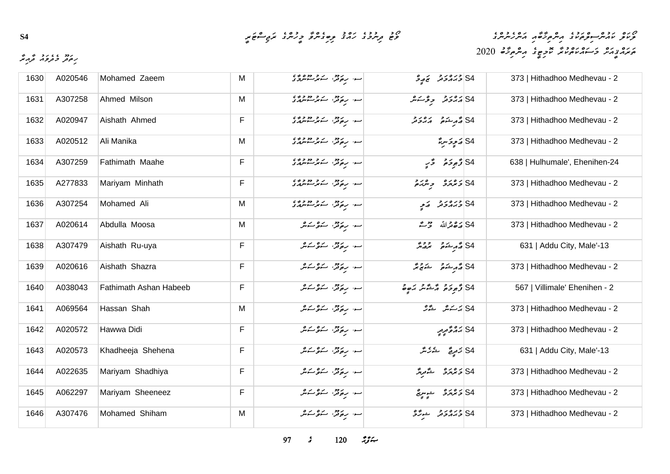*sCw7q7s5w7m< o<n9nOoAw7o< sCq;mAwBoEw7q<m; wBm;vB 2020<sup>, م</sup>وسوق المسجد التحقيق وسرمونية والم*جمع المسجد المسجد المسجد المسجد المسجد المسجد المسجد المسجد المسجد ال

| 1630 | A020546 | Mohamed Zaeem                 | M           | ر دود در د د ده ده.<br>سه روتر، سهرسه دور                                                                     | S4 <i>\$2923 حَمِي</i> و                          | 373   Hithadhoo Medhevau - 2  |
|------|---------|-------------------------------|-------------|---------------------------------------------------------------------------------------------------------------|---------------------------------------------------|-------------------------------|
| 1631 | A307258 | Ahmed Milson                  | M           | ر دو در دو دوره دوره دارد.<br>سود برجونس سومرسوس دور                                                          | S4 <i>גٔ ب</i> حقر ب <i>و</i> شکر                 | 373   Hithadhoo Medhevau - 2  |
| 1632 | A020947 | Aishath Ahmed                 | F           | ر د بروتور در دود و د د د د د د کار د کار د کار د کار د کار د کار د کار د کار د کار د د د د د د کار د کار د د | S4 مەم شەھ مەمەدىر                                | 373   Hithadhoo Medhevau - 2  |
| 1633 | A020512 | Ali Manika                    | M           | ر در دور در دوره دوره دارد.<br>سود برجوتس سوتوسوس                                                             | S4 كەمچە <i>خى</i> رىتم                           | 373   Hithadhoo Medhevau - 2  |
| 1634 | A307259 | Fathimath Maahe               | F           | ر د بروتور در دود و د د د د د د کار د کار د کار د کار د کار د کار د کار د کار د کار د د د د د د کار د کار د د | S4 <i>وَّجِوحَةْ</i> حَيِّ                        | 638   Hulhumale', Ehenihen-24 |
| 1635 | A277833 | Mariyam Minhath               | $\mathsf F$ | ر دو در دو دوره دوره دارد.<br>سو، برجونس، سومرسوس در                                                          | S4 ك <i>ويردو بەيدۇ</i>                           | 373   Hithadhoo Medhevau - 2  |
| 1636 | A307254 | Mohamed Ali                   | M           | ر د بروتور در دود و د د د د د د کار د کار د کار د کار د کار د کار د کار د کار د کار د د د د د د کار د کار د د | S4 <i>جنہ ج</i> و پر کام                          | 373   Hithadhoo Medhevau - 2  |
| 1637 | A020614 | Abdulla Moosa                 | M           | سە رەۋر، سەھ سەش                                                                                              | S4 مَرْحَدِّللَّهُ حَرْبَّہ                       | 373   Hithadhoo Medhevau - 2  |
| 1638 | A307479 | Aishath Ru-uya                | F           | سە بەردە سەھ سەش                                                                                              | S4 مُرمِشَمَ مَمَ <i>مَّةً</i>                    | 631   Addu City, Male'-13     |
| 1639 | A020616 | Aishath Shazra                | F           | ب رہوری ہے کہ کہ ک                                                                                            | S4 مەم ئىيەتتى ئىش ئىر                            | 373   Hithadhoo Medhevau - 2  |
| 1640 | A038043 | <b>Fathimath Ashan Habeeb</b> | F           | ے رپوتر، سورسیو                                                                                               | S4 زُّەِرَە مُسْتَمَّر رَهِ هُ                    | 567   Villimale' Ehenihen - 2 |
| 1641 | A069564 | Hassan Shah                   | M           | سە بەردە سەھ سەمگە                                                                                            | S4 پرسترس حد <i>و</i>                             | 373   Hithadhoo Medhevau - 2  |
| 1642 | A020572 | Hawwa Didi                    | F           | سە بەردە سەھ سەش                                                                                              | S4 كەمگە توپىر                                    | 373   Hithadhoo Medhevau - 2  |
| 1643 | A020573 | Khadheeja Shehena             | F           | سە بەردە سەھ سەمگە                                                                                            | S4 كَتْمِيعٌ صَّخْرَمَّرٌ                         | 631   Addu City, Male'-13     |
| 1644 | A022635 | Mariyam Shadhiya              | F           | ے رکھوں کے کامگر                                                                                              | S4 <i>وَجُهْرُوْ</i> َ شَمِّعِهِ کُمُ             | 373   Hithadhoo Medhevau - 2  |
| 1645 | A062297 | Mariyam Sheeneez              | F           | سە بەردە سەھ سەمگە                                                                                            | S4  <i>د مر<sub>ا</sub>رو</i> ش <sub>و</sub> سریم | 373   Hithadhoo Medhevau - 2  |
| 1646 | A307476 | Mohamed Shiham                | M           | سە رەۋر، سۇھ سۇس                                                                                              | S4 <i>\$222 مۇرگۇ</i>                             | 373   Hithadhoo Medhevau - 2  |

## *n8o<n@ q<m=s@s> r@mAo5*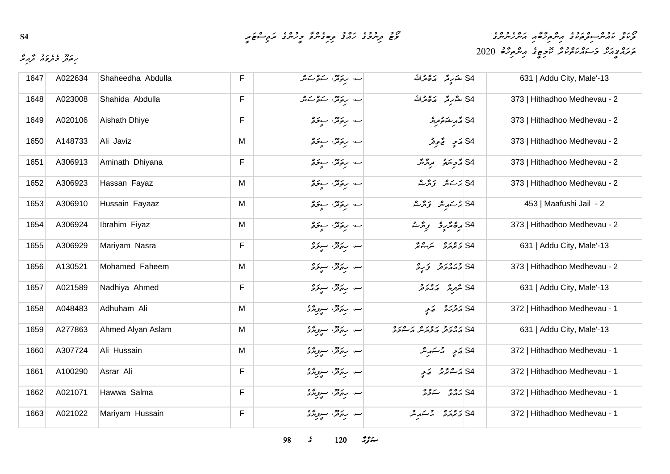*sCw7q7s5w7m< o<n9nOoAw7o< sCq;mAwBoEw7q<m; wBm;vB 2020<sup>, م</sup>وسوق المسجد التحقيق وسرمونية والم*جمع المسجد المسجد المسجد المسجد المسجد المسجد المسجد المسجد المسجد ال

| 1647 | A022634 | Shaheedha Abdulla | F | ے رود رہ ے ک       | S4 خَمَرِتَمَّر <b>صَ</b> 8هُدَاللَّه | 631   Addu City, Male'-13    |
|------|---------|-------------------|---|--------------------|---------------------------------------|------------------------------|
| 1648 | A023008 | Shahida Abdulla   | F | ے رکوئن کے مرکب کر | S4 ڪُرِيَّر صَرَّهُ لِللَّه           | 373   Hithadhoo Medhevau - 2 |
| 1649 | A020106 | Aishath Dhiye     | F | سە رەتر، سوخ ھ     | S4 ۾ مرڪو <i>قر</i> وگر               | 373   Hithadhoo Medhevau - 2 |
| 1650 | A148733 | Ali Javiz         | M | سە رەۋش سوۋە       | S4 <i>ھَ۔ جِ</i> قُمَّ مِنْدُ         | 373   Hithadhoo Medhevau - 2 |
| 1651 | A306913 | Aminath Dhiyana   | F | سە رەۋر، سوۋە      | S4 مُرْحِ مَرَمْ مِرمَّرْ مَرْ        | 373   Hithadhoo Medhevau - 2 |
| 1652 | A306923 | Hassan Fayaz      | M | سە رەۋش سوخرە      | S4 ئەسەنى <i>ش قەت</i> مەشە           | 373   Hithadhoo Medhevau - 2 |
| 1653 | A306910 | Hussain Fayaaz    | M | سە رەۋش سوۋە       | S4 پرستمبر ترتگر شہ                   | 453   Maafushi Jail - 2      |
| 1654 | A306924 | Ibrahim Fiyaz     | M | سە رەۋر، سوۋە      | S4 مەھمگىيە ئەمەسىمىسى                | 373   Hithadhoo Medhevau - 2 |
| 1655 | A306929 | Mariyam Nasra     | F | سە رەۋش سوخرە      | S4 كەممەرە سىبەتمە                    | 631   Addu City, Male'-13    |
| 1656 | A130521 | Mohamed Faheem    | M | سە رەۋر، سوۋە      | S4 <i>\$ \$ \$ \$ ير</i> و            | 373   Hithadhoo Medhevau - 2 |
| 1657 | A021589 | Nadhiya Ahmed     | F | سە رەۋىر، سوخرە    | S4 سَّٰہِ پہْنَ کَہُ کُے تَعَمَّدُ ا  | 631   Addu City, Male'-13    |
| 1658 | A048483 | Adhuham Ali       | M | ے رکوش سودگری      | S4   پر <i>پڑے پہ چ</i>               | 372   Hithadhoo Medhevau - 1 |
| 1659 | A277863 | Ahmed Alyan Aslam | M | ے رکوش سودگری      | S4 كەبرو بر كەرەر كەسىۋى              | 631   Addu City, Male'-13    |
| 1660 | A307724 | Ali Hussain       | M | ب رەۋر، سورۇرى     | S4   تەمەكتىم بىر مىلكە ئىس بىر ئىس   | 372   Hithadhoo Medhevau - 1 |
| 1661 | A100290 | Asrar Ali         | F | ب رەۋش سورورى      | S4 كەشەيى <i>گە كەي</i> ر             | 372   Hithadhoo Medhevau - 1 |
| 1662 | A021071 | Hawwa Salma       | F | ب رەۋش سورورى      | S4 پُرومُ سُوْرَ                      | 372   Hithadhoo Medhevau - 1 |
| 1663 | A021022 | Mariyam Hussain   | F | ے روڈن سورڈی       | S4 كەبەد بەر بەر بىر بىر              | 372   Hithadhoo Medhevau - 1 |
|      |         |                   |   |                    |                                       |                              |

*98 sC 120 nNw?mS*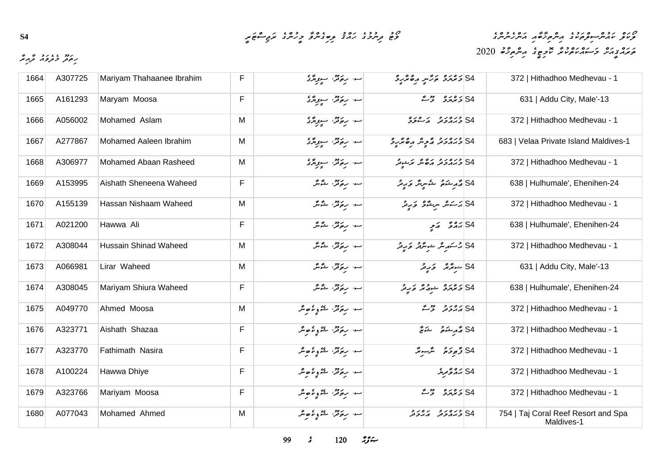*sCw7q7s5w7m< o<n9nOoAw7o< sCq;mAwBoEw7q<m; wBm;vB 2020<sup>, م</sup>وسوق المسجد التحقيق وسرمونية والم*جمع المسجد المسجد المسجد المسجد المسجد المسجد المسجد المسجد المسجد ال

| 1664 | A307725 | Mariyam Thahaanee Ibrahim    | F | ب رەۋش سورورى        | S4 كەمەرە بەر مەھەر ك                         | 372   Hithadhoo Medhevau - 1                      |
|------|---------|------------------------------|---|----------------------|-----------------------------------------------|---------------------------------------------------|
| 1665 | A161293 | Maryam Moosa                 | F | ب رەۋش سودىرى        | S4 دېمبرو ديگ                                 | 631   Addu City, Male'-13                         |
| 1666 | A056002 | Mohamed Aslam                | M | ب رەۋش سودىرى        | S4 دېرونو تر موره                             | 372   Hithadhoo Medhevau - 1                      |
| 1667 | A277867 | Mohamed Aaleen Ibrahim       | M | ے رکوش سوویز         | S4 دبره برد و محمد مقتربرد                    | 683   Velaa Private Island Maldives-1             |
| 1668 | A306977 | Mohamed Abaan Rasheed        | M | ب رەۋر، سودىرى       | S4 <i>وبروبرو بره و برخ</i> ینر               | 372   Hithadhoo Medhevau - 1                      |
| 1669 | A153995 | Aishath Sheneena Waheed      | F | سە رەۋر، ئەمگە       | S4 مَ <i>ذہبخوش خوسپنگر وَ برِ قر</i>         | 638   Hulhumale', Ehenihen-24                     |
| 1670 | A155139 | Hassan Nishaam Waheed        | M | سە رەۋىش شەمگە       | S4 كەسكەش س <sub>رى</sub> شگار قارىقر         | 372   Hithadhoo Medhevau - 1                      |
| 1671 | A021200 | Hawwa Ali                    | F | سە رەۋىش ھەتگە       | S4 كەبىر قىمىيە                               | 638   Hulhumale', Ehenihen-24                     |
| 1672 | A308044 | <b>Hussain Shinad Waheed</b> | M | سە رەۋىش شەمگە       | S4 پُرکربر شوسَّرْتَر وَبِرِتْرَ              | 372   Hithadhoo Medhevau - 1                      |
| 1673 | A066981 | Lirar Waheed                 | M |                      | S4 سى <i>بىرىگە قەبىي</i> تر                  | 631   Addu City, Male'-13                         |
| 1674 | A308045 | Mariyam Shiura Waheed        | F | سە رەۋر، ئەمگە       | S4 كەبۇر ئۇرگە كەبەتر                         | 638   Hulhumale', Ehenihen-24                     |
| 1675 | A049770 | Ahmed Moosa                  | M | ب رەقرا شۇيدا ھىر    | S4 كەبرى قويىتە                               | 372   Hithadhoo Medhevau - 1                      |
| 1676 | A323771 | Aishath Shazaa               | F | ب رەقرا شوپاھ ش      | S4 مُجْمَّدِ مِنْدَمُّ مُنْدَمِّيَّ           | 372   Hithadhoo Medhevau - 1                      |
| 1677 | A323770 | Fathimath Nasira             | F | سە رەۋىش شۇپرىۋە بىر | S4 ۇ <sub>جو</sub> رَمْ سَرَ <sub>ْس</sub> ىر | 372   Hithadhoo Medhevau - 1                      |
| 1678 | A100224 | Hawwa Dhiye                  | F | ب رەقرا شۇر ئومبار   | S4 كەرگە توپر                                 | 372   Hithadhoo Medhevau - 1                      |
| 1679 | A323766 | Mariyam Moosa                | F | سە رەۋىش شۇپرىئومىر  | S4 كەنگەر 3 تەسىر                             | 372   Hithadhoo Medhevau - 1                      |
| 1680 | A077043 | Mohamed Ahmed                | M | ب رەۋىش كەبە ئومۇر   | S4 درەرو رەرو                                 | 754   Taj Coral Reef Resort and Spa<br>Maldives-1 |

*99 sC 120 nNw?mS*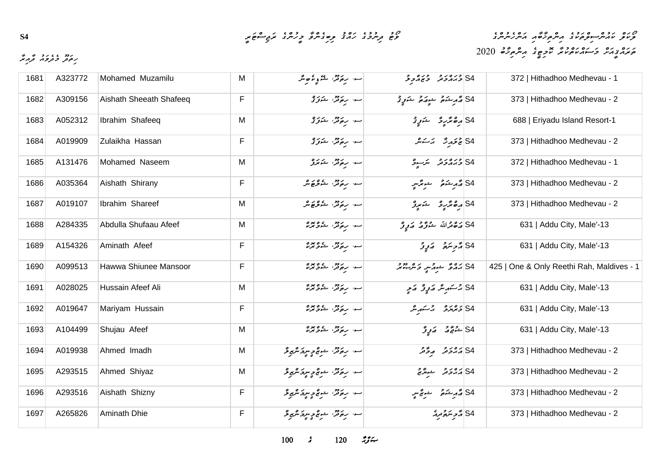*sCw7q7s5w7m< o<n9nOoAw7o< sCq;mAwBoEw7q<m; wBm;vB* م من المرة المرة المرة المرجع المرجع في المركبة 2020<br>مجم*د المريض المربوط المربع المرجع في المراجع المركبة* 

| 1681 | A323772 | Mohamed Muzamilu        | M           | ب رەقرا شۇر ئومبار                                 | S4  <i>دېمم</i> ونر دېممونو                                               | 372   Hithadhoo Medhevau - 1              |
|------|---------|-------------------------|-------------|----------------------------------------------------|---------------------------------------------------------------------------|-------------------------------------------|
| 1682 | A309156 | Aishath Sheeath Shafeeq | F           | سە رەۋش شۇرۇ                                       | S4 مُتَبَرِ مُشَمَّرٌ مُتَبَرِّ مُتَبَرِّ تَحْرَبُّ فِي الْمَجْرِيَّةِ وَ | 373   Hithadhoo Medhevau - 2              |
| 1683 | A052312 | Ibrahim Shafeeq         | M           | سە رەۋىش شۇرقى                                     | S4 مەھەر ئەرقى ھەرقى                                                      | 688   Eriyadu Island Resort-1             |
| 1684 | A019909 | Zulaikha Hassan         | F           | سە رەۋش شۇرۇ                                       | S4يح تر تر بر سکاهر<br>استحصر شرکت بر سکاهر                               | 373   Hithadhoo Medhevau - 2              |
| 1685 | A131476 | Mohamed Naseem          | М           | سه رود دره                                         | S4 <i>وُبَهُ دُونَةَ</i> سَرَسِيْنَ                                       | 372   Hithadhoo Medhevau - 1              |
| 1686 | A035364 | Aishath Shirany         | F           | سه رود دوره د                                      | S4 <i>۾ مرڪمو ھومگر</i> س                                                 | 373   Hithadhoo Medhevau - 2              |
| 1687 | A019107 | Ibrahim Shareef         | M           | سه رود دوره و                                      | S4  مەھەرىرى ھەمرى                                                        | 373   Hithadhoo Medhevau - 2              |
| 1688 | A284335 | Abdulla Shufaau Afeef   | M           | سه رود عده د                                       | S4 كەھەراللە ش <i>ەۋە كەر</i> ۇ                                           | 631   Addu City, Male'-13                 |
| 1689 | A154326 | Aminath Afeef           | F           | ر دو ده وه ده.<br>پ روتر، شور برنا                 | S4 مَّحِسَمَةً مَرْرِزٌ                                                   | 631   Addu City, Male'-13                 |
| 1690 | A099513 | Hawwa Shiunee Mansoor   | $\mathsf F$ | ر دود.<br>سه رجونس شور بوره                        | S4 كەرگە ئەرگىس كەردە 37                                                  | 425   One & Only Reethi Rah, Maldives - 1 |
| 1691 | A028025 | Hussain Afeef Ali       | M           | ر دو ده وه ده.<br>پ روتر، شور برنا                 | S4 پر <i>ڪمبر نگه چو</i> ڙ ڪيميو                                          | 631   Addu City, Male'-13                 |
| 1692 | A019647 | Mariyam Hussain         | F           | سه رود عوضوه                                       | S4 كەبىر بىر ئەسكەر بىر                                                   | 631   Addu City, Male'-13                 |
| 1693 | A104499 | Shujau Afeef            | M           | ر دود.<br>سه روتر، شو <i>وبور</i>                  | S4 حُمْقَة <i>مَرِوْ</i>                                                  | 631   Addu City, Male'-13                 |
| 1694 | A019938 | Ahmed Imadh             | M           | سە رەڭز، ھوقوچ بېرىكرىنى ئى                        | S4 <i>جَهْدُدُ م</i> ِدَّمَّرُ                                            | 373   Hithadhoo Medhevau - 2              |
| 1695 | A293515 | Ahmed Shiyaz            | M           | سە رەۋر. ھوق <sub>ە</sub> چ س <sub>و</sub> چ شھوقە | S4 كەبرى قىر ئىشلارنى ئىشلارنى ئى                                         | 373   Hithadhoo Medhevau - 2              |
| 1696 | A293516 | Aishath Shizny          | F           | سە رەڭز، ھوقوچ بېرىكرىنى ئى                        | S4 <i>۾ مرڪمو ھوچ س</i>                                                   | 373   Hithadhoo Medhevau - 2              |
| 1697 | A265826 | Aminath Dhie            | F           | سە رەۋر. ھوق <sub>ە</sub> چ س <sub>و</sub> چ شھوقە | S4 مُتَرجة مَعْرَضَةً                                                     | 373   Hithadhoo Medhevau - 2              |

*n8o<n@ q<m=s@s> r@mAo5*

 $100$  *s*  $120$  *n***<sub>s</sub>**  $\frac{2}{3}$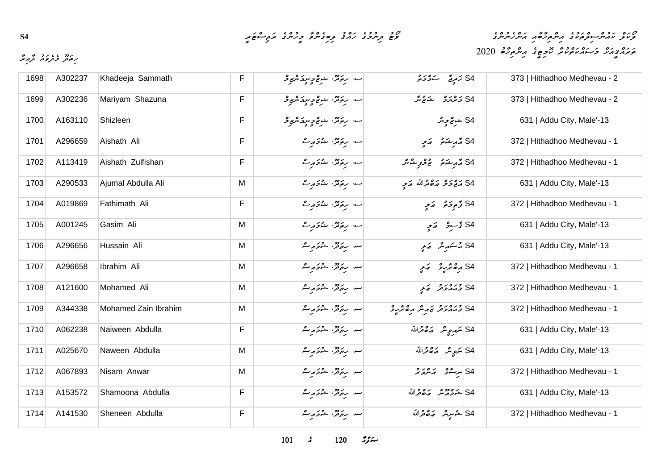*sCw7q7s5w7m< o<n9nOoAw7o< sCq;mAwBoEw7q<m; wBm;vB 2020<sup>, م</sup>وسوق المسجد التحقيق وسرمونية والم*جمع المسجد المسجد المسجد المسجد المسجد المسجد المسجد المسجد المسجد ال

| 1698 | A302237 | Khadeeja Sammath     | F | سە رەڭ ھوڭ چوپرەكرى گو | S4 زَمَرِيحٌ سَوَوَةٌ                | 373   Hithadhoo Medhevau - 2 |
|------|---------|----------------------|---|------------------------|--------------------------------------|------------------------------|
| 1699 | A302236 | Mariyam Shazuna      | F | سە رەڭ شوڭ بېرەكرى ئ   | S4 كەندىر ئىس ئىس ئىس ئىس            | 373   Hithadhoo Medhevau - 2 |
| 1700 | A163110 | Shizleen             | F | سە رەڭ شوڭ بېرەكرى ئ   | S4  سوچ م <sub>ح</sub> مد            | 631   Addu City, Male'-13    |
| 1701 | A296659 | Aishath Ali          | F | سە رەۋىر، ھەد مەھ      | S4 م <i>ەمبەشقى مەم</i> ر            | 372   Hithadhoo Medhevau - 1 |
| 1702 | A113419 | Aishath Zulfishan    | F | سە رەۋىر، ھەد مەھ      | S4 مەم شەھ سىم ئورىشىش               | 372   Hithadhoo Medhevau - 1 |
| 1703 | A290533 | Ajumal Abdulla Ali   | M | سە رەدى ھەدر ھ         | S4 كەنق <b>ەت كەھەر</b> اللە كەمچ    | 631   Addu City, Male'-13    |
| 1704 | A019869 | Fathimath Ali        | F | ب رود شود و            | S4 <i>وَّجوحَ</i> هُمَ مِي           | 372   Hithadhoo Medhevau - 1 |
| 1705 | A001245 | Gasim Ali            | M | سە رەۋىر، ھەد بەھ      | S4 تخ سوڤر <i>مک</i> مير             | 631   Addu City, Male'-13    |
| 1706 | A296656 | Hussain Ali          | M | سە رەمى ھەدر ھ         | S4 پرستمبر میں تی <del>ر</del>       | 631   Addu City, Male'-13    |
| 1707 | A296658 | Ibrahim Ali          | M | سه رود شود د           | S4 مەھم <i>گىي</i> ۇ ك <i>ەي</i>     | 372   Hithadhoo Medhevau - 1 |
| 1708 | A121600 | Mohamed Ali          | M | ب رود. شود به          | S4 <i>دېمبرونه مکم</i>               | 372   Hithadhoo Medhevau - 1 |
| 1709 | A344338 | Mohamed Zain Ibrahim | M | سه رود مشوره           | S4 دبرورد برمر مرگزیرد               | 372   Hithadhoo Medhevau - 1 |
| 1710 | A062238 | Naiween Abdulla      | F | سە رەۋىر، ھەد مەھ      | S4 <i>سَموِمٍ شہر مُن</i> ھ قراللّٰہ | 631   Addu City, Male'-13    |
| 1711 | A025670 | Naween Abdulla       | M | سە رەۋىر، ھەد مەھ      | S4 سَمِيسْ سَ§مِّداللَّه             | 631   Addu City, Male'-13    |
| 1712 | A067893 | Nisam Anwar          | M | سه رود شود د           | S4 سرگە ئەستىمىسى ئىس                | 372   Hithadhoo Medhevau - 1 |
| 1713 | A153572 | Shamoona Abdulla     | F | سە رەدى ھەدر ھ         | S4 خوص م ه قرالله                    | 631   Addu City, Male'-13    |
| 1714 | A141530 | Sheneen Abdulla      | F | ب رەقر، شۇھ بە         | S4 كحمسرينر ك <sub>ە</sub> ھەراللە   | 372   Hithadhoo Medhevau - 1 |

*n8o<n@ q<m=s@s> r@mAo5*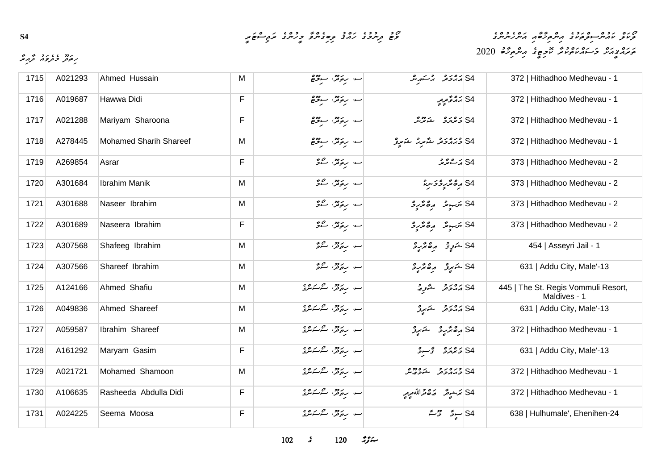*sCw7q7s5w7m< o<n9nOoAw7o< sCq;mAwBoEw7q<m; wBm;vB* م من المسجد المسجد المسجد المسجد المسجد العام 2020<br>مجم*د المسجد المسجد المستجد المسجد المسجد المسجد المسجد المسجد المسجد المسجد المسجد المسجد المسجد المسجد المسجد* 

| 1715 | A021293 | Ahmed Hussain                 | M | سە رەۋر، سوۋە           | S4 كەبروتىر ب <sub>ە</sub> شكەر بىر         | 372   Hithadhoo Medhevau - 1                        |
|------|---------|-------------------------------|---|-------------------------|---------------------------------------------|-----------------------------------------------------|
| 1716 | A019687 | Hawwa Didi                    | F | سة ريدون سوفريج         | .<br>S4 ئەۋگە توپىر                         | 372   Hithadhoo Medhevau - 1                        |
| 1717 | A021288 | Mariyam Sharoona              | F | سه رود سروه             | S4 كەبىر بىر يەدە بىر يىل                   | 372   Hithadhoo Medhevau - 1                        |
| 1718 | A278445 | <b>Mohamed Sharih Shareef</b> | M | سه ره ده<br>سه ره در ده | S4 <i>دېمم</i> وتر څېرتر ځېږو               | 372   Hithadhoo Medhevau - 1                        |
| 1719 | A269854 | Asrar                         | F | سە رەۋر، شۇ             | S4 كەشە <u>ترى</u> ر                        | 373   Hithadhoo Medhevau - 2                        |
| 1720 | A301684 | <b>Ibrahim Manik</b>          | М | اسه رجونو، من د         | S4 مەھەرىپەدىمىز                            | 373   Hithadhoo Medhevau - 2                        |
| 1721 | A301688 | Naseer Ibrahim                | M | سه ربود مي              | S4 سَرَسِوِيْرَ مِنْ مُرْكَبِيْرَ \$        | 373   Hithadhoo Medhevau - 2                        |
| 1722 | A301689 | Naseera Ibrahim               | F | سە رەۋر، شۇ             | S4 ىترىپوتتى ب <i>ەھ ت</i> رىپ <sup>ى</sup> | 373   Hithadhoo Medhevau - 2                        |
| 1723 | A307568 | Shafeeg Ibrahim               | M | سه رجونو، سوځ           | S4 ڪَوِٽِ مِ®مَّرِگ                         | 454   Asseyri Jail - 1                              |
| 1724 | A307566 | Shareef Ibrahim               | M | ے رہوش ہے               | S4 ڪمبرو م <i>ھنگ</i> رو                    | 631   Addu City, Male'-13                           |
| 1725 | A124166 | Ahmed Shafiu                  | M | ب رود شهره و            | S4 كەبرى قىر ئىگە ئورگە                     | 445   The St. Regis Vommuli Resort,<br>Maldives - 1 |
| 1726 | A049836 | Ahmed Shareef                 | M | ب رود شهره و            | S4 كەبرى قىرىق ھەمب <i>و</i> گە             | 631   Addu City, Male'-13                           |
| 1727 | A059587 | Ibrahim Shareef               | M | سه رود همسه سوره د      | S4 مەھم <i>گرى</i> شىمبرو                   | 372   Hithadhoo Medhevau - 1                        |
| 1728 | A161292 | Maryam Gasim                  | F | ب رود عمره و            | S4 كا <i>نتىدۇ</i> تۇسىۋ                    | 631   Addu City, Male'-13                           |
| 1729 | A021721 | Mohamed Shamoon               | M | ب رود عمله ده د         | S4 دره د د دوره دره د                       | 372   Hithadhoo Medhevau - 1                        |
| 1730 | A106635 | Rasheeda Abdulla Didi         | F | ب رود شهره به           | S4 مَرْشِوِتَر 50ْقَرْاللَّهَ مِرْمِرِ      | 372   Hithadhoo Medhevau - 1                        |
| 1731 | A024225 | Seema Moosa                   | F | ب رکھ شکستان            | S4 سوءً تق <sup>س</sup> مً                  | 638   Hulhumale', Ehenihen-24                       |

## ردد ، ، ، ر د م*ع*د بر<br>برحو<sub>م</sub> و ترجمہ تحریر بر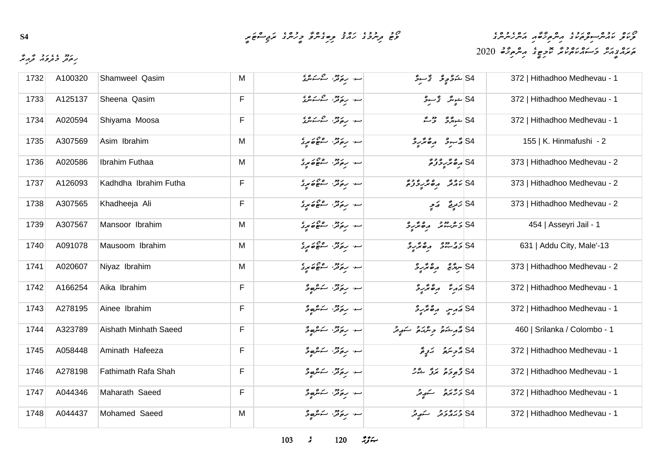*sCw7q7s5w7m< o<n9nOoAw7o< sCq;mAwBoEw7q<m; wBm;vB 2020<sup>, م</sup>وسر در مدد مدرج به مدرم مقرم قرار 2020*<br>موسر المستقرم المستقرم المستقرم المستقرم المستقرم المستقرم المستقرم المستقرم المستقرم المستقرم المستقرم المستقر

| 1732 | A100320 | Shamweel Qasim        | M           | ب رود همسوره د   | S4 حَمَوْمٍ عَلَى اللَّهِ عَلَيْهِ عَلَيْهِ مِنْ الْمَرْجَعِينَ | 372   Hithadhoo Medhevau - 1 |
|------|---------|-----------------------|-------------|------------------|-----------------------------------------------------------------|------------------------------|
| 1733 | A125137 | Sheena Qasim          | F           | ب رود می شوده به | S4  سموسر گرسوگر                                                | 372   Hithadhoo Medhevau - 1 |
| 1734 | A020594 | Shiyama Moosa         | F           | ب رود شهره و     | S4 شەھرىتە ئۆگ                                                  | 372   Hithadhoo Medhevau - 1 |
| 1735 | A307569 | Asim Ibrahim          | M           | سه رود وه در و   | S4 م <sup>ح م</sup> حبو من محمد محمد محمد محمد محمد مح          | 155   K. Hinmafushi - 2      |
| 1736 | A020586 | Ibrahim Futhaa        | M           | سه رود وړه د     | S4 <sub>مەھ</sub> مۇر <i>ەدۇم</i>                               | 373   Hithadhoo Medhevau - 2 |
| 1737 | A126093 | Kadhdha Ibrahim Futha | F           | سه رود ده د د    | S4 ئەمەمئە مەھ <i>مگىر دو</i> م                                 | 373   Hithadhoo Medhevau - 2 |
| 1738 | A307565 | Khadheeja Ali         | F           | سه رود وه در و   | S4 كَتَمْرِيحٌ     وَكَمْ يَوْ                                  | 373   Hithadhoo Medhevau - 2 |
| 1739 | A307567 | Mansoor Ibrahim       | M           | سه رود وړه ده.   | S4 كەشرىيە ئەھەر يەھ                                            | 454   Asseyri Jail - 1       |
| 1740 | A091078 | Mausoom Ibrahim       | M           | سه رود وه دره    | $5.222$ $-2.55$ S4                                              | 631   Addu City, Male'-13    |
| 1741 | A020607 | Niyaz Ibrahim         | M           | سه رود وه در و   | S4 سِرْج مِنْ حَمْدِ وَ                                         | 373   Hithadhoo Medhevau - 2 |
| 1742 | A166254 | Aika Ibrahim          | F           | ب رەقرا سەھرەر   | S4 <i>مەمەتتىم مەھەتتى</i> 34                                   | 372   Hithadhoo Medhevau - 1 |
| 1743 | A278195 | Ainee Ibrahim         | F           | ۔ روزہ کے شرح و  | S4  مەرس مەھم <i>گرى</i> ۋ                                      | 372   Hithadhoo Medhevau - 1 |
| 1744 | A323789 | Aishath Minhath Saeed | F           | ۔ رہوش سکس و     | S4 مُەم شەق بەر ئەر ئىكەن كەرلىر                                | 460   Srilanka / Colombo - 1 |
| 1745 | A058448 | Aminath Hafeeza       | $\mathsf F$ | ے روتر، سکروری   | S4 مٌحِ سَعَةٍ مَعَ يَوْمَّةِ                                   | 372   Hithadhoo Medhevau - 1 |
| 1746 | A278198 | Fathimath Rafa Shah   | F           | ے روزہ کے شروع   | S4 <i>وَّجِ دَمَّةَ مَرَدَّ حَدَّثَ</i>                         | 372   Hithadhoo Medhevau - 1 |
| 1747 | A044346 | Maharath Saeed        | F           | ے رکوش کے مربوط  | S4 ئەرمىق سىھەتتە                                               | 372   Hithadhoo Medhevau - 1 |
| 1748 | A044437 | Mohamed Saeed         | M           | ے روتر، کے شرح و | S4 <i>ۇنەۋەقە</i> س <i>ەمبەت</i> ر                              | 372   Hithadhoo Medhevau - 1 |

## *n8o<n@ q<m=s@s> r@mAo5*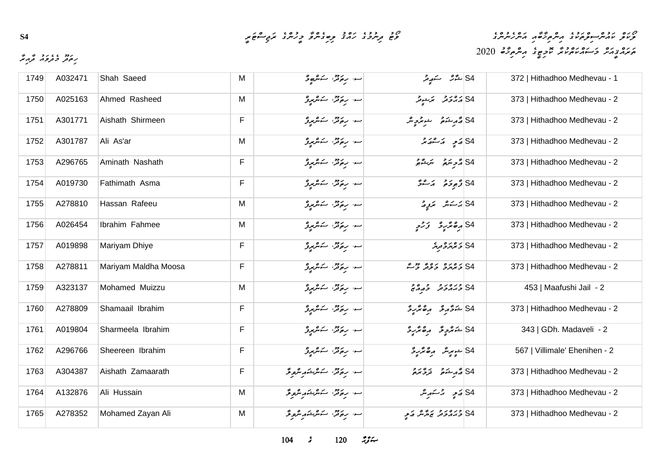*sCw7q7s5w7m< o<n9nOoAw7o< sCq;mAwBoEw7q<m; wBm;vB 2020<sup>, م</sup>وسر در مدد مدرج به مدرم مقرم قرار 2020*<br>موسر المستقرم المستقرم المستقرم المستقرم المستقرم المستقرم المستقرم المستقرم المستقرم المستقرم المستقرم المستقر

| 1749 | A032471 | Shah Saeed           | M | ے روزہ کشور              | S4 گەشتر سى <i>مبە</i> تر                  | 372   Hithadhoo Medhevau - 1  |
|------|---------|----------------------|---|--------------------------|--------------------------------------------|-------------------------------|
| 1750 | A025163 | Ahmed Rasheed        | M | ب رەقۇ، سەھرىرۇ          | S4 كەبر <i>ە بىر كەنبونت</i> ر             | 373   Hithadhoo Medhevau - 2  |
| 1751 | A301771 | Aishath Shirmeen     | F | ب رەۋش سەھرىرى           | S4 <i>مگرمشمر شومگرم</i> چ مگر             | 373   Hithadhoo Medhevau - 2  |
| 1752 | A301787 | Ali As'ar            | M | ے رکوش کے شرمرو          | S4 <i>جَمْعِيہ مُ</i> شْ <i>ھَ</i> مْد     | 373   Hithadhoo Medhevau - 2  |
| 1753 | A296765 | Aminath Nashath      | F | ے رکوش کے مگر مرو        | S4 مُّحِسَمُ مَنْ مِمْشَمْ                 | 373   Hithadhoo Medhevau - 2  |
| 1754 | A019730 | Fathimath Asma       | F | ب رەۋش سەھرىرى           | S4 ۇ <sub>جو</sub> رَمْ مَ <sup>0</sup> رْ | 373   Hithadhoo Medhevau - 2  |
| 1755 | A278810 | Hassan Rafeeu        | M | ے رکوش کے شرمرو          | S4   يَرْسَسْ بَرَوِ <sub>هِ</sub>         | 373   Hithadhoo Medhevau - 2  |
| 1756 | A026454 | Ibrahim Fahmee       | M | ے رکوش کے شرمرو          | S4 م <i>وھنگرد</i> و ت <i>رک</i> و         | 373   Hithadhoo Medhevau - 2  |
| 1757 | A019898 | Mariyam Dhiye        | F | ب، رەۋش سەھرىرى          | S4 كەممەر 2 مر <mark>م</mark> ز            | 373   Hithadhoo Medhevau - 2  |
| 1758 | A278811 | Mariyam Maldha Moosa | F | ے رکوش کے شرموثر         | S4 ۈيرە بەھ دەپيە                          | 373   Hithadhoo Medhevau - 2  |
| 1759 | A323137 | Mohamed Muizzu       | M | ے رکوش کے شرموثر         | $50, 50, 20, 35$ S4                        | 453   Maafushi Jail - 2       |
| 1760 | A278809 | Shamaail Ibrahim     | F | ے رکوش کے شرموثر         | S4 شَوَّرِ وَ مِرْهَ يَرْرِدُ              | 373   Hithadhoo Medhevau - 2  |
| 1761 | A019804 | Sharmeela Ibrahim    | F | ے رکوش کے شرمرو          | S4 ڪنگر <i>چو ڏهنگرچ</i>                   | 343   GDh. Madaveli - 2       |
| 1762 | A296766 | Sheereen Ibrahim     | F | ے روقرا سکھریو           | S4 سىمبەش م <i>ەھترى</i><br>               | 567   Villimale' Ehenihen - 2 |
| 1763 | A304387 | Aishath Zamaarath    | F | ب رەۋر، سەرھىكەر شھوڭ    | S4 مەم ئىسكەم ئىر <i>مۇنىزە</i>            | 373   Hithadhoo Medhevau - 2  |
| 1764 | A132876 | Ali Hussain          | M | ب، رەۋر، سەھرىشەر شرەر ئ | S4 كەبىر ب <sub>ە</sub> شكەپىر             | 373   Hithadhoo Medhevau - 2  |
| 1765 | A278352 | Mohamed Zayan Ali    | M | ب، رەۋر، سەھرىشەر شرەر ئ | S4 دېره د د پروگر ډېر                      | 373   Hithadhoo Medhevau - 2  |

*104 sC 120 nNw?mS*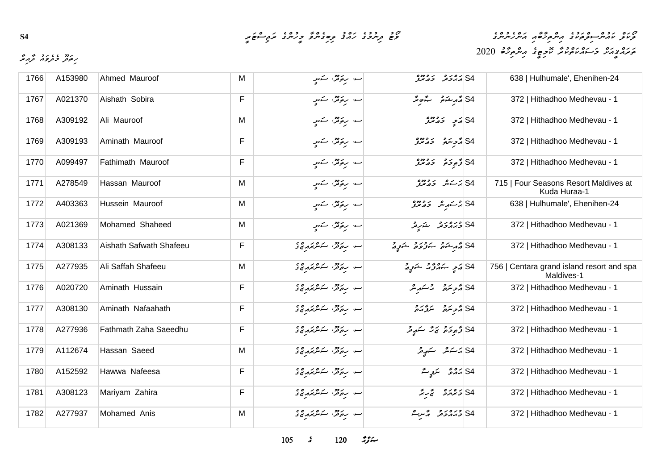*sCw7q7s5w7m< o<n9nOoAw7o< sCq;mAwBoEw7q<m; wBm;vB 2020<sup>, م</sup>وسوق المسجد التحقيق وسرمونية والم*جمع المسجد المسجد المسجد المسجد المسجد المسجد المسجد المسجد المسجد ال

| 1766 | A153980 | Ahmed Mauroof           | M | سة رەڭ سەس          | S4 كەبرو بەدە 20                                   | 638   Hulhumale', Ehenihen-24                           |
|------|---------|-------------------------|---|---------------------|----------------------------------------------------|---------------------------------------------------------|
| 1767 | A021370 | Aishath Sobira          | F | سة رەڭ سەس          | S4 مەم ئىقىم ئىستى <i>م ئى</i>                     | 372   Hithadhoo Medhevau - 1                            |
| 1768 | A309192 | Ali Mauroof             | M | سە رەۋش سەمبر       | S4 كەمچە ئەمەمىر <i>ۇ</i>                          | 372   Hithadhoo Medhevau - 1                            |
| 1769 | A309193 | Aminath Mauroof         | F | سە، سەكتى، سەمىر    | S4 مُرْحِسَمُ حَصَمَرُ                             | 372   Hithadhoo Medhevau - 1                            |
| 1770 | A099497 | Fathimath Mauroof       | F | سە رەۋش سەمبر       | S4 زُجِرَة رَحمَّة بَ                              | 372   Hithadhoo Medhevau - 1                            |
| 1771 | A278549 | Hassan Mauroof          | M | سة رەڭ سەس          | S4 ئەسەمبىر بەھ بىر <i>و</i>                       | 715   Four Seasons Resort Maldives at<br>Kuda Huraa-1   |
| 1772 | A403363 | Hussein Mauroof         | M | سة رەڭ سەس          | S4 بر مسر مگر دوره در حمد بود                      | 638   Hulhumale', Ehenihen-24                           |
| 1773 | A021369 | Mohamed Shaheed         | M | سە رەۋىش سەس        | S4 <i>وُبَهُ وَبَدْ</i> مُسَ مِسْرِيْر             | 372   Hithadhoo Medhevau - 1                            |
| 1774 | A308133 | Aishath Safwath Shafeeu | F | سه رود سه در ۵۰     | S4 مُرمِشَمَ سِنَرُومَ شَرَرٍ مُ                   | 372   Hithadhoo Medhevau - 1                            |
| 1775 | A277935 | Ali Saffah Shafeeu      | M | سە رەۋر، سەھرىرە ئ  | S4 كەنچ سەرگەنز شەر <sub>گە</sub> ر                | 756   Centara grand island resort and spa<br>Maldives-1 |
| 1776 | A020720 | Aminath Hussain         | F | سە رەۋر، سەھرىرە ئ  | S4 مُرْحِبَتِهُ بِمُ سَنَ <sub>ّ</sub> مِبِيْر     | 372   Hithadhoo Medhevau - 1                            |
| 1777 | A308130 | Aminath Nafaahath       | F | سە رەۋر، سەھەر دە   | S4 مُرْحِسَمْ مَرْتَمَتْهُ مِنْ                    | 372   Hithadhoo Medhevau - 1                            |
| 1778 | A277936 | Fathmath Zaha Saeedhu   | F | سە رەۋر، سەھرىرە ئ  | S4 ۇَج <sup>و</sup> حَمْ يَحْرُ سَمَ <i>وِيْرْ</i> | 372   Hithadhoo Medhevau - 1                            |
| 1779 | A112674 | Hassan Saeed            | M | سە رەۋر، سەنكرىرى ئ | S4 ئەسەمىر سى <i>مەيى</i> ر                        | 372   Hithadhoo Medhevau - 1                            |
| 1780 | A152592 | Hawwa Nafeesa           | F | سە رەۋر، سەنكرىرى ئ | S4  يَهُمَّ سَمِيتَّہ                              | 372   Hithadhoo Medhevau - 1                            |
| 1781 | A308123 | Mariyam Zahira          | F | سە رەۋر، سەھرىرە ئ  | S4 كەبرىرى ئ <sub>ى</sub> ئەرىئە                   | 372   Hithadhoo Medhevau - 1                            |
| 1782 | A277937 | Mohamed Anis            | M | ب رەقرا سەھەر دە    | S4 <i>ڈیزوونز بڑ</i> یرے                           | 372   Hithadhoo Medhevau - 1                            |

*105 sC 120 nNw?mS*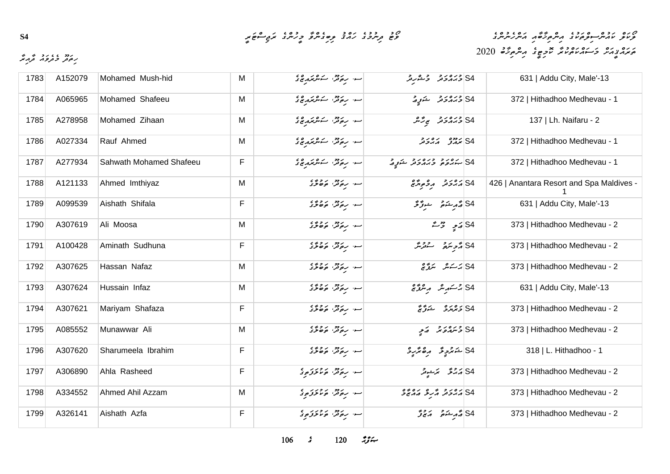*sCw7q7s5w7m< o<n9nOoAw7o< sCq;mAwBoEw7q<m; wBm;vB 2020<sup>, م</sup>وسوق المسجد التحقيق وسرمونية والم*جمع المسجد المسجد المسجد المسجد المسجد المسجد المسجد المسجد المسجد ال

| 1783 | A152079 | Mohamed Mush-hid        | M | سە بەرەد سەھەر دە  | S4 دېرو د و شرير                       | 631   Addu City, Male'-13                |
|------|---------|-------------------------|---|--------------------|----------------------------------------|------------------------------------------|
| 1784 | A065965 | Mohamed Shafeeu         | M | سە رەۋر، سەھەر 20  | S4 <i>جەنەدى ئىمۇرۇ</i>                | 372   Hithadhoo Medhevau - 1             |
| 1785 | A278958 | Mohamed Zihaan          | M | سە بەرەد سەھەر دە  | S4 <i>\$ جەم</i> كەتر بېرىمىتىلىك      | 137   Lh. Naifaru - 2                    |
| 1786 | A027334 | Rauf Ahmed              | M | سە رەۋر، سەھەر دە  | S4 پروه بره بر چ                       | 372   Hithadhoo Medhevau - 1             |
| 1787 | A277934 | Sahwath Mohamed Shafeeu | F | سە رەۋر، سەھرىرى ئ | S4 بەردە درەردە ئىر <i>و</i>           | 372   Hithadhoo Medhevau - 1             |
| 1788 | A121133 | Ahmed Imthiyaz          | M | سه ره ده دوه       | S4 كەبرىق مەھمەتتى                     | 426   Anantara Resort and Spa Maldives - |
| 1789 | A099539 | Aishath Shifala         | F | سه رود روه و       | S4 مَەرىشەم ھورَدَّ                    | 631   Addu City, Male'-13                |
| 1790 | A307619 | Ali Moosa               | M | سه ره ده دوه و     | S4  پَه حِي حَيْثَة                    | 373   Hithadhoo Medhevau - 2             |
| 1791 | A100428 | Aminath Sudhuna         | F | سه رود روه و       | S4 مَرْحِ سَوَ صَعْرَ سَرْ مَرْ مِرْ   | 373   Hithadhoo Medhevau - 2             |
| 1792 | A307625 | Hassan Nafaz            | M | سه رود روه د       | S4 ئەسەھ ئىر <i>ۇغ</i>                 | 373   Hithadhoo Medhevau - 2             |
| 1793 | A307624 | Hussain Infaz           | M | سه رود روه و       | S4 ئرسىمبرىش م <i>ې</i> تتى <i>ڭ چ</i> | 631   Addu City, Male'-13                |
| 1794 | A307621 | Mariyam Shafaza         | F | سه رود رووه        | S4 كۆ <i>چرىرى خۇقى</i> م              | 373   Hithadhoo Medhevau - 2             |
| 1795 | A085552 | Munawwar Ali            | M | سه رود رووه        | S4 دسم محمد محمو                       | 373   Hithadhoo Medhevau - 2             |
| 1796 | A307620 | Sharumeela Ibrahim      | F | سه رود روده        | S4 خىترى <sub>چ</sub> ى مەھترىرى       | 318   L. Hithadhoo - 1                   |
| 1797 | A306890 | Ahla Rasheed            | F | سه رەۋە رورى       | S4 كەر2ى كەن كەر بىر                   | 373   Hithadhoo Medhevau - 2             |
| 1798 | A334552 | <b>Ahmed Ahil Azzam</b> | M | سه رەۋە روزىرە     | S4 ג׳כ ב ג' ב ג' ב ב                   | 373   Hithadhoo Medhevau - 2             |
| 1799 | A326141 | Aishath Azfa            | F | سە رەۋش ئەردۇر ئ   | S4 مەم شىم مەيزى                       | 373   Hithadhoo Medhevau - 2             |

*n8o<n@ q<m=s@s> r@mAo5*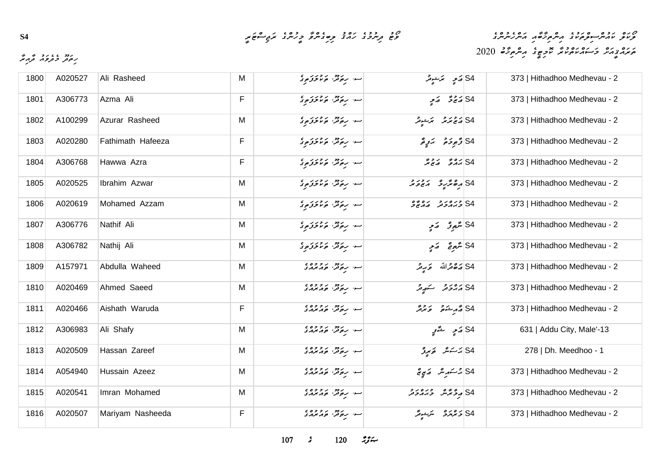*sCw7q7s5w7m< o<n9nOoAw7o< sCq;mAwBoEw7q<m; wBm;vB 2020*<br>*په پوهر وسوډيرونو لومو د موجو د مرمونه* 2020

| 1800 | A020527 | Ali Rasheed       | M | سە رەۋىش ئەمزۇمۇ                | S4  كەمچە    ئىزىش <sub>ىر</sub> ىتر        | 373   Hithadhoo Medhevau - 2 |  |
|------|---------|-------------------|---|---------------------------------|---------------------------------------------|------------------------------|--|
| 1801 | A306773 | Azma Ali          | F | ب رەدد، ئەردىرە                 | S4 <i>چي چي چي</i>                          | 373   Hithadhoo Medhevau - 2 |  |
| 1802 | A100299 | Azurar Rasheed    | M | سه رەۋە روزىرى                  | S4 ەيىم ئىرىتىر ئىمزىش <sub>ى</sub> قر      | 373   Hithadhoo Medhevau - 2 |  |
| 1803 | A020280 | Fathimath Hafeeza | F | سه رړود رورړ ،                  | S4 زَّج <i>وحَمْ بَرَوٍخَ</i> ّ             | 373   Hithadhoo Medhevau - 2 |  |
| 1804 | A306768 | Hawwa Azra        | F | سه رەۋە روزىرى                  | S4 يَهْدُمَّ صَبِحْتُمْ                     | 373   Hithadhoo Medhevau - 2 |  |
| 1805 | A020525 | Ibrahim Azwar     | M | سە رەۋە روزىرى                  | S4 مەھەر بەر مەمەر                          | 373   Hithadhoo Medhevau - 2 |  |
| 1806 | A020619 | Mohamed Azzam     | M | سە رەۋىش ئەم ئۆزۈكى             | SA <i>SLOVE LOVE</i>                        | 373   Hithadhoo Medhevau - 2 |  |
| 1807 | A306776 | Nathif Ali        | M | سه رەۋە روزرە                   | S4 سُمب <i>وڙ مَ</i> حِرِ                   | 373   Hithadhoo Medhevau - 2 |  |
| 1808 | A306782 | Nathij Ali        | M | سه رەۋە روزىرە                  | S4 سُمُعِ فَتَ صَلَحِيَّةِ مِنْ سَنَةِ بِهِ | 373   Hithadhoo Medhevau - 2 |  |
| 1809 | A157971 | Abdulla Waheed    | M | سه رود رووه د                   | S4 مَەھمَراللە ئ <i>ۇب</i> وتر              | 373   Hithadhoo Medhevau - 2 |  |
| 1810 | A020469 | Ahmed Saeed       | M | ر دو روه ده<br>پ روتر، ولایروی  | S4 كەبرى ئىم يىتىمبە ئىش                    | 373   Hithadhoo Medhevau - 2 |  |
| 1811 | A020466 | Aishath Waruda    | F | ر دو روه ده<br>پ ره نوم         | S4 مەم ھەم ئىقرىمبىتىكى S4                  | 373   Hithadhoo Medhevau - 2 |  |
| 1812 | A306983 | Ali Shafy         | M | ر دو رووه در<br>پ رونز، وړ بردر | S4  رَمٍ شَ <i>ّورٍ</i>                     | 631   Addu City, Male'-13    |  |
| 1813 | A020509 | Hassan Zareef     | M | ر دو روه ده<br>پ رجونس جمعه     | S4 كەسكەنلەر قۇمبر <i>ۇ</i>                 | 278   Dh. Meedhoo - 1        |  |
| 1814 | A054940 | Hussain Azeez     | M | سه رود رووه د                   | S4 بر <i>کے مربٹر مربح چ</i>                | 373   Hithadhoo Medhevau - 2 |  |
| 1815 | A020541 | Imran Mohamed     | M | ر دو روه ده<br>پ رونز، وار دوه  | S4 مەئەتتىر مەمدەتر                         | 373   Hithadhoo Medhevau - 2 |  |
| 1816 | A020507 | Mariyam Nasheeda  | F | ر دو د دوه<br>پ روتر، وړممدن    | S4 كەبرىزى سىنى <sub>شى</sub> قە            | 373   Hithadhoo Medhevau - 2 |  |

*107 sC 120 nNw?mS*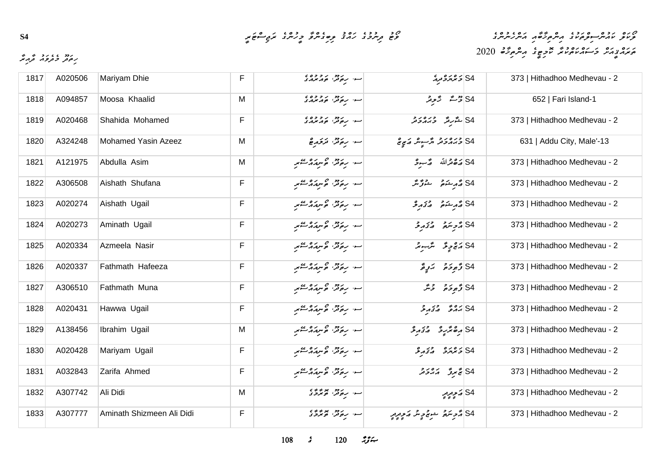*sCw7q7s5w7m< o<n9nOoAw7o< sCq;mAwBoEw7q<m; wBm;vB 2020<sup>, م</sup>وسر در مدد مدرج به مدرم مقرم قرار 2020*<br>موسر المستقرم المستقرم المستقرم المستقرم المستقرم المستقرم المستقرم المستقرم المستقرم المستقرم المستقرم المستقر

| 1817 | A020506 | Mariyam Dhie               | F | ر دود دوده د<br>سوسرچون جمهوری                                                                                                                                                                                                                                                                                                                                                                                                                                                                                                                                                                                        | S4 كەممە <i>مرى قى</i> رىگە                      | 373   Hithadhoo Medhevau - 2 |
|------|---------|----------------------------|---|-----------------------------------------------------------------------------------------------------------------------------------------------------------------------------------------------------------------------------------------------------------------------------------------------------------------------------------------------------------------------------------------------------------------------------------------------------------------------------------------------------------------------------------------------------------------------------------------------------------------------|--------------------------------------------------|------------------------------|
| 1818 | A094857 | Moosa Khaalid              | M | سه رود رووه و                                                                                                                                                                                                                                                                                                                                                                                                                                                                                                                                                                                                         | S4 چرمئر گرونگر                                  | 652   Fari Island-1          |
| 1819 | A020468 | Shahida Mohamed            | F | ر دو روه ده<br>پ رجونس جمعه                                                                                                                                                                                                                                                                                                                                                                                                                                                                                                                                                                                           | S4 شَرىرَ 3 <i>7.5 م</i>                         | 373   Hithadhoo Medhevau - 2 |
| 1820 | A324248 | <b>Mohamed Yasin Azeez</b> | M | سه ره ده ترتزم ه                                                                                                                                                                                                                                                                                                                                                                                                                                                                                                                                                                                                      | S4 <i>\$2,022 گرسونتر م<sub>ک</sub>ې</i> غ       | 631   Addu City, Male'-13    |
| 1821 | A121975 | Abdulla Asim               | M | سه ره ده می سره سی                                                                                                                                                                                                                                                                                                                                                                                                                                                                                                                                                                                                    | S4 مَەقراللە مەجو                                | 373   Hithadhoo Medhevau - 2 |
| 1822 | A306508 | Aishath Shufana            | F | سه رود ه سره سر                                                                                                                                                                                                                                                                                                                                                                                                                                                                                                                                                                                                       | S4 مەم ئىكتى ھەر ئىگەنگىر                        | 373   Hithadhoo Medhevau - 2 |
| 1823 | A020274 | Aishath Ugail              | F | سه ره در می ده مه                                                                                                                                                                                                                                                                                                                                                                                                                                                                                                                                                                                                     | S4 مەم ئىقتىم قىرىم ئى                           | 373   Hithadhoo Medhevau - 2 |
| 1824 | A020273 | Aminath Ugail              | F | سه ره در میکرد می                                                                                                                                                                                                                                                                                                                                                                                                                                                                                                                                                                                                     | S4 مُتَعِسَمَة مُتَوَمِّدَ                       | 373   Hithadhoo Medhevau - 2 |
| 1825 | A020334 | Azmeela Nasir              | F | سه رود ه سره سر                                                                                                                                                                                                                                                                                                                                                                                                                                                                                                                                                                                                       | S4 كەيج ب <sub>و</sub> قى س <sup>ى</sup> رىبونمى | 373   Hithadhoo Medhevau - 2 |
| 1826 | A020337 | Fathmath Hafeeza           | F | ب رود ه سره عبر                                                                                                                                                                                                                                                                                                                                                                                                                                                                                                                                                                                                       | S4 ۇ <sub>جو</sub> رۇ ئې <sub>رى</sub> ئۇ        | 373   Hithadhoo Medhevau - 2 |
| 1827 | A306510 | Fathmath Muna              | F | سە رەۋدا ھەمدەر ئەس                                                                                                                                                                                                                                                                                                                                                                                                                                                                                                                                                                                                   | S4 ۇ <sub>جو</sub> رَى ئەش                       | 373   Hithadhoo Medhevau - 2 |
| 1828 | A020431 | Hawwa Ugail                | F | سه ره در می بره عمر                                                                                                                                                                                                                                                                                                                                                                                                                                                                                                                                                                                                   |                                                  | 373   Hithadhoo Medhevau - 2 |
| 1829 | A138456 | Ibrahim Ugail              | M | $\begin{array}{cc} \overbrace{\phantom{\alpha}}^{c} & \overbrace{\phantom{\alpha}}^{c} & \overbrace{\phantom{\alpha}}^{c} & \overbrace{\phantom{\alpha}}^{c} & \overbrace{\phantom{\alpha}}^{c} & \overbrace{\phantom{\alpha}}^{c} & \overbrace{\phantom{\alpha}}^{c} & \overbrace{\phantom{\alpha}}^{c} & \overbrace{\phantom{\alpha}}^{c} & \overbrace{\phantom{\alpha}}^{c} & \overbrace{\phantom{\alpha}}^{c} & \overbrace{\phantom{\alpha}}^{c} & \overbrace{\phantom{\alpha}}^{c} & \overbrace{\phantom{\alpha}}^{c} & \overbrace{\phantom{\alpha}}^{c} & \overbrace{\phantom{\alpha}}^{c} & \overbrace{\phant$ | S4 مەھم <i>گىي</i> ھەتىمبى                       | 373   Hithadhoo Medhevau - 2 |
| 1830 | A020428 | Mariyam Ugail              | F | سه ره در می بره عمر                                                                                                                                                                                                                                                                                                                                                                                                                                                                                                                                                                                                   | S4 <i>جېرو هڅو</i> نو                            | 373   Hithadhoo Medhevau - 2 |
| 1831 | A032843 | Zarifa Ahmed               | F | ب رود ه سره عبر                                                                                                                                                                                                                                                                                                                                                                                                                                                                                                                                                                                                       | S4 تجمعرتش م <i>م</i> حوصر                       | 373   Hithadhoo Medhevau - 2 |
| 1832 | A307742 | Ali Didi                   | M | ر دود بروده د<br>پ ره دره و برو د                                                                                                                                                                                                                                                                                                                                                                                                                                                                                                                                                                                     | S4 ۾ پوپور                                       | 373   Hithadhoo Medhevau - 2 |
| 1833 | A307777 | Aminath Shizmeen Ali Didi  | F |                                                                                                                                                                                                                                                                                                                                                                                                                                                                                                                                                                                                                       | S4 ۾ <i>جو سکي شوچ جي مگر چوپو</i> پر            | 373   Hithadhoo Medhevau - 2 |

*108 sC 120 nNw?mS*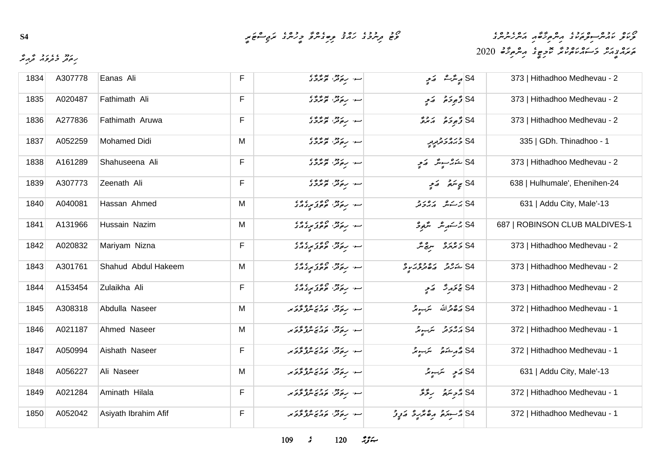*sCw7q7s5w7m< o<n9nOoAw7o< sCq;mAwBoEw7q<m; wBm;vB 2020<sup>, م</sup>وسوق المسجد التحقيق وسرمونية والم*جمع المسجد المسجد المسجد المسجد المسجد المسجد المسجد المسجد المسجد ال

| 1834 | A307778 | Eanas Ali            | F | ر به روز برونوي<br>د بروتر، وبروي                                                                              | S4 میں بمرے م <i>ے پ</i> ر            | 373   Hithadhoo Medhevau - 2   |
|------|---------|----------------------|---|----------------------------------------------------------------------------------------------------------------|---------------------------------------|--------------------------------|
| 1835 | A020487 | Fathimath Ali        | F | ر به روم برونوي<br>د بروتر، وبروي                                                                              | S4 <i>وَّجِوحَ</i> هُمَ مِي           | 373   Hithadhoo Medhevau - 2   |
| 1836 | A277836 | Fathimath Aruwa      | F | ر دود بودون<br>سه ره تره ه بروی                                                                                | S4 وَّجِعَة مَعْرَفَة                 | 373   Hithadhoo Medhevau - 2   |
| 1837 | A052259 | <b>Mohamed Didi</b>  | M | ر دود بدوده د<br>سه رهوش همدود                                                                                 | S4   3 <i>2 2 3 قر</i> مرمر           | 335   GDh. Thinadhoo - 1       |
| 1838 | A161289 | Shahuseena Ali       | F | سه ره ده پروه د                                                                                                | S4 ڪنگ سوسگر ڪ <sup>ي</sup> چي        | 373   Hithadhoo Medhevau - 2   |
| 1839 | A307773 | Zeenath Ali          | F | ر دود بدوده د<br>سه رهون همدود                                                                                 | S4 پې <i>منځ قم</i> ړ                 | 638   Hulhumale', Ehenihen-24  |
| 1840 | A040081 | Hassan Ahmed         | M | ر دود ۵ در ۵ د د ۲<br>سو، روتر، ووژنرد د د                                                                     | S4 ئەسەمبىر مەئە <del>دى</del> ر      | 631   Addu City, Male'-13      |
| 1841 | A131966 | Hussain Nazim        | M | ر دود ۵ در ۵ د د د<br>سه روتر، ووژنردو                                                                         | S4 پر کے ہر ش سنگھوی کی تھا۔<br>ا     | 687   ROBINSON CLUB MALDIVES-1 |
| 1842 | A020832 | Mariyam Nizna        | F | ر دود ۵ در ۵ ده.<br>پ روتر، ووژنردو                                                                            | S4 <i>5 بر مربی مربی مگ</i> ر         | 373   Hithadhoo Medhevau - 2   |
| 1843 | A301761 | Shahud Abdul Hakeem  | M | ر دود ۵ در ۵ ده.<br>پ روتر، ووژنردو                                                                            | S4 شریع مصر ده در د                   | 373   Hithadhoo Medhevau - 2   |
| 1844 | A153454 | Zulaikha Ali         | F | ر دود ۵ در ۵ د د ۲<br>سو، روتر، ووژنرد د د                                                                     | S4 يح <i>قرق مک</i> و                 | 373   Hithadhoo Medhevau - 2   |
| 1845 | A308318 | Abdulla Naseer       | M | ر دو د دره وه در د                                                                                             | S4 مَەھىراللە سَرىبومْر               | 372   Hithadhoo Medhevau - 1   |
| 1846 | A021187 | Ahmed Naseer         | M | ر دود د وړه وه در.<br>سوسرې د کارې مرکز څوند                                                                   | S4 <i>مەنزىقى</i> سىبب                | 372   Hithadhoo Medhevau - 1   |
| 1847 | A050994 | Aishath Naseer       | F | ر دو د دره وه در م                                                                                             | S4 مۇم يىسكە قىم ئىكرىسى ئىككە        | 372   Hithadhoo Medhevau - 1   |
| 1848 | A056227 | Ali Naseer           | M | ر دود د دره ۵۵ در ۲۵۵ در سور ۲۰۰۶ در سور ۲۰۰۶ در سور ۲۰۰۶ در سور ۲۰۰۶ در سور ۲۰۰۶ در سور ۲۰۰۵ در سور ۲۰۰۵ در س | S4 <i>ھَ۔ پہ مَہوم</i> ُ              | 631   Addu City, Male'-13      |
| 1849 | A021284 | Aminath Hilala       | F | ب رەپىر بەدىرە ەھەر                                                                                            | S4 مَّ <i>جِسَعَةَ</i> بِگُرَّ        | 372   Hithadhoo Medhevau - 1   |
| 1850 | A052042 | Asiyath Ibrahim Afif | F | سە رەۋر رورەە دىر                                                                                              | S4 أَرْسِيرَةَ مِنْ مَرْرِدْ مَرْدِرْ | 372   Hithadhoo Medhevau - 1   |

*109 sC 120 nNw?mS*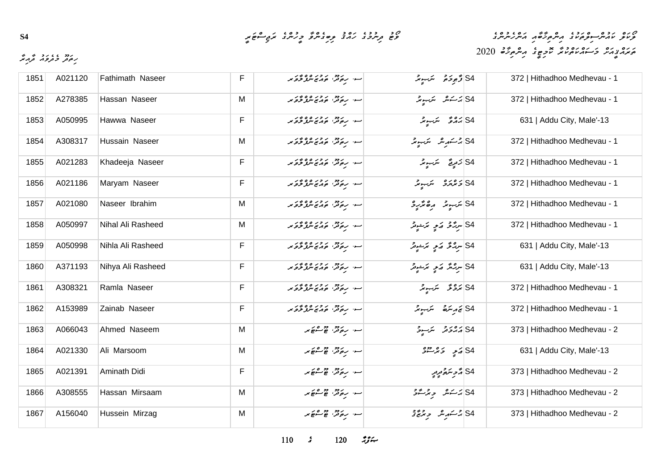*sCw7q7s5w7m< o<n9nOoAw7o< sCq;mAwBoEw7q<m; wBm;vB 2020<sup>, م</sup>وسوق المسجد التحقيق وسرمونية والم*جمع المسجد المسجد المسجد المسجد المسجد المسجد المسجد المسجد المسجد ال

| 1851 | A021120 | Fathimath Naseer  | F | سە بەردە بەدە بەر ئەر                          | S4 ۇج <sub>و</sub> ئەتمە سىسبەتمە         | 372   Hithadhoo Medhevau - 1 |
|------|---------|-------------------|---|------------------------------------------------|-------------------------------------------|------------------------------|
| 1852 | A278385 | Hassan Naseer     | M | سە رەۋر مەدرەە ئەر                             | S4   ئەسەنلەر سىربىرىگە                   | 372   Hithadhoo Medhevau - 1 |
| 1853 | A050995 | Hawwa Naseer      | F | سە رەۋرى رورە ەھرىر                            | S4 <i>بَدْهُ مَّ</i> سَرَبِيْتُر          | 631   Addu City, Male'-13    |
| 1854 | A308317 | Hussain Naseer    | M |                                                | S4 يُرْسَمْ مِيْتَ سَرَسِيْتَمْ           | 372   Hithadhoo Medhevau - 1 |
| 1855 | A021283 | Khadeeja Naseer   | F | سە رەترى ھەيمىروتكەر                           | S4 كَتْرِيعٌ - سَرَسِيْتُر                | 372   Hithadhoo Medhevau - 1 |
| 1856 | A021186 | Maryam Naseer     | F | سە رەۋە رورەە ئەر                              | S4 كەبىر بىر ئىر ئىرىدىگە                 | 372   Hithadhoo Medhevau - 1 |
| 1857 | A021080 | Naseer Ibrahim    | M | ب رەھرىدى 2009مىز<br>ب رەھرى ھەم ئىس ئۇ ئۇ ئىر | S4 سَرَسِي مَر مِر مِرْسِ فِي مِرْسِ      | 372   Hithadhoo Medhevau - 1 |
| 1858 | A050997 | Nihal Ali Rasheed | M | سە رەۋە رورەە ئەر                              | S4 سِرْدَتْرَ مَرْمٍ مَرَسْوِمْرَ         | 372   Hithadhoo Medhevau - 1 |
| 1859 | A050998 | Nihla Ali Rasheed | F | سە رەۋر رورەە ئەر                              | S4 سِرْدَ تَرَمِّ بَرَسْوِتْر             | 631   Addu City, Male'-13    |
| 1860 | A371193 | Nihya Ali Rasheed | F | سە رەترى ھەيمىروتكەر                           | S4 سر <i>دگر مکمی مک</i> شوتر             | 631   Addu City, Male'-13    |
| 1861 | A308321 | Ramla Naseer      | F | سە رەۋر بەدرەە ئەر                             | S4 ىَرْدَ تَرْ سَرَ-بِرْ حَرْ             | 372   Hithadhoo Medhevau - 1 |
| 1862 | A153989 | Zainab Naseer     | F | ب رەھرىدى 2009مىز<br>ب رەھرى ھەم ئىس ئۇ ئۇ ئىر | S4 ئم مرىكى قىم ئىسبونىم                  | 372   Hithadhoo Medhevau - 1 |
| 1863 | A066043 | Ahmed Naseem      | M | سه رود « و د و د                               | S4 كەبرى قىر سىز سىرتى                    | 373   Hithadhoo Medhevau - 2 |
| 1864 | A021330 | Ali Marsoom       | M | سه رود دو در                                   | S4   كەبىي بالاردە 29                     | 631   Addu City, Male'-13    |
| 1865 | A021391 | Aminath Didi      | F | سه رود وړه ع                                   | S4   مُتَّحِر سَمَعْ مَدِيدٍ              | 373   Hithadhoo Medhevau - 2 |
| 1866 | A308555 | Hassan Mirsaam    | M | سه رود وړه د                                   | S4   يَرْسَمْرُ - <sub>حِي</sub> رْسُمْرَ | 373   Hithadhoo Medhevau - 2 |
| 1867 | A156040 | Hussein Mirzag    | M | سه رود وړه ع                                   | S4 برستمبر شر مرسم قریبر                  | 373   Hithadhoo Medhevau - 2 |

## *n8o<n@ q<m=s@s> r@mAo5*

 $110$  *s*  $120$  *n***<sub>s</sub>**  $\frac{2}{3}$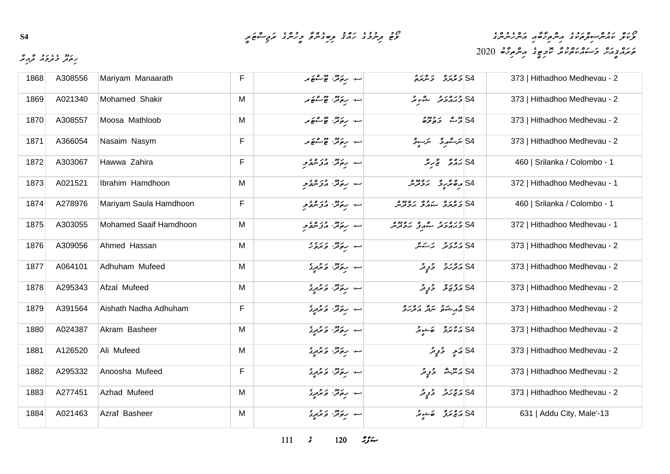*sCw7q7s5w7m< o<n9nOoAw7o< sCq;mAwBoEw7q<m; wBm;vB 2020<sup>, م</sup>وسوق المسجد التحقيق وسرمونية والم*جمع المسجد المسجد المسجد المسجد المسجد المسجد المسجد المسجد المسجد ال

| 1868 | A308556 | Mariyam Manaarath      | F | سه رجون مع شوم بر | S4 كەبىر كەش <i>ىرە</i>                | 373   Hithadhoo Medhevau - 2 |
|------|---------|------------------------|---|-------------------|----------------------------------------|------------------------------|
| 1869 | A021340 | Mohamed Shakir         | M | سه رود دو در      | S4 دېم د متر په ک                      | 373   Hithadhoo Medhevau - 2 |
| 1870 | A308557 | Moosa Mathloob         | M | سه رود دو ۵ دید   | $\frac{2722}{2582}$ $\frac{2}{3}$ S4   | 373   Hithadhoo Medhevau - 2 |
| 1871 | A366054 | Nasaim Nasym           | F | $-$               | S4   بَرَسَّم دِ حَمَد بِرَحْ          | 373   Hithadhoo Medhevau - 2 |
| 1872 | A303067 | Hawwa Zahira           | F | - رەقرى مۇشكۈم    | S4 ئەمەم ئى ئىرىتى                     | 460   Srilanka / Colombo - 1 |
| 1873 | A021521 | Ibrahim Hamdhoon       | M | ب رەقرى مۇشھۇر    | S4 مەھمگرىرى بەدەرە                    | 372   Hithadhoo Medhevau - 1 |
| 1874 | A278976 | Mariyam Saula Hamdhoon | F | سه رود در وره و   | S4  مصرح مستروح بره دوره               | 460   Srilanka / Colombo - 1 |
| 1875 | A303055 | Mohamed Saaif Hamdhoon | M | ے رود وروی        | S4 دره در ورو بروده در                 | 372   Hithadhoo Medhevau - 1 |
| 1876 | A309056 | Ahmed Hassan           | M | سه ره ده کرده و   | S4 كەبر <i>ەر بىر كەنگە</i> ر          | 373   Hithadhoo Medhevau - 2 |
| 1877 | A064101 | Adhuham Mufeed         | M | سە رەۋر كەترىرى   | S4   كەندىرى ئىتى ئىتى ئىتىلىدىن ئىتىل | 373   Hithadhoo Medhevau - 2 |
| 1878 | A295343 | Afzal Mufeed           | M | سە رەۋىر، ئەترىرى | S4 <i>ډون ي</i> و ورتر                 | 373   Hithadhoo Medhevau - 2 |
| 1879 | A391564 | Aishath Nadha Adhuham  | F | سە رەۋر ئەركىرى   | S4 مەم ئىسىم ئىش مەمەر 2               | 373   Hithadhoo Medhevau - 2 |
| 1880 | A024387 | Akram Basheer          | M | سه رەتر، ئەترىرى  | S4 كەندىكى ھەھبىر                      | 373   Hithadhoo Medhevau - 2 |
| 1881 | A126520 | Ali Mufeed             | M | سە رەۋر ئەركىرى   | S4 <i>۾َ جِه - ڏُوِيمُ</i>             | 373   Hithadhoo Medhevau - 2 |
| 1882 | A295332 | Anoosha Mufeed         | F | سە رەۋر كەترىرى   | S4  كەنترىشق ق <i>ۇي</i> تر            | 373   Hithadhoo Medhevau - 2 |
| 1883 | A277451 | Azhad Mufeed           | M | سە رەۋىر، ئەترىرى | S4  كەنجە <i>كەنى قۇي</i> قە           | 373   Hithadhoo Medhevau - 2 |
| 1884 | A021463 | Azraf Basheer          | M | سە رەۋر ئەترىرى   | S4 كەنج <i>بىرۇ ھەھى</i> پەتر          | 631   Addu City, Male'-13    |

*n8o<n@ q<m=s@s> r@mAo5*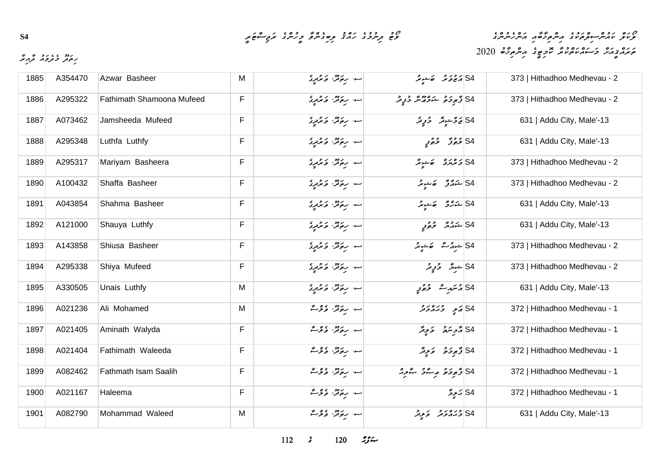*sCw7q7s5w7m< o<n9nOoAw7o< sCq;mAwBoEw7q<m; wBm;vB 2020*<br>*په پوهر وسوډيرونو لومو د موجو د مرمونه* 2020

| 1885 | A354470 | Azwar Basheer               | M           | سە رەۋش كەترىرى                               | S4 كەنىم <i>ھىرى ھەش</i> ونتى             | 373   Hithadhoo Medhevau - 2 |
|------|---------|-----------------------------|-------------|-----------------------------------------------|-------------------------------------------|------------------------------|
| 1886 | A295322 | Fathimath Shamoona Mufeed   | F           | سە رەۋر ئەرەر ئا                              | S4 ژَجِ دَمَ ۽ شَوَهُ شَرُ دَرِ تَرُ      | 373   Hithadhoo Medhevau - 2 |
| 1887 | A073462 | Jamsheeda Mufeed            | $\mathsf F$ | ے رکوش کا مرموری                              | S4 كۆگ ھۆكىلىرىنى ئىلگىنىڭ S4             | 631   Addu City, Male'-13    |
| 1888 | A295348 | Luthfa Luthfy               | $\mathsf F$ | سه رەۋش كەترىرى                               | S4 څ <sub>م</sub> ونځ څمون <sub>و</sub>   | 631   Addu City, Male'-13    |
| 1889 | A295317 | Mariyam Basheera            | F           | سه ره ده کرد د                                | S4 <i>دې جو چې</i> توپه شو                | 373   Hithadhoo Medhevau - 2 |
| 1890 | A100432 | Shaffa Basheer              | $\mathsf F$ | سە رەۋىر، ئەترىرى                             | S4 خىتەر <i>ۇ خى</i> مىسىر                | 373   Hithadhoo Medhevau - 2 |
| 1891 | A043854 | Shahma Basheer              | $\mathsf F$ | سه ره ده کرد ک                                | S4 ش <i>ترد\$ ھ</i> َ ش <sub>و</sub> مَدُ | 631   Addu City, Male'-13    |
| 1892 | A121000 | Shauya Luthfy               | $\mathsf F$ | سە رەۋى كەربىرى                               | S4 شتەپىر ئىقجى ئو                        | 631   Addu City, Male'-13    |
| 1893 | A143858 | Shiusa Basheer              | $\mathsf F$ | سە رەۋى كەربىرى                               | S4 شور <sup>ح</sup> مح صَشومَر            | 373   Hithadhoo Medhevau - 2 |
| 1894 | A295338 | Shiya Mufeed                | $\mathsf F$ | سه ره ده کرد د                                | S4  شېگر گر <i>و</i> گر                   | 373   Hithadhoo Medhevau - 2 |
| 1895 | A330505 | Unais Luthfy                | M           | سە رەۋى كەربىرى                               | S4 مەسىمبە ئىقجىمىيە ئى                   | 631   Addu City, Male'-13    |
| 1896 | A021236 | Ali Mohamed                 | M           | سە رەھرىم ھەم ئە                              | S4  كەمچە ئەممەدىر                        | 372   Hithadhoo Medhevau - 1 |
| 1897 | A021405 | Aminath Walyda              | $\mathsf F$ | ے رکھ وی کا میں تھا۔<br>مسرح کی موقعہ میں تھا | S4 مَّ <i>جِ مَعَ تَقْرِ مَدَّ</i>        | 372   Hithadhoo Medhevau - 1 |
| 1898 | A021404 | Fathimath Waleeda           | $\mathsf F$ | ب رکړي ووگ                                    | S4 <i>وَّجِ حَقَّ</i> صَحِيقًا            | 372   Hithadhoo Medhevau - 1 |
| 1899 | A082462 | <b>Fathmath Isam Saalih</b> | F           | ے رپوتر، ووٹ                                  | S4 ۇ <sub>جو</sub> رۇ مەشۇر شۇر           | 372   Hithadhoo Medhevau - 1 |
| 1900 | A021167 | Haleema                     | $\mathsf F$ | ے رہوش ہوتے                                   | S4 كەمچە گە                               | 372   Hithadhoo Medhevau - 1 |
| 1901 | A082790 | Mohammad Waleed             | M           | ب رەتر، ەۋش                                   | S4 دُبَرْدْدَتْرْ کَرْمِتْر               | 631   Addu City, Male'-13    |

## *n8o<n@ q<m=s@s> r@mAo5*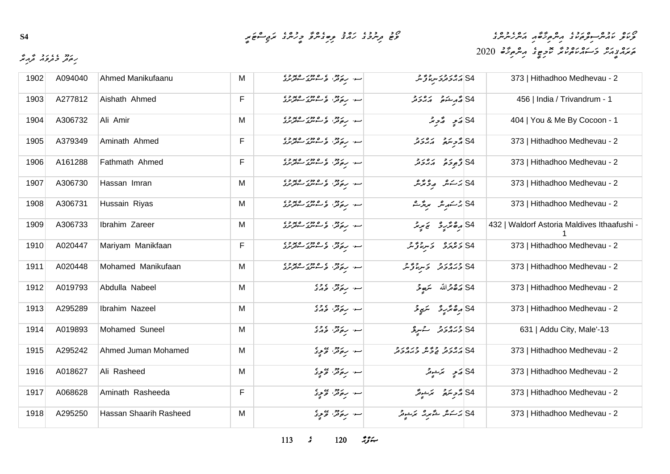*sCw7q7s5w7m< o<n9nOoAw7o< sCq;mAwBoEw7q<m; wBm;vB 2020*<br>*په پوهر وسوډيرونو لومو د موجو د مرمونه* 2020

| 1902 | A094040 | Ahmed Manikufaanu             | м | ر دود ده و دور ه پرون<br>سو، ره <sub>و</sub> تر، و سوسری سوتر <i>بری</i> | S4 <i>ה' بە دېنگەرىنى</i> ر             | 373   Hithadhoo Medhevau - 2                |
|------|---------|-------------------------------|---|--------------------------------------------------------------------------|-----------------------------------------|---------------------------------------------|
| 1903 | A277812 | Aishath Ahmed                 | F | ر دود ده ور ویروه<br>سه روتر، و سه در میرور                              | S4 مەم ئەم ئەيرى ئەر                    | 456   India / Trivandrum - 1                |
| 1904 | A306732 | Ali Amir                      | M | ر دود ده و دور ه پود و د<br>سود برخون کوسوسری سوتوبری                    | S4 کیمبر گ <sup>ر</sup> جی گ            | 404   You & Me By Cocoon - 1                |
| 1905 | A379349 | Aminath Ahmed                 | F | ر دود ده ده دود و دود.<br>سه رمونس و سهسری سهترس                         | S4 مُجرِسَمَ مَدَحَمَّر                 | 373   Hithadhoo Medhevau - 2                |
| 1906 | A161288 | Fathmath Ahmed                | F | ر دود ده ور ویروه<br>سه رمونژ، و سهسری سهترس                             | S4 رَّجِودَة مَدَدَّتر                  | 373   Hithadhoo Medhevau - 2                |
| 1907 | A306730 | Hassan Imran                  | M | ر دود ده دور ه بود و د<br>سه روتر، و سهری سهربری                         | S4 ئەسەمىر ب <i>ە</i> ۋىترى <i>ر</i>    | 373   Hithadhoo Medhevau - 2                |
| 1908 | A306731 | Hussain Riyas                 | M | ر دود ده ودر ه پروه<br>سه رجون و سهسری سهترس                             | S4 پر کے ہر مریز کے                     | 373   Hithadhoo Medhevau - 2                |
| 1909 | A306733 | Ibrahim Zareer                | M | ر دو ده ده ده ده ده ود.<br>سود برخوش کوسوسری سوتر برد                    | S4 مەھەر بىر سىمبىر مىز                 | 432   Waldorf Astoria Maldives Ithaafushi - |
| 1910 | A020447 | Mariyam Manikfaan             | F | ر دود ده ور ویروه<br>سه روتر، و سهری سهرس                                | S4 كەبرىزى كەس <i>لەۋ</i> ىتر           | 373   Hithadhoo Medhevau - 2                |
| 1911 | A020448 | Mohamed Manikufaan            | M | ر دو ده ده وور ه پوده<br>سوا ره ترا و سوسری سوتر بری                     | S4 دېم ده د وگړينل                      | 373   Hithadhoo Medhevau - 2                |
| 1912 | A019793 | Abdulla Nabeel                | M | سه رود دود                                                               | S4 مَەقْرَاللە سَرەقْر                  | 373   Hithadhoo Medhevau - 2                |
| 1913 | A295289 | Ibrahim Nazeel                | м | سه رود دود                                                               | S4  مەھەر بەر ئىسى ئىچە خ               | 373   Hithadhoo Medhevau - 2                |
| 1914 | A019893 | Mohamed Suneel                | M | ر دون وړي<br>سوسي وړي                                                    | S4 دېم دې شمېر ش                        | 631   Addu City, Male'-13                   |
| 1915 | A295242 | Ahmed Juman Mohamed           | M | سه رمونه عدد و<br>سه رمونه، حرمونه                                       |                                         | 373   Hithadhoo Medhevau - 2                |
| 1916 | A018627 | Ali Rasheed                   | м | سه ره ده په په                                                           | S4  رَمِ - بَرَش <sub>وِ</sub> ثَر      | 373   Hithadhoo Medhevau - 2                |
| 1917 | A068628 | Aminath Rasheeda              | F | سه ره ده پر و                                                            | S4 مَّ حِسَمَةً مَنْ مِنْ مِنْ          | 373   Hithadhoo Medhevau - 2                |
| 1918 | A295250 | <b>Hassan Shaarih Rasheed</b> | M | سە رەۋر ، ئوي                                                            | S4  كەسكەش ئىگە <i>بىر كىر ئىبرىدۇر</i> | 373   Hithadhoo Medhevau - 2                |

*113 sC 120 nNw?mS*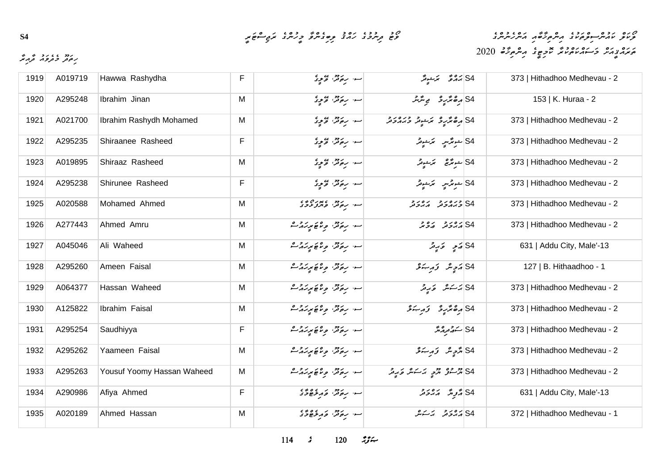*sCw7q7s5w7m< o<n9nOoAw7o< sCq;mAwBoEw7q<m; wBm;vB 2020<sup>, م</sup>وسوق المسجد التحقيق وسرمونية والم*جمع المسجد المسجد المسجد المسجد المسجد المسجد المسجد المسجد المسجد ال

| 1919 | A019719 | Hawwa Rashydha             | F           | سه ره ده پر و                          | S4 بَرْدُعٌ کَرَسْوِنَّرٌ              | 373   Hithadhoo Medhevau - 2 |
|------|---------|----------------------------|-------------|----------------------------------------|----------------------------------------|------------------------------|
| 1920 | A295248 | Ibrahim Jinan              | M           | سه ره ده می د و                        | S4  مەھەرىرى يېڭرىتى                   | 153   K. Huraa - 2           |
| 1921 | A021700 | Ibrahim Rashydh Mohamed    | M           | سه ره ده پر و                          | S4 رەڭرىرى كەندىر <i>دىمەدىر</i>       | 373   Hithadhoo Medhevau - 2 |
| 1922 | A295235 | Shiraanee Rasheed          | F           | سه ره ده په په                         | S4 سومگرس کرسومگر                      | 373   Hithadhoo Medhevau - 2 |
| 1923 | A019895 | Shiraaz Rasheed            | M           | سه ره ده ، ه و ،                       | S4 شومگرمج كرشونگر                     | 373   Hithadhoo Medhevau - 2 |
| 1924 | A295238 | Shirunee Rasheed           | $\mathsf F$ | سه ره ده ده و                          | S4 سومرس مرسور                         | 373   Hithadhoo Medhevau - 2 |
| 1925 | A020588 | Mohamed Ahmed              | M           | היי הפני המניקים.<br>היי הפני פונציביב | S4 درور د درور                         | 373   Hithadhoo Medhevau - 2 |
| 1926 | A277443 | Ahmed Amru                 | M           | سة رەقر، وراغىرىزلار                   | S4 كەبروتر كەرگە                       | 373   Hithadhoo Medhevau - 2 |
| 1927 | A045046 | Ali Waheed                 | M           | سة رەقر، وراغىرىزلار                   | S4 <i>ھَ جِه حَ پ</i> وتر              | 631   Addu City, Male'-13    |
| 1928 | A295260 | Ameen Faisal               | M           | سە رەتر، وىكەرىرە م                    | S4  مَرِيش ق <i>ەمبەنى</i>             | 127   B. Hithaadhoo - 1      |
| 1929 | A064377 | Hassan Waheed              | M           | سە رەۋر، وتاغېرىرد ق                   | S4  پرسترېش ئ <i>ۆپەت</i> ر            | 373   Hithadhoo Medhevau - 2 |
| 1930 | A125822 | Ibrahim Faisal             | M           | سە رەتر، وراغېرىزلەك                   | S4 مەھم <i>گىر تۇم بى</i> كى           | 373   Hithadhoo Medhevau - 2 |
| 1931 | A295254 | Saudhiyya                  | F           | سە رەۋر، وتاغېرىرد ق                   | S4 سەھەمدەرىم                          | 373   Hithadhoo Medhevau - 2 |
| 1932 | A295262 | Yaameen Faisal             | M           | سە رەتر، وىكەرىرە م                    | S4 مَرْحٍ شَرَ وَمِ جَمَعْ             | 373   Hithadhoo Medhevau - 2 |
| 1933 | A295263 | Yousuf Yoomy Hassan Waheed | M           | سە رەڭر، وتاغېرىر قرا                  | S4 مرت وہ دیں برے مگر ت <i>و ب</i> وتر | 373   Hithadhoo Medhevau - 2 |
| 1934 | A290986 | Afiya Ahmed                | F           | سه رړود که دووی                        | S4 مَّرُومَّ مَ <sup>رو</sup> دَ مَ    | 631   Addu City, Male'-13    |
| 1935 | A020189 | Ahmed Hassan               | M           | سه رود و ده وه                         | S4 كەبروتىر كەسكەنلەر                  | 372   Hithadhoo Medhevau - 1 |

## *n8o<n@ q<m=s@s> r@mAo5*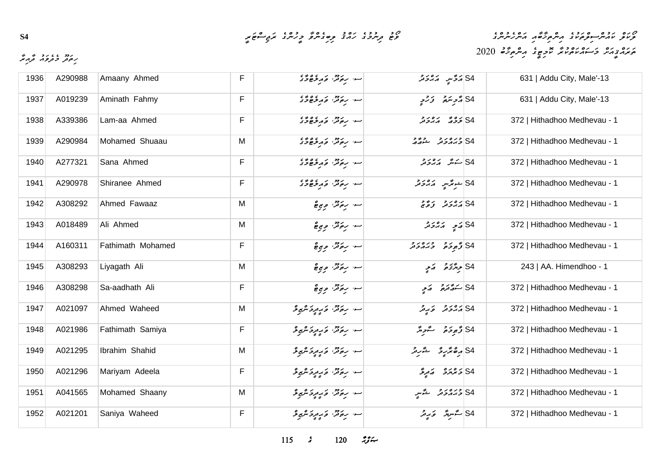*sCw7q7s5w7m< o<n9nOoAw7o< sCq;mAwBoEw7q<m; wBm;vB 2020<sup>, م</sup>وسوق المسجد التحقيق وسرمونية والم*جمع المسجد المسجد المسجد المسجد المسجد المسجد المسجد المسجد المسجد ال

| 1936 | A290988 | Amaany Ahmed      | F           | سه رړود ځمه د ۱۶۶۶                 | S4  كەڭرىيە كەبردىگر          | 631   Addu City, Male'-13    |
|------|---------|-------------------|-------------|------------------------------------|-------------------------------|------------------------------|
| 1937 | A019239 | Aminath Fahmy     | F           | سه رړونه و د وه ده                 | S4 مَّ <i>جِينَهُ وَرَّجِ</i> | 631   Addu City, Male'-13    |
| 1938 | A339386 | Lam-aa Ahmed      | F           | سه رړود که د ووی                   | S4 كرويم برەر د               | 372   Hithadhoo Medhevau - 1 |
| 1939 | A290984 | Mohamed Shuaau    | M           | سه رړونه که دی ده                  | $222 - 222$ $54$              | 372   Hithadhoo Medhevau - 1 |
| 1940 | A277321 | Sana Ahmed        | F           | سه رود و ده وه                     | S4 سەنى <i>ش مەنبەدى</i> ر    | 372   Hithadhoo Medhevau - 1 |
| 1941 | A290978 | Shiranee Ahmed    | $\mathsf F$ | سه رړونه و د ده ده                 | S4 شومگرس <i>مرکز دی</i>      | 372   Hithadhoo Medhevau - 1 |
| 1942 | A308292 | Ahmed Fawaaz      | M           | سة رەۋىر، و ئ ھ                    | S4 كەبرىر ئوقەتتى             | 372   Hithadhoo Medhevau - 1 |
| 1943 | A018489 | Ali Ahmed         | M           | سه رود. وی ه                       | S4 <i>جَرْحِي جَدْدَ</i> قْر  | 372   Hithadhoo Medhevau - 1 |
| 1944 | A160311 | Fathimath Mohamed | F           | سو رود وی ه                        | S4 ژُجِرَة در در در           | 372   Hithadhoo Medhevau - 1 |
| 1945 | A308293 | Liyagath Ali      | M           | سه رود. وی ه                       | S4 مِتَرَدِّهُ     رَمِ       | 243   AA. Himendhoo - 1      |
| 1946 | A308298 | Sa-aadhath Ali    | F           | سه رەۋىر، وېي                      | S4 ڪن <i>م ٿيو چي</i>         | 372   Hithadhoo Medhevau - 1 |
| 1947 | A021097 | Ahmed Waheed      | M           | ب رەتر، ئەيرىكى ئى                 | S4 <i>كەندى قىي</i> قر        | 372   Hithadhoo Medhevau - 1 |
| 1948 | A021986 | Fathimath Samiya  | F           | ب رەتر، ئەيرىكى ئى                 | S4 ۇ <sub>جو</sub> رَة مەھبەر | 372   Hithadhoo Medhevau - 1 |
| 1949 | A021295 | Ibrahim Shahid    | M           | ے روڈن وَرِمِردَ مَرْہِ وَ         | S4 م <i>وڭ مۇرىرى</i> ھەرىتر  | 372   Hithadhoo Medhevau - 1 |
| 1950 | A021296 | Mariyam Adeela    | F           | - سەنىڭ ئۇيە بېرىكىلى بى           | S4 كەبھە <i>دى كەبىرى</i> گە  | 372   Hithadhoo Medhevau - 1 |
| 1951 | A041565 | Mohamed Shaany    | M           | ب رەتر، ئەيرىكى ئى                 | S4 <i>\$222 كم م</i> دَّسِ    | 372   Hithadhoo Medhevau - 1 |
| 1952 | A021201 | Saniya Waheed     | F           | ىسە بەردە ئەرىرى <i>جى</i> گىرى ئى | S4 گەسىد ق <i>ەب</i> ىد       | 372   Hithadhoo Medhevau - 1 |

*115 sC 120 nNw?mS*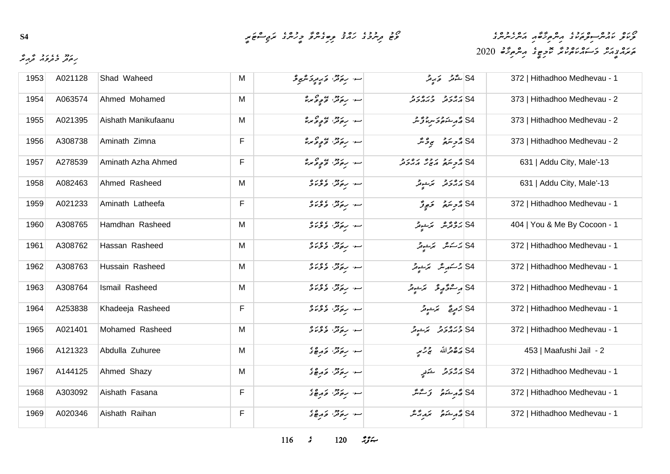*sCw7q7s5w7m< o<n9nOoAw7o< sCq;mAwBoEw7q<m; wBm;vB 2020<sup>, م</sup>وسوق المسجد التحقيق وسرمونية والم*جمع المسجد المسجد المسجد المسجد المسجد المسجد المسجد المسجد المسجد ال

| 1953 | A021128 | Shad Waheed         | M | – رۇش ئەيرىكىرىگى  | S4 ڪُنگر ق <i>رب</i> وگر                         | 372   Hithadhoo Medhevau - 1 |
|------|---------|---------------------|---|--------------------|--------------------------------------------------|------------------------------|
| 1954 | A063574 | Ahmed Mohamed       | M | ے رکوتر، تحویر میں | S4 ג׳כנר כגמכנר                                  | 373   Hithadhoo Medhevau - 2 |
| 1955 | A021395 | Aishath Manikufaanu | M | سه رود به ۵ و.     | S4 <sub>مەم</sub> رىئەمۇ <i>خەسرىدۇ</i> تىر      | 373   Hithadhoo Medhevau - 2 |
| 1956 | A308738 | Aminath Zimna       | F | ے رکوتر، تحویر میں | S4 مَّحِسَمَّةَ بِمَحَسَّ                        | 373   Hithadhoo Medhevau - 2 |
| 1957 | A278539 | Aminath Azha Ahmed  | F | سه رود به ۵ و.     | S4 أُمُّ مِسْمَدٍ مَنْ مَدَّدَ مَدِ              | 631   Addu City, Male'-13    |
| 1958 | A082463 | Ahmed Rasheed       | M | سه رپه وروسی       | S4 كەبرى قىر سىزىقر                              | 631   Addu City, Male'-13    |
| 1959 | A021233 | Aminath Latheefa    | F | سە رەۋە ئەۋرە      | S4 مَّ <i>جِسَعَةَ خَيْرٍ وَّ</i>                | 372   Hithadhoo Medhevau - 1 |
| 1960 | A308765 | Hamdhan Rasheed     | M | سور سره ده ده ده   | S4 كەۋگە كەن كەر يىلىنى ئالىرى ئالىرى بىر        | 404   You & Me By Cocoon - 1 |
| 1961 | A308762 | Hassan Rasheed      | M | سە رەۋە ئەۋرە      | S4  كەسكەنلەر كىزىغى <sub>ي</sub> ەتت <i>ى</i> ر | 372   Hithadhoo Medhevau - 1 |
| 1962 | A308763 | Hussain Rasheed     | M | سە رەۋە ئەۋرە      | S4 پر کے مریشہ متر سوشر                          | 372   Hithadhoo Medhevau - 1 |
| 1963 | A308764 | Ismail Rasheed      | M | سە رەۋە ئەۋرە      | S4 مرڪو <i>گھي</i> و - مَرَڪ <i>ومَرَ</i>        | 372   Hithadhoo Medhevau - 1 |
| 1964 | A253838 | Khadeeja Rasheed    | F | سە رەۋە ئەۋرە      | S4 كَتْرِيعٌ - مَرْشُوْتْرُ                      | 372   Hithadhoo Medhevau - 1 |
| 1965 | A021401 | Mohamed Rasheed     | M |                    | S4 <i>وُبَرُوونَوْ بَرَحْبِيْنْ</i>              | 372   Hithadhoo Medhevau - 1 |
| 1966 | A121323 | Abdulla Zuhuree     | M | سو رەقرا ھەج       | S4 مَەھتراللە ت <sub>ى</sub> ترىميە              | 453   Maafushi Jail - 2      |
| 1967 | A144125 | Ahmed Shazy         | M | سو رەقرا ەرە       | S4  كەنئەكە ئىس ئىستىنىيە <b>S</b> 4             | 372   Hithadhoo Medhevau - 1 |
| 1968 | A303092 | Aishath Fasana      | F | سوا رەق ئوم ھ      | S4 گەم شەق ئ <i>ۇ</i> شىگە                       | 372   Hithadhoo Medhevau - 1 |
| 1969 | A020346 | Aishath Raihan      | F | سى رەتر، ەرھ       | S4 مَّەمِسْمَعْ مَدَبِّسْ                        | 372   Hithadhoo Medhevau - 1 |

*n8o<n@ q<m=s@s> r@mAo5*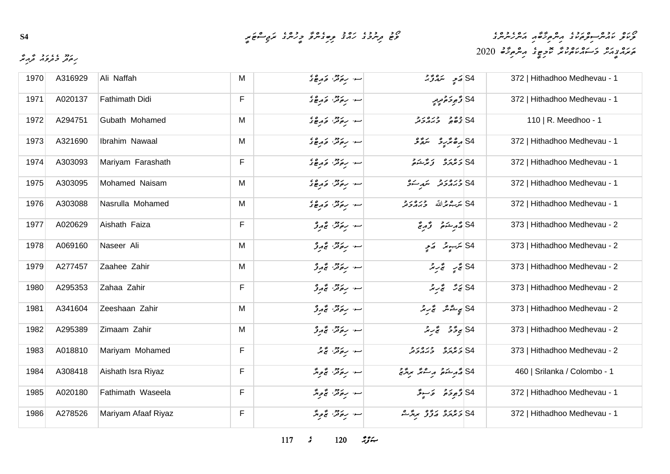*sCw7q7s5w7m< o<n9nOoAw7o< sCq;mAwBoEw7q<m; wBm;vB 2020*<br>*په پوهر وسوډيرونو لومو د موجو د مرمونه* 2020

| 1970 | A316929 | Ali Naffah            | M           | سه رەتر، ئورۇپم  | S4 <i>ھَ جِ</i> سَم <i>دُوْ بُ</i>          | 372   Hithadhoo Medhevau - 1 |
|------|---------|-----------------------|-------------|------------------|---------------------------------------------|------------------------------|
| 1971 | A020137 | <b>Fathimath Didi</b> | F           | سو رەتر، ئورە ئ  | S4 وَّجوحَة ويرميهِ                         | 372   Hithadhoo Medhevau - 1 |
| 1972 | A294751 | Gubath Mohamed        | M           | سه رودو، وروه    | S4 تِی صَدِ دِر دِ                          | 110   R. Meedhoo - 1         |
| 1973 | A321690 | Ibrahim Nawaal        | M           | سه ره ده کرده و  | S4 مەھ <i>مگىي</i> ئىستىمى                  | 372   Hithadhoo Medhevau - 1 |
| 1974 | A303093 | Mariyam Farashath     | F           | سه روده وروه     | S4 كەندىرى تەنگەشقى                         | 372   Hithadhoo Medhevau - 1 |
| 1975 | A303095 | Mohamed Naisam        | M           | سو رەق قەم ئ     | S4 دېم ديو شمه شو                           | 372   Hithadhoo Medhevau - 1 |
| 1976 | A303088 | Nasrulla Mohamed      | M           | سه رودو، وروء    | S4 يَرْبُ مِرَّ اللَّهُ وَبَرُ مُرْدَّ مَرْ | 372   Hithadhoo Medhevau - 1 |
| 1977 | A020629 | Aishath Faiza         | F           | سە رەۋىر، ئىم بۇ | S4 مەم شىم قى بىرىتى                        | 373   Hithadhoo Medhevau - 2 |
| 1978 | A069160 | Naseer Ali            | M           | سە رەقرا ئارۇ    | S4 سَرَسومِرٌ     رَمِرٍ                    | 373   Hithadhoo Medhevau - 2 |
| 1979 | A277457 | Zaahee Zahir          | M           | سە رەۋىر، ئىم بۇ | S4 پج پی پی پی                              | 373   Hithadhoo Medhevau - 2 |
| 1980 | A295353 | Zahaa Zahir           | $\mathsf F$ | سە رەۋر، ئامرۇ   | S4 يَحَرَّ تَجْرِيْرَ                       | 373   Hithadhoo Medhevau - 2 |
| 1981 | A341604 | Zeeshaan Zahir        | M           | سە رەۋىر، ئارۇ   | S4 بېرىشتىر گ <sub>ە</sub> پرىتر            | 373   Hithadhoo Medhevau - 2 |
| 1982 | A295389 | Zimaam Zahir          | M           | سە رەۋىر، ئىم بۇ | S4 يې <i>\$3 قىلى</i> تىر                   | 373   Hithadhoo Medhevau - 2 |
| 1983 | A018810 | Mariyam Mohamed       | F           | سە رەۋە ئەتر     | S4 كرورو ورودو                              | 373   Hithadhoo Medhevau - 2 |
| 1984 | A308418 | Aishath Isra Riyaz    | $\mathsf F$ | سە رەۋر ئورگە    | S4 مەم شىم بىر سىمگىر بىر بىر ج             | 460   Srilanka / Colombo - 1 |
| 1985 | A020180 | Fathimath Waseela     | $\mathsf F$ | سە رەۋىر، ئى ھەر | S4 زَّەپرىق ھَ سِرْتَر                      | 372   Hithadhoo Medhevau - 1 |
| 1986 | A278526 | Mariyam Afaaf Riyaz   | F           | سە رەۋر ئورگە    | S4 كەبھە <i>كە كەنگە ئىبەرگى</i> شە         | 372   Hithadhoo Medhevau - 1 |

*n8o<n@ q<m=s@s> r@mAo5*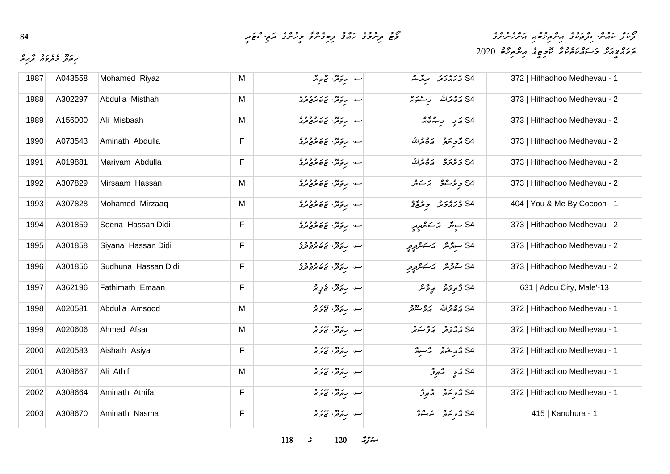*sCw7q7s5w7m< o<n9nOoAw7o< sCq;mAwBoEw7q<m; wBm;vB 2020<sup>, م</sup>وسوق المسجد التحقيق وسرمونية والم*جمع المسجد المسجد المسجد المسجد المسجد المسجد المسجد المسجد المسجد ال

| 1987 | A043558 | Mohamed Riyaz       | M           | سە رەۋىر، ئ <sub>ە</sub> ھ بۇ                      | S4 دېم دې مرگز شو                        | 372   Hithadhoo Medhevau - 1 |
|------|---------|---------------------|-------------|----------------------------------------------------|------------------------------------------|------------------------------|
| 1988 | A302297 | Abdulla Misthah     | M           | سه ره دو بره دود و                                 | S4 كەھەراللە ب <i>ەرەب</i> ۇ             | 373   Hithadhoo Medhevau - 2 |
| 1989 | A156000 | Ali Misbaah         | M           |                                                    | S4  روپه ویک <i>وټر</i>                  | 373   Hithadhoo Medhevau - 2 |
| 1990 | A073543 | Aminath Abdulla     | $\mathsf F$ | ر دو برد و و و و د<br>سه بروتر، نخ ه برقع تری      | S4 مُح <i>مِّدَة مُنْ مُ</i> قَدَّاللَّه | 373   Hithadhoo Medhevau - 2 |
| 1991 | A019881 | Mariyam Abdulla     | F           | ر دو بردو ده وده<br>سه بروگر، ناگانده در           | S4 كر مركز مركات الله                    | 373   Hithadhoo Medhevau - 2 |
| 1992 | A307829 | Mirsaam Hassan      | M           | ر دو بردو ده<br>سه بروتر، نان نرو ده               | S4 <i>وېژگن<sup>و</sup> برستر</i> گر     | 373   Hithadhoo Medhevau - 2 |
| 1993 | A307828 | Mohamed Mirzaaq     | M           | ر دو بردو ده وده<br>سه بروتر، نان نرج ترد          | S4 دُبرورو و مرتمّ دَ                    | 404   You & Me By Cocoon - 1 |
| 1994 | A301859 | Seena Hassan Didi   | F           | ر در دو برگر و و و تا<br>سو، برجوتر، نخ ت تربح تری | S4 سوپٹر کرکٹروپریور                     | 373   Hithadhoo Medhevau - 2 |
| 1995 | A301858 | Siyana Hassan Didi  | $\mathsf F$ | ر دو بردو ده وده<br>سه بروتر، نان نرود ده          | S4 سەئەتىگە كەسكەتلەرى <i>يە</i>         | 373   Hithadhoo Medhevau - 2 |
| 1996 | A301856 | Sudhuna Hassan Didi | F           |                                                    | S4 گەنزىگر كەسكەتلەرىر                   | 373   Hithadhoo Medhevau - 2 |
| 1997 | A362196 | Fathimath Emaan     | $\mathsf F$ | سە رەۋىر، ئاپەتر                                   | S4 زَّەپ <i>ەدَە</i> ب <sub>و</sub> ڭىر  | 631   Addu City, Male'-13    |
| 1998 | A020581 | Abdulla Amsood      | M           | ر دو به در و<br>سه رمونس مح و مر                   | S4 مَهْ مَرْاللّه مَرْحَسِّيْر           | 372   Hithadhoo Medhevau - 1 |
| 1999 | A020606 | Ahmed Afsar         | M           | سه ره ده برد و                                     | S4 كەبرو كەن ئەسكەتلىر                   | 372   Hithadhoo Medhevau - 1 |
| 2000 | A020583 | Aishath Asiya       | $\mathsf F$ | سه رود برد و                                       | S4 مۇم شىمۇ گەسىت <sup>ى</sup> ر         | 372   Hithadhoo Medhevau - 1 |
| 2001 | A308667 | Ali Athif           | M           | سه ره ده برد و                                     | S4 پَرمٍ پ <u>ُرو</u> ژ                  | 372   Hithadhoo Medhevau - 1 |
| 2002 | A308664 | Aminath Athifa      | $\mathsf F$ | سە بەھ قراشى ئەرج                                  | S4 مَّحِسَمَۃُ مََّہُوتَرُ               | 372   Hithadhoo Medhevau - 1 |
| 2003 | A308670 | Aminath Nasma       | F           | سه رود به د د                                      | S4 أَمَّ حِيثَهُمْ مَسَرَّحَةً           | 415   Kanuhura - 1           |

*n8o<n@ q<m=s@s> r@mAo5*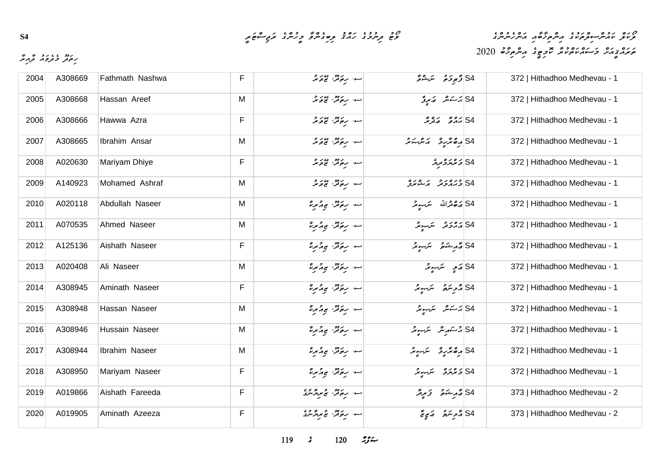*sCw7q7s5w7m< o<n9nOoAw7o< sCq;mAwBoEw7q<m; wBm;vB 2020<sup>, م</sup>وسوق المسجد التحقيق وسرمونية والم*جمع المسجد المسجد المسجد المسجد المسجد المسجد المسجد المسجد المسجد ال

| 2004 | A308669 | Fathmath Nashwa | F           | سه ره ده برد و                      | S4 ۇ <sub>جو</sub> رَمْ سَرَسْرَةْ                                         | 372   Hithadhoo Medhevau - 1 |
|------|---------|-----------------|-------------|-------------------------------------|----------------------------------------------------------------------------|------------------------------|
| 2005 | A308668 | Hassan Areef    | M           | سە رەۋىر ، بىر د                    | S4 بَرسَۃ مَہ بِروْ                                                        | 372   Hithadhoo Medhevau - 1 |
| 2006 | A308666 | Hawwa Azra      | F           | سه ره ده برد و                      | S4 ئەۋمۇس مەنى <i>رىتى</i>                                                 | 372   Hithadhoo Medhevau - 1 |
| 2007 | A308665 | Ibrahim Ansar   | M           | سە رەۋىر، تائەر 2                   | S4 مەھمەر بەر مەسىبەتلىر                                                   | 372   Hithadhoo Medhevau - 1 |
| 2008 | A020630 | Mariyam Dhiye   | F           | ر دو دره در د<br> سوا روفرا مح و مر | S4 كەمگەر <i>19 م</i> ېرىر                                                 | 372   Hithadhoo Medhevau - 1 |
| 2009 | A140923 | Mohamed Ashraf  | M           | سه ره ده برد و                      | S4 دېرورو ترشيزو                                                           | 372   Hithadhoo Medhevau - 1 |
| 2010 | A020118 | Abdullah Naseer | M           | سة رەۋر ئەرىرى                      | S4 صَدَّةَ مَثَّلَ مَدَّسِيْتَمَ                                           | 372   Hithadhoo Medhevau - 1 |
| 2011 | A070535 | Ahmed Naseer    | M           | سە رەۋىش بىر قىرىن                  | S4 <i>مەندىقى</i> سەببەتر                                                  | 372   Hithadhoo Medhevau - 1 |
| 2012 | A125136 | Aishath Naseer  | F           | سة رەۋىر، يورىرى                    | S4 مەم ئىقىم ئىسكىتى ئىش                                                   | 372   Hithadhoo Medhevau - 1 |
| 2013 | A020408 | Ali Naseer      | M           | سە رەۋىر، بېرىرىدە                  | S4  رَمِ سَرَجِيرٌ                                                         | 372   Hithadhoo Medhevau - 1 |
| 2014 | A308945 | Aminath Naseer  | F           | سة رەۋىر، بېرىرىد                   | S4 مُرْحِ مَرْتَهِ مَرْسِوِيْر                                             | 372   Hithadhoo Medhevau - 1 |
| 2015 | A308948 | Hassan Naseer   | M           | سة رەۋىش بېرىرىد                    | S4  يز سكة مسترسية مترسية متر                                              | 372   Hithadhoo Medhevau - 1 |
| 2016 | A308946 | Hussain Naseer  | M           | سە رەۋىر، بېرىرىدە                  | S4 پرڪيريش ڪرب پرچ                                                         | 372   Hithadhoo Medhevau - 1 |
| 2017 | A308944 | Ibrahim Naseer  | M           | سە رەڭ بېرىر ئا                     | S4 مەھەرىپ ھىرىپە ئىر                                                      | 372   Hithadhoo Medhevau - 1 |
| 2018 | A308950 | Mariyam Naseer  | $\mathsf F$ | سە رەۋر ئەرىرە                      | S4 كەبىر بىر ئىكى ئىككى ئىككى ئىككى ئىككى ئىككى ئىككى ئىككى ئىككى ئىككى ئا | 372   Hithadhoo Medhevau - 1 |
| 2019 | A019866 | Aishath Fareeda | F           | سه رموتر، محمود ده                  | S4 صَّەپسىسى توسمپىتَر                                                     | 373   Hithadhoo Medhevau - 2 |
| 2020 | A019905 | Aminath Azeeza  | F           | ے رود تر بربر دی                    | S4 مَرْحِسَعَۃ مَهِ يَحْ                                                   | 373   Hithadhoo Medhevau - 2 |

*119 sC 120 nNw?mS*